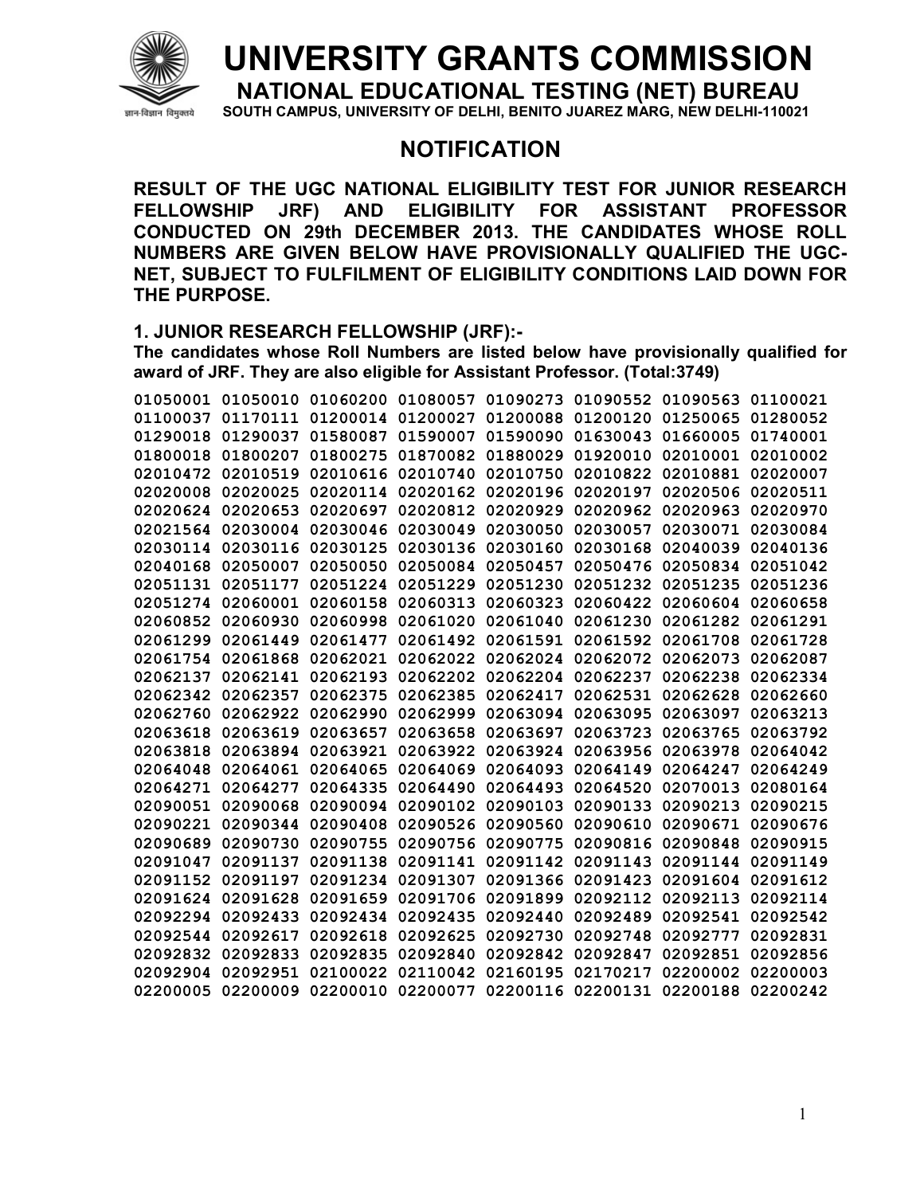

## **UNIVERSITY GRANTS COMMISSION**

**NATIONAL EDUCATIONAL TESTING (NET) BUREAU** 

SOUTH CAMPUS, UNIVERSITY OF DELHI, BENITO JUAREZ MARG, NEW DELHI-110021

## **NOTIFICATION**

**RESULT OF THE UGC NATIONAL ELIGIBILITY TEST FOR JUNIOR RESEARCH FELLOWSHIP JRF) AND ELIGIBILITY FOR ASSISTANT PROFESSOR CONDUCTED ON 29th DECEMBER 2013. THE CANDIDATES WHOSE ROLL NUMBERS ARE GIVEN BELOW HAVE PROVISIONALLY QUALIFIED THE UGC-NET, SUBJECT TO FULFILMENT OF ELIGIBILITY CONDITIONS LAID DOWN FOR THE PURPOSE.** 

## **1. JUNIOR RESEARCH FELLOWSHIP (JRF):-**

**The candidates whose Roll Numbers are listed below have provisionally qualified for award of JRF. They are also eligible for Assistant Professor. (Total:3749)** 

| 01050001 |                   | 01050010 01060200          | 01080057          |                   | 01090273 01090552          | 01090563          | 01100021 |
|----------|-------------------|----------------------------|-------------------|-------------------|----------------------------|-------------------|----------|
| 01100037 | 01170111          |                            | 01200014 01200027 |                   | 01200088 01200120          | 01250065          | 01280052 |
|          | 01290018 01290037 | 01580087                   | 01590007          | 01590090          | 01630043                   | 01660005          | 01740001 |
| 01800018 | 01800207          | 01800275                   | 01870082          | 01880029          | 01920010                   | 02010001 02010002 |          |
| 02010472 | 02010519          | 02010616                   | 02010740          | 02010750          | 02010822                   | 02010881          | 02020007 |
| 02020008 | 02020025          | 02020114                   | 02020162          | 02020196          | 02020197                   | 02020506          | 02020511 |
|          | 02020624 02020653 | 02020697                   | 02020812 02020929 |                   | 02020962                   | 02020963          | 02020970 |
| 02021564 | 02030004          | 02030046                   | 02030049          | 02030050          | 02030057                   | 02030071          | 02030084 |
| 02030114 | 02030116          | 02030125                   | 02030136          | 02030160          | 02030168                   | 02040039          | 02040136 |
|          | 02040168 02050007 | 02050050                   |                   | 02050084 02050457 | 02050476                   | 02050834          | 02051042 |
|          | 02051131 02051177 | 02051224                   | 02051229          | 02051230          | 02051232                   | 02051235          | 02051236 |
| 02051274 | 02060001          | 02060158                   | 02060313          | 02060323          | 02060422                   | 02060604          | 02060658 |
| 02060852 | 02060930          | 02060998                   | 02061020          | 02061040          | 02061230                   | 02061282          | 02061291 |
|          | 02061299 02061449 | 02061477                   |                   | 02061492 02061591 | 02061592                   | 02061708          | 02061728 |
| 02061754 | 02061868          | 02062021                   | 02062022          | 02062024          | 02062072                   | 02062073          | 02062087 |
| 02062137 | 02062141          | 02062193                   | 02062202          | 02062204          | 02062237                   | 02062238          | 02062334 |
|          | 02062342 02062357 | 02062375                   | 02062385          | 02062417          | 02062531                   | 02062628          | 02062660 |
| 02062760 | 02062922          | 02062990                   | 02062999          | 02063094          | 02063095                   | 02063097          | 02063213 |
| 02063618 | 02063619          | 02063657                   | 02063658          | 02063697          | 02063723                   | 02063765          | 02063792 |
| 02063818 | 02063894          | 02063921                   | 02063922          | 02063924          | 02063956                   | 02063978          | 02064042 |
|          | 02064048 02064061 | 02064065                   | 02064069 02064093 |                   | 02064149                   | 02064247          | 02064249 |
| 02064271 | 02064277          | 02064335                   | 02064490          | 02064493          | 02064520                   | 02070013          | 02080164 |
| 02090051 | 02090068          | 02090094                   | 02090102          | 02090103          | 02090133                   | 02090213          | 02090215 |
|          | 02090221 02090344 | 02090408                   | 02090526 02090560 |                   | 02090610                   | 02090671          | 02090676 |
| 02090689 | 02090730          | 02090755                   | 02090756          | 02090775          | 02090816                   | 02090848          | 02090915 |
| 02091047 | 02091137          | 02091138                   | 02091141          | 02091142          | 02091143                   | 02091144          | 02091149 |
| 02091152 | 02091197          | 02091234                   | 02091307          | 02091366          | 02091423                   | 02091604          | 02091612 |
|          | 02091624 02091628 | 02091659                   | 02091706          | 02091899          | 02092112                   | 02092113 02092114 |          |
| 02092294 | 02092433          | 02092434                   | 02092435          | 02092440          | 02092489                   | 02092541          | 02092542 |
| 02092544 | 02092617          | 02092618                   | 02092625          | 02092730          | 02092748                   | 02092777          | 02092831 |
| 02092832 | 02092833          | 02092835                   | 02092840          | 02092842          | 02092847                   | 02092851          | 02092856 |
|          | 02092904 02092951 | 02100022                   | 02110042 02160195 |                   | 02170217                   | 02200002          | 02200003 |
|          |                   | 02200005 02200009 02200010 |                   |                   | 02200077 02200116 02200131 | 02200188          | 02200242 |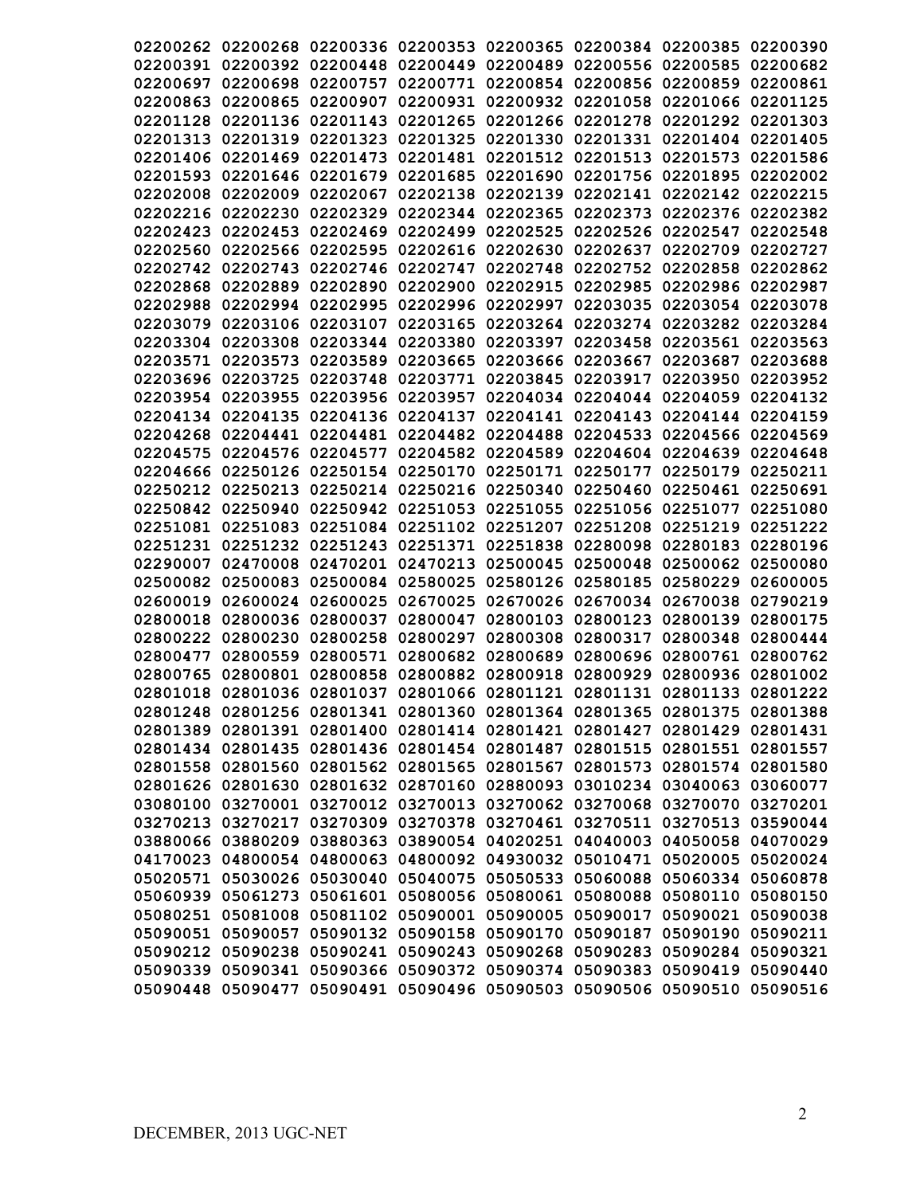|          | 02200262 02200268 02200336 02200353 02200365 02200384 02200385          |                   |          |                            |                                              |          | 02200390 |
|----------|-------------------------------------------------------------------------|-------------------|----------|----------------------------|----------------------------------------------|----------|----------|
|          | 02200391 02200392 02200448                                              |                   |          |                            | 02200449 02200489 02200556 02200585          |          | 02200682 |
| 02200697 | 02200698                                                                | 02200757          | 02200771 |                            | 02200854 02200856 02200859                   |          | 02200861 |
| 02200863 | 02200865                                                                | 02200907          | 02200931 |                            | 02200932 02201058                            | 02201066 | 02201125 |
| 02201128 | 02201136                                                                | 02201143          | 02201265 |                            | 02201266 02201278                            | 02201292 | 02201303 |
| 02201313 | 02201319                                                                | 02201323          | 02201325 |                            | 02201330 02201331                            | 02201404 | 02201405 |
| 02201406 | 02201469                                                                | 02201473          | 02201481 |                            | 02201512 02201513                            | 02201573 | 02201586 |
| 02201593 |                                                                         | 02201646 02201679 | 02201685 |                            | 02201690 02201756 02201895                   |          | 02202002 |
| 02202008 | 02202009                                                                | 02202067          | 02202138 |                            | 02202139 02202141 02202142                   |          | 02202215 |
|          | 02202216 02202230                                                       | 02202329          |          |                            | 02202344 02202365 02202373                   | 02202376 | 02202382 |
| 02202423 | 02202453                                                                | 02202469          | 02202499 |                            | 02202525 02202526 02202547                   |          | 02202548 |
| 02202560 |                                                                         | 02202566 02202595 |          | 02202616 02202630          | 02202637                                     | 02202709 | 02202727 |
| 02202742 | 02202743                                                                | 02202746          | 02202747 | 02202748                   | 02202752                                     | 02202858 | 02202862 |
| 02202868 | 02202889                                                                | 02202890          | 02202900 | 02202915                   | 02202985                                     | 02202986 | 02202987 |
| 02202988 |                                                                         | 02202994 02202995 |          |                            | 02202996 02202997 02203035 02203054          |          | 02203078 |
| 02203079 |                                                                         | 02203106 02203107 |          |                            | 02203165 02203264 02203274 02203282          |          | 02203284 |
|          | 02203304 02203308 02203344                                              |                   |          |                            | 02203380 02203397 02203458 02203561          |          | 02203563 |
|          | 02203571 02203573 02203589                                              |                   | 02203665 |                            | 02203666 02203667                            | 02203687 | 02203688 |
|          | 02203696 02203725                                                       | 02203748          |          | 02203771 02203845 02203917 |                                              | 02203950 | 02203952 |
|          | 02203954 02203955                                                       | 02203956          |          |                            | 02203957 02204034 02204044 02204059          |          | 02204132 |
|          | 02204134 02204135                                                       | 02204136          |          |                            | 02204137 02204141 02204143 02204144          |          | 02204159 |
|          | 02204268 02204441                                                       | 02204481          | 02204482 |                            | 02204488 02204533 02204566                   |          | 02204569 |
|          | 02204575 02204576                                                       | 02204577          | 02204582 | 02204589                   | 02204604 02204639                            |          | 02204648 |
|          | 02204666 02250126                                                       | 02250154          | 02250170 |                            | 02250171 02250177                            | 02250179 | 02250211 |
|          | 02250212 02250213                                                       | 02250214          |          | 02250216 02250340          | 02250460                                     | 02250461 | 02250691 |
| 02250842 | 02250940                                                                | 02250942          | 02251053 | 02251055                   | 02251056                                     | 02251077 | 02251080 |
| 02251081 | 02251083                                                                | 02251084          | 02251102 | 02251207                   | 02251208                                     | 02251219 | 02251222 |
| 02251231 | 02251232                                                                | 02251243          | 02251371 | 02251838                   | 02280098                                     | 02280183 | 02280196 |
| 02290007 | 02470008                                                                | 02470201          | 02470213 | 02500045                   | 02500048                                     | 02500062 | 02500080 |
| 02500082 | 02500083                                                                | 02500084          | 02580025 |                            | 02580126 02580185                            | 02580229 | 02600005 |
| 02600019 | 02600024                                                                | 02600025          | 02670025 |                            | 02670026 02670034                            | 02670038 | 02790219 |
| 02800018 | 02800036                                                                | 02800037          | 02800047 |                            | 02800103 02800123                            | 02800139 | 02800175 |
| 02800222 | 02800230                                                                | 02800258          | 02800297 |                            | 02800308 02800317                            | 02800348 | 02800444 |
| 02800477 | 02800559                                                                | 02800571          | 02800682 | 02800689                   | 02800696                                     | 02800761 | 02800762 |
| 02800765 | 02800801                                                                | 02800858          | 02800882 | 02800918 02800929          |                                              | 02800936 | 02801002 |
|          | 02801018 02801036 02801037                                              |                   |          |                            | 02801066 02801121 02801131 02801133          |          | 02801222 |
|          | 02801248 02801256 02801341                                              |                   |          |                            | 02801360 02801364 02801365 02801375 02801388 |          |          |
|          | 02801389 02801391 02801400 02801414 02801421 02801427 02801429          |                   |          |                            |                                              |          | 02801431 |
|          | 02801434 02801435 02801436 02801454 02801487 02801515 02801551          |                   |          |                            |                                              |          | 02801557 |
|          | 02801558 02801560 02801562 02801565 02801567 02801573 02801574          |                   |          |                            |                                              |          | 02801580 |
|          | 02801626 02801630 02801632 02870160 02880093 03010234 03040063 03060077 |                   |          |                            |                                              |          |          |
|          | 03080100 03270001 03270012 03270013 03270062 03270068 03270070 03270201 |                   |          |                            |                                              |          |          |
|          | 03270213 03270217 03270309 03270378 03270461 03270511 03270513 03590044 |                   |          |                            |                                              |          |          |
|          | 03880066 03880209 03880363 03890054 04020251 04040003 04050058 04070029 |                   |          |                            |                                              |          |          |
|          | 04170023 04800054 04800063 04800092 04930032 05010471 05020005 05020024 |                   |          |                            |                                              |          |          |
|          | 05020571 05030026 05030040                                              |                   |          |                            | 05040075 05050533 05060088 05060334 05060878 |          |          |
|          | 05060939 05061273 05061601                                              |                   |          |                            | 05080056 05080061 05080088                   | 05080110 | 05080150 |
|          | 05080251 05081008                                                       | 05081102          |          |                            | 05090001 05090005 05090017                   | 05090021 | 05090038 |
|          | 05090051 05090057                                                       | 05090132          |          | 05090158 05090170 05090187 |                                              | 05090190 | 05090211 |
|          | 05090212 05090238                                                       | 05090241          |          | 05090243 05090268 05090283 |                                              | 05090284 | 05090321 |
|          | 05090339 05090341                                                       | 05090366          |          |                            | 05090372 05090374 05090383                   | 05090419 | 05090440 |
|          | 05090448 05090477                                                       | 05090491          |          |                            | 05090496 05090503 05090506 05090510          |          | 05090516 |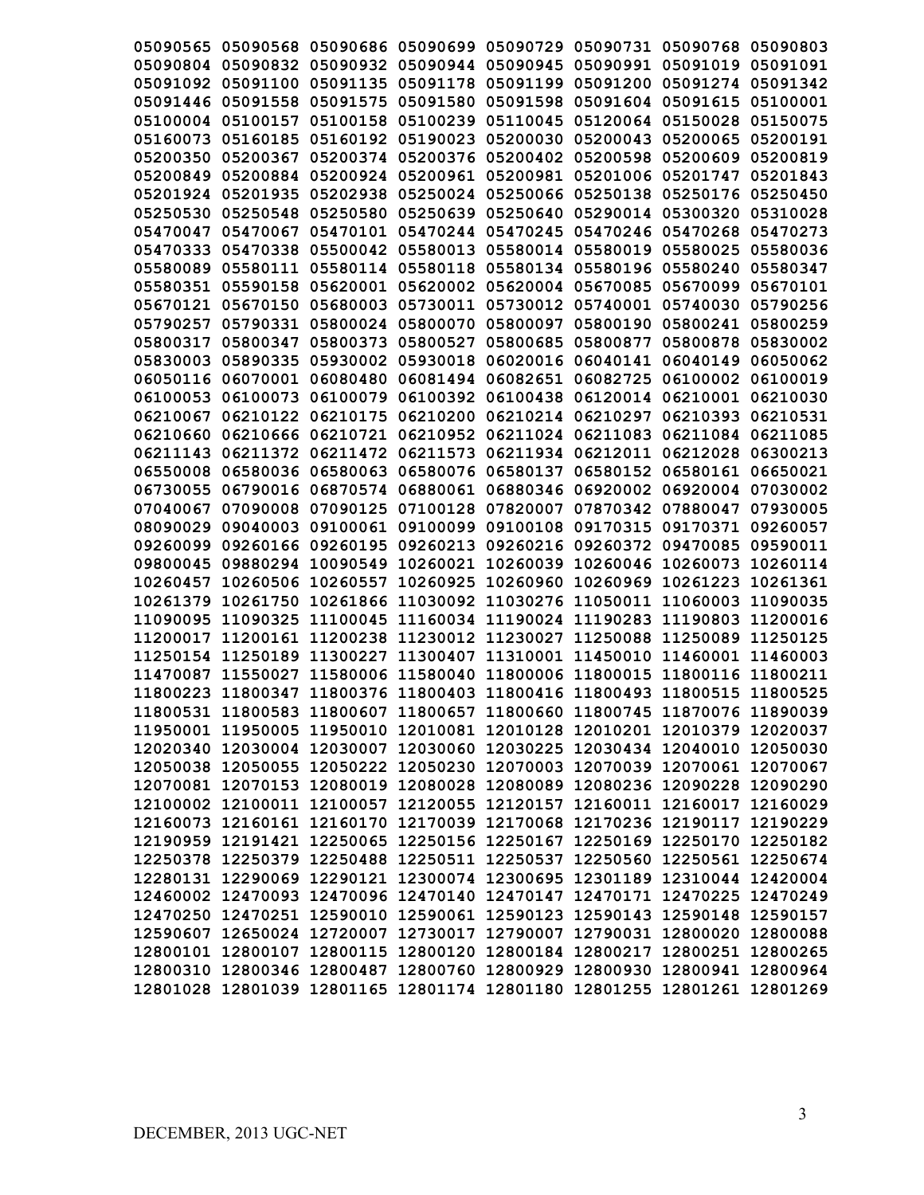|          | 05090565 05090568 05090686 05090699 05090729 05090731 05090768 05090803 |                   |                                                       |                   |                            |                                                       |          |
|----------|-------------------------------------------------------------------------|-------------------|-------------------------------------------------------|-------------------|----------------------------|-------------------------------------------------------|----------|
|          |                                                                         |                   |                                                       |                   |                            |                                                       |          |
|          | 05090804 05090832 05090932 05090944 05090945 05090991 05091019 05091091 |                   |                                                       |                   |                            |                                                       |          |
|          | 05091092 05091100                                                       |                   | 05091135 05091178 05091199 05091200                   |                   |                            | 05091274 05091342                                     |          |
|          | 05091446 05091558                                                       | 05091575          | 05091580                                              | 05091598          | 05091604 05091615          |                                                       | 05100001 |
|          | 05100004 05100157                                                       | 05100158          | 05100239                                              | 05110045          | 05120064                   | 05150028                                              | 05150075 |
|          | 05160073 05160185                                                       |                   | 05160192 05190023 05200030                            |                   | 05200043                   | 05200065                                              | 05200191 |
|          | 05200350 05200367                                                       |                   | 05200374 05200376 05200402 05200598                   |                   |                            | 05200609                                              | 05200819 |
| 05200849 |                                                                         |                   | 05200884 05200924 05200961 05200981 05201006 05201747 |                   |                            |                                                       | 05201843 |
|          | 05201924 05201935                                                       |                   |                                                       |                   |                            | 05202938 05250024 05250066 05250138 05250176 05250450 |          |
| 05250530 |                                                                         |                   | 05250548 05250580 05250639 05250640 05290014 05300320 |                   |                            |                                                       | 05310028 |
| 05470047 | 05470067                                                                |                   | 05470101 05470244 05470245 05470246 05470268          |                   |                            |                                                       | 05470273 |
|          | 05470333 05470338 05500042 05580013 05580014 05580019 05580025          |                   |                                                       |                   |                            |                                                       | 05580036 |
|          | 05580089 05580111 05580114 05580118 05580134 05580196 05580240          |                   |                                                       |                   |                            |                                                       | 05580347 |
|          | 05580351 05590158                                                       |                   | 05620001 05620002 05620004 05670085 05670099          |                   |                            |                                                       | 05670101 |
|          | 05670121 05670150 05680003 05730011 05730012 05740001 05740030          |                   |                                                       |                   |                            |                                                       | 05790256 |
|          | 05790257 05790331                                                       |                   | 05800024 05800070 05800097 05800190                   |                   |                            | 05800241                                              | 05800259 |
|          | 05800317 05800347 05800373 05800527                                     |                   |                                                       |                   | 05800685 05800877          | 05800878 05830002                                     |          |
|          |                                                                         |                   |                                                       |                   |                            | 06040149                                              |          |
|          | 05830003 05890335 05930002 05930018 06020016 06040141                   |                   |                                                       |                   |                            |                                                       | 06050062 |
|          | 06050116 06070001 06080480 06081494 06082651 06082725 06100002 06100019 |                   |                                                       |                   |                            |                                                       |          |
|          | 06100053 06100073 06100079 06100392 06100438 06120014 06210001 06210030 |                   |                                                       |                   |                            |                                                       |          |
|          | 06210067 06210122 06210175 06210200 06210214 06210297 06210393 06210531 |                   |                                                       |                   |                            |                                                       |          |
|          | 06210660 06210666 06210721 06210952 06211024 06211083                   |                   |                                                       |                   |                            | 06211084 06211085                                     |          |
|          | 06211143 06211372 06211472 06211573 06211934 06212011                   |                   |                                                       |                   |                            | 06212028 06300213                                     |          |
|          | 06550008 06580036                                                       | 06580063          |                                                       |                   |                            | 06580076 06580137 06580152 06580161 06650021          |          |
|          | 06730055 06790016                                                       |                   |                                                       |                   |                            | 06870574 06880061 06880346 06920002 06920004 07030002 |          |
| 07040067 | 07090008                                                                | 07090125          |                                                       | 07100128 07820007 | 07870342                   | 07880047                                              | 07930005 |
| 08090029 | 09040003                                                                | 09100061          | 09100099                                              | 09100108          | 09170315                   | 09170371                                              | 09260057 |
| 09260099 | 09260166                                                                | 09260195          | 09260213                                              |                   | 09260216 09260372          | 09470085                                              | 09590011 |
|          | 09800045 09880294                                                       | 10090549          | 10260021                                              | 10260039          | 10260046 10260073          |                                                       | 10260114 |
| 10260457 | 10260506                                                                | 10260557          | 10260925                                              | 10260960          | 10260969 10261223          |                                                       | 10261361 |
| 10261379 | 10261750                                                                |                   | 10261866 11030092 11030276 11050011 11060003          |                   |                            |                                                       | 11090035 |
| 11090095 | 11090325                                                                | 11100045          |                                                       |                   | 11160034 11190024 11190283 | 11190803                                              | 11200016 |
| 11200017 | 11200161                                                                |                   | 11200238 11230012 11230027 11250088 11250089          |                   |                            |                                                       | 11250125 |
| 11250154 | 11250189                                                                | 11300227          | 11300407                                              |                   |                            | 11310001 11450010 11460001                            | 11460003 |
| 11470087 | 11550027                                                                | 11580006 11580040 |                                                       |                   |                            | 11800006 11800015 11800116 11800211                   |          |
|          | 11800223 11800347 11800376 11800403 11800416 11800493 11800515 11800525 |                   |                                                       |                   |                            |                                                       |          |
|          | 11800531 11800583 11800607 11800657 11800660 11800745 11870076 11890039 |                   |                                                       |                   |                            |                                                       |          |
|          | 11950001 11950005 11950010 12010081 12010128 12010201 12010379 12020037 |                   |                                                       |                   |                            |                                                       |          |
|          | 12020340 12030004 12030007 12030060 12030225 12030434 12040010 12050030 |                   |                                                       |                   |                            |                                                       |          |
|          | 12050038 12050055 12050222 12050230 12070003 12070039 12070061 12070067 |                   |                                                       |                   |                            |                                                       |          |
|          | 12070081 12070153 12080019 12080028 12080089 12080236 12090228 12090290 |                   |                                                       |                   |                            |                                                       |          |
|          | 12100002 12100011 12100057 12120055 12120157 12160011 12160017 12160029 |                   |                                                       |                   |                            |                                                       |          |
|          | 12160073 12160161 12160170 12170039 12170068 12170236 12190117 12190229 |                   |                                                       |                   |                            |                                                       |          |
|          |                                                                         |                   |                                                       |                   |                            |                                                       |          |
|          | 12190959 12191421 12250065 12250156 12250167 12250169 12250170 12250182 |                   |                                                       |                   |                            |                                                       |          |
|          | 12250378 12250379 12250488 12250511 12250537 12250560 12250561 12250674 |                   |                                                       |                   |                            |                                                       |          |
|          | 12280131 12290069 12290121 12300074 12300695 12301189 12310044 12420004 |                   |                                                       |                   |                            |                                                       |          |
|          | 12460002 12470093 12470096 12470140 12470147 12470171 12470225 12470249 |                   |                                                       |                   |                            |                                                       |          |
|          | 12470250 12470251 12590010 12590061 12590123 12590143 12590148 12590157 |                   |                                                       |                   |                            |                                                       |          |
|          | 12590607 12650024 12720007 12730017 12790007 12790031 12800020 12800088 |                   |                                                       |                   |                            |                                                       |          |
|          | 12800101 12800107 12800115 12800120 12800184 12800217 12800251 12800265 |                   |                                                       |                   |                            |                                                       |          |
|          | 12800310 12800346 12800487 12800760 12800929 12800930 12800941 12800964 |                   |                                                       |                   |                            |                                                       |          |
|          | 12801028 12801039 12801165 12801174 12801180 12801255 12801261 12801269 |                   |                                                       |                   |                            |                                                       |          |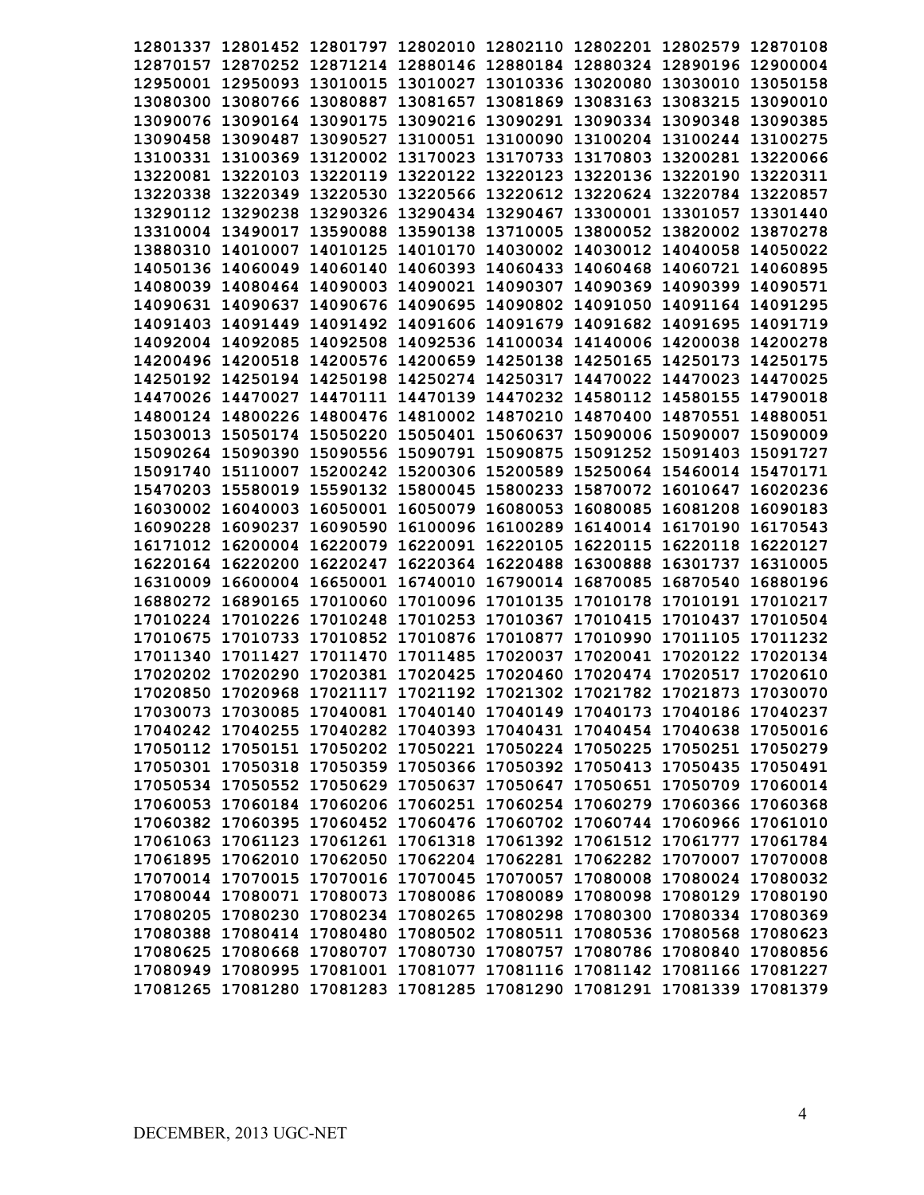| 12801337 12801452 12801797 12802010 12802110 12802201 12802579 12870108 |                                                       |  |                                     |          |
|-------------------------------------------------------------------------|-------------------------------------------------------|--|-------------------------------------|----------|
| 12870157 12870252 12871214 12880146 12880184 12880324 12890196 12900004 |                                                       |  |                                     |          |
| 12950001 12950093 13010015 13010027 13010336 13020080 13030010 13050158 |                                                       |  |                                     |          |
| 13080300 13080766 13080887 13081657 13081869 13083163 13083215 13090010 |                                                       |  |                                     |          |
| 13090076 13090164 13090175 13090216 13090291 13090334 13090348 13090385 |                                                       |  |                                     |          |
| 13090458 13090487 13090527 13100051 13100090 13100204 13100244 13100275 |                                                       |  |                                     |          |
| 13100331 13100369 13120002 13170023 13170733 13170803 13200281 13220066 |                                                       |  |                                     |          |
| 13220081 13220103 13220119 13220122 13220123 13220136 13220190 13220311 |                                                       |  |                                     |          |
| 13220338 13220349 13220530 13220566 13220612 13220624 13220784 13220857 |                                                       |  |                                     |          |
| 13290112 13290238 13290326 13290434 13290467 13300001 13301057 13301440 |                                                       |  |                                     |          |
| 13310004 13490017 13590088 13590138 13710005 13800052 13820002 13870278 |                                                       |  |                                     |          |
| 13880310 14010007 14010125 14010170 14030002 14030012 14040058 14050022 |                                                       |  |                                     |          |
| 14050136 14060049 14060140 14060393 14060433 14060468 14060721 14060895 |                                                       |  |                                     |          |
| 14080039 14080464 14090003 14090021 14090307 14090369 14090399 14090571 |                                                       |  |                                     |          |
| 14090631 14090637 14090676 14090695 14090802 14091050 14091164 14091295 |                                                       |  |                                     |          |
| 14091403 14091449 14091492 14091606 14091679 14091682 14091695 14091719 |                                                       |  |                                     |          |
| 14092004 14092085 14092508 14092536 14100034 14140006 14200038 14200278 |                                                       |  |                                     |          |
| 14200496 14200518 14200576 14200659 14250138 14250165 14250173 14250175 |                                                       |  |                                     |          |
| 14250192 14250194 14250198 14250274 14250317 14470022 14470023 14470025 |                                                       |  |                                     |          |
| 14470026 14470027 14470111 14470139 14470232 14580112 14580155 14790018 |                                                       |  |                                     |          |
| 14800124 14800226 14800476 14810002 14870210 14870400 14870551 14880051 |                                                       |  |                                     |          |
| 15030013 15050174 15050220 15050401 15060637 15090006 15090007 15090009 |                                                       |  |                                     |          |
| 15090264 15090390 15090556 15090791 15090875 15091252 15091403 15091727 |                                                       |  |                                     |          |
| 15091740 15110007 15200242 15200306 15200589 15250064 15460014 15470171 |                                                       |  |                                     |          |
| 15470203 15580019 15590132 15800045 15800233 15870072 16010647 16020236 |                                                       |  |                                     |          |
| 16030002 16040003 16050001 16050079 16080053 16080085 16081208          |                                                       |  |                                     | 16090183 |
| 16090228 16090237 16090590 16100096 16100289 16140014 16170190          |                                                       |  |                                     | 16170543 |
| 16171012 16200004 16220079 16220091 16220105 16220115 16220118 16220127 |                                                       |  |                                     |          |
| 16220164 16220200 16220247                                              |                                                       |  | 16220364 16220488 16300888 16301737 | 16310005 |
| 16310009 16600004 16650001 16740010 16790014 16870085 16870540          |                                                       |  |                                     | 16880196 |
| 16880272 16890165 17010060 17010096 17010135 17010178 17010191 17010217 |                                                       |  |                                     |          |
| 17010224 17010226 17010248 17010253 17010367 17010415 17010437          |                                                       |  |                                     | 17010504 |
| 17010675 17010733 17010852 17010876 17010877 17010990 17011105 17011232 |                                                       |  |                                     |          |
| 17011340 17011427 17011470 17011485 17020037 17020041 17020122 17020134 |                                                       |  |                                     |          |
| 17020202 17020290                                                       | 17020381 17020425 17020460 17020474 17020517 17020610 |  |                                     |          |
| 17020850 17020968 17021117 17021192 17021302 17021782 17021873 17030070 |                                                       |  |                                     |          |
| 17030073 17030085 17040081 17040140 17040149 17040173 17040186 17040237 |                                                       |  |                                     |          |
| 17040242 17040255 17040282 17040393 17040431 17040454 17040638 17050016 |                                                       |  |                                     |          |
| 17050112 17050151 17050202 17050221 17050224 17050225 17050251 17050279 |                                                       |  |                                     |          |
| 17050301 17050318 17050359 17050366 17050392 17050413 17050435 17050491 |                                                       |  |                                     |          |
| 17050534 17050552 17050629 17050637 17050647 17050651 17050709 17060014 |                                                       |  |                                     |          |
| 17060053 17060184 17060206 17060251 17060254 17060279 17060366 17060368 |                                                       |  |                                     |          |
| 17060382 17060395 17060452 17060476 17060702 17060744 17060966 17061010 |                                                       |  |                                     |          |
| 17061063 17061123 17061261 17061318 17061392 17061512 17061777 17061784 |                                                       |  |                                     |          |
| 17061895 17062010 17062050 17062204 17062281 17062282 17070007 17070008 |                                                       |  |                                     |          |
| 17070014 17070015 17070016 17070045 17070057 17080008 17080024 17080032 |                                                       |  |                                     |          |
| 17080044 17080071 17080073 17080086 17080089 17080098 17080129 17080190 |                                                       |  |                                     |          |
| 17080205 17080230 17080234 17080265 17080298 17080300 17080334 17080369 |                                                       |  |                                     |          |
| 17080388 17080414 17080480 17080502 17080511 17080536 17080568 17080623 |                                                       |  |                                     |          |
| 17080625 17080668 17080707 17080730 17080757 17080786 17080840 17080856 |                                                       |  |                                     |          |
| 17080949 17080995 17081001 17081077 17081116 17081142 17081166 17081227 |                                                       |  |                                     |          |
| 17081265 17081280 17081283 17081285 17081290 17081291 17081339 17081379 |                                                       |  |                                     |          |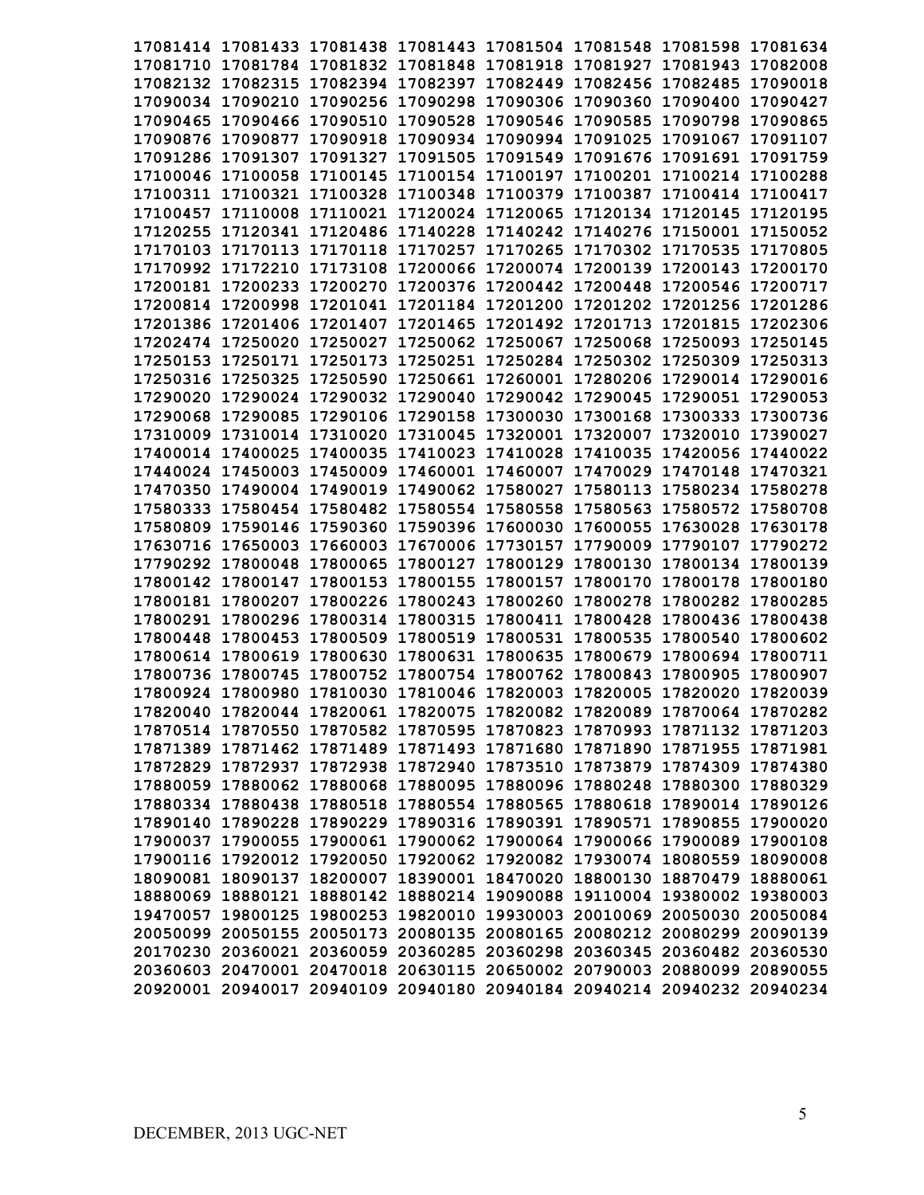| 17081414 17081433 17081438 17081443 17081504 17081548 17081598 17081634 |  |                   |                                                                         |
|-------------------------------------------------------------------------|--|-------------------|-------------------------------------------------------------------------|
| 17081710 17081784 17081832 17081848 17081918 17081927 17081943 17082008 |  |                   |                                                                         |
| 17082132 17082315 17082394 17082397 17082449 17082456 17082485 17090018 |  |                   |                                                                         |
| 17090034 17090210 17090256 17090298 17090306 17090360 17090400 17090427 |  |                   |                                                                         |
| 17090465 17090466 17090510 17090528 17090546 17090585 17090798 17090865 |  |                   |                                                                         |
| 17090876 17090877 17090918 17090934 17090994 17091025 17091067 17091107 |  |                   |                                                                         |
| 17091286 17091307 17091327 17091505 17091549 17091676 17091691 17091759 |  |                   |                                                                         |
| 17100046 17100058 17100145 17100154 17100197 17100201 17100214 17100288 |  |                   |                                                                         |
| 17100311 17100321 17100328 17100348 17100379 17100387 17100414 17100417 |  |                   |                                                                         |
| 17100457 17110008 17110021 17120024 17120065 17120134 17120145 17120195 |  |                   |                                                                         |
| 17120255 17120341 17120486 17140228 17140242 17140276 17150001 17150052 |  |                   |                                                                         |
| 17170103 17170113 17170118 17170257 17170265 17170302 17170535 17170805 |  |                   |                                                                         |
| 17170992 17172210 17173108 17200066 17200074 17200139 17200143 17200170 |  |                   |                                                                         |
| 17200181 17200233 17200270 17200376 17200442 17200448 17200546 17200717 |  |                   |                                                                         |
| 17200814 17200998 17201041 17201184 17201200 17201202 17201256 17201286 |  |                   |                                                                         |
| 17201386 17201406 17201407 17201465 17201492 17201713 17201815 17202306 |  |                   |                                                                         |
| 17202474 17250020 17250027 17250062 17250067 17250068 17250093 17250145 |  |                   |                                                                         |
| 17250153 17250171 17250173 17250251 17250284 17250302 17250309 17250313 |  |                   |                                                                         |
| 17250316 17250325 17250590 17250661 17260001 17280206 17290014 17290016 |  |                   |                                                                         |
| 17290020 17290024 17290032 17290040 17290042 17290045 17290051 17290053 |  |                   |                                                                         |
| 17290068 17290085 17290106 17290158 17300030 17300168 17300333 17300736 |  |                   |                                                                         |
| 17310009 17310014 17310020 17310045 17320001 17320007 17320010 17390027 |  |                   |                                                                         |
| 17400014 17400025 17400035 17410023 17410028 17410035 17420056 17440022 |  |                   |                                                                         |
| 17440024 17450003 17450009 17460001 17460007 17470029 17470148 17470321 |  |                   |                                                                         |
| 17470350 17490004 17490019 17490062 17580027 17580113 17580234 17580278 |  |                   |                                                                         |
| 17580333 17580454 17580482 17580554 17580558 17580563 17580572 17580708 |  |                   |                                                                         |
| 17580809 17590146 17590360 17590396 17600030 17600055 17630028 17630178 |  |                   |                                                                         |
| 17630716 17650003 17660003 17670006 17730157                            |  | 17790009 17790107 | 17790272                                                                |
| 17790292 17800048 17800065 17800127 17800129 17800130 17800134 17800139 |  |                   |                                                                         |
| 17800142 17800147 17800153 17800155 17800157 17800170 17800178 17800180 |  |                   |                                                                         |
| 17800181 17800207 17800226 17800243 17800260 17800278 17800282 17800285 |  |                   |                                                                         |
| 17800291 17800296 17800314 17800315 17800411 17800428 17800436 17800438 |  |                   |                                                                         |
| 17800448 17800453 17800509 17800519 17800531 17800535 17800540 17800602 |  |                   |                                                                         |
| 17800614 17800619 17800630 17800631 17800635 17800679 17800694 17800711 |  |                   |                                                                         |
| 17800736 17800745 17800752 17800754 17800762 17800843 17800905 17800907 |  |                   |                                                                         |
| 17800924 17800980 17810030 17810046 17820003 17820005 17820020 17820039 |  |                   |                                                                         |
| 17820040 17820044 17820061 17820075 17820082 17820089 17870064 17870282 |  |                   |                                                                         |
| 17870514 17870550 17870582 17870595 17870823 17870993 17871132 17871203 |  |                   |                                                                         |
| 17871389 17871462 17871489 17871493 17871680 17871890 17871955 17871981 |  |                   |                                                                         |
| 17872829 17872937 17872938 17872940 17873510 17873879 17874309 17874380 |  |                   |                                                                         |
| 17880059 17880062 17880068 17880095 17880096 17880248 17880300 17880329 |  |                   |                                                                         |
| 17880334 17880438 17880518 17880554 17880565 17880618 17890014 17890126 |  |                   |                                                                         |
| 17890140 17890228 17890229 17890316 17890391 17890571 17890855 17900020 |  |                   |                                                                         |
| 17900037 17900055 17900061 17900062 17900064 17900066 17900089 17900108 |  |                   |                                                                         |
| 17900116 17920012 17920050 17920062 17920082 17930074 18080559 18090008 |  |                   |                                                                         |
| 18090081 18090137 18200007 18390001 18470020 18800130 18870479 18880061 |  |                   |                                                                         |
| 18880069 18880121 18880142 18880214 19090088 19110004 19380002 19380003 |  |                   |                                                                         |
| 19470057 19800125 19800253 19820010 19930003 20010069 20050030 20050084 |  |                   |                                                                         |
| 20050099 20050155 20050173 20080135 20080165 20080212 20080299 20090139 |  |                   |                                                                         |
| 20170230 20360021 20360059 20360285 20360298 20360345 20360482 20360530 |  |                   |                                                                         |
| 20360603 20470001 20470018 20630115 20650002 20790003 20880099 20890055 |  |                   |                                                                         |
|                                                                         |  |                   | 20920001 20940017 20940109 20940180 20940184 20940214 20940232 20940234 |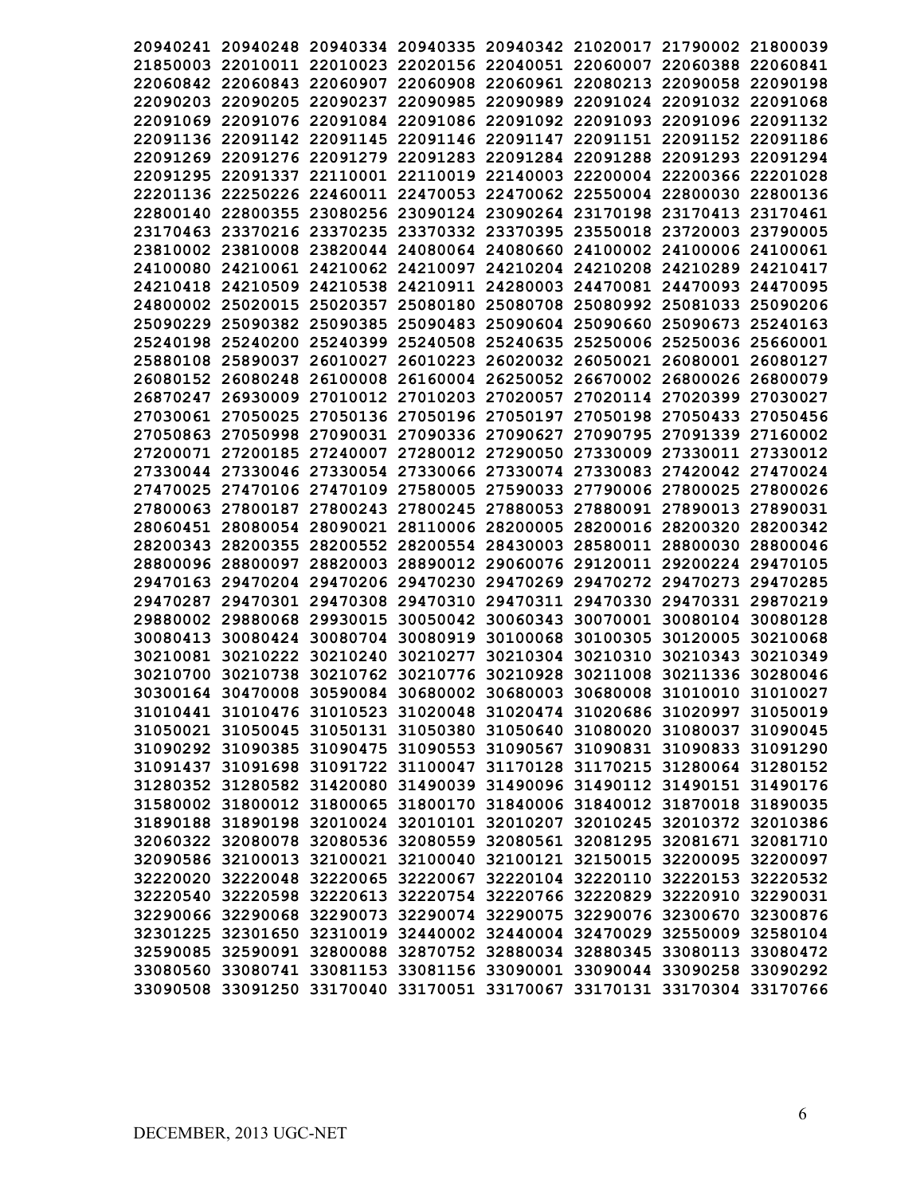|  | 20940241 20940248 20940334 20940335 20940342 21020017 21790002 21800039 |  |  |                                                                         |
|--|-------------------------------------------------------------------------|--|--|-------------------------------------------------------------------------|
|  | 21850003 22010011 22010023 22020156 22040051 22060007 22060388 22060841 |  |  |                                                                         |
|  | 22060842 22060843 22060907 22060908 22060961 22080213 22090058 22090198 |  |  |                                                                         |
|  | 22090203 22090205 22090237 22090985 22090989 22091024 22091032 22091068 |  |  |                                                                         |
|  | 22091069 22091076 22091084 22091086 22091092 22091093 22091096 22091132 |  |  |                                                                         |
|  | 22091136 22091142 22091145 22091146 22091147 22091151 22091152 22091186 |  |  |                                                                         |
|  | 22091269 22091276 22091279 22091283 22091284 22091288 22091293 22091294 |  |  |                                                                         |
|  | 22091295 22091337 22110001 22110019 22140003 22200004 22200366 22201028 |  |  |                                                                         |
|  | 22201136 22250226 22460011 22470053 22470062 22550004 22800030 22800136 |  |  |                                                                         |
|  | 22800140 22800355 23080256 23090124 23090264 23170198 23170413 23170461 |  |  |                                                                         |
|  | 23170463 23370216 23370235 23370332 23370395 23550018 23720003 23790005 |  |  |                                                                         |
|  | 23810002 23810008 23820044 24080064 24080660 24100002 24100006 24100061 |  |  |                                                                         |
|  | 24100080 24210061 24210062 24210097 24210204 24210208 24210289 24210417 |  |  |                                                                         |
|  | 24210418 24210509 24210538 24210911 24280003 24470081 24470093 24470095 |  |  |                                                                         |
|  | 24800002 25020015 25020357 25080180 25080708 25080992 25081033 25090206 |  |  |                                                                         |
|  | 25090229 25090382 25090385 25090483 25090604 25090660 25090673 25240163 |  |  |                                                                         |
|  | 25240198 25240200 25240399 25240508 25240635 25250006 25250036 25660001 |  |  |                                                                         |
|  | 25880108 25890037 26010027 26010223 26020032 26050021 26080001 26080127 |  |  |                                                                         |
|  | 26080152 26080248 26100008 26160004 26250052 26670002 26800026 26800079 |  |  |                                                                         |
|  | 26870247 26930009 27010012 27010203 27020057 27020114 27020399 27030027 |  |  |                                                                         |
|  | 27030061 27050025 27050136 27050196 27050197 27050198 27050433 27050456 |  |  |                                                                         |
|  | 27050863 27050998 27090031 27090336 27090627 27090795 27091339 27160002 |  |  |                                                                         |
|  | 27200071 27200185 27240007 27280012 27290050 27330009 27330011 27330012 |  |  |                                                                         |
|  | 27330044 27330046 27330054 27330066 27330074 27330083 27420042 27470024 |  |  |                                                                         |
|  | 27470025 27470106 27470109 27580005 27590033 27790006 27800025 27800026 |  |  |                                                                         |
|  | 27800063 27800187 27800243 27800245 27880053 27880091 27890013 27890031 |  |  |                                                                         |
|  | 28060451 28080054 28090021 28110006 28200005 28200016 28200320 28200342 |  |  |                                                                         |
|  | 28200343 28200355 28200552 28200554 28430003 28580011 28800030          |  |  | 28800046                                                                |
|  | 28800096 28800097 28820003 28890012 29060076 29120011 29200224 29470105 |  |  |                                                                         |
|  | 29470163 29470204 29470206 29470230 29470269 29470272 29470273 29470285 |  |  |                                                                         |
|  | 29470287 29470301 29470308 29470310 29470311 29470330 29470331 29870219 |  |  |                                                                         |
|  | 29880002 29880068 29930015 30050042 30060343 30070001 30080104 30080128 |  |  |                                                                         |
|  | 30080413 30080424 30080704 30080919 30100068 30100305 30120005 30210068 |  |  |                                                                         |
|  | 30210081 30210222 30210240 30210277 30210304 30210310 30210343 30210349 |  |  |                                                                         |
|  | 30210700 30210738 30210762 30210776 30210928 30211008 30211336 30280046 |  |  |                                                                         |
|  | 30300164 30470008 30590084 30680002 30680003 30680008 31010010 31010027 |  |  |                                                                         |
|  | 31010441 31010476 31010523 31020048 31020474 31020686 31020997 31050019 |  |  |                                                                         |
|  | 31050021 31050045 31050131 31050380 31050640 31080020 31080037 31090045 |  |  |                                                                         |
|  | 31090292 31090385 31090475 31090553 31090567 31090831 31090833 31091290 |  |  |                                                                         |
|  | 31091437 31091698 31091722 31100047 31170128 31170215 31280064 31280152 |  |  |                                                                         |
|  | 31280352 31280582 31420080 31490039 31490096 31490112 31490151 31490176 |  |  |                                                                         |
|  | 31580002 31800012 31800065 31800170 31840006 31840012 31870018 31890035 |  |  |                                                                         |
|  | 31890188 31890198 32010024 32010101 32010207 32010245 32010372 32010386 |  |  |                                                                         |
|  | 32060322 32080078 32080536 32080559 32080561 32081295 32081671 32081710 |  |  |                                                                         |
|  | 32090586 32100013 32100021 32100040 32100121 32150015 32200095 32200097 |  |  |                                                                         |
|  | 32220020 32220048 32220065 32220067 32220104 32220110 32220153 32220532 |  |  |                                                                         |
|  | 32220540 32220598 32220613 32220754 32220766 32220829 32220910 32290031 |  |  |                                                                         |
|  | 32290066 32290068 32290073 32290074 32290075 32290076 32300670 32300876 |  |  |                                                                         |
|  | 32301225 32301650 32310019 32440002 32440004 32470029 32550009 32580104 |  |  |                                                                         |
|  | 32590085 32590091 32800088 32870752 32880034 32880345 33080113 33080472 |  |  |                                                                         |
|  | 33080560 33080741 33081153 33081156 33090001 33090044 33090258 33090292 |  |  |                                                                         |
|  |                                                                         |  |  | 33090508 33091250 33170040 33170051 33170067 33170131 33170304 33170766 |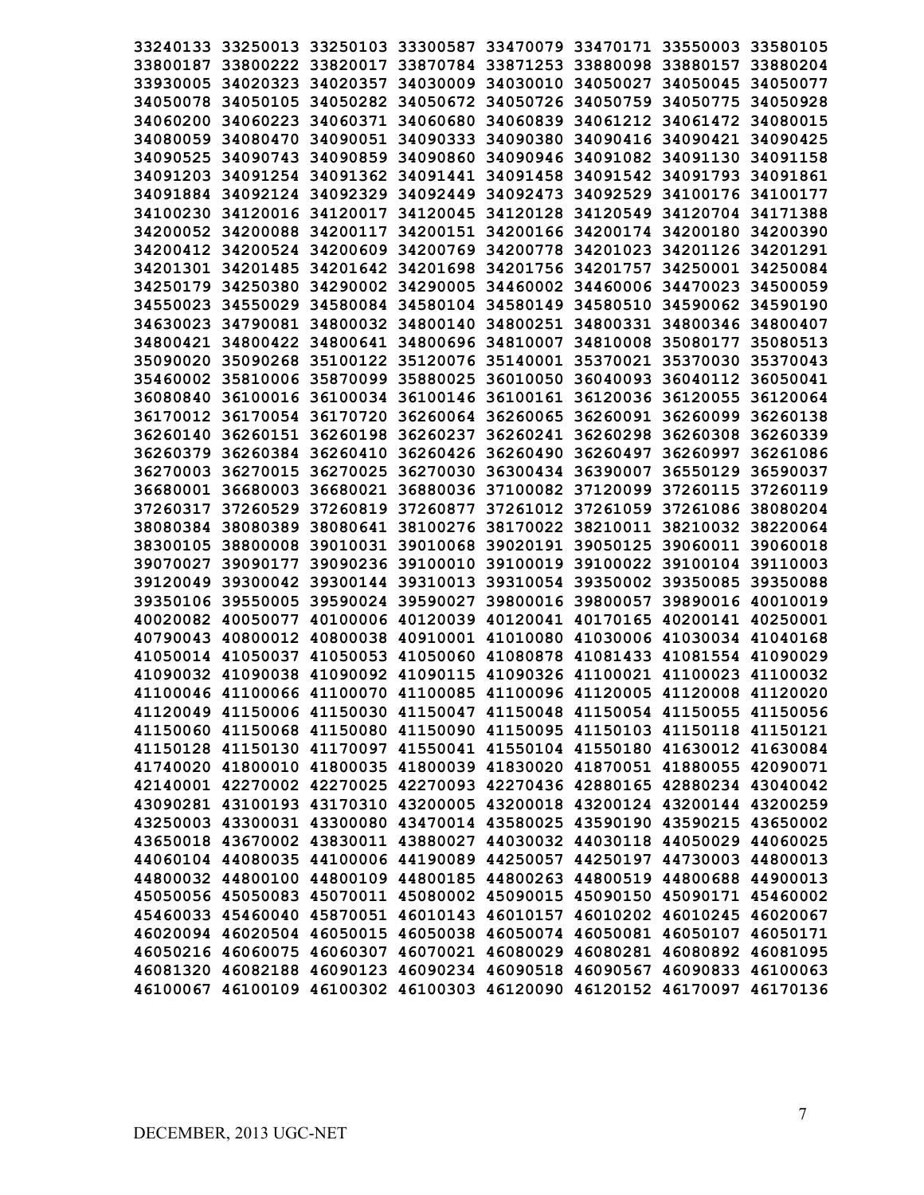|                   |                   |                                     |  | 33240133 33250013 33250103 33300587 33470079 33470171 33550003 33580105 |          |
|-------------------|-------------------|-------------------------------------|--|-------------------------------------------------------------------------|----------|
|                   |                   |                                     |  | 33800187 33800222 33820017 33870784 33871253 33880098 33880157 33880204 |          |
|                   |                   |                                     |  | 33930005 34020323 34020357 34030009 34030010 34050027 34050045 34050077 |          |
|                   |                   |                                     |  | 34050078 34050105 34050282 34050672 34050726 34050759 34050775 34050928 |          |
|                   |                   |                                     |  | 34060200 34060223 34060371 34060680 34060839 34061212 34061472 34080015 |          |
|                   |                   |                                     |  |                                                                         |          |
|                   |                   |                                     |  | 34080059 34080470 34090051 34090333 34090380 34090416 34090421 34090425 |          |
|                   |                   |                                     |  | 34090525 34090743 34090859 34090860 34090946 34091082 34091130 34091158 |          |
|                   |                   |                                     |  | 34091203 34091254 34091362 34091441 34091458 34091542 34091793 34091861 |          |
|                   |                   |                                     |  | 34091884 34092124 34092329 34092449 34092473 34092529 34100176 34100177 |          |
|                   |                   |                                     |  | 34100230 34120016 34120017 34120045 34120128 34120549 34120704 34171388 |          |
|                   |                   |                                     |  | 34200052 34200088 34200117 34200151 34200166 34200174 34200180 34200390 |          |
|                   |                   |                                     |  | 34200412 34200524 34200609 34200769 34200778 34201023 34201126 34201291 |          |
|                   |                   |                                     |  | 34201301 34201485 34201642 34201698 34201756 34201757 34250001 34250084 |          |
|                   |                   |                                     |  | 34250179 34250380 34290002 34290005 34460002 34460006 34470023 34500059 |          |
|                   |                   |                                     |  | 34550023 34550029 34580084 34580104 34580149 34580510 34590062 34590190 |          |
|                   |                   |                                     |  | 34630023 34790081 34800032 34800140 34800251 34800331 34800346 34800407 |          |
|                   |                   |                                     |  | 34800421 34800422 34800641 34800696 34810007 34810008 35080177 35080513 |          |
|                   |                   |                                     |  | 35090020 35090268 35100122 35120076 35140001 35370021 35370030 35370043 |          |
|                   |                   |                                     |  | 35460002 35810006 35870099 35880025 36010050 36040093 36040112 36050041 |          |
|                   |                   |                                     |  | 36080840 36100016 36100034 36100146 36100161 36120036 36120055 36120064 |          |
|                   |                   |                                     |  | 36170012 36170054 36170720 36260064 36260065 36260091 36260099 36260138 |          |
|                   |                   |                                     |  | 36260140 36260151 36260198 36260237 36260241 36260298 36260308 36260339 |          |
|                   |                   |                                     |  | 36260379 36260384 36260410 36260426 36260490 36260497 36260997 36261086 |          |
|                   |                   |                                     |  | 36270003 36270015 36270025 36270030 36300434 36390007 36550129          | 36590037 |
|                   |                   |                                     |  | 36680001 36680003 36680021 36880036 37100082 37120099 37260115 37260119 |          |
|                   |                   |                                     |  | 37260317 37260529 37260819 37260877 37261012 37261059 37261086 38080204 |          |
|                   |                   |                                     |  | 38080384 38080389 38080641 38100276 38170022 38210011 38210032 38220064 |          |
|                   | 38300105 38800008 |                                     |  | 39010031 39010068 39020191 39050125 39060011 39060018                   |          |
|                   | 39070027 39090177 |                                     |  | 39090236 39100010 39100019 39100022 39100104 39110003                   |          |
|                   |                   |                                     |  | 39120049 39300042 39300144 39310013 39310054 39350002 39350085          | 39350088 |
|                   |                   | 39350106 39550005 39590024 39590027 |  | 39800016 39800057 39890016 40010019                                     |          |
|                   | 40020082 40050077 |                                     |  | 40100006 40120039 40120041 40170165 40200141 40250001                   |          |
| 40790043 40800012 |                   |                                     |  | 40800038 40910001 41010080 41030006 41030034 41040168                   |          |
|                   |                   |                                     |  | 41050014 41050037 41050053 41050060 41080878 41081433 41081554 41090029 |          |
|                   |                   |                                     |  | 41090032 41090038 41090092 41090115 41090326 41100021 41100023 41100032 |          |
|                   |                   |                                     |  | 41100046 41100066 41100070 41100085 41100096 41120005 41120008 41120020 |          |
|                   |                   |                                     |  | 41120049 41150006 41150030 41150047 41150048 41150054 41150055 41150056 |          |
|                   |                   |                                     |  | 41150060 41150068 41150080 41150090 41150095 41150103 41150118 41150121 |          |
|                   |                   |                                     |  | 41150128 41150130 41170097 41550041 41550104 41550180 41630012 41630084 |          |
|                   |                   |                                     |  | 41740020 41800010 41800035 41800039 41830020 41870051 41880055 42090071 |          |
|                   |                   |                                     |  | 42140001 42270002 42270025 42270093 42270436 42880165 42880234 43040042 |          |
|                   |                   |                                     |  | 43090281 43100193 43170310 43200005 43200018 43200124 43200144 43200259 |          |
|                   |                   |                                     |  | 43250003 43300031 43300080 43470014 43580025 43590190 43590215 43650002 |          |
|                   |                   |                                     |  |                                                                         |          |
|                   |                   |                                     |  | 43650018 43670002 43830011 43880027 44030032 44030118 44050029 44060025 |          |
|                   |                   |                                     |  | 44060104 44080035 44100006 44190089 44250057 44250197 44730003 44800013 |          |
|                   |                   |                                     |  | 44800032 44800100 44800109 44800185 44800263 44800519 44800688 44900013 |          |
|                   |                   |                                     |  | 45050056 45050083 45070011 45080002 45090015 45090150 45090171 45460002 |          |
|                   |                   |                                     |  | 45460033 45460040 45870051 46010143 46010157 46010202 46010245 46020067 |          |
|                   |                   |                                     |  | 46020094 46020504 46050015 46050038 46050074 46050081 46050107 46050171 |          |
|                   |                   |                                     |  | 46050216 46060075 46060307 46070021 46080029 46080281 46080892 46081095 |          |
|                   |                   |                                     |  | 46081320 46082188 46090123 46090234 46090518 46090567 46090833 46100063 |          |
|                   |                   |                                     |  | 46100067 46100109 46100302 46100303 46120090 46120152 46170097 46170136 |          |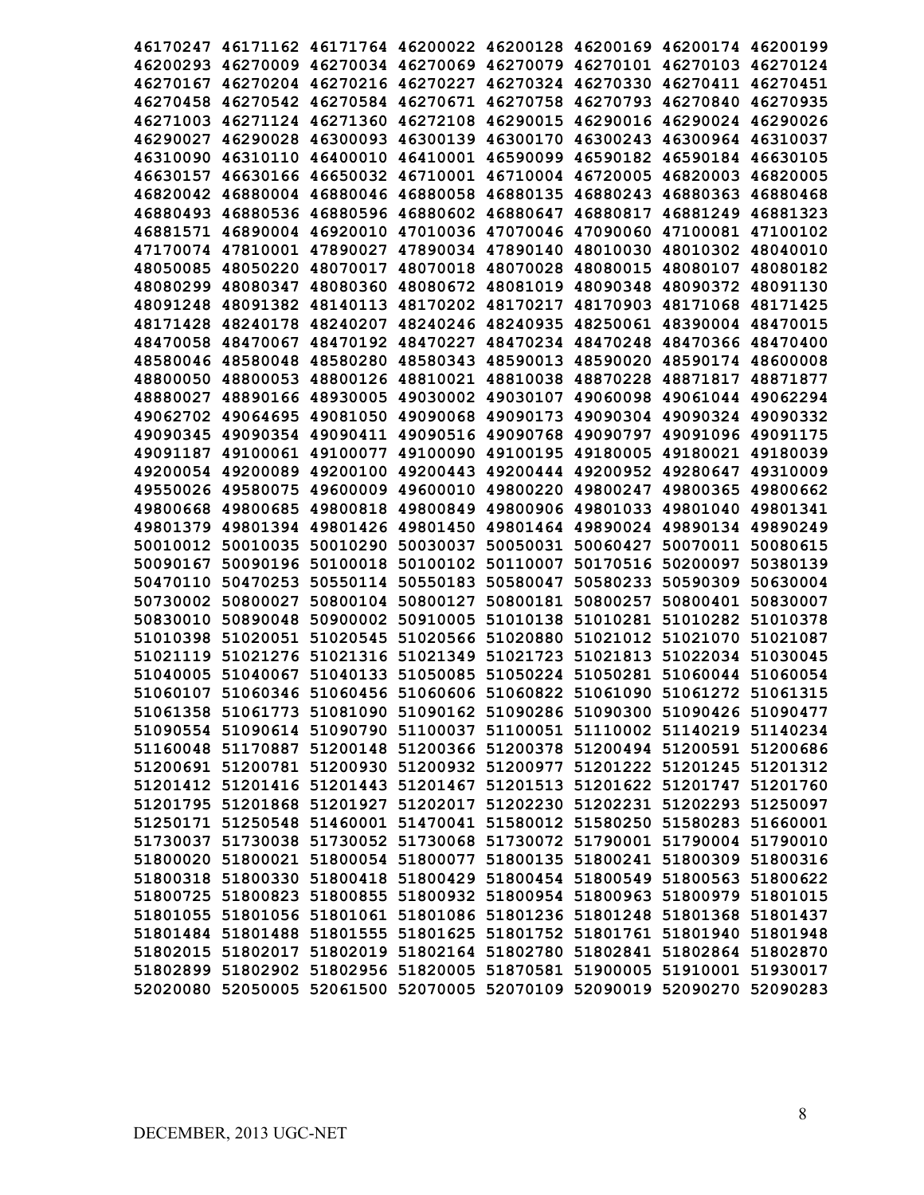|          |                                                                         |                   |                                                       |                   |                            | 46170247 46171162 46171764 46200022 46200128 46200169 46200174 46200199 |          |
|----------|-------------------------------------------------------------------------|-------------------|-------------------------------------------------------|-------------------|----------------------------|-------------------------------------------------------------------------|----------|
|          |                                                                         |                   |                                                       |                   |                            | 46200293 46270009 46270034 46270069 46270079 46270101 46270103 46270124 |          |
|          |                                                                         |                   |                                                       |                   |                            | 46270167 46270204 46270216 46270227 46270324 46270330 46270411 46270451 |          |
|          | 46270458 46270542 46270584 46270671 46270758 46270793                   |                   |                                                       |                   |                            | 46270840                                                                | 46270935 |
|          | 46271003 46271124 46271360 46272108                                     |                   |                                                       |                   |                            | 46290015 46290016 46290024                                              | 46290026 |
| 46290027 |                                                                         |                   | 46290028 46300093 46300139 46300170 46300243          |                   |                            | 46300964                                                                | 46310037 |
| 46310090 |                                                                         | 46310110 46400010 |                                                       |                   | 46410001 46590099 46590182 | 46590184                                                                | 46630105 |
| 46630157 |                                                                         |                   | 46630166 46650032 46710001 46710004 46720005 46820003 |                   |                            |                                                                         | 46820005 |
|          | 46820042 46880004 46880046 46880058 46880135 46880243                   |                   |                                                       |                   |                            | 46880363                                                                | 46880468 |
|          | 46880493 46880536 46880596 46880602 46880647 46880817                   |                   |                                                       |                   |                            | 46881249                                                                | 46881323 |
|          |                                                                         |                   |                                                       |                   |                            | 46881571 46890004 46920010 47010036 47070046 47090060 47100081          | 47100102 |
|          |                                                                         |                   |                                                       |                   |                            | 47170074 47810001 47890027 47890034 47890140 48010030 48010302          | 48040010 |
|          |                                                                         |                   |                                                       |                   |                            | 48050085 48050220 48070017 48070018 48070028 48080015 48080107          | 48080182 |
|          |                                                                         |                   |                                                       |                   |                            | 48080299 48080347 48080360 48080672 48081019 48090348 48090372          | 48091130 |
|          |                                                                         |                   |                                                       |                   |                            | 48091248 48091382 48140113 48170202 48170217 48170903 48171068 48171425 |          |
|          |                                                                         |                   |                                                       |                   |                            | 48171428 48240178 48240207 48240246 48240935 48250061 48390004 48470015 |          |
|          |                                                                         |                   |                                                       |                   |                            | 48470058 48470067 48470192 48470227 48470234 48470248 48470366 48470400 |          |
|          |                                                                         |                   |                                                       |                   |                            | 48580046 48580048 48580280 48580343 48590013 48590020 48590174 48600008 |          |
|          |                                                                         |                   |                                                       |                   |                            | 48800050 48800053 48800126 48810021 48810038 48870228 48871817 48871877 |          |
|          |                                                                         |                   |                                                       |                   |                            | 48880027 48890166 48930005 49030002 49030107 49060098 49061044 49062294 |          |
|          |                                                                         |                   |                                                       |                   |                            | 49062702 49064695 49081050 49090068 49090173 49090304 49090324 49090332 |          |
|          |                                                                         |                   |                                                       |                   |                            | 49090345 49090354 49090411 49090516 49090768 49090797 49091096 49091175 |          |
|          |                                                                         |                   |                                                       |                   |                            | 49091187 49100061 49100077 49100090 49100195 49180005 49180021 49180039 |          |
|          |                                                                         |                   |                                                       |                   |                            | 49200054 49200089 49200100 49200443 49200444 49200952 49280647 49310009 |          |
|          |                                                                         |                   |                                                       |                   |                            | 49550026 49580075 49600009 49600010 49800220 49800247 49800365 49800662 |          |
|          | 49800668 49800685                                                       |                   | 49800818 49800849 49800906 49801033 49801040          |                   |                            |                                                                         | 49801341 |
|          |                                                                         |                   |                                                       |                   |                            | 49801379 49801394 49801426 49801450 49801464 49890024 49890134 49890249 |          |
|          | 50010012 50010035 50010290                                              |                   | 50030037                                              | 50050031          | 50060427                   | 50070011                                                                | 50080615 |
|          | 50090167 50090196                                                       | 50100018          |                                                       | 50100102 50110007 |                            | 50170516 50200097                                                       | 50380139 |
|          | 50470110 50470253                                                       |                   | 50550114 50550183                                     | 50580047          |                            | 50580233 50590309                                                       | 50630004 |
|          | 50730002 50800027                                                       |                   | 50800104 50800127                                     | 50800181          | 50800257                   | 50800401                                                                | 50830007 |
| 50830010 | 50890048                                                                |                   | 50900002 50910005                                     | 51010138          |                            | 51010281 51010282                                                       | 51010378 |
|          | 51010398 51020051                                                       |                   | 51020545 51020566 51020880                            |                   | 51021012 51021070          |                                                                         | 51021087 |
| 51021119 |                                                                         |                   | 51021276 51021316 51021349                            |                   | 51021723 51021813 51022034 |                                                                         | 51030045 |
| 51040005 | 51040067                                                                |                   | 51040133 51050085                                     |                   |                            | 51050224 51050281 51060044                                              | 51060054 |
|          |                                                                         |                   |                                                       |                   |                            | 51060107 51060346 51060456 51060606 51060822 51061090 51061272 51061315 |          |
|          |                                                                         |                   |                                                       |                   |                            | 51061358 51061773 51081090 51090162 51090286 51090300 51090426 51090477 |          |
|          |                                                                         |                   |                                                       |                   |                            | 51090554 51090614 51090790 51100037 51100051 51110002 51140219 51140234 |          |
|          |                                                                         |                   |                                                       |                   |                            | 51160048 51170887 51200148 51200366 51200378 51200494 51200591 51200686 |          |
|          |                                                                         |                   |                                                       |                   |                            | 51200691 51200781 51200930 51200932 51200977 51201222 51201245 51201312 |          |
|          |                                                                         |                   |                                                       |                   |                            | 51201412 51201416 51201443 51201467 51201513 51201622 51201747 51201760 |          |
|          |                                                                         |                   |                                                       |                   |                            | 51201795 51201868 51201927 51202017 51202230 51202231 51202293 51250097 |          |
|          |                                                                         |                   |                                                       |                   |                            | 51250171 51250548 51460001 51470041 51580012 51580250 51580283 51660001 |          |
|          |                                                                         |                   |                                                       |                   |                            | 51730037 51730038 51730052 51730068 51730072 51790001 51790004 51790010 |          |
|          |                                                                         |                   |                                                       |                   |                            | 51800020 51800021 51800054 51800077 51800135 51800241 51800309 51800316 |          |
|          |                                                                         |                   |                                                       |                   |                            | 51800318 51800330 51800418 51800429 51800454 51800549 51800563 51800622 |          |
|          |                                                                         |                   |                                                       |                   |                            | 51800725 51800823 51800855 51800932 51800954 51800963 51800979 51801015 |          |
|          |                                                                         |                   |                                                       |                   |                            | 51801055 51801056 51801061 51801086 51801236 51801248 51801368 51801437 |          |
|          |                                                                         |                   |                                                       |                   |                            | 51801484 51801488 51801555 51801625 51801752 51801761 51801940 51801948 |          |
|          |                                                                         |                   |                                                       |                   |                            | 51802015 51802017 51802019 51802164 51802780 51802841 51802864 51802870 |          |
|          |                                                                         |                   |                                                       |                   |                            | 51802899 51802902 51802956 51820005 51870581 51900005 51910001 51930017 |          |
|          | 52020080 52050005 52061500 52070005 52070109 52090019 52090270 52090283 |                   |                                                       |                   |                            |                                                                         |          |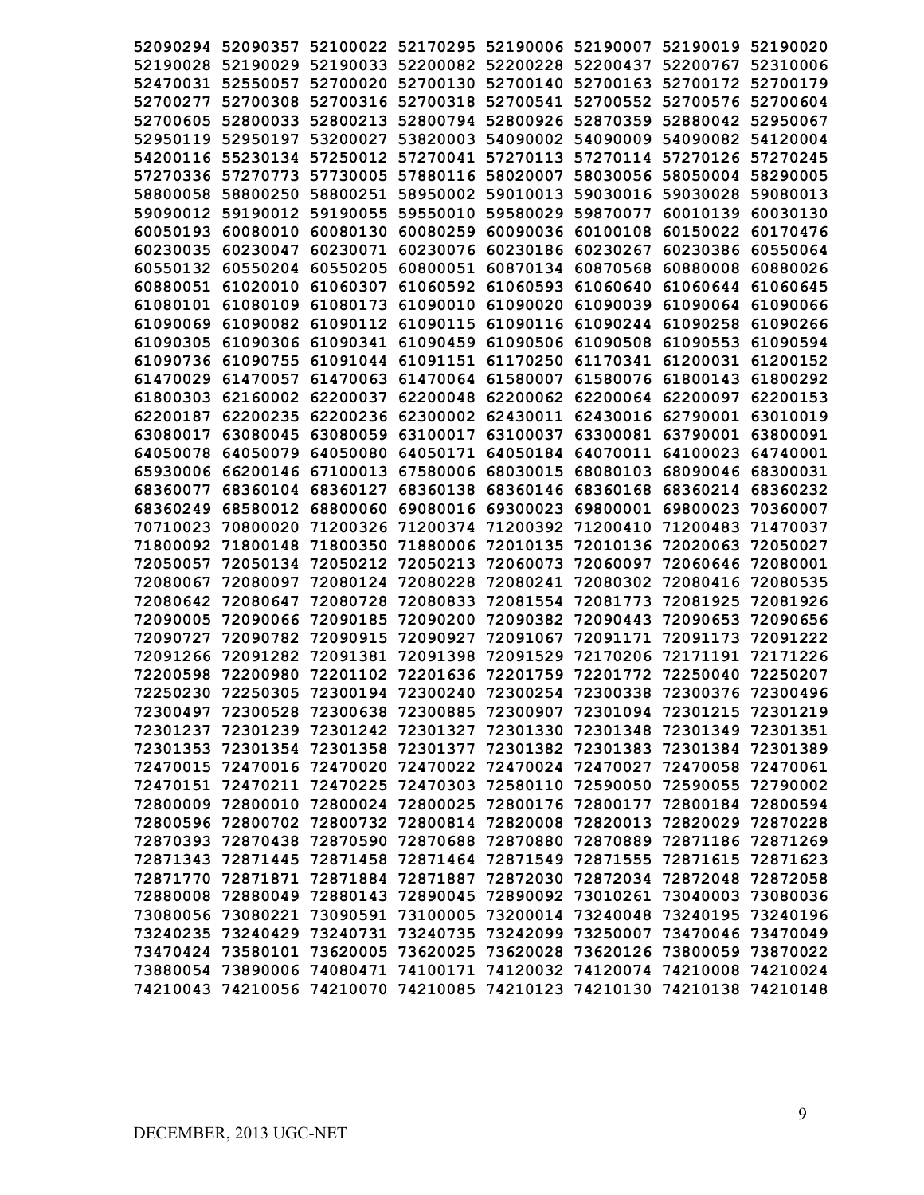| 52090294 |                   |                   |                   |                            |                                     | 52090357 52100022 52170295 52190006 52190007 52190019                   | 52190020 |
|----------|-------------------|-------------------|-------------------|----------------------------|-------------------------------------|-------------------------------------------------------------------------|----------|
| 52190028 | 52190029          |                   |                   |                            |                                     | 52190033 52200082 52200228 52200437 52200767 52310006                   |          |
| 52470031 | 52550057          | 52700020          | 52700130          | 52700140 52700163          |                                     | 52700172                                                                | 52700179 |
| 52700277 | 52700308          | 52700316          | 52700318          |                            | 52700541 52700552                   | 52700576                                                                | 52700604 |
| 52700605 | 52800033          | 52800213          | 52800794          | 52800926                   | 52870359                            | 52880042                                                                | 52950067 |
| 52950119 | 52950197          | 53200027          | 53820003          |                            | 54090002 54090009                   | 54090082                                                                | 54120004 |
| 54200116 | 55230134          | 57250012          | 57270041          |                            | 57270113 57270114 57270126          |                                                                         | 57270245 |
| 57270336 | 57270773          | 57730005          | 57880116          | 58020007                   | 58030056                            | 58050004 58290005                                                       |          |
| 58800058 | 58800250          | 58800251          | 58950002          | 59010013                   | 59030016                            | 59030028                                                                | 59080013 |
| 59090012 | 59190012          | 59190055          | 59550010          | 59580029                   | 59870077                            | 60010139                                                                | 60030130 |
| 60050193 | 60080010          | 60080130          | 60080259          | 60090036                   | 60100108                            | 60150022                                                                | 60170476 |
| 60230035 | 60230047          | 60230071          | 60230076          | 60230186                   | 60230267                            | 60230386                                                                | 60550064 |
| 60550132 | 60550204          | 60550205          | 60800051          |                            | 60870134 60870568                   | 60880008                                                                | 60880026 |
| 60880051 | 61020010          | 61060307          | 61060592          | 61060593                   | 61060640                            | 61060644                                                                | 61060645 |
| 61080101 | 61080109          | 61080173          | 61090010          | 61090020                   | 61090039                            | 61090064                                                                | 61090066 |
| 61090069 | 61090082          | 61090112          | 61090115          | 61090116                   | 61090244                            | 61090258                                                                | 61090266 |
| 61090305 | 61090306          | 61090341          |                   | 61090459 61090506 61090508 |                                     | 61090553                                                                | 61090594 |
|          | 61090736 61090755 |                   | 61091044 61091151 |                            | 61170250 61170341                   | 61200031                                                                | 61200152 |
| 61470029 | 61470057          | 61470063          |                   |                            | 61470064 61580007 61580076 61800143 |                                                                         | 61800292 |
|          | 61800303 62160002 | 62200037          | 62200048          |                            | 62200062 62200064 62200097          |                                                                         | 62200153 |
| 62200187 | 62200235          | 62200236          | 62300002          |                            |                                     | 62430011 62430016 62790001                                              | 63010019 |
| 63080017 | 63080045          | 63080059          | 63100017          | 63100037                   | 63300081                            | 63790001                                                                | 63800091 |
| 64050078 | 64050079          | 64050080          | 64050171          |                            | 64050184 64070011                   | 64100023                                                                | 64740001 |
| 65930006 | 66200146          | 67100013          | 67580006          | 68030015                   | 68080103                            | 68090046                                                                | 68300031 |
| 68360077 | 68360104          | 68360127          | 68360138          | 68360146                   | 68360168                            | 68360214                                                                | 68360232 |
| 68360249 | 68580012          | 68800060          | 69080016          | 69300023                   | 69800001                            | 69800023                                                                | 70360007 |
| 70710023 | 70800020          | 71200326          | 71200374          | 71200392                   | 71200410                            | 71200483                                                                | 71470037 |
| 71800092 | 71800148          | 71800350          | 71880006          | 72010135                   | 72010136                            | 72020063                                                                | 72050027 |
| 72050057 | 72050134          | 72050212          | 72050213          | 72060073                   | 72060097                            | 72060646                                                                | 72080001 |
| 72080067 | 72080097          | 72080124          | 72080228          | 72080241                   | 72080302                            | 72080416                                                                | 72080535 |
| 72080642 | 72080647          | 72080728          | 72080833          | 72081554                   | 72081773                            | 72081925                                                                | 72081926 |
| 72090005 | 72090066          | 72090185          | 72090200          | 72090382                   | 72090443                            | 72090653                                                                | 72090656 |
| 72090727 | 72090782          | 72090915          | 72090927          | 72091067                   | 72091171                            | 72091173                                                                | 72091222 |
| 72091266 | 72091282          | 72091381          | 72091398          | 72091529                   | 72170206                            | 72171191                                                                | 72171226 |
| 72200598 | 72200980          | 72201102          | 72201636          | 72201759                   | 72201772                            | 72250040                                                                | 72250207 |
| 72250230 | 72250305          | 72300194          | 72300240          |                            | 72300254 72300338                   | 72300376                                                                | 72300496 |
| 72300497 |                   | 72300528 72300638 |                   |                            |                                     | 72300885 72300907 72301094 72301215 72301219                            |          |
|          |                   |                   |                   |                            |                                     | 72301237 72301239 72301242 72301327 72301330 72301348 72301349 72301351 |          |
|          |                   |                   |                   |                            |                                     | 72301353 72301354 72301358 72301377 72301382 72301383 72301384 72301389 |          |
|          |                   |                   |                   |                            |                                     | 72470015 72470016 72470020 72470022 72470024 72470027 72470058 72470061 |          |
|          |                   |                   |                   |                            |                                     | 72470151 72470211 72470225 72470303 72580110 72590050 72590055 72790002 |          |
|          |                   |                   |                   |                            |                                     | 72800009 72800010 72800024 72800025 72800176 72800177 72800184 72800594 |          |
|          |                   |                   |                   |                            |                                     | 72800596 72800702 72800732 72800814 72820008 72820013 72820029 72870228 |          |
|          |                   |                   |                   |                            |                                     | 72870393 72870438 72870590 72870688 72870880 72870889 72871186 72871269 |          |
|          |                   |                   |                   |                            |                                     | 72871343 72871445 72871458 72871464 72871549 72871555 72871615 72871623 |          |
|          |                   |                   |                   |                            |                                     | 72871770 72871871 72871884 72871887 72872030 72872034 72872048 72872058 |          |
|          |                   |                   |                   |                            |                                     | 72880008 72880049 72880143 72890045 72890092 73010261 73040003 73080036 |          |
|          |                   |                   |                   |                            |                                     | 73080056 73080221 73090591 73100005 73200014 73240048 73240195 73240196 |          |
|          |                   |                   |                   |                            |                                     | 73240235 73240429 73240731 73240735 73242099 73250007 73470046 73470049 |          |
|          |                   |                   |                   |                            |                                     | 73470424 73580101 73620005 73620025 73620028 73620126 73800059 73870022 |          |
|          |                   |                   |                   |                            |                                     | 73880054 73890006 74080471 74100171 74120032 74120074 74210008 74210024 |          |
|          |                   |                   |                   |                            |                                     | 74210043 74210056 74210070 74210085 74210123 74210130 74210138 74210148 |          |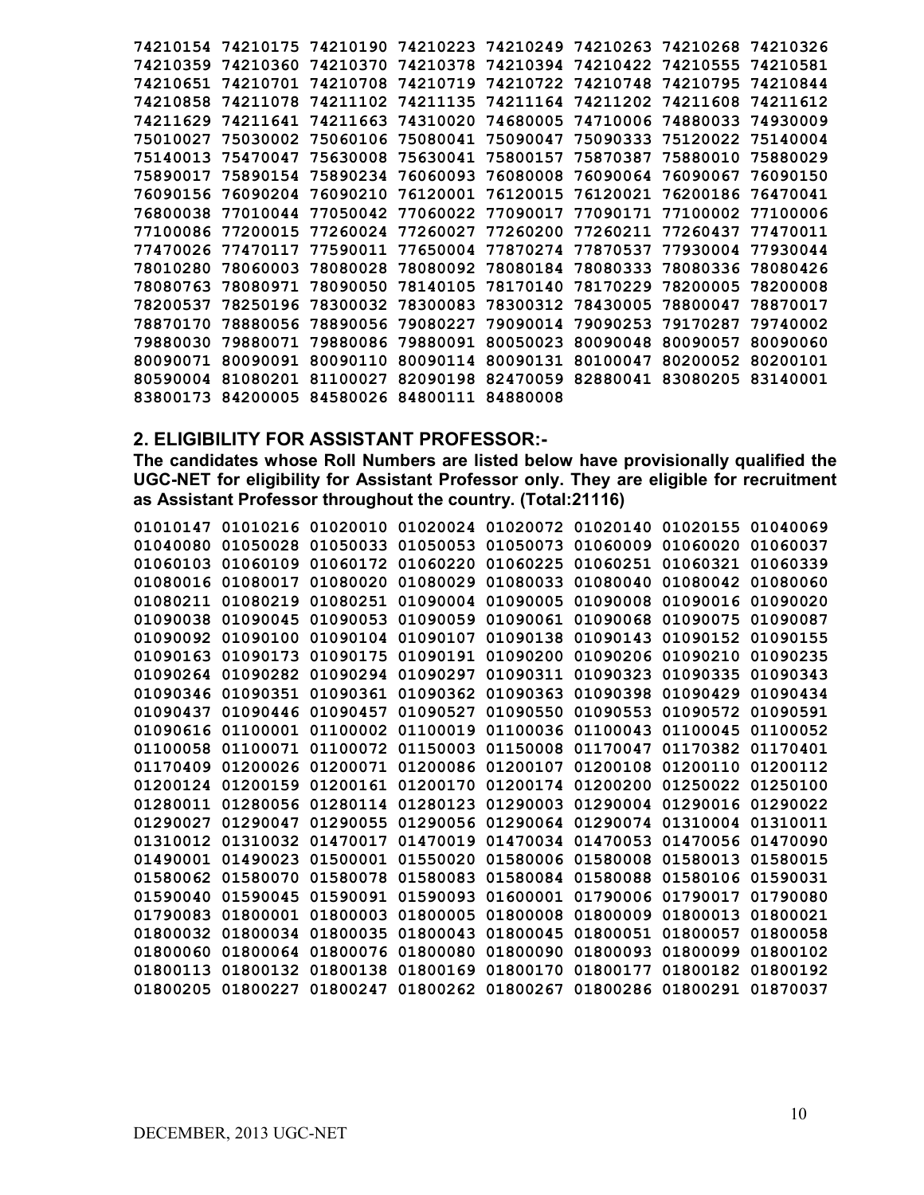| 74210154 | 74210175          | 74210190 | 74210223 | 74210249          | 74210263          | 74210268 | 74210326 |
|----------|-------------------|----------|----------|-------------------|-------------------|----------|----------|
| 74210359 | 74210360          | 74210370 | 74210378 |                   | 74210394 74210422 | 74210555 | 74210581 |
| 74210651 | 74210701          | 74210708 | 74210719 | 74210722 74210748 |                   | 74210795 | 74210844 |
| 74210858 | 74211078          | 74211102 | 74211135 | 74211164          | 74211202          | 74211608 | 74211612 |
| 74211629 | 74211641          | 74211663 | 74310020 | 74680005          | 74710006          | 74880033 | 74930009 |
| 75010027 | 75030002          | 75060106 | 75080041 | 75090047          | 75090333          | 75120022 | 75140004 |
| 75140013 | 75470047          | 75630008 | 75630041 | 75800157          | 75870387          | 75880010 | 75880029 |
| 75890017 | 75890154          | 75890234 | 76060093 | 76080008          | 76090064          | 76090067 | 76090150 |
| 76090156 | 76090204 76090210 |          | 76120001 | 76120015 76120021 |                   | 76200186 | 76470041 |
| 76800038 | 77010044          | 77050042 | 77060022 | 77090017          | 77090171          | 77100002 | 77100006 |
| 77100086 | 77200015          | 77260024 | 77260027 | 77260200          | 77260211          | 77260437 | 77470011 |
| 77470026 | 77470117          | 77590011 | 77650004 | 77870274          | 77870537          | 77930004 | 77930044 |
| 78010280 | 78060003          | 78080028 | 78080092 | 78080184          | 78080333          | 78080336 | 78080426 |
| 78080763 | 78080971          | 78090050 | 78140105 | 78170140          | 78170229          | 78200005 | 78200008 |
| 78200537 | 78250196          | 78300032 | 78300083 | 78300312 78430005 |                   | 78800047 | 78870017 |
| 78870170 | 78880056          | 78890056 | 79080227 | 79090014          | 79090253          | 79170287 | 79740002 |
| 79880030 | 79880071          | 79880086 | 79880091 | 80050023          | 80090048          | 80090057 | 80090060 |
| 80090071 | 80090091          | 80090110 | 80090114 | 80090131          | 80100047          | 80200052 | 80200101 |
| 80590004 | 81080201          | 81100027 | 82090198 | 82470059          | 82880041          | 83080205 | 83140001 |
| 83800173 | 84200005          | 84580026 | 84800111 | 84880008          |                   |          |          |

## **2. ELIGIBILITY FOR ASSISTANT PROFESSOR:-**

**The candidates whose Roll Numbers are listed below have provisionally qualified the UGC-NET for eligibility for Assistant Professor only. They are eligible for recruitment as Assistant Professor throughout the country. (Total:21116)** 

| 01010147 | 01010216 | 01020010 | 01020024 | 01020072 01020140 |          | 01020155 | 01040069 |
|----------|----------|----------|----------|-------------------|----------|----------|----------|
| 01040080 | 01050028 | 01050033 | 01050053 | 01050073          | 01060009 | 01060020 | 01060037 |
| 01060103 | 01060109 | 01060172 | 01060220 | 01060225          | 01060251 | 01060321 | 01060339 |
| 01080016 | 01080017 | 01080020 | 01080029 | 01080033          | 01080040 | 01080042 | 01080060 |
| 01080211 | 01080219 | 01080251 | 01090004 | 01090005          | 01090008 | 01090016 | 01090020 |
| 01090038 | 01090045 | 01090053 | 01090059 | 01090061          | 01090068 | 01090075 | 01090087 |
| 01090092 | 01090100 | 01090104 | 01090107 | 01090138          | 01090143 | 01090152 | 01090155 |
| 01090163 | 01090173 | 01090175 | 01090191 | 01090200          | 01090206 | 01090210 | 01090235 |
| 01090264 | 01090282 | 01090294 | 01090297 | 01090311          | 01090323 | 01090335 | 01090343 |
| 01090346 | 01090351 | 01090361 | 01090362 | 01090363          | 01090398 | 01090429 | 01090434 |
| 01090437 | 01090446 | 01090457 | 01090527 | 01090550          | 01090553 | 01090572 | 01090591 |
| 01090616 | 01100001 | 01100002 | 01100019 | 01100036          | 01100043 | 01100045 | 01100052 |
| 01100058 | 01100071 | 01100072 | 01150003 | 01150008          | 01170047 | 01170382 | 01170401 |
| 01170409 | 01200026 | 01200071 | 01200086 | 01200107          | 01200108 | 01200110 | 01200112 |
| 01200124 | 01200159 | 01200161 | 01200170 | 01200174          | 01200200 | 01250022 | 01250100 |
| 01280011 | 01280056 | 01280114 | 01280123 | 01290003          | 01290004 | 01290016 | 01290022 |
| 01290027 | 01290047 | 01290055 | 01290056 | 01290064          | 01290074 | 01310004 | 01310011 |
| 01310012 | 01310032 | 01470017 | 01470019 | 01470034          | 01470053 | 01470056 | 01470090 |
| 01490001 | 01490023 | 01500001 | 01550020 | 01580006          | 01580008 | 01580013 | 01580015 |
| 01580062 | 01580070 | 01580078 | 01580083 | 01580084          | 01580088 | 01580106 | 01590031 |
| 01590040 | 01590045 | 01590091 | 01590093 | 01600001          | 01790006 | 01790017 | 01790080 |
| 01790083 | 01800001 | 01800003 | 01800005 | 01800008          | 01800009 | 01800013 | 01800021 |
| 01800032 | 01800034 | 01800035 | 01800043 | 01800045          | 01800051 | 01800057 | 01800058 |
| 01800060 | 01800064 | 01800076 | 01800080 | 01800090          | 01800093 | 01800099 | 01800102 |
| 01800113 | 01800132 | 01800138 | 01800169 | 01800170          | 01800177 | 01800182 | 01800192 |
| 01800205 | 01800227 | 01800247 | 01800262 | 01800267          | 01800286 | 01800291 | 01870037 |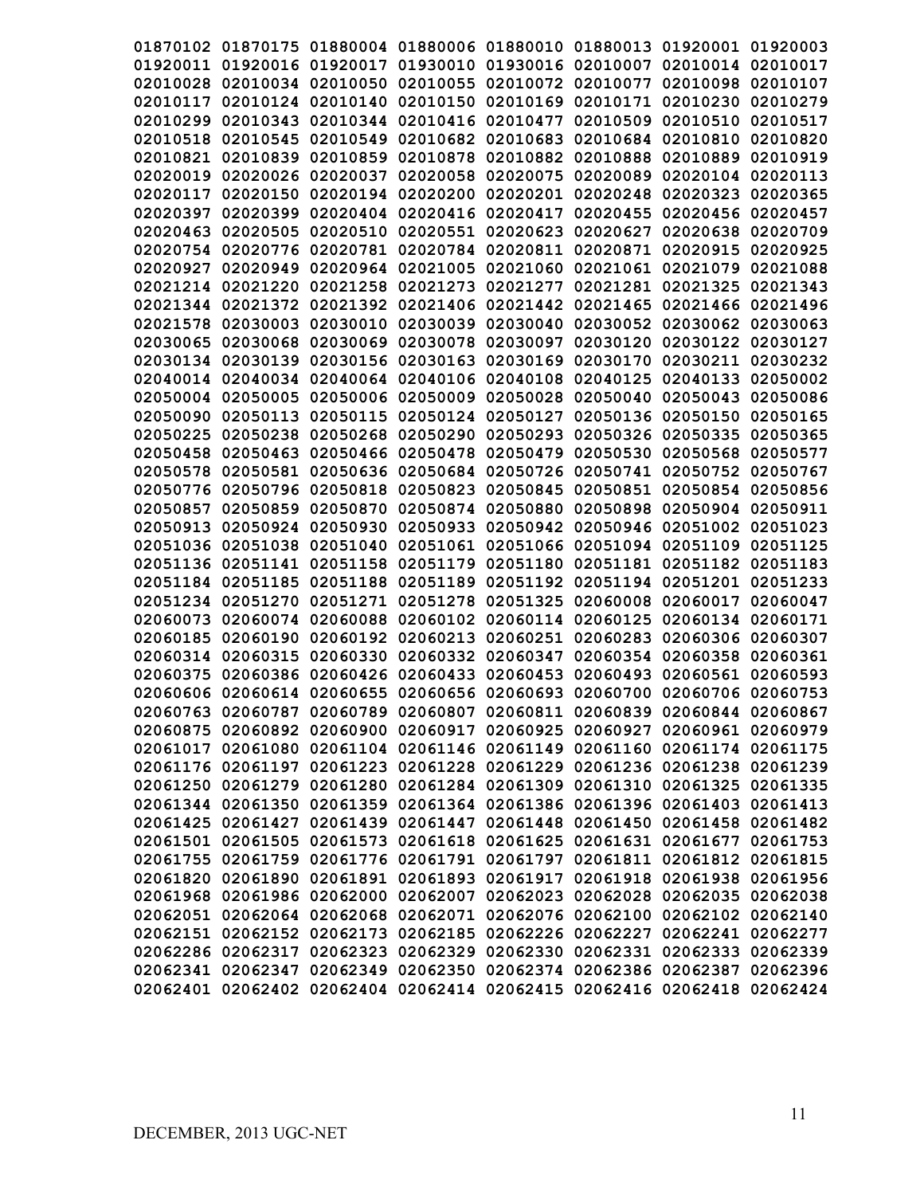|                      |                      |                                              |                               |                      | 01870102 01870175 01880004 01880006 01880010 01880013 01920001 01920003 |                               |                      |
|----------------------|----------------------|----------------------------------------------|-------------------------------|----------------------|-------------------------------------------------------------------------|-------------------------------|----------------------|
|                      |                      |                                              |                               |                      | 01920011 01920016 01920017 01930010 01930016 02010007 02010014 02010017 |                               |                      |
| 02010028             | 02010034             | 02010050                                     | 02010055                      |                      | 02010072 02010077                                                       | 02010098                      | 02010107             |
| 02010117             |                      | 02010124 02010140                            | 02010150 02010169             |                      | 02010171                                                                | 02010230                      | 02010279             |
| 02010299             | 02010343             | 02010344                                     | 02010416 02010477             |                      | 02010509                                                                | 02010510                      | 02010517             |
| 02010518             | 02010545             | 02010549                                     | 02010682                      | 02010683             | 02010684                                                                | 02010810                      | 02010820             |
|                      | 02010821 02010839    | 02010859                                     | 02010878                      |                      | 02010882 02010888                                                       | 02010889                      | 02010919             |
| 02020019             | 02020026             | 02020037                                     | 02020058                      | 02020075             | 02020089                                                                | 02020104                      | 02020113             |
|                      |                      |                                              |                               |                      |                                                                         |                               |                      |
| 02020117<br>02020397 | 02020150             |                                              | 02020194 02020200             | 02020201<br>02020417 | 02020248                                                                | 02020323                      | 02020365             |
| 02020463             | 02020399<br>02020505 | 02020510                                     | 02020404 02020416<br>02020551 |                      | 02020455<br>02020623 02020627                                           | 02020456 02020457<br>02020638 | 02020709             |
| 02020754             |                      | 02020776 02020781                            | 02020784                      | 02020811             | 02020871                                                                | 02020915                      | 02020925             |
|                      |                      | 02020927 02020949 02020964 02021005 02021060 |                               |                      |                                                                         |                               | 02021088             |
|                      | 02021214 02021220    | 02021258                                     |                               | 02021273 02021277    | 02021061<br>02021281                                                    | 02021079                      |                      |
|                      |                      |                                              |                               |                      | 02021344 02021372 02021392 02021406 02021442 02021465                   | 02021325                      | 02021343<br>02021496 |
|                      |                      |                                              |                               |                      |                                                                         | 02021466                      |                      |
|                      |                      |                                              |                               |                      | 02021578 02030003 02030010 02030039 02030040 02030052 02030062 02030063 |                               |                      |
|                      |                      |                                              |                               |                      | 02030065 02030068 02030069 02030078 02030097 02030120                   | 02030122 02030127             |                      |
|                      |                      |                                              |                               |                      | 02030134 02030139 02030156 02030163 02030169 02030170                   | 02030211 02030232             |                      |
|                      |                      |                                              |                               |                      | 02040014 02040034 02040064 02040106 02040108 02040125                   | 02040133 02050002             |                      |
|                      |                      |                                              |                               |                      | 02050004 02050005 02050006 02050009 02050028 02050040                   | 02050043 02050086             |                      |
|                      | 02050090 02050113    | 02050115                                     |                               | 02050124 02050127    | 02050136                                                                | 02050150 02050165             |                      |
| 02050225             | 02050238             | 02050268                                     | 02050290 02050293             |                      | 02050326                                                                | 02050335                      | 02050365             |
| 02050458             | 02050463             | 02050466                                     | 02050478                      | 02050479             | 02050530                                                                | 02050568                      | 02050577             |
| 02050578             | 02050581             | 02050636                                     | 02050684                      | 02050726             | 02050741                                                                | 02050752                      | 02050767             |
| 02050776             | 02050796             | 02050818                                     | 02050823                      | 02050845             | 02050851                                                                | 02050854                      | 02050856             |
| 02050857             | 02050859             | 02050870                                     | 02050874                      | 02050880             | 02050898                                                                | 02050904                      | 02050911             |
| 02050913             | 02050924             | 02050930                                     | 02050933                      | 02050942             | 02050946                                                                | 02051002                      | 02051023             |
| 02051036             | 02051038             | 02051040                                     | 02051061                      | 02051066             | 02051094                                                                | 02051109                      | 02051125             |
|                      | 02051136 02051141    | 02051158                                     | 02051179                      | 02051180             | 02051181                                                                | 02051182                      | 02051183             |
| 02051184 02051185    |                      | 02051188                                     | 02051189                      |                      | 02051192 02051194                                                       | 02051201 02051233             |                      |
| 02051234             | 02051270             | 02051271                                     | 02051278                      | 02051325             | 02060008                                                                | 02060017                      | 02060047             |
| 02060073             |                      | 02060074 02060088                            | 02060102                      |                      | 02060114 02060125                                                       | 02060134                      | 02060171             |
| 02060185             | 02060190             | 02060192                                     | 02060213                      | 02060251             | 02060283                                                                | 02060306                      | 02060307             |
| 02060314             | 02060315             | 02060330                                     | 02060332                      | 02060347             | 02060354                                                                | 02060358                      | 02060361             |
| 02060375             | 02060386             | 02060426 02060433                            |                               | 02060453             | 02060493                                                                | 02060561                      | 02060593             |
|                      |                      |                                              |                               |                      | 02060606 02060614 02060655 02060656 02060693 02060700 02060706 02060753 |                               |                      |
|                      |                      |                                              |                               |                      | 02060763 02060787 02060789 02060807 02060811 02060839 02060844 02060867 |                               |                      |
|                      |                      |                                              |                               |                      | 02060875 02060892 02060900 02060917 02060925 02060927 02060961 02060979 |                               |                      |
|                      |                      |                                              |                               |                      | 02061017 02061080 02061104 02061146 02061149 02061160 02061174 02061175 |                               |                      |
|                      |                      |                                              |                               |                      | 02061176 02061197 02061223 02061228 02061229 02061236 02061238 02061239 |                               |                      |
|                      |                      |                                              |                               |                      | 02061250 02061279 02061280 02061284 02061309 02061310 02061325 02061335 |                               |                      |
|                      |                      |                                              |                               |                      | 02061344 02061350 02061359 02061364 02061386 02061396 02061403 02061413 |                               |                      |
|                      |                      |                                              |                               |                      | 02061425 02061427 02061439 02061447 02061448 02061450 02061458 02061482 |                               |                      |
|                      |                      |                                              |                               |                      | 02061501 02061505 02061573 02061618 02061625 02061631 02061677 02061753 |                               |                      |
|                      |                      |                                              |                               |                      | 02061755 02061759 02061776 02061791 02061797 02061811 02061812 02061815 |                               |                      |
|                      |                      |                                              |                               |                      | 02061820 02061890 02061891 02061893 02061917 02061918 02061938 02061956 |                               |                      |
|                      | 02061968 02061986    | 02062000                                     |                               |                      | 02062007 02062023 02062028                                              | 02062035 02062038             |                      |
|                      |                      |                                              |                               |                      | 02062051 02062064 02062068 02062071 02062076 02062100                   | 02062102 02062140             |                      |
|                      |                      |                                              |                               |                      | 02062151 02062152 02062173 02062185 02062226 02062227                   | 02062241 02062277             |                      |
|                      | 02062286 02062317    |                                              | 02062323 02062329 02062330    |                      | 02062331                                                                | 02062333                      | 02062339             |
|                      | 02062341 02062347    |                                              |                               |                      | 02062349 02062350 02062374 02062386 02062387                            |                               | 02062396             |
|                      |                      |                                              |                               |                      | 02062401 02062402 02062404 02062414 02062415 02062416 02062418          |                               | 02062424             |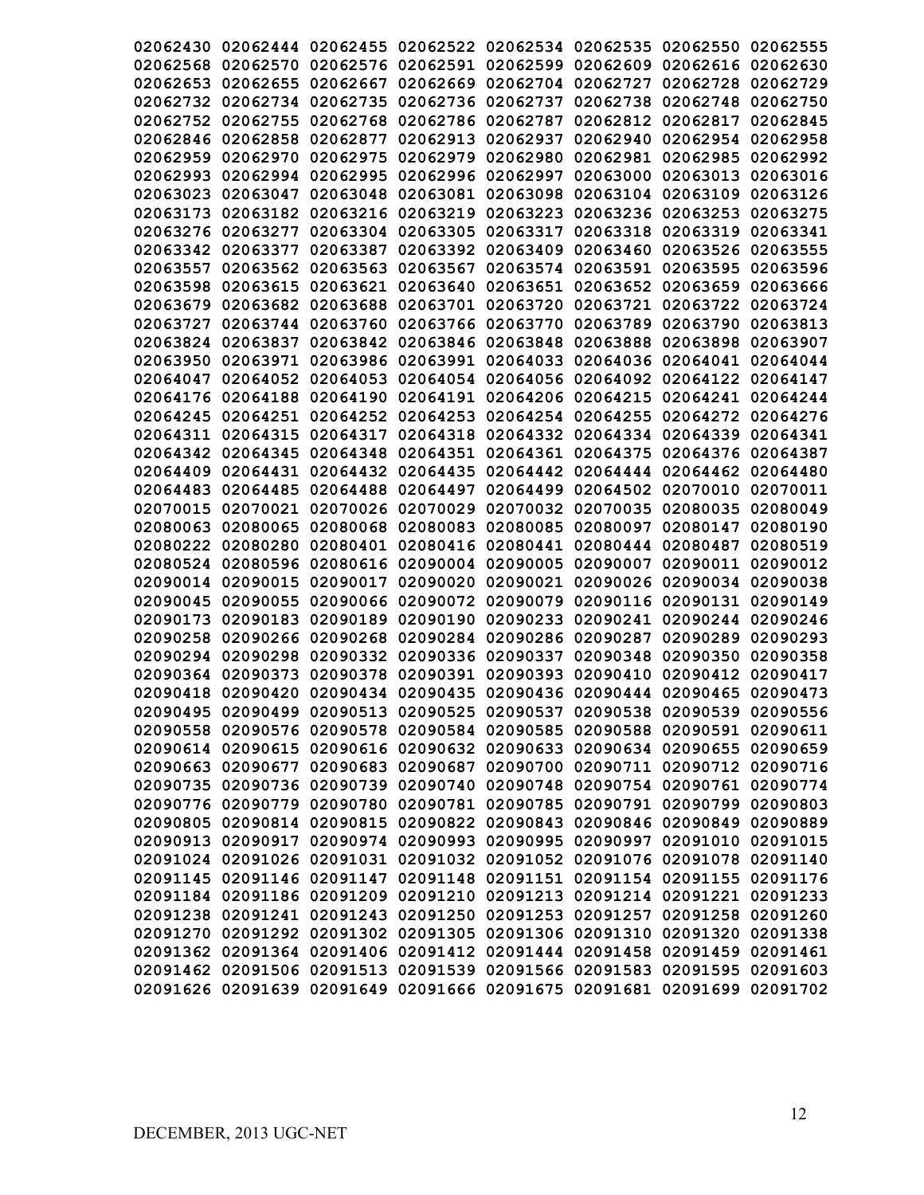|                   |                                                                         |                            |                                                                |                   |                            | 02062430 02062444 02062455 02062522 02062534 02062535 02062550 02062555               |          |
|-------------------|-------------------------------------------------------------------------|----------------------------|----------------------------------------------------------------|-------------------|----------------------------|---------------------------------------------------------------------------------------|----------|
|                   |                                                                         |                            |                                                                |                   |                            | 02062568 02062570 02062576 02062591 02062599 02062609 02062616 02062630               |          |
| 02062653          | 02062655                                                                | 02062667                   | 02062669                                                       |                   | 02062704 02062727          | 02062728                                                                              | 02062729 |
|                   |                                                                         | 02062732 02062734 02062735 |                                                                | 02062736 02062737 | 02062738                   | 02062748                                                                              | 02062750 |
| 02062752          | 02062755                                                                | 02062768                   | 02062786                                                       | 02062787          | 02062812                   | 02062817                                                                              | 02062845 |
| 02062846          | 02062858                                                                | 02062877                   | 02062913                                                       | 02062937          | 02062940                   | 02062954                                                                              | 02062958 |
| 02062959          | 02062970                                                                | 02062975                   | 02062979                                                       | 02062980          | 02062981                   | 02062985                                                                              | 02062992 |
| 02062993          | 02062994                                                                | 02062995                   |                                                                | 02062996 02062997 | 02063000                   | 02063013                                                                              | 02063016 |
|                   | 02063023 02063047                                                       |                            | 02063048 02063081 02063098                                     |                   | 02063104 02063109          |                                                                                       | 02063126 |
|                   |                                                                         |                            | 02063173 02063182 02063216 02063219                            |                   | 02063223 02063236 02063253 |                                                                                       | 02063275 |
|                   | 02063276 02063277                                                       |                            | 02063304 02063305                                              | 02063317          | 02063318                   | 02063319                                                                              | 02063341 |
|                   | 02063342 02063377                                                       |                            | 02063387 02063392 02063409                                     |                   | 02063460                   | 02063526                                                                              | 02063555 |
| 02063557          | 02063562                                                                | 02063563                   | 02063567                                                       |                   | 02063574 02063591          | 02063595                                                                              | 02063596 |
| 02063598          |                                                                         | 02063615 02063621          | 02063640                                                       |                   | 02063651 02063652 02063659 |                                                                                       | 02063666 |
|                   |                                                                         |                            | 02063679 02063682 02063688 02063701 02063720 02063721          |                   |                            | 02063722                                                                              | 02063724 |
|                   |                                                                         |                            |                                                                |                   |                            |                                                                                       |          |
|                   |                                                                         | 02063727 02063744 02063760 |                                                                |                   | 02063766 02063770 02063789 | 02063790                                                                              | 02063813 |
|                   |                                                                         | 02063824 02063837 02063842 |                                                                |                   | 02063846 02063848 02063888 | 02063898                                                                              | 02063907 |
|                   |                                                                         |                            |                                                                |                   |                            | 02063950 02063971 02063986 02063991 02064033 02064036 02064041 02064044               |          |
|                   |                                                                         |                            |                                                                |                   |                            | 02064047 02064052 02064053 02064054 02064056 02064092 02064122 02064147               |          |
|                   |                                                                         |                            |                                                                |                   |                            | 02064176 02064188 02064190 02064191 02064206 02064215 02064241 02064244               |          |
|                   |                                                                         |                            |                                                                |                   |                            | 02064245 02064251 02064252 02064253 02064254 02064255 02064272 02064276               |          |
|                   |                                                                         |                            |                                                                |                   |                            | 02064311 02064315 02064317 02064318 02064332 02064334 02064339 02064341               |          |
|                   |                                                                         |                            |                                                                |                   |                            | 02064342 02064345 02064348 02064351 02064361 02064375 02064376 02064387               |          |
|                   |                                                                         |                            | 02064409 02064431 02064432 02064435 02064442                   |                   |                            | 02064444 02064462 02064480                                                            |          |
| 02064483 02064485 |                                                                         | 02064488                   |                                                                | 02064497 02064499 |                            | 02064502 02070010 02070011                                                            |          |
|                   | 02070015 02070021                                                       | 02070026                   | 02070029                                                       | 02070032          | 02070035                   | 02080035                                                                              | 02080049 |
| 02080063          | 02080065                                                                | 02080068                   | 02080083                                                       | 02080085          | 02080097                   | 02080147                                                                              | 02080190 |
| 02080222 02080280 |                                                                         | 02080401                   | 02080416                                                       | 02080441          | 02080444                   | 02080487                                                                              | 02080519 |
|                   | 02080524 02080596                                                       | 02080616                   | 02090004                                                       | 02090005          | 02090007                   | 02090011                                                                              | 02090012 |
| 02090014          | 02090015                                                                | 02090017                   | 02090020                                                       | 02090021          | 02090026                   | 02090034                                                                              | 02090038 |
| 02090045          | 02090055                                                                | 02090066                   | 02090072                                                       | 02090079          | 02090116                   | 02090131                                                                              | 02090149 |
| 02090173          | 02090183                                                                | 02090189                   | 02090190                                                       | 02090233          | 02090241                   | 02090244                                                                              | 02090246 |
| 02090258          | 02090266                                                                | 02090268                   | 02090284                                                       | 02090286          | 02090287                   | 02090289                                                                              | 02090293 |
| 02090294          | 02090298                                                                | 02090332                   | 02090336                                                       | 02090337          | 02090348                   | 02090350                                                                              | 02090358 |
| 02090364 02090373 |                                                                         | 02090378                   | 02090391                                                       |                   | 02090393 02090410          | 02090412                                                                              | 02090417 |
|                   |                                                                         |                            |                                                                |                   |                            |                                                                                       |          |
|                   |                                                                         |                            | 02090418 02090420 02090434 02090435 02090436 02090444 02090465 |                   |                            | 02090495   02090499   02090513   02090525   02090537   02090538   02090539   02090556 | 02090473 |
|                   |                                                                         |                            |                                                                |                   |                            |                                                                                       |          |
|                   |                                                                         |                            |                                                                |                   |                            | 02090558 02090576 02090578 02090584 02090585 02090588 02090591 02090611               |          |
|                   |                                                                         |                            |                                                                |                   |                            | 02090614 02090615 02090616 02090632 02090633 02090634 02090655 02090659               |          |
|                   |                                                                         |                            |                                                                |                   |                            | 02090663 02090677 02090683 02090687 02090700 02090711 02090712 02090716               |          |
|                   |                                                                         |                            |                                                                |                   |                            | 02090735 02090736 02090739 02090740 02090748 02090754 02090761 02090774               |          |
|                   |                                                                         |                            |                                                                |                   |                            | 02090776 02090779 02090780 02090781 02090785 02090791 02090799 02090803               |          |
|                   |                                                                         |                            |                                                                |                   |                            | 02090805 02090814 02090815 02090822 02090843 02090846 02090849 02090889               |          |
|                   |                                                                         |                            |                                                                |                   |                            | 02090913 02090917 02090974 02090993 02090995 02090997 02091010 02091015               |          |
|                   |                                                                         |                            |                                                                |                   |                            | 02091024 02091026 02091031 02091032 02091052 02091076 02091078 02091140               |          |
|                   |                                                                         |                            |                                                                |                   |                            | 02091145 02091146 02091147 02091148 02091151 02091154 02091155 02091176               |          |
|                   |                                                                         |                            |                                                                |                   |                            | 02091184 02091186 02091209 02091210 02091213 02091214 02091221 02091233               |          |
|                   |                                                                         |                            |                                                                |                   |                            | 02091238 02091241 02091243 02091250 02091253 02091257 02091258 02091260               |          |
|                   |                                                                         |                            |                                                                |                   |                            | 02091270 02091292 02091302 02091305 02091306 02091310 02091320 02091338               |          |
|                   |                                                                         |                            |                                                                |                   |                            | 02091362 02091364 02091406 02091412 02091444 02091458 02091459 02091461               |          |
|                   |                                                                         |                            |                                                                |                   |                            | 02091462 02091506 02091513 02091539 02091566 02091583 02091595 02091603               |          |
|                   | 02091626 02091639 02091649 02091666 02091675 02091681 02091699 02091702 |                            |                                                                |                   |                            |                                                                                       |          |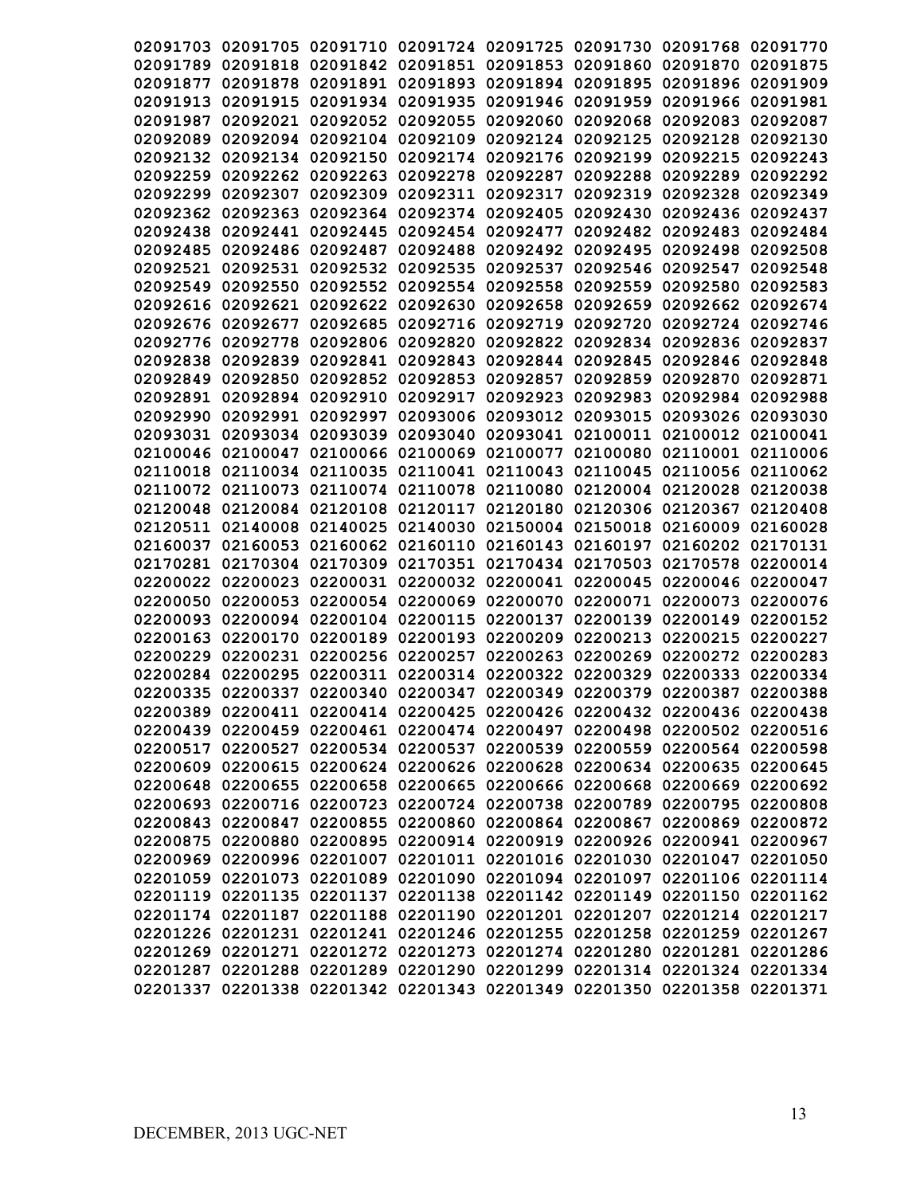|          | 02091703 02091705 02091710                                              |                   |                                                       |                   | 02091724 02091725 02091730 | 02091768 02091770 |          |
|----------|-------------------------------------------------------------------------|-------------------|-------------------------------------------------------|-------------------|----------------------------|-------------------|----------|
|          | 02091818                                                                | 02091842          |                                                       |                   |                            |                   | 02091875 |
| 02091789 |                                                                         |                   |                                                       |                   | 02091851 02091853 02091860 | 02091870          |          |
| 02091877 | 02091878                                                                | 02091891          | 02091893                                              |                   | 02091894 02091895          | 02091896          | 02091909 |
| 02091913 | 02091915                                                                | 02091934          | 02091935                                              | 02091946          | 02091959                   | 02091966          | 02091981 |
| 02091987 | 02092021                                                                | 02092052          | 02092055                                              | 02092060          | 02092068                   | 02092083          | 02092087 |
| 02092089 | 02092094                                                                | 02092104          | 02092109                                              | 02092124 02092125 |                            | 02092128          | 02092130 |
|          | 02092132 02092134 02092150                                              |                   |                                                       |                   | 02092174 02092176 02092199 | 02092215          | 02092243 |
| 02092259 |                                                                         | 02092262 02092263 | 02092278                                              | 02092287          | 02092288                   | 02092289          | 02092292 |
| 02092299 | 02092307                                                                | 02092309          | 02092311                                              | 02092317          | 02092319                   | 02092328          | 02092349 |
|          | 02092362 02092363                                                       |                   | 02092364 02092374                                     | 02092405          | 02092430                   | 02092436          | 02092437 |
| 02092438 | 02092441                                                                | 02092445          | 02092454                                              | 02092477          | 02092482                   | 02092483          | 02092484 |
| 02092485 |                                                                         | 02092486 02092487 | 02092488                                              | 02092492          | 02092495                   | 02092498          | 02092508 |
| 02092521 | 02092531                                                                | 02092532          | 02092535                                              | 02092537          | 02092546                   | 02092547          | 02092548 |
| 02092549 | 02092550                                                                | 02092552          | 02092554                                              | 02092558          | 02092559                   | 02092580          | 02092583 |
|          | 02092616 02092621                                                       |                   | 02092622 02092630 02092658                            |                   | 02092659                   | 02092662 02092674 |          |
|          | 02092676 02092677                                                       | 02092685          |                                                       |                   | 02092716 02092719 02092720 | 02092724 02092746 |          |
|          | 02092776 02092778                                                       |                   | 02092806 02092820 02092822 02092834 02092836 02092837 |                   |                            |                   |          |
|          | 02092838 02092839 02092841 02092843 02092844 02092845                   |                   |                                                       |                   |                            | 02092846 02092848 |          |
|          | 02092849 02092850 02092852 02092853 02092857 02092859                   |                   |                                                       |                   |                            | 02092870 02092871 |          |
|          | 02092891 02092894 02092910                                              |                   |                                                       |                   | 02092917 02092923 02092983 | 02092984 02092988 |          |
|          | 02092990 02092991                                                       | 02092997          |                                                       |                   | 02093006 02093012 02093015 | 02093026 02093030 |          |
|          | 02093031 02093034                                                       | 02093039          |                                                       | 02093040 02093041 | 02100011                   | 02100012 02100041 |          |
|          | 02100046 02100047                                                       | 02100066          | 02100069                                              | 02100077          | 02100080                   | 02110001 02110006 |          |
|          | 02110018 02110034                                                       | 02110035          | 02110041 02110043                                     |                   | 02110045                   | 02110056 02110062 |          |
|          | 02110072 02110073                                                       | 02110074          | 02110078 02110080                                     |                   | 02120004                   | 02120028          | 02120038 |
| 02120048 | 02120084                                                                | 02120108          | 02120117                                              | 02120180          | 02120306                   | 02120367          | 02120408 |
| 02120511 | 02140008                                                                | 02140025          | 02140030                                              |                   | 02150004 02150018          | 02160009          | 02160028 |
| 02160037 | 02160053                                                                | 02160062          | 02160110                                              | 02160143          | 02160197                   | 02160202          | 02170131 |
| 02170281 | 02170304                                                                | 02170309          | 02170351                                              | 02170434          | 02170503                   | 02170578          | 02200014 |
| 02200022 | 02200023                                                                | 02200031          | 02200032                                              | 02200041          | 02200045                   | 02200046          | 02200047 |
| 02200050 | 02200053                                                                | 02200054          | 02200069                                              | 02200070          | 02200071                   | 02200073          | 02200076 |
| 02200093 |                                                                         | 02200094 02200104 | 02200115                                              | 02200137          | 02200139                   | 02200149          | 02200152 |
| 02200163 | 02200170                                                                | 02200189          | 02200193                                              | 02200209          | 02200213                   | 02200215          | 02200227 |
| 02200229 | 02200231                                                                | 02200256          | 02200257                                              | 02200263          | 02200269                   | 02200272          | 02200283 |
| 02200284 | 02200295                                                                | 02200311          | 02200314                                              |                   | 02200322 02200329          | 02200333          | 02200334 |
|          | 02200335 02200337 02200340 02200347 02200349 02200379 02200387          |                   |                                                       |                   |                            |                   |          |
|          | 02200389 02200411 02200414 02200425 02200426 02200432 02200436 02200438 |                   |                                                       |                   |                            |                   | 02200388 |
|          | 02200439 02200459 02200461 02200474 02200497 02200498 02200502 02200516 |                   |                                                       |                   |                            |                   |          |
|          |                                                                         |                   |                                                       |                   |                            |                   |          |
|          | 02200517 02200527 02200534 02200537 02200539 02200559 02200564 02200598 |                   |                                                       |                   |                            |                   |          |
|          | 02200609 02200615 02200624 02200626 02200628 02200634 02200635 02200645 |                   |                                                       |                   |                            |                   |          |
|          | 02200648 02200655 02200658 02200665 02200666 02200668 02200669 02200692 |                   |                                                       |                   |                            |                   |          |
|          | 02200693 02200716 02200723 02200724 02200738 02200789 02200795 02200808 |                   |                                                       |                   |                            |                   |          |
|          | 02200843 02200847 02200855 02200860 02200864 02200867 02200869 02200872 |                   |                                                       |                   |                            |                   |          |
|          | 02200875 02200880 02200895 02200914 02200919 02200926 02200941 02200967 |                   |                                                       |                   |                            |                   |          |
|          | 02200969 02200996 02201007 02201011 02201016 02201030 02201047 02201050 |                   |                                                       |                   |                            |                   |          |
|          | 02201059 02201073 02201089 02201090 02201094 02201097 02201106 02201114 |                   |                                                       |                   |                            |                   |          |
|          | 02201119 02201135 02201137 02201138 02201142 02201149 02201150 02201162 |                   |                                                       |                   |                            |                   |          |
|          | 02201174 02201187 02201188 02201190 02201201 02201207 02201214 02201217 |                   |                                                       |                   |                            |                   |          |
|          | 02201226 02201231 02201241 02201246 02201255 02201258 02201259 02201267 |                   |                                                       |                   |                            |                   |          |
|          | 02201269 02201271 02201272 02201273 02201274 02201280 02201281 02201286 |                   |                                                       |                   |                            |                   |          |
|          | 02201287 02201288 02201289 02201290 02201299 02201314 02201324 02201334 |                   |                                                       |                   |                            |                   |          |
|          | 02201337 02201338 02201342 02201343 02201349 02201350 02201358 02201371 |                   |                                                       |                   |                            |                   |          |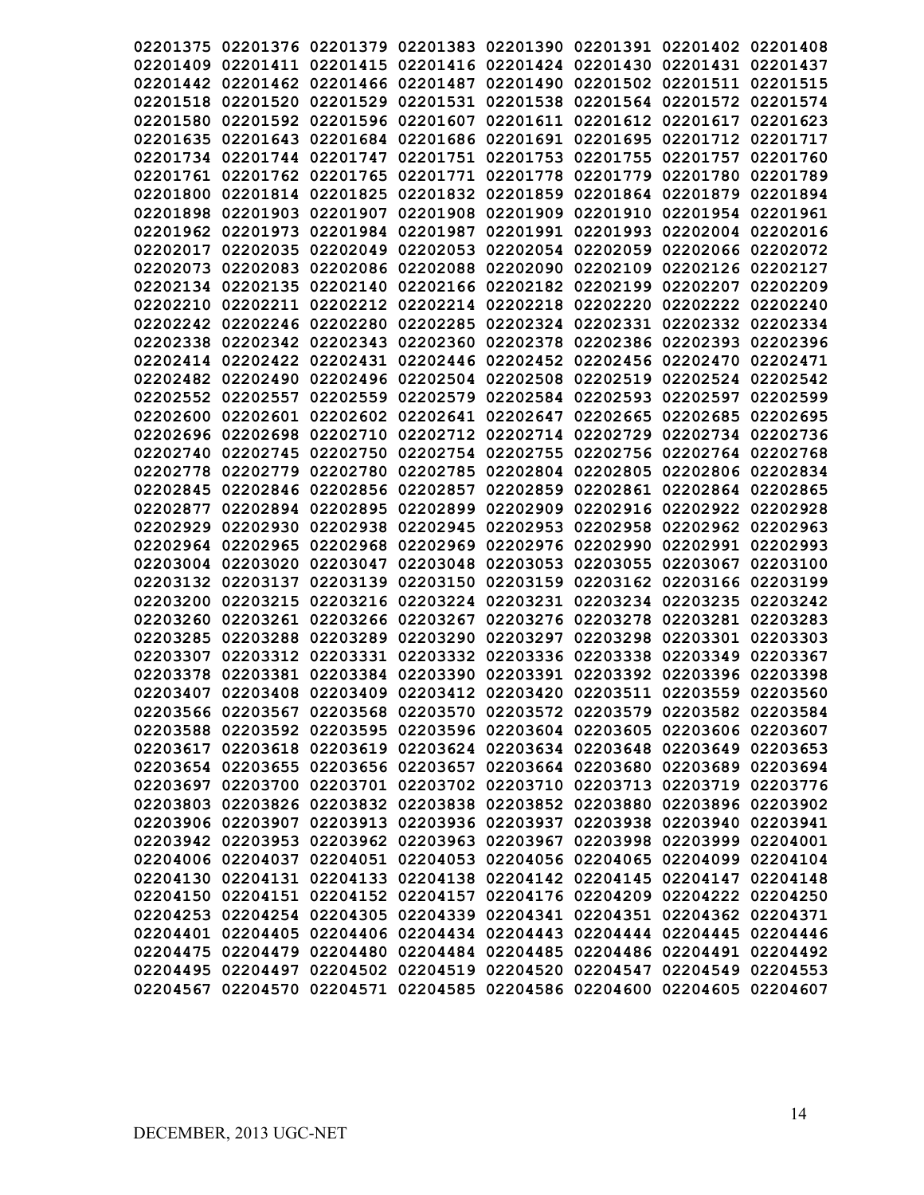|          |                                     |                   |                            |          | 02201375 02201376 02201379 02201383 02201390 02201391 02201402 02201408 |                   |          |
|----------|-------------------------------------|-------------------|----------------------------|----------|-------------------------------------------------------------------------|-------------------|----------|
|          |                                     |                   |                            |          | 02201409 02201411 02201415 02201416 02201424 02201430 02201431 02201437 |                   |          |
|          | 02201442 02201462                   |                   | 02201466 02201487          |          | 02201490 02201502                                                       | 02201511 02201515 |          |
| 02201518 | 02201520                            |                   |                            |          | 02201529 02201531 02201538 02201564 02201572                            |                   | 02201574 |
| 02201580 |                                     |                   | 02201592 02201596 02201607 |          | 02201611 02201612 02201617                                              |                   | 02201623 |
| 02201635 |                                     |                   |                            |          | 02201643 02201684 02201686 02201691 02201695 02201712 02201717          |                   |          |
|          |                                     |                   |                            |          | 02201734 02201744 02201747 02201751 02201753 02201755 02201757          |                   | 02201760 |
|          | 02201761 02201762 02201765 02201771 |                   |                            |          | 02201778 02201779 02201780                                              |                   | 02201789 |
| 02201800 |                                     |                   | 02201814 02201825 02201832 |          | 02201859 02201864 02201879                                              |                   | 02201894 |
|          | 02201898 02201903 02201907 02201908 |                   |                            |          | 02201909 02201910 02201954 02201961                                     |                   |          |
|          | 02201962 02201973 02201984 02201987 |                   |                            |          | 02201991 02201993                                                       | 02202004 02202016 |          |
|          | 02202017 02202035 02202049          |                   | 02202053                   |          | 02202054 02202059                                                       | 02202066 02202072 |          |
|          |                                     |                   |                            |          | 02202073 02202083 02202086 02202088 02202090 02202109                   | 02202126 02202127 |          |
|          |                                     |                   |                            |          | 02202134 02202135 02202140 02202166 02202182 02202199                   | 02202207          | 02202209 |
|          |                                     |                   |                            |          | 02202210 02202211 02202212 02202214 02202218 02202220                   | 02202222 02202240 |          |
|          |                                     |                   |                            |          | 02202242 02202246 02202280 02202285 02202324 02202331 02202332 02202334 |                   |          |
|          |                                     |                   |                            |          | 02202338 02202342 02202343 02202360 02202378 02202386 02202393 02202396 |                   |          |
|          |                                     |                   |                            |          | 02202414 02202422 02202431 02202446 02202452 02202456 02202470 02202471 |                   |          |
|          |                                     |                   |                            |          | 02202482 02202490 02202496 02202504 02202508 02202519 02202524 02202542 |                   |          |
|          | 02202552 02202557 02202559          |                   |                            |          | 02202579 02202584 02202593 02202597 02202599                            |                   |          |
|          | 02202600 02202601                   |                   |                            |          | 02202602 02202641 02202647 02202665                                     | 02202685          | 02202695 |
|          | 02202696 02202698                   | 02202710          |                            |          | 02202712 02202714 02202729                                              | 02202734 02202736 |          |
|          | 02202740 02202745                   | 02202750          | 02202754 02202755          |          | 02202756                                                                | 02202764 02202768 |          |
| 02202778 | 02202779                            | 02202780          | 02202785                   |          | 02202804 02202805                                                       | 02202806          | 02202834 |
| 02202845 | 02202846                            | 02202856          | 02202857                   | 02202859 | 02202861                                                                | 02202864          | 02202865 |
| 02202877 | 02202894                            | 02202895          | 02202899                   | 02202909 | 02202916                                                                | 02202922          | 02202928 |
| 02202929 | 02202930                            | 02202938          | 02202945                   | 02202953 | 02202958                                                                | 02202962          | 02202963 |
| 02202964 | 02202965                            | 02202968          | 02202969                   | 02202976 | 02202990                                                                | 02202991          | 02202993 |
| 02203004 | 02203020                            | 02203047          | 02203048                   | 02203053 | 02203055                                                                | 02203067          | 02203100 |
|          | 02203132 02203137                   | 02203139          | 02203150                   |          | 02203159 02203162                                                       | 02203166          | 02203199 |
| 02203200 | 02203215                            | 02203216          | 02203224                   | 02203231 | 02203234 02203235                                                       |                   | 02203242 |
| 02203260 | 02203261                            | 02203266 02203267 |                            |          | 02203276 02203278                                                       | 02203281          | 02203283 |
| 02203285 | 02203288                            | 02203289          | 02203290                   | 02203297 | 02203298                                                                | 02203301          | 02203303 |
| 02203307 |                                     | 02203312 02203331 | 02203332                   |          | 02203336 02203338                                                       | 02203349          | 02203367 |
| 02203378 |                                     |                   | 02203381 02203384 02203390 |          | 02203391 02203392 02203396 02203398                                     |                   |          |
|          |                                     |                   |                            |          | 02203407 02203408 02203409 02203412 02203420 02203511 02203559          |                   | 02203560 |
|          |                                     |                   |                            |          | 02203566 02203567 02203568 02203570 02203572 02203579 02203582 02203584 |                   |          |
|          |                                     |                   |                            |          | 02203588 02203592 02203595 02203596 02203604 02203605 02203606 02203607 |                   |          |
|          |                                     |                   |                            |          | 02203617 02203618 02203619 02203624 02203634 02203648 02203649 02203653 |                   |          |
|          |                                     |                   |                            |          | 02203654 02203655 02203656 02203657 02203664 02203680 02203689 02203694 |                   |          |
|          |                                     |                   |                            |          | 02203697 02203700 02203701 02203702 02203710 02203713 02203719 02203776 |                   |          |
|          |                                     |                   |                            |          | 02203803 02203826 02203832 02203838 02203852 02203880 02203896 02203902 |                   |          |
|          |                                     |                   |                            |          | 02203906 02203907 02203913 02203936 02203937 02203938 02203940 02203941 |                   |          |
|          |                                     |                   |                            |          | 02203942 02203953 02203962 02203963 02203967 02203998 02203999 02204001 |                   |          |
|          |                                     |                   |                            |          | 02204006 02204037 02204051 02204053 02204056 02204065 02204099 02204104 |                   |          |
|          |                                     |                   |                            |          | 02204130 02204131 02204133 02204138 02204142 02204145 02204147 02204148 |                   |          |
|          |                                     |                   |                            |          | 02204150 02204151 02204152 02204157 02204176 02204209 02204222 02204250 |                   |          |
|          |                                     |                   |                            |          | 02204253 02204254 02204305 02204339 02204341 02204351 02204362 02204371 |                   |          |
|          |                                     |                   |                            |          | 02204401 02204405 02204406 02204434 02204443 02204444 02204445 02204446 |                   |          |
|          |                                     |                   |                            |          | 02204475 02204479 02204480 02204484 02204485 02204486 02204491 02204492 |                   |          |
|          |                                     |                   |                            |          | 02204495 02204497 02204502 02204519 02204520 02204547 02204549 02204553 |                   |          |
|          |                                     |                   |                            |          | 02204567 02204570 02204571 02204585 02204586 02204600 02204605 02204607 |                   |          |
|          |                                     |                   |                            |          |                                                                         |                   |          |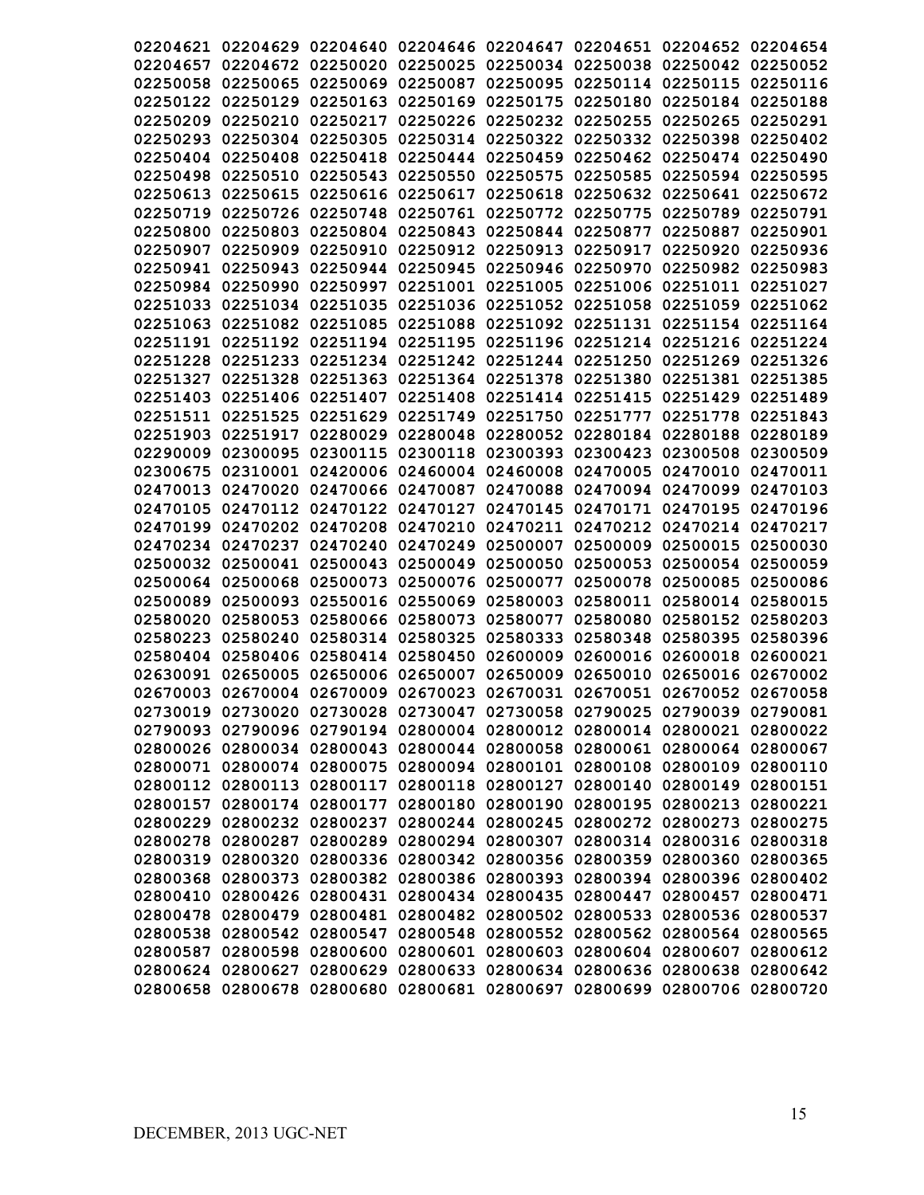|          |                   |                   | 02204621 02204629 02204640 02204646 02204647 02204651 02204652 02204654 |                   |                                              |                   |          |
|----------|-------------------|-------------------|-------------------------------------------------------------------------|-------------------|----------------------------------------------|-------------------|----------|
|          |                   |                   |                                                                         |                   |                                              |                   |          |
| 02204657 |                   | 02204672 02250020 |                                                                         |                   | 02250025 02250034 02250038 02250042 02250052 |                   |          |
| 02250058 | 02250065          | 02250069          | 02250087                                                                | 02250095          | 02250114 02250115                            |                   | 02250116 |
|          | 02250122 02250129 | 02250163          | 02250169                                                                | 02250175          | 02250180                                     | 02250184          | 02250188 |
| 02250209 | 02250210          | 02250217          |                                                                         |                   | 02250226 02250232 02250255                   | 02250265          | 02250291 |
| 02250293 |                   | 02250304 02250305 |                                                                         |                   | 02250314 02250322 02250332 02250398          |                   | 02250402 |
|          |                   |                   | 02250404 02250408 02250418 02250444 02250459 02250462 02250474 02250490 |                   |                                              |                   |          |
| 02250498 | 02250510          |                   | 02250543 02250550                                                       |                   | 02250575 02250585 02250594 02250595          |                   |          |
|          |                   |                   | 02250613 02250615 02250616 02250617                                     |                   | 02250618 02250632 02250641 02250672          |                   |          |
|          |                   |                   | 02250719 02250726 02250748 02250761 02250772 02250775 02250789          |                   |                                              |                   | 02250791 |
|          | 02250800 02250803 |                   | 02250804 02250843 02250844 02250877 02250887                            |                   |                                              |                   | 02250901 |
| 02250907 | 02250909          |                   | 02250910 02250912 02250913 02250917                                     |                   |                                              | 02250920          | 02250936 |
|          |                   |                   | 02250941 02250943 02250944 02250945 02250946 02250970                   |                   |                                              | 02250982 02250983 |          |
|          |                   |                   | 02250984 02250990 02250997 02251001 02251005 02251006 02251011 02251027 |                   |                                              |                   |          |
|          |                   |                   | 02251033 02251034 02251035 02251036 02251052 02251058 02251059 02251062 |                   |                                              |                   |          |
|          |                   |                   | 02251063 02251082 02251085 02251088 02251092 02251131 02251154 02251164 |                   |                                              |                   |          |
|          |                   |                   | 02251191 02251192 02251194 02251195 02251196 02251214 02251216 02251224 |                   |                                              |                   |          |
|          |                   |                   | 02251228 02251233 02251234 02251242 02251244 02251250 02251269 02251326 |                   |                                              |                   |          |
|          |                   |                   | 02251327 02251328 02251363 02251364 02251378 02251380 02251381 02251385 |                   |                                              |                   |          |
|          |                   |                   | 02251403 02251406 02251407 02251408 02251414 02251415 02251429 02251489 |                   |                                              |                   |          |
|          |                   |                   | 02251511 02251525 02251629 02251749 02251750 02251777 02251778 02251843 |                   |                                              |                   |          |
|          | 02251903 02251917 | 02280029          |                                                                         |                   | 02280048 02280052 02280184 02280188 02280189 |                   |          |
|          | 02290009 02300095 | 02300115          |                                                                         |                   | 02300118 02300393 02300423                   | 02300508 02300509 |          |
|          | 02300675 02310001 |                   | 02420006 02460004 02460008 02470005                                     |                   |                                              | 02470010          | 02470011 |
|          | 02470013 02470020 | 02470066          | 02470087                                                                |                   | 02470088 02470094                            | 02470099          | 02470103 |
|          | 02470105 02470112 |                   | 02470122 02470127                                                       |                   | 02470145 02470171                            | 02470195          | 02470196 |
| 02470199 | 02470202          | 02470208          |                                                                         | 02470210 02470211 | 02470212                                     | 02470214 02470217 |          |
|          | 02470234 02470237 | 02470240          | 02470249                                                                | 02500007          | 02500009                                     | 02500015          | 02500030 |
|          | 02500032 02500041 | 02500043          | 02500049                                                                | 02500050          | 02500053                                     | 02500054          | 02500059 |
|          | 02500064 02500068 | 02500073          | 02500076                                                                | 02500077          | 02500078                                     | 02500085          | 02500086 |
| 02500089 | 02500093          | 02550016          | 02550069                                                                | 02580003          | 02580011                                     | 02580014          | 02580015 |
| 02580020 | 02580053          | 02580066          | 02580073                                                                | 02580077          | 02580080                                     | 02580152          | 02580203 |
| 02580223 |                   |                   | 02580240 02580314 02580325                                              | 02580333          | 02580348                                     | 02580395          | 02580396 |
| 02580404 | 02580406          |                   | 02580414 02580450                                                       |                   | 02600009 02600016 02600018                   |                   | 02600021 |
| 02630091 | 02650005          | 02650006 02650007 |                                                                         |                   | 02650009 02650010                            | 02650016          | 02670002 |
|          |                   |                   | 02670003 02670004 02670009 02670023 02670031 02670051 02670052 02670058 |                   |                                              |                   |          |
|          |                   |                   | 02730019 02730020 02730028 02730047 02730058 02790025 02790039 02790081 |                   |                                              |                   |          |
|          |                   |                   | 02790093 02790096 02790194 02800004 02800012 02800014 02800021 02800022 |                   |                                              |                   |          |
|          |                   |                   | 02800026 02800034 02800043 02800044 02800058 02800061 02800064 02800067 |                   |                                              |                   |          |
|          |                   |                   | 02800071 02800074 02800075 02800094 02800101 02800108 02800109 02800110 |                   |                                              |                   |          |
|          |                   |                   | 02800112 02800113 02800117 02800118 02800127 02800140 02800149 02800151 |                   |                                              |                   |          |
|          |                   |                   | 02800157 02800174 02800177 02800180 02800190 02800195 02800213 02800221 |                   |                                              |                   |          |
|          |                   |                   | 02800229 02800232 02800237 02800244 02800245 02800272 02800273 02800275 |                   |                                              |                   |          |
|          |                   |                   | 02800278 02800287 02800289 02800294 02800307 02800314 02800316 02800318 |                   |                                              |                   |          |
|          |                   |                   |                                                                         |                   |                                              |                   |          |
|          |                   |                   | 02800319 02800320 02800336 02800342 02800356 02800359 02800360 02800365 |                   |                                              |                   |          |
|          |                   |                   | 02800368 02800373 02800382 02800386 02800393 02800394 02800396 02800402 |                   |                                              |                   |          |
|          |                   |                   | 02800410 02800426 02800431 02800434 02800435 02800447 02800457 02800471 |                   |                                              |                   |          |
|          |                   |                   | 02800478 02800479 02800481 02800482 02800502 02800533 02800536 02800537 |                   |                                              |                   |          |
|          |                   |                   | 02800538 02800542 02800547 02800548 02800552 02800562 02800564 02800565 |                   |                                              |                   |          |
|          |                   |                   | 02800587 02800598 02800600 02800601 02800603 02800604 02800607 02800612 |                   |                                              |                   |          |
|          |                   |                   | 02800624 02800627 02800629 02800633 02800634 02800636 02800638 02800642 |                   |                                              |                   |          |
|          |                   |                   | 02800658 02800678 02800680 02800681 02800697 02800699 02800706 02800720 |                   |                                              |                   |          |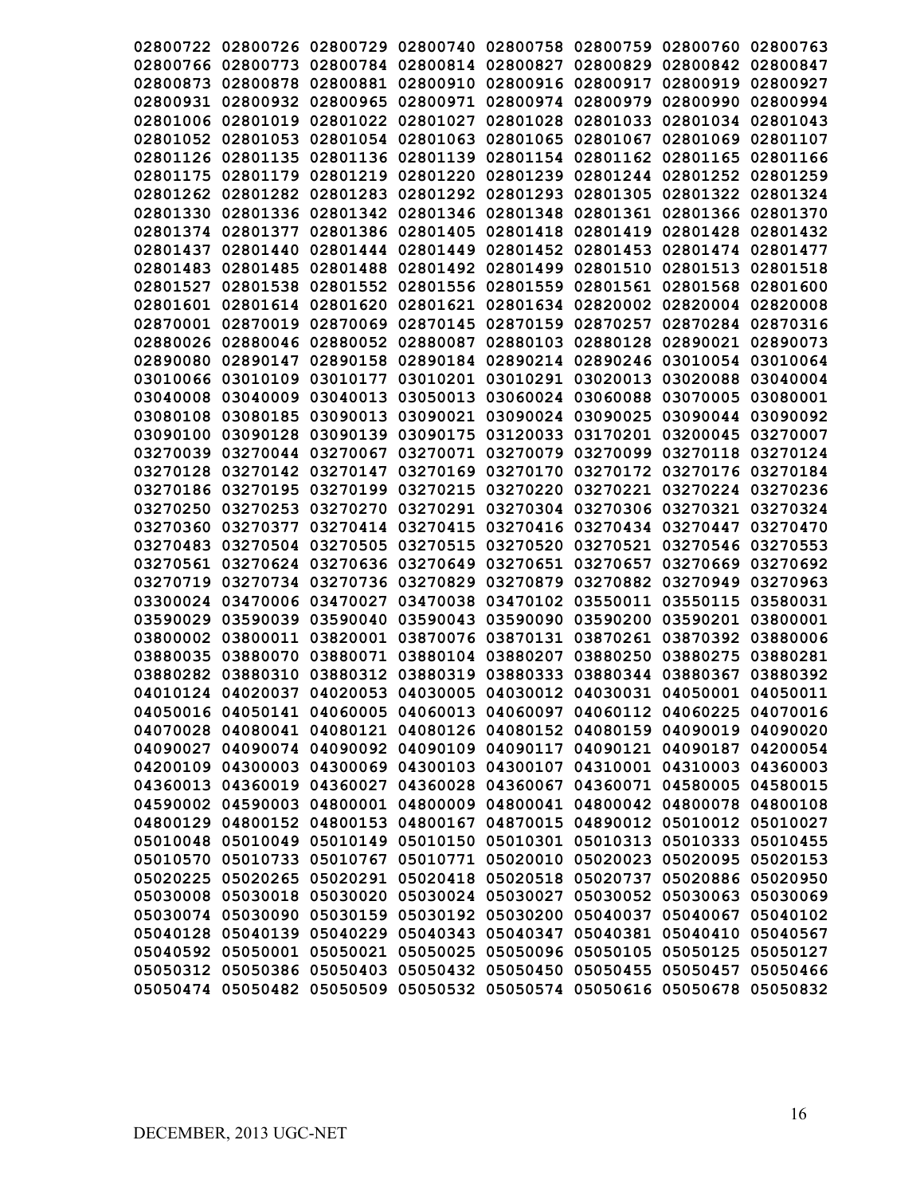|          | 02800722 02800726 02800729                                              |                            |                   |          | 02800740 02800758 02800759                            | 02800760 02800763 |          |
|----------|-------------------------------------------------------------------------|----------------------------|-------------------|----------|-------------------------------------------------------|-------------------|----------|
|          |                                                                         |                            |                   |          |                                                       |                   |          |
|          | 02800766 02800773 02800784 02800814 02800827 02800829                   |                            |                   |          |                                                       | 02800842          | 02800847 |
| 02800873 | 02800878                                                                | 02800881                   |                   |          | 02800910 02800916 02800917                            | 02800919          | 02800927 |
| 02800931 | 02800932                                                                | 02800965                   | 02800971          | 02800974 | 02800979                                              | 02800990          | 02800994 |
|          | 02801006 02801019                                                       | 02801022                   | 02801027          | 02801028 | 02801033                                              | 02801034          | 02801043 |
|          | 02801052 02801053                                                       |                            | 02801054 02801063 | 02801065 | 02801067                                              | 02801069          | 02801107 |
|          | 02801126 02801135                                                       |                            | 02801136 02801139 |          | 02801154 02801162                                     | 02801165          | 02801166 |
| 02801175 | 02801179                                                                | 02801219                   | 02801220          | 02801239 | 02801244 02801252 02801259                            |                   |          |
|          | 02801262 02801282 02801283                                              |                            |                   |          | 02801292 02801293 02801305 02801322 02801324          |                   |          |
| 02801330 | 02801336                                                                | 02801342 02801346 02801348 |                   |          | 02801361                                              | 02801366 02801370 |          |
|          | 02801374 02801377                                                       |                            | 02801386 02801405 | 02801418 | 02801419                                              | 02801428          | 02801432 |
| 02801437 | 02801440                                                                |                            | 02801444 02801449 |          | 02801452 02801453                                     | 02801474 02801477 |          |
|          | 02801483 02801485 02801488 02801492 02801499 02801510                   |                            |                   |          |                                                       | 02801513          | 02801518 |
|          | 02801527 02801538                                                       |                            |                   |          | 02801552 02801556 02801559 02801561                   | 02801568          | 02801600 |
|          | 02801601 02801614 02801620 02801621 02801634 02820002                   |                            |                   |          |                                                       | 02820004 02820008 |          |
|          | 02870001 02870019 02870069 02870145 02870159 02870257                   |                            |                   |          |                                                       | 02870284          | 02870316 |
|          | 02880026 02880046 02880052 02880087 02880103 02880128                   |                            |                   |          |                                                       | 02890021 02890073 |          |
|          | 02890080 02890147 02890158 02890184 02890214 02890246 03010054 03010064 |                            |                   |          |                                                       |                   |          |
|          | 03010066 03010109                                                       |                            |                   |          | 03010177 03010201 03010291 03020013 03020088 03040004 |                   |          |
|          | 03040008 03040009 03040013 03050013 03060024 03060088                   |                            |                   |          |                                                       | 03070005 03080001 |          |
|          | 03080108 03080185                                                       |                            |                   |          | 03090013 03090021 03090024 03090025                   | 03090044 03090092 |          |
|          |                                                                         |                            |                   |          |                                                       |                   |          |
|          | 03090100 03090128                                                       | 03090139                   |                   |          | 03090175 03120033 03170201                            | 03200045 03270007 |          |
|          | 03270039 03270044                                                       | 03270067                   |                   |          | 03270071 03270079 03270099                            | 03270118 03270124 |          |
|          | 03270128 03270142                                                       | 03270147                   | 03270169          | 03270170 | 03270172                                              | 03270176 03270184 |          |
|          | 03270186 03270195                                                       | 03270199                   | 03270215          | 03270220 | 03270221                                              | 03270224 03270236 |          |
| 03270250 | 03270253                                                                | 03270270                   |                   |          | 03270291 03270304 03270306                            | 03270321          | 03270324 |
| 03270360 | 03270377                                                                |                            | 03270414 03270415 |          | 03270416 03270434 03270447                            |                   | 03270470 |
| 03270483 | 03270504                                                                | 03270505                   | 03270515          | 03270520 | 03270521                                              | 03270546          | 03270553 |
| 03270561 | 03270624                                                                | 03270636                   | 03270649          | 03270651 | 03270657                                              | 03270669          | 03270692 |
| 03270719 |                                                                         | 03270734 03270736          | 03270829          | 03270879 | 03270882                                              | 03270949          | 03270963 |
|          | 03300024 03470006                                                       | 03470027                   | 03470038          |          | 03470102 03550011                                     | 03550115          | 03580031 |
| 03590029 | 03590039                                                                | 03590040                   | 03590043          | 03590090 | 03590200                                              | 03590201          | 03800001 |
|          | 03800002 03800011                                                       | 03820001                   |                   |          | 03870076 03870131 03870261                            | 03870392          | 03880006 |
| 03880035 | 03880070                                                                | 03880071                   | 03880104          | 03880207 | 03880250                                              | 03880275          | 03880281 |
|          | 03880282 03880310                                                       |                            | 03880312 03880319 | 03880333 | 03880344 03880367                                     |                   | 03880392 |
|          | 04010124 04020037 04020053 04030005 04030012 04030031 04050001 04050011 |                            |                   |          |                                                       |                   |          |
|          | 04050016 04050141 04060005 04060013 04060097 04060112 04060225 04070016 |                            |                   |          |                                                       |                   |          |
|          | 04070028 04080041 04080121 04080126 04080152 04080159 04090019 04090020 |                            |                   |          |                                                       |                   |          |
|          | 04090027 04090074 04090092 04090109 04090117 04090121 04090187 04200054 |                            |                   |          |                                                       |                   |          |
|          | 04200109 04300003 04300069 04300103 04300107 04310001 04310003 04360003 |                            |                   |          |                                                       |                   |          |
|          | 04360013 04360019 04360027 04360028 04360067 04360071 04580005 04580015 |                            |                   |          |                                                       |                   |          |
|          | 04590002 04590003 04800001 04800009 04800041 04800042 04800078 04800108 |                            |                   |          |                                                       |                   |          |
|          | 04800129 04800152 04800153 04800167 04870015 04890012 05010012 05010027 |                            |                   |          |                                                       |                   |          |
|          | 05010048 05010049 05010149 05010150 05010301 05010313 05010333 05010455 |                            |                   |          |                                                       |                   |          |
|          | 05010570 05010733 05010767 05010771 05020010 05020023 05020095 05020153 |                            |                   |          |                                                       |                   |          |
|          | 05020225 05020265 05020291 05020418 05020518 05020737 05020886 05020950 |                            |                   |          |                                                       |                   |          |
|          | 05030008 05030018 05030020 05030024 05030027 05030052 05030063 05030069 |                            |                   |          |                                                       |                   |          |
|          | 05030074 05030090 05030159 05030192 05030200 05040037 05040067 05040102 |                            |                   |          |                                                       |                   |          |
|          | 05040128 05040139 05040229 05040343 05040347 05040381 05040410 05040567 |                            |                   |          |                                                       |                   |          |
|          | 05040592 05050001 05050021 05050025 05050096 05050105 05050125 05050127 |                            |                   |          |                                                       |                   |          |
|          | 05050312 05050386 05050403 05050432 05050450 05050455 05050457 05050466 |                            |                   |          |                                                       |                   |          |
|          | 05050474 05050482 05050509 05050532 05050574 05050616 05050678 05050832 |                            |                   |          |                                                       |                   |          |
|          |                                                                         |                            |                   |          |                                                       |                   |          |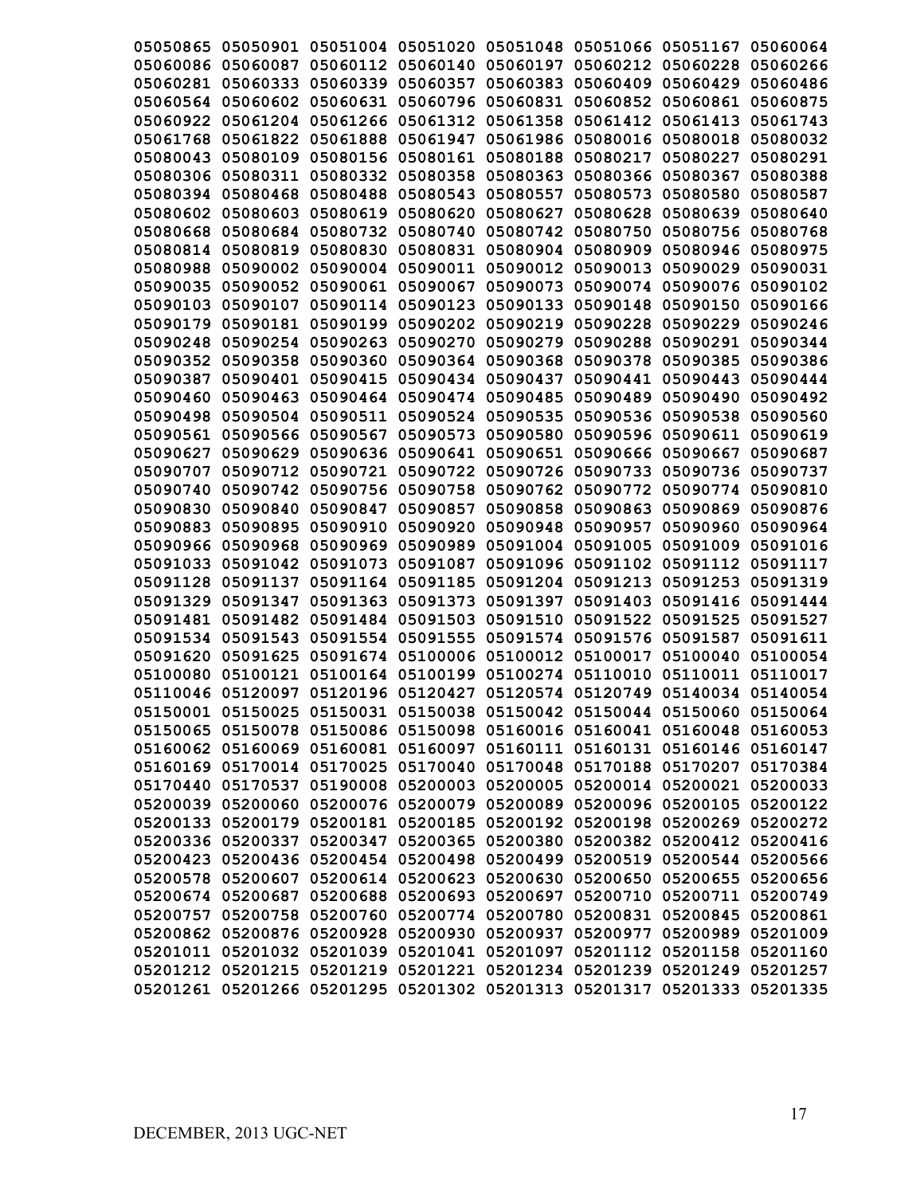| 05050865 |                   |                   | 05050901 05051004 05051020 05051048 |          | 05051066 05051167 |                                                                         | 05060064 |
|----------|-------------------|-------------------|-------------------------------------|----------|-------------------|-------------------------------------------------------------------------|----------|
| 05060086 | 05060087          | 05060112          | 05060140                            | 05060197 | 05060212          | 05060228                                                                | 05060266 |
| 05060281 | 05060333          | 05060339          | 05060357                            | 05060383 | 05060409          | 05060429                                                                | 05060486 |
| 05060564 | 05060602          | 05060631          | 05060796                            | 05060831 | 05060852          | 05060861                                                                | 05060875 |
| 05060922 | 05061204          | 05061266          | 05061312                            | 05061358 | 05061412          | 05061413                                                                | 05061743 |
| 05061768 | 05061822          | 05061888          | 05061947                            | 05061986 | 05080016          | 05080018                                                                | 05080032 |
| 05080043 | 05080109          | 05080156          | 05080161                            | 05080188 | 05080217          | 05080227                                                                | 05080291 |
| 05080306 | 05080311          | 05080332          | 05080358                            | 05080363 | 05080366          | 05080367                                                                | 05080388 |
| 05080394 | 05080468          | 05080488          | 05080543                            | 05080557 | 05080573          | 05080580                                                                | 05080587 |
| 05080602 | 05080603          | 05080619          | 05080620                            | 05080627 | 05080628          | 05080639                                                                | 05080640 |
| 05080668 | 05080684          | 05080732          | 05080740                            | 05080742 | 05080750          | 05080756                                                                | 05080768 |
| 05080814 | 05080819          | 05080830          | 05080831                            | 05080904 | 05080909          | 05080946                                                                | 05080975 |
| 05080988 | 05090002          | 05090004          | 05090011                            | 05090012 | 05090013          | 05090029                                                                | 05090031 |
| 05090035 | 05090052          | 05090061          | 05090067                            | 05090073 | 05090074          | 05090076                                                                | 05090102 |
|          | 05090103 05090107 | 05090114          | 05090123                            | 05090133 | 05090148          | 05090150                                                                | 05090166 |
|          | 05090179 05090181 | 05090199          | 05090202 05090219                   |          | 05090228          | 05090229                                                                | 05090246 |
|          | 05090248 05090254 | 05090263          | 05090270 05090279                   |          | 05090288          | 05090291                                                                | 05090344 |
|          | 05090352 05090358 | 05090360          | 05090364                            | 05090368 | 05090378          | 05090385                                                                | 05090386 |
|          | 05090387 05090401 | 05090415          | 05090434 05090437                   |          | 05090441          | 05090443                                                                | 05090444 |
|          |                   |                   | 05090474 05090485                   |          | 05090489          |                                                                         |          |
|          | 05090460 05090463 | 05090464          |                                     |          |                   | 05090490                                                                | 05090492 |
|          | 05090498 05090504 | 05090511          | 05090524 05090535                   |          | 05090536          | 05090538                                                                | 05090560 |
| 05090561 | 05090566          | 05090567          | 05090573                            | 05090580 | 05090596          | 05090611                                                                | 05090619 |
| 05090627 | 05090629          | 05090636          | 05090641                            | 05090651 | 05090666          | 05090667                                                                | 05090687 |
| 05090707 | 05090712          | 05090721          | 05090722                            | 05090726 | 05090733          | 05090736                                                                | 05090737 |
| 05090740 | 05090742          | 05090756          | 05090758                            | 05090762 | 05090772          | 05090774                                                                | 05090810 |
| 05090830 | 05090840          | 05090847          | 05090857                            | 05090858 | 05090863          | 05090869                                                                | 05090876 |
| 05090883 | 05090895          | 05090910          | 05090920                            | 05090948 | 05090957          | 05090960                                                                | 05090964 |
| 05090966 | 05090968          | 05090969          | 05090989                            | 05091004 | 05091005          | 05091009                                                                | 05091016 |
| 05091033 | 05091042          | 05091073          | 05091087                            | 05091096 | 05091102          | 05091112                                                                | 05091117 |
| 05091128 | 05091137          | 05091164          | 05091185                            | 05091204 | 05091213          | 05091253                                                                | 05091319 |
| 05091329 | 05091347          | 05091363          | 05091373                            | 05091397 | 05091403          | 05091416                                                                | 05091444 |
| 05091481 | 05091482          | 05091484          | 05091503                            | 05091510 | 05091522          | 05091525                                                                | 05091527 |
| 05091534 | 05091543          | 05091554          | 05091555                            | 05091574 | 05091576          | 05091587                                                                | 05091611 |
| 05091620 | 05091625          | 05091674          | 05100006                            | 05100012 | 05100017          | 05100040                                                                | 05100054 |
| 05100080 | 05100121          | 05100164          | 05100199                            | 05100274 | 05110010          | 05110011                                                                | 05110017 |
|          | 05110046 05120097 | 05120196 05120427 |                                     |          | 05120574 05120749 | 05140034 05140054                                                       |          |
|          |                   |                   |                                     |          |                   | 05150001 05150025 05150031 05150038 05150042 05150044 05150060 05150064 |          |
|          |                   |                   |                                     |          |                   | 05150065 05150078 05150086 05150098 05160016 05160041 05160048 05160053 |          |
|          |                   |                   |                                     |          |                   | 05160062 05160069 05160081 05160097 05160111 05160131 05160146 05160147 |          |
|          |                   |                   |                                     |          |                   | 05160169 05170014 05170025 05170040 05170048 05170188 05170207 05170384 |          |
|          |                   |                   |                                     |          |                   | 05170440 05170537 05190008 05200003 05200005 05200014 05200021 05200033 |          |
|          |                   |                   |                                     |          |                   | 05200039 05200060 05200076 05200079 05200089 05200096 05200105 05200122 |          |
|          |                   |                   |                                     |          |                   | 05200133 05200179 05200181 05200185 05200192 05200198 05200269 05200272 |          |
|          |                   |                   |                                     |          |                   | 05200336 05200337 05200347 05200365 05200380 05200382 05200412 05200416 |          |
|          |                   |                   |                                     |          |                   | 05200423 05200436 05200454 05200498 05200499 05200519 05200544 05200566 |          |
|          |                   |                   |                                     |          |                   | 05200578 05200607 05200614 05200623 05200630 05200650 05200655 05200656 |          |
|          |                   |                   |                                     |          |                   | 05200674 05200687 05200688 05200693 05200697 05200710 05200711 05200749 |          |
|          |                   |                   |                                     |          |                   | 05200757 05200758 05200760 05200774 05200780 05200831 05200845 05200861 |          |
|          |                   |                   |                                     |          |                   | 05200862 05200876 05200928 05200930 05200937 05200977 05200989 05201009 |          |
|          |                   |                   |                                     |          |                   | 05201011 05201032 05201039 05201041 05201097 05201112 05201158 05201160 |          |
|          |                   |                   |                                     |          |                   | 05201212 05201215 05201219 05201221 05201234 05201239 05201249 05201257 |          |
|          |                   |                   |                                     |          |                   | 05201261 05201266 05201295 05201302 05201313 05201317 05201333 05201335 |          |
|          |                   |                   |                                     |          |                   |                                                                         |          |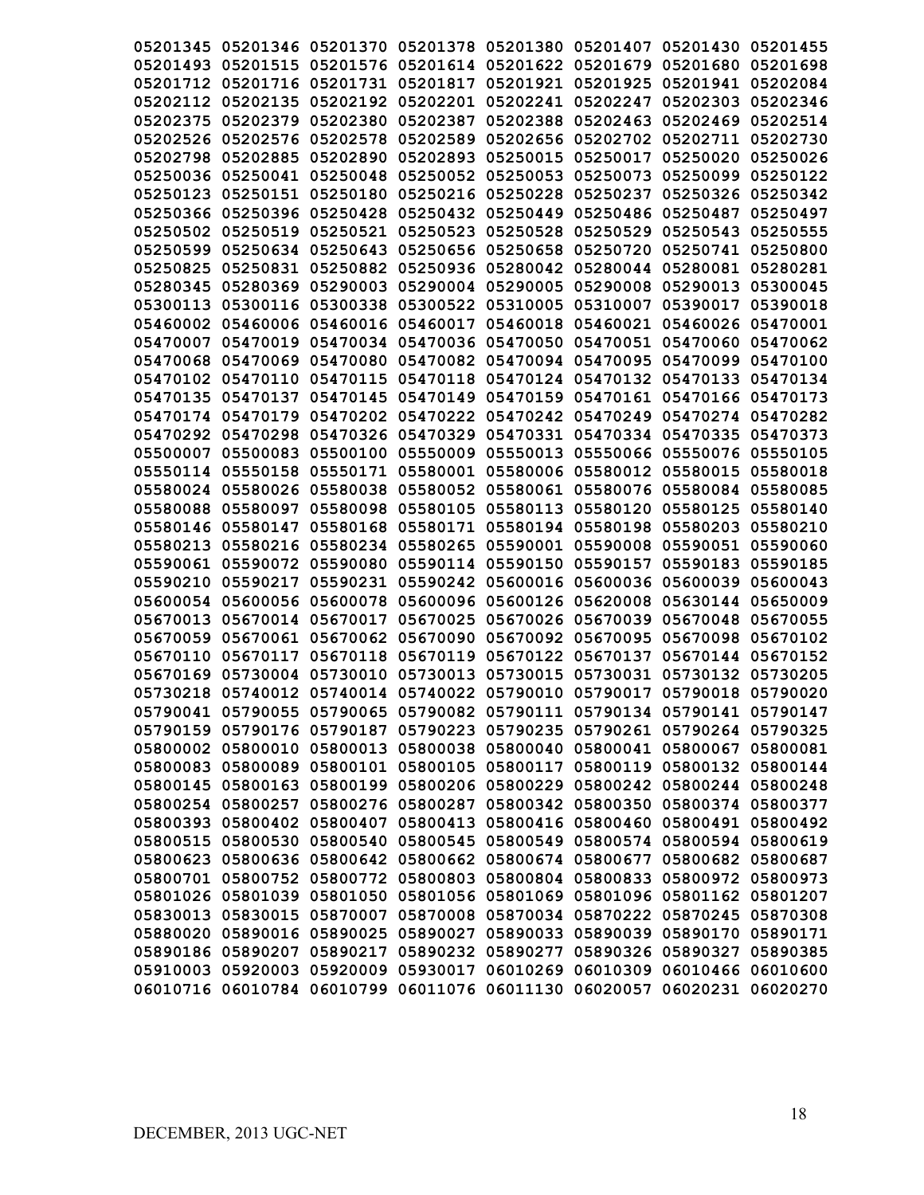| 05201345 05201346 05201370 05201378 05201380 05201407 05201430 05201455 |          |                            |                            |                                                       |                   |          |
|-------------------------------------------------------------------------|----------|----------------------------|----------------------------|-------------------------------------------------------|-------------------|----------|
| 05201493 05201515 05201576 05201614 05201622 05201679 05201680 05201698 |          |                            |                            |                                                       |                   |          |
| 05201712 05201716 05201731 05201817 05201921 05201925 05201941 05202084 |          |                            |                            |                                                       |                   |          |
| 05202112 05202135                                                       |          | 05202192 05202201 05202241 |                            | 05202247                                              | 05202303          | 05202346 |
| 05202375 05202379 05202380                                              |          | 05202387                   | 05202388                   | 05202463                                              | 05202469          | 05202514 |
| 05202526 05202576 05202578 05202589                                     |          |                            |                            | 05202656 05202702 05202711 05202730                   |                   |          |
| 05202798 05202885                                                       |          | 05202890 05202893 05250015 |                            | 05250017 05250020                                     |                   | 05250026 |
| 05250036 05250041 05250048 05250052 05250053 05250073 05250099          |          |                            |                            |                                                       |                   | 05250122 |
| 05250123 05250151 05250180 05250216 05250228 05250237 05250326 05250342 |          |                            |                            |                                                       |                   |          |
| 05250366 05250396 05250428 05250432 05250449 05250486 05250487          |          |                            |                            |                                                       |                   | 05250497 |
| 05250502 05250519 05250521 05250523 05250528 05250529                   |          |                            |                            |                                                       | 05250543 05250555 |          |
| 05250599 05250634 05250643 05250656 05250658 05250720 05250741 05250800 |          |                            |                            |                                                       |                   |          |
| 05250825 05250831 05250882 05250936 05280042 05280044 05280081 05280281 |          |                            |                            |                                                       |                   |          |
| 05280345 05280369 05290003 05290004 05290005 05290008 05290013          |          |                            |                            |                                                       |                   | 05300045 |
| 05300113 05300116 05300338 05300522 05310005 05310007 05390017 05390018 |          |                            |                            |                                                       |                   |          |
| 05460002 05460006 05460016 05460017 05460018 05460021 05460026 05470001 |          |                            |                            |                                                       |                   |          |
| 05470007 05470019 05470034 05470036 05470050 05470051 05470060 05470062 |          |                            |                            |                                                       |                   |          |
| 05470068 05470069 05470080 05470082 05470094 05470095 05470099 05470100 |          |                            |                            |                                                       |                   |          |
| 05470102 05470110 05470115 05470118 05470124 05470132 05470133 05470134 |          |                            |                            |                                                       |                   |          |
| 05470135 05470137 05470145 05470149 05470159 05470161 05470166 05470173 |          |                            |                            |                                                       |                   |          |
| 05470174 05470179 05470202 05470222 05470242 05470249 05470274 05470282 |          |                            |                            |                                                       |                   |          |
| 05470292 05470298 05470326 05470329 05470331 05470334 05470335 05470373 |          |                            |                            |                                                       |                   |          |
| 05500007 05500083                                                       |          |                            |                            | 05500100 05550009 05550013 05550066 05550076 05550105 |                   |          |
| 05550114 05550158                                                       |          |                            |                            | 05550171 05580001 05580006 05580012 05580015 05580018 |                   |          |
| 05580024 05580026 05580038                                              |          |                            |                            | 05580052 05580061 05580076 05580084 05580085          |                   |          |
| 05580088 05580097                                                       | 05580098 |                            |                            | 05580105 05580113 05580120                            | 05580125 05580140 |          |
| 05580146 05580147                                                       | 05580168 |                            | 05580171 05580194 05580198 |                                                       | 05580203          | 05580210 |
| 05580213 05580216                                                       |          | 05580234 05580265          | 05590001                   | 05590008                                              | 05590051          | 05590060 |
| 05590061 05590072                                                       | 05590080 | 05590114 05590150          |                            | 05590157                                              | 05590183          | 05590185 |
| 05590210 05590217                                                       | 05590231 |                            |                            | 05590242 05600016 05600036                            | 05600039          | 05600043 |
| 05600054 05600056                                                       | 05600078 | 05600096 05600126          |                            | 05620008                                              | 05630144          | 05650009 |
| 05670013 05670014 05670017                                              |          | 05670025                   | 05670026                   | 05670039                                              | 05670048          | 05670055 |
| 05670059 05670061 05670062 05670090 05670092 05670095                   |          |                            |                            |                                                       | 05670098          | 05670102 |
| 05670110 05670117                                                       |          | 05670118 05670119          |                            | 05670122 05670137                                     | 05670144          | 05670152 |
| 05670169 05730004 05730010                                              |          |                            |                            | 05730013 05730015 05730031 05730132 05730205          |                   |          |
| 05730218 05740012 05740014 05740022 05790010 05790017 05790018 05790020 |          |                            |                            |                                                       |                   |          |
| 05790041 05790055 05790065 05790082 05790111 05790134 05790141 05790147 |          |                            |                            |                                                       |                   |          |
| 05790159 05790176 05790187 05790223 05790235 05790261 05790264 05790325 |          |                            |                            |                                                       |                   |          |
| 05800002 05800010 05800013 05800038 05800040 05800041 05800067 05800081 |          |                            |                            |                                                       |                   |          |
| 05800083 05800089 05800101 05800105 05800117 05800119 05800132 05800144 |          |                            |                            |                                                       |                   |          |
| 05800145 05800163 05800199 05800206 05800229 05800242 05800244 05800248 |          |                            |                            |                                                       |                   |          |
| 05800254 05800257 05800276 05800287 05800342 05800350 05800374 05800377 |          |                            |                            |                                                       |                   |          |
| 05800393 05800402 05800407 05800413 05800416 05800460 05800491 05800492 |          |                            |                            |                                                       |                   |          |
| 05800515 05800530 05800540 05800545 05800549 05800574 05800594 05800619 |          |                            |                            |                                                       |                   |          |
| 05800623 05800636 05800642 05800662 05800674 05800677 05800682 05800687 |          |                            |                            |                                                       |                   |          |
| 05800701 05800752 05800772 05800803 05800804 05800833 05800972 05800973 |          |                            |                            |                                                       |                   |          |
| 05801026 05801039 05801050 05801056 05801069 05801096 05801162 05801207 |          |                            |                            |                                                       |                   |          |
| 05830013 05830015 05870007 05870008 05870034 05870222 05870245 05870308 |          |                            |                            |                                                       |                   |          |
| 05880020 05890016 05890025 05890027 05890033 05890039 05890170 05890171 |          |                            |                            |                                                       |                   |          |
| 05890186 05890207 05890217 05890232 05890277 05890326 05890327 05890385 |          |                            |                            |                                                       |                   |          |
| 05910003 05920003 05920009 05930017 06010269 06010309 06010466 06010600 |          |                            |                            |                                                       |                   |          |
| 06010716 06010784 06010799 06011076 06011130 06020057 06020231 06020270 |          |                            |                            |                                                       |                   |          |
|                                                                         |          |                            |                            |                                                       |                   |          |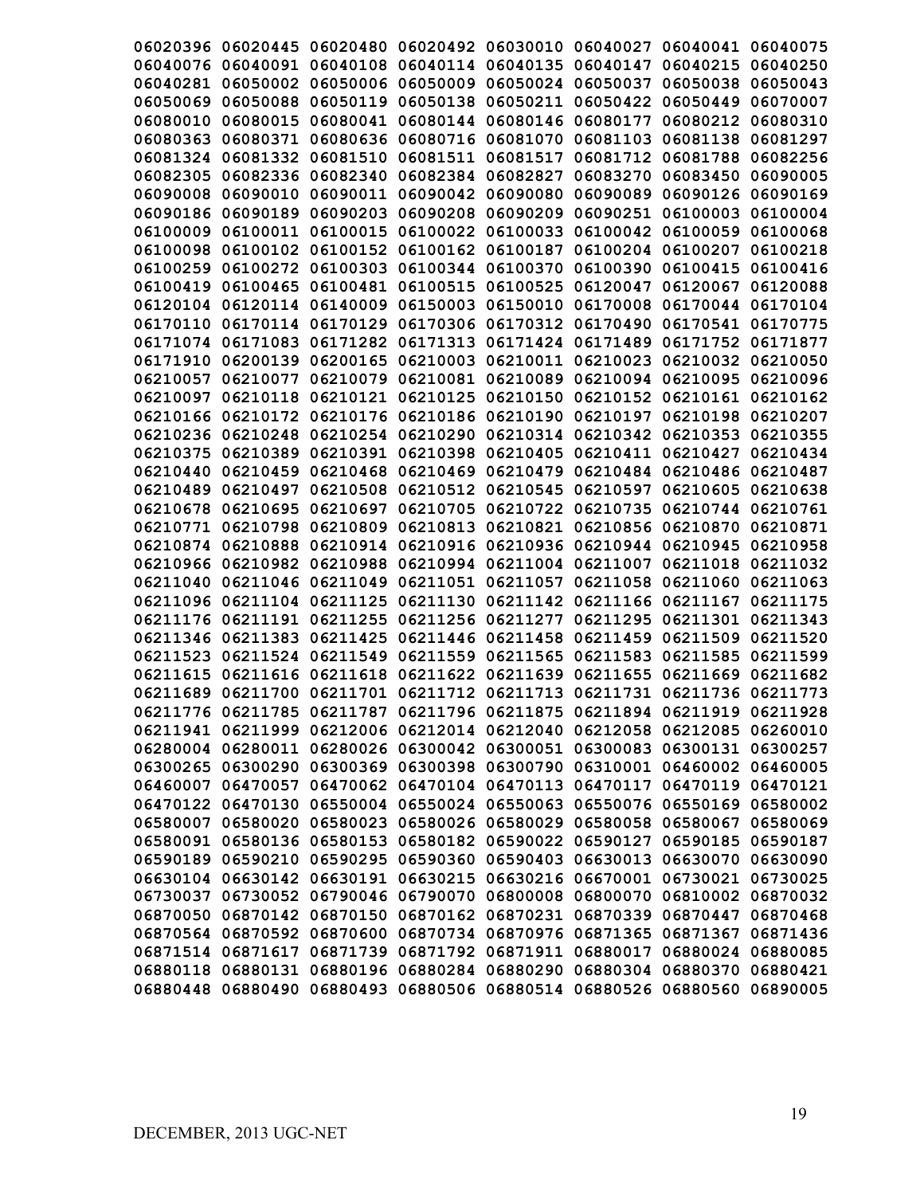| 06020396 06020445 06020480<br>06020492 06030010 06040027 06040041 06040075<br>06040076 06040091 06040108<br>06040114 06040135 06040147<br>06040215<br>06040250<br>06050009 06050024 06050037<br>06040281 06050002<br>06050006<br>06050038<br>06050043<br>06050119<br>06050138 06050211<br>06050422<br>06050069<br>06050088<br>06050449<br>06070007<br>06080144 06080146 06080177<br>06080010 06080015<br>06080041<br>06080212<br>06080310<br>06080363<br>06080371<br>06080636<br>06080716 06081070 06081103<br>06081138<br>06081297<br>06081324 06081332 06081510<br>06081511 06081517<br>06081712<br>06081788<br>06082256<br>06083270<br>06082336 06082340<br>06082384 06082827<br>06083450<br>06090005<br>06082305<br>06090010<br>06090011<br>06090042<br>06090080<br>06090089<br>06090126 06090169<br>06090008<br>06090186 06090189<br>06090203<br>06090208<br>06090209<br>06090251<br>06100003<br>06100004<br>06100009<br>06100011<br>06100015<br>06100022<br>06100033 06100042<br>06100059<br>06100068<br>06100098 06100102<br>06100152<br>06100162<br>06100187<br>06100204<br>06100207<br>06100218<br>06100259 06100272 06100303<br>06100344 06100370 06100390<br>06100415<br>06100416<br>06100419 06100465 06100481<br>06100515<br>06100525 06120047<br>06120067<br>06120088<br>06120104 06120114 06140009<br>06150003 06150010 06170008<br>06170044<br>06170104<br>06170110 06170114 06170129 06170306 06170312 06170490<br>06170541 06170775<br>06171074 06171083 06171282 06171313 06171424 06171489 06171752 06171877<br>06171910 06200139 06200165 06210003 06210011 06210023<br>06210032 06210050<br>06210057 06210077 06210079 06210081 06210089 06210094 06210095 06210096<br>06210097 06210118 06210121 06210125 06210150 06210152 06210161 06210162<br>06210166 06210172 06210176 06210186 06210190 06210197<br>06210198 06210207<br>06210236 06210248<br>06210254 06210290 06210314 06210342<br>06210353 06210355<br>06210375 06210389<br>06210391 06210398 06210405 06210411 06210427 06210434<br>06210440 06210459<br>06210468<br>06210469<br>06210479 06210484<br>06210486 06210487<br>06210489 06210497<br>06210508<br>06210512 06210545<br>06210597<br>06210605<br>06210638<br>06210695<br>06210697<br>06210705 06210722 06210735<br>06210744 06210761<br>06210678<br>06210809<br>06210771<br>06210798<br>06210813 06210821<br>06210856<br>06210870<br>06210871<br>06210914<br>06210888<br>06210916<br>06210936 06210944<br>06210945<br>06210958<br>06210874<br>06210966 06210982<br>06210988<br>06210994 06211004 06211007<br>06211018<br>06211032<br>06211046<br>06211049<br>06211051 06211057<br>06211058<br>06211060<br>06211063<br>06211040<br>06211104 06211125<br>06211130 06211142 06211166<br>06211167<br>06211175<br>06211096<br>06211176 06211191<br>06211255<br>06211256 06211277<br>06211295<br>06211301 06211343<br>06211346 06211383 06211425<br>06211446 06211458 06211459<br>06211509<br>06211520<br>06211565<br>06211524 06211549<br>06211559<br>06211583<br>06211585<br>06211599<br>06211523<br>06211615 06211616<br>06211618<br>06211622 06211639 06211655<br>06211669<br>06211682<br>06211689 06211700 06211701 06211712 06211713 06211731 06211736 06211773<br>06211776 06211785 06211787 06211796 06211875 06211894 06211919 06211928<br>06211941 06211999 06212006 06212014 06212040 06212058 06212085 06260010<br>06280004 06280011 06280026 06300042 06300051 06300083 06300131 06300257<br>06300265 06300290 06300369 06300398 06300790 06310001 06460002 06460005<br>06460007 06470057 06470062 06470104 06470113 06470117 06470119 06470121<br>06470122 06470130 06550004 06550024 06550063 06550076 06550169 06580002<br>06580007 06580020 06580023 06580026 06580029 06580058 06580067 06580069<br>06580091 06580136 06580153 06580182 06590022 06590127 06590185 06590187<br>06590189 06590210 06590295 06590360 06590403 06630013 06630070 06630090<br>06630104 06630142 06630191 06630215 06630216 06670001 06730021 06730025<br>06730037 06730052 06790046 06790070 06800008 06800070 06810002 06870032<br>06870050 06870142 06870150 06870162 06870231 06870339 06870447 06870468<br>06870564 06870592 06870600 06870734 06870976 06871365 06871367 06871436<br>06871514 06871617 06871739 06871792 06871911 06880017 06880024 06880085<br>06880118 06880131 06880196 06880284 06880290 06880304 06880370 06880421<br>06880448 06880490 06880493 06880506 06880514 06880526 06880560 06890005 |  |  |  |  |
|----------------------------------------------------------------------------------------------------------------------------------------------------------------------------------------------------------------------------------------------------------------------------------------------------------------------------------------------------------------------------------------------------------------------------------------------------------------------------------------------------------------------------------------------------------------------------------------------------------------------------------------------------------------------------------------------------------------------------------------------------------------------------------------------------------------------------------------------------------------------------------------------------------------------------------------------------------------------------------------------------------------------------------------------------------------------------------------------------------------------------------------------------------------------------------------------------------------------------------------------------------------------------------------------------------------------------------------------------------------------------------------------------------------------------------------------------------------------------------------------------------------------------------------------------------------------------------------------------------------------------------------------------------------------------------------------------------------------------------------------------------------------------------------------------------------------------------------------------------------------------------------------------------------------------------------------------------------------------------------------------------------------------------------------------------------------------------------------------------------------------------------------------------------------------------------------------------------------------------------------------------------------------------------------------------------------------------------------------------------------------------------------------------------------------------------------------------------------------------------------------------------------------------------------------------------------------------------------------------------------------------------------------------------------------------------------------------------------------------------------------------------------------------------------------------------------------------------------------------------------------------------------------------------------------------------------------------------------------------------------------------------------------------------------------------------------------------------------------------------------------------------------------------------------------------------------------------------------------------------------------------------------------------------------------------------------------------------------------------------------------------------------------------------------------------------------------------------------------------------------------------------------------------------------------------------------------------------------------------------------------------------------------------------------------------------------------------------------------------------------------------------------------------------------------------------------------------------------------------------------------------------------------------------------------------------------------------------------------------------------------------------------------------------------------------------------------------------------------------------------------------------------------------------------------------------------------------------------------------------------------------------------------------------------------------------------------------------------------------------------------------------------------------------------------------------------------------|--|--|--|--|
|                                                                                                                                                                                                                                                                                                                                                                                                                                                                                                                                                                                                                                                                                                                                                                                                                                                                                                                                                                                                                                                                                                                                                                                                                                                                                                                                                                                                                                                                                                                                                                                                                                                                                                                                                                                                                                                                                                                                                                                                                                                                                                                                                                                                                                                                                                                                                                                                                                                                                                                                                                                                                                                                                                                                                                                                                                                                                                                                                                                                                                                                                                                                                                                                                                                                                                                                                                                                                                                                                                                                                                                                                                                                                                                                                                                                                                                                                                                                                                                                                                                                                                                                                                                                                                                                                                                                                                                                                                                          |  |  |  |  |
|                                                                                                                                                                                                                                                                                                                                                                                                                                                                                                                                                                                                                                                                                                                                                                                                                                                                                                                                                                                                                                                                                                                                                                                                                                                                                                                                                                                                                                                                                                                                                                                                                                                                                                                                                                                                                                                                                                                                                                                                                                                                                                                                                                                                                                                                                                                                                                                                                                                                                                                                                                                                                                                                                                                                                                                                                                                                                                                                                                                                                                                                                                                                                                                                                                                                                                                                                                                                                                                                                                                                                                                                                                                                                                                                                                                                                                                                                                                                                                                                                                                                                                                                                                                                                                                                                                                                                                                                                                                          |  |  |  |  |
|                                                                                                                                                                                                                                                                                                                                                                                                                                                                                                                                                                                                                                                                                                                                                                                                                                                                                                                                                                                                                                                                                                                                                                                                                                                                                                                                                                                                                                                                                                                                                                                                                                                                                                                                                                                                                                                                                                                                                                                                                                                                                                                                                                                                                                                                                                                                                                                                                                                                                                                                                                                                                                                                                                                                                                                                                                                                                                                                                                                                                                                                                                                                                                                                                                                                                                                                                                                                                                                                                                                                                                                                                                                                                                                                                                                                                                                                                                                                                                                                                                                                                                                                                                                                                                                                                                                                                                                                                                                          |  |  |  |  |
|                                                                                                                                                                                                                                                                                                                                                                                                                                                                                                                                                                                                                                                                                                                                                                                                                                                                                                                                                                                                                                                                                                                                                                                                                                                                                                                                                                                                                                                                                                                                                                                                                                                                                                                                                                                                                                                                                                                                                                                                                                                                                                                                                                                                                                                                                                                                                                                                                                                                                                                                                                                                                                                                                                                                                                                                                                                                                                                                                                                                                                                                                                                                                                                                                                                                                                                                                                                                                                                                                                                                                                                                                                                                                                                                                                                                                                                                                                                                                                                                                                                                                                                                                                                                                                                                                                                                                                                                                                                          |  |  |  |  |
|                                                                                                                                                                                                                                                                                                                                                                                                                                                                                                                                                                                                                                                                                                                                                                                                                                                                                                                                                                                                                                                                                                                                                                                                                                                                                                                                                                                                                                                                                                                                                                                                                                                                                                                                                                                                                                                                                                                                                                                                                                                                                                                                                                                                                                                                                                                                                                                                                                                                                                                                                                                                                                                                                                                                                                                                                                                                                                                                                                                                                                                                                                                                                                                                                                                                                                                                                                                                                                                                                                                                                                                                                                                                                                                                                                                                                                                                                                                                                                                                                                                                                                                                                                                                                                                                                                                                                                                                                                                          |  |  |  |  |
|                                                                                                                                                                                                                                                                                                                                                                                                                                                                                                                                                                                                                                                                                                                                                                                                                                                                                                                                                                                                                                                                                                                                                                                                                                                                                                                                                                                                                                                                                                                                                                                                                                                                                                                                                                                                                                                                                                                                                                                                                                                                                                                                                                                                                                                                                                                                                                                                                                                                                                                                                                                                                                                                                                                                                                                                                                                                                                                                                                                                                                                                                                                                                                                                                                                                                                                                                                                                                                                                                                                                                                                                                                                                                                                                                                                                                                                                                                                                                                                                                                                                                                                                                                                                                                                                                                                                                                                                                                                          |  |  |  |  |
|                                                                                                                                                                                                                                                                                                                                                                                                                                                                                                                                                                                                                                                                                                                                                                                                                                                                                                                                                                                                                                                                                                                                                                                                                                                                                                                                                                                                                                                                                                                                                                                                                                                                                                                                                                                                                                                                                                                                                                                                                                                                                                                                                                                                                                                                                                                                                                                                                                                                                                                                                                                                                                                                                                                                                                                                                                                                                                                                                                                                                                                                                                                                                                                                                                                                                                                                                                                                                                                                                                                                                                                                                                                                                                                                                                                                                                                                                                                                                                                                                                                                                                                                                                                                                                                                                                                                                                                                                                                          |  |  |  |  |
|                                                                                                                                                                                                                                                                                                                                                                                                                                                                                                                                                                                                                                                                                                                                                                                                                                                                                                                                                                                                                                                                                                                                                                                                                                                                                                                                                                                                                                                                                                                                                                                                                                                                                                                                                                                                                                                                                                                                                                                                                                                                                                                                                                                                                                                                                                                                                                                                                                                                                                                                                                                                                                                                                                                                                                                                                                                                                                                                                                                                                                                                                                                                                                                                                                                                                                                                                                                                                                                                                                                                                                                                                                                                                                                                                                                                                                                                                                                                                                                                                                                                                                                                                                                                                                                                                                                                                                                                                                                          |  |  |  |  |
|                                                                                                                                                                                                                                                                                                                                                                                                                                                                                                                                                                                                                                                                                                                                                                                                                                                                                                                                                                                                                                                                                                                                                                                                                                                                                                                                                                                                                                                                                                                                                                                                                                                                                                                                                                                                                                                                                                                                                                                                                                                                                                                                                                                                                                                                                                                                                                                                                                                                                                                                                                                                                                                                                                                                                                                                                                                                                                                                                                                                                                                                                                                                                                                                                                                                                                                                                                                                                                                                                                                                                                                                                                                                                                                                                                                                                                                                                                                                                                                                                                                                                                                                                                                                                                                                                                                                                                                                                                                          |  |  |  |  |
|                                                                                                                                                                                                                                                                                                                                                                                                                                                                                                                                                                                                                                                                                                                                                                                                                                                                                                                                                                                                                                                                                                                                                                                                                                                                                                                                                                                                                                                                                                                                                                                                                                                                                                                                                                                                                                                                                                                                                                                                                                                                                                                                                                                                                                                                                                                                                                                                                                                                                                                                                                                                                                                                                                                                                                                                                                                                                                                                                                                                                                                                                                                                                                                                                                                                                                                                                                                                                                                                                                                                                                                                                                                                                                                                                                                                                                                                                                                                                                                                                                                                                                                                                                                                                                                                                                                                                                                                                                                          |  |  |  |  |
|                                                                                                                                                                                                                                                                                                                                                                                                                                                                                                                                                                                                                                                                                                                                                                                                                                                                                                                                                                                                                                                                                                                                                                                                                                                                                                                                                                                                                                                                                                                                                                                                                                                                                                                                                                                                                                                                                                                                                                                                                                                                                                                                                                                                                                                                                                                                                                                                                                                                                                                                                                                                                                                                                                                                                                                                                                                                                                                                                                                                                                                                                                                                                                                                                                                                                                                                                                                                                                                                                                                                                                                                                                                                                                                                                                                                                                                                                                                                                                                                                                                                                                                                                                                                                                                                                                                                                                                                                                                          |  |  |  |  |
|                                                                                                                                                                                                                                                                                                                                                                                                                                                                                                                                                                                                                                                                                                                                                                                                                                                                                                                                                                                                                                                                                                                                                                                                                                                                                                                                                                                                                                                                                                                                                                                                                                                                                                                                                                                                                                                                                                                                                                                                                                                                                                                                                                                                                                                                                                                                                                                                                                                                                                                                                                                                                                                                                                                                                                                                                                                                                                                                                                                                                                                                                                                                                                                                                                                                                                                                                                                                                                                                                                                                                                                                                                                                                                                                                                                                                                                                                                                                                                                                                                                                                                                                                                                                                                                                                                                                                                                                                                                          |  |  |  |  |
|                                                                                                                                                                                                                                                                                                                                                                                                                                                                                                                                                                                                                                                                                                                                                                                                                                                                                                                                                                                                                                                                                                                                                                                                                                                                                                                                                                                                                                                                                                                                                                                                                                                                                                                                                                                                                                                                                                                                                                                                                                                                                                                                                                                                                                                                                                                                                                                                                                                                                                                                                                                                                                                                                                                                                                                                                                                                                                                                                                                                                                                                                                                                                                                                                                                                                                                                                                                                                                                                                                                                                                                                                                                                                                                                                                                                                                                                                                                                                                                                                                                                                                                                                                                                                                                                                                                                                                                                                                                          |  |  |  |  |
|                                                                                                                                                                                                                                                                                                                                                                                                                                                                                                                                                                                                                                                                                                                                                                                                                                                                                                                                                                                                                                                                                                                                                                                                                                                                                                                                                                                                                                                                                                                                                                                                                                                                                                                                                                                                                                                                                                                                                                                                                                                                                                                                                                                                                                                                                                                                                                                                                                                                                                                                                                                                                                                                                                                                                                                                                                                                                                                                                                                                                                                                                                                                                                                                                                                                                                                                                                                                                                                                                                                                                                                                                                                                                                                                                                                                                                                                                                                                                                                                                                                                                                                                                                                                                                                                                                                                                                                                                                                          |  |  |  |  |
|                                                                                                                                                                                                                                                                                                                                                                                                                                                                                                                                                                                                                                                                                                                                                                                                                                                                                                                                                                                                                                                                                                                                                                                                                                                                                                                                                                                                                                                                                                                                                                                                                                                                                                                                                                                                                                                                                                                                                                                                                                                                                                                                                                                                                                                                                                                                                                                                                                                                                                                                                                                                                                                                                                                                                                                                                                                                                                                                                                                                                                                                                                                                                                                                                                                                                                                                                                                                                                                                                                                                                                                                                                                                                                                                                                                                                                                                                                                                                                                                                                                                                                                                                                                                                                                                                                                                                                                                                                                          |  |  |  |  |
|                                                                                                                                                                                                                                                                                                                                                                                                                                                                                                                                                                                                                                                                                                                                                                                                                                                                                                                                                                                                                                                                                                                                                                                                                                                                                                                                                                                                                                                                                                                                                                                                                                                                                                                                                                                                                                                                                                                                                                                                                                                                                                                                                                                                                                                                                                                                                                                                                                                                                                                                                                                                                                                                                                                                                                                                                                                                                                                                                                                                                                                                                                                                                                                                                                                                                                                                                                                                                                                                                                                                                                                                                                                                                                                                                                                                                                                                                                                                                                                                                                                                                                                                                                                                                                                                                                                                                                                                                                                          |  |  |  |  |
|                                                                                                                                                                                                                                                                                                                                                                                                                                                                                                                                                                                                                                                                                                                                                                                                                                                                                                                                                                                                                                                                                                                                                                                                                                                                                                                                                                                                                                                                                                                                                                                                                                                                                                                                                                                                                                                                                                                                                                                                                                                                                                                                                                                                                                                                                                                                                                                                                                                                                                                                                                                                                                                                                                                                                                                                                                                                                                                                                                                                                                                                                                                                                                                                                                                                                                                                                                                                                                                                                                                                                                                                                                                                                                                                                                                                                                                                                                                                                                                                                                                                                                                                                                                                                                                                                                                                                                                                                                                          |  |  |  |  |
|                                                                                                                                                                                                                                                                                                                                                                                                                                                                                                                                                                                                                                                                                                                                                                                                                                                                                                                                                                                                                                                                                                                                                                                                                                                                                                                                                                                                                                                                                                                                                                                                                                                                                                                                                                                                                                                                                                                                                                                                                                                                                                                                                                                                                                                                                                                                                                                                                                                                                                                                                                                                                                                                                                                                                                                                                                                                                                                                                                                                                                                                                                                                                                                                                                                                                                                                                                                                                                                                                                                                                                                                                                                                                                                                                                                                                                                                                                                                                                                                                                                                                                                                                                                                                                                                                                                                                                                                                                                          |  |  |  |  |
|                                                                                                                                                                                                                                                                                                                                                                                                                                                                                                                                                                                                                                                                                                                                                                                                                                                                                                                                                                                                                                                                                                                                                                                                                                                                                                                                                                                                                                                                                                                                                                                                                                                                                                                                                                                                                                                                                                                                                                                                                                                                                                                                                                                                                                                                                                                                                                                                                                                                                                                                                                                                                                                                                                                                                                                                                                                                                                                                                                                                                                                                                                                                                                                                                                                                                                                                                                                                                                                                                                                                                                                                                                                                                                                                                                                                                                                                                                                                                                                                                                                                                                                                                                                                                                                                                                                                                                                                                                                          |  |  |  |  |
|                                                                                                                                                                                                                                                                                                                                                                                                                                                                                                                                                                                                                                                                                                                                                                                                                                                                                                                                                                                                                                                                                                                                                                                                                                                                                                                                                                                                                                                                                                                                                                                                                                                                                                                                                                                                                                                                                                                                                                                                                                                                                                                                                                                                                                                                                                                                                                                                                                                                                                                                                                                                                                                                                                                                                                                                                                                                                                                                                                                                                                                                                                                                                                                                                                                                                                                                                                                                                                                                                                                                                                                                                                                                                                                                                                                                                                                                                                                                                                                                                                                                                                                                                                                                                                                                                                                                                                                                                                                          |  |  |  |  |
|                                                                                                                                                                                                                                                                                                                                                                                                                                                                                                                                                                                                                                                                                                                                                                                                                                                                                                                                                                                                                                                                                                                                                                                                                                                                                                                                                                                                                                                                                                                                                                                                                                                                                                                                                                                                                                                                                                                                                                                                                                                                                                                                                                                                                                                                                                                                                                                                                                                                                                                                                                                                                                                                                                                                                                                                                                                                                                                                                                                                                                                                                                                                                                                                                                                                                                                                                                                                                                                                                                                                                                                                                                                                                                                                                                                                                                                                                                                                                                                                                                                                                                                                                                                                                                                                                                                                                                                                                                                          |  |  |  |  |
|                                                                                                                                                                                                                                                                                                                                                                                                                                                                                                                                                                                                                                                                                                                                                                                                                                                                                                                                                                                                                                                                                                                                                                                                                                                                                                                                                                                                                                                                                                                                                                                                                                                                                                                                                                                                                                                                                                                                                                                                                                                                                                                                                                                                                                                                                                                                                                                                                                                                                                                                                                                                                                                                                                                                                                                                                                                                                                                                                                                                                                                                                                                                                                                                                                                                                                                                                                                                                                                                                                                                                                                                                                                                                                                                                                                                                                                                                                                                                                                                                                                                                                                                                                                                                                                                                                                                                                                                                                                          |  |  |  |  |
|                                                                                                                                                                                                                                                                                                                                                                                                                                                                                                                                                                                                                                                                                                                                                                                                                                                                                                                                                                                                                                                                                                                                                                                                                                                                                                                                                                                                                                                                                                                                                                                                                                                                                                                                                                                                                                                                                                                                                                                                                                                                                                                                                                                                                                                                                                                                                                                                                                                                                                                                                                                                                                                                                                                                                                                                                                                                                                                                                                                                                                                                                                                                                                                                                                                                                                                                                                                                                                                                                                                                                                                                                                                                                                                                                                                                                                                                                                                                                                                                                                                                                                                                                                                                                                                                                                                                                                                                                                                          |  |  |  |  |
|                                                                                                                                                                                                                                                                                                                                                                                                                                                                                                                                                                                                                                                                                                                                                                                                                                                                                                                                                                                                                                                                                                                                                                                                                                                                                                                                                                                                                                                                                                                                                                                                                                                                                                                                                                                                                                                                                                                                                                                                                                                                                                                                                                                                                                                                                                                                                                                                                                                                                                                                                                                                                                                                                                                                                                                                                                                                                                                                                                                                                                                                                                                                                                                                                                                                                                                                                                                                                                                                                                                                                                                                                                                                                                                                                                                                                                                                                                                                                                                                                                                                                                                                                                                                                                                                                                                                                                                                                                                          |  |  |  |  |
|                                                                                                                                                                                                                                                                                                                                                                                                                                                                                                                                                                                                                                                                                                                                                                                                                                                                                                                                                                                                                                                                                                                                                                                                                                                                                                                                                                                                                                                                                                                                                                                                                                                                                                                                                                                                                                                                                                                                                                                                                                                                                                                                                                                                                                                                                                                                                                                                                                                                                                                                                                                                                                                                                                                                                                                                                                                                                                                                                                                                                                                                                                                                                                                                                                                                                                                                                                                                                                                                                                                                                                                                                                                                                                                                                                                                                                                                                                                                                                                                                                                                                                                                                                                                                                                                                                                                                                                                                                                          |  |  |  |  |
|                                                                                                                                                                                                                                                                                                                                                                                                                                                                                                                                                                                                                                                                                                                                                                                                                                                                                                                                                                                                                                                                                                                                                                                                                                                                                                                                                                                                                                                                                                                                                                                                                                                                                                                                                                                                                                                                                                                                                                                                                                                                                                                                                                                                                                                                                                                                                                                                                                                                                                                                                                                                                                                                                                                                                                                                                                                                                                                                                                                                                                                                                                                                                                                                                                                                                                                                                                                                                                                                                                                                                                                                                                                                                                                                                                                                                                                                                                                                                                                                                                                                                                                                                                                                                                                                                                                                                                                                                                                          |  |  |  |  |
|                                                                                                                                                                                                                                                                                                                                                                                                                                                                                                                                                                                                                                                                                                                                                                                                                                                                                                                                                                                                                                                                                                                                                                                                                                                                                                                                                                                                                                                                                                                                                                                                                                                                                                                                                                                                                                                                                                                                                                                                                                                                                                                                                                                                                                                                                                                                                                                                                                                                                                                                                                                                                                                                                                                                                                                                                                                                                                                                                                                                                                                                                                                                                                                                                                                                                                                                                                                                                                                                                                                                                                                                                                                                                                                                                                                                                                                                                                                                                                                                                                                                                                                                                                                                                                                                                                                                                                                                                                                          |  |  |  |  |
|                                                                                                                                                                                                                                                                                                                                                                                                                                                                                                                                                                                                                                                                                                                                                                                                                                                                                                                                                                                                                                                                                                                                                                                                                                                                                                                                                                                                                                                                                                                                                                                                                                                                                                                                                                                                                                                                                                                                                                                                                                                                                                                                                                                                                                                                                                                                                                                                                                                                                                                                                                                                                                                                                                                                                                                                                                                                                                                                                                                                                                                                                                                                                                                                                                                                                                                                                                                                                                                                                                                                                                                                                                                                                                                                                                                                                                                                                                                                                                                                                                                                                                                                                                                                                                                                                                                                                                                                                                                          |  |  |  |  |
|                                                                                                                                                                                                                                                                                                                                                                                                                                                                                                                                                                                                                                                                                                                                                                                                                                                                                                                                                                                                                                                                                                                                                                                                                                                                                                                                                                                                                                                                                                                                                                                                                                                                                                                                                                                                                                                                                                                                                                                                                                                                                                                                                                                                                                                                                                                                                                                                                                                                                                                                                                                                                                                                                                                                                                                                                                                                                                                                                                                                                                                                                                                                                                                                                                                                                                                                                                                                                                                                                                                                                                                                                                                                                                                                                                                                                                                                                                                                                                                                                                                                                                                                                                                                                                                                                                                                                                                                                                                          |  |  |  |  |
|                                                                                                                                                                                                                                                                                                                                                                                                                                                                                                                                                                                                                                                                                                                                                                                                                                                                                                                                                                                                                                                                                                                                                                                                                                                                                                                                                                                                                                                                                                                                                                                                                                                                                                                                                                                                                                                                                                                                                                                                                                                                                                                                                                                                                                                                                                                                                                                                                                                                                                                                                                                                                                                                                                                                                                                                                                                                                                                                                                                                                                                                                                                                                                                                                                                                                                                                                                                                                                                                                                                                                                                                                                                                                                                                                                                                                                                                                                                                                                                                                                                                                                                                                                                                                                                                                                                                                                                                                                                          |  |  |  |  |
|                                                                                                                                                                                                                                                                                                                                                                                                                                                                                                                                                                                                                                                                                                                                                                                                                                                                                                                                                                                                                                                                                                                                                                                                                                                                                                                                                                                                                                                                                                                                                                                                                                                                                                                                                                                                                                                                                                                                                                                                                                                                                                                                                                                                                                                                                                                                                                                                                                                                                                                                                                                                                                                                                                                                                                                                                                                                                                                                                                                                                                                                                                                                                                                                                                                                                                                                                                                                                                                                                                                                                                                                                                                                                                                                                                                                                                                                                                                                                                                                                                                                                                                                                                                                                                                                                                                                                                                                                                                          |  |  |  |  |
|                                                                                                                                                                                                                                                                                                                                                                                                                                                                                                                                                                                                                                                                                                                                                                                                                                                                                                                                                                                                                                                                                                                                                                                                                                                                                                                                                                                                                                                                                                                                                                                                                                                                                                                                                                                                                                                                                                                                                                                                                                                                                                                                                                                                                                                                                                                                                                                                                                                                                                                                                                                                                                                                                                                                                                                                                                                                                                                                                                                                                                                                                                                                                                                                                                                                                                                                                                                                                                                                                                                                                                                                                                                                                                                                                                                                                                                                                                                                                                                                                                                                                                                                                                                                                                                                                                                                                                                                                                                          |  |  |  |  |
|                                                                                                                                                                                                                                                                                                                                                                                                                                                                                                                                                                                                                                                                                                                                                                                                                                                                                                                                                                                                                                                                                                                                                                                                                                                                                                                                                                                                                                                                                                                                                                                                                                                                                                                                                                                                                                                                                                                                                                                                                                                                                                                                                                                                                                                                                                                                                                                                                                                                                                                                                                                                                                                                                                                                                                                                                                                                                                                                                                                                                                                                                                                                                                                                                                                                                                                                                                                                                                                                                                                                                                                                                                                                                                                                                                                                                                                                                                                                                                                                                                                                                                                                                                                                                                                                                                                                                                                                                                                          |  |  |  |  |
|                                                                                                                                                                                                                                                                                                                                                                                                                                                                                                                                                                                                                                                                                                                                                                                                                                                                                                                                                                                                                                                                                                                                                                                                                                                                                                                                                                                                                                                                                                                                                                                                                                                                                                                                                                                                                                                                                                                                                                                                                                                                                                                                                                                                                                                                                                                                                                                                                                                                                                                                                                                                                                                                                                                                                                                                                                                                                                                                                                                                                                                                                                                                                                                                                                                                                                                                                                                                                                                                                                                                                                                                                                                                                                                                                                                                                                                                                                                                                                                                                                                                                                                                                                                                                                                                                                                                                                                                                                                          |  |  |  |  |
|                                                                                                                                                                                                                                                                                                                                                                                                                                                                                                                                                                                                                                                                                                                                                                                                                                                                                                                                                                                                                                                                                                                                                                                                                                                                                                                                                                                                                                                                                                                                                                                                                                                                                                                                                                                                                                                                                                                                                                                                                                                                                                                                                                                                                                                                                                                                                                                                                                                                                                                                                                                                                                                                                                                                                                                                                                                                                                                                                                                                                                                                                                                                                                                                                                                                                                                                                                                                                                                                                                                                                                                                                                                                                                                                                                                                                                                                                                                                                                                                                                                                                                                                                                                                                                                                                                                                                                                                                                                          |  |  |  |  |
|                                                                                                                                                                                                                                                                                                                                                                                                                                                                                                                                                                                                                                                                                                                                                                                                                                                                                                                                                                                                                                                                                                                                                                                                                                                                                                                                                                                                                                                                                                                                                                                                                                                                                                                                                                                                                                                                                                                                                                                                                                                                                                                                                                                                                                                                                                                                                                                                                                                                                                                                                                                                                                                                                                                                                                                                                                                                                                                                                                                                                                                                                                                                                                                                                                                                                                                                                                                                                                                                                                                                                                                                                                                                                                                                                                                                                                                                                                                                                                                                                                                                                                                                                                                                                                                                                                                                                                                                                                                          |  |  |  |  |
|                                                                                                                                                                                                                                                                                                                                                                                                                                                                                                                                                                                                                                                                                                                                                                                                                                                                                                                                                                                                                                                                                                                                                                                                                                                                                                                                                                                                                                                                                                                                                                                                                                                                                                                                                                                                                                                                                                                                                                                                                                                                                                                                                                                                                                                                                                                                                                                                                                                                                                                                                                                                                                                                                                                                                                                                                                                                                                                                                                                                                                                                                                                                                                                                                                                                                                                                                                                                                                                                                                                                                                                                                                                                                                                                                                                                                                                                                                                                                                                                                                                                                                                                                                                                                                                                                                                                                                                                                                                          |  |  |  |  |
|                                                                                                                                                                                                                                                                                                                                                                                                                                                                                                                                                                                                                                                                                                                                                                                                                                                                                                                                                                                                                                                                                                                                                                                                                                                                                                                                                                                                                                                                                                                                                                                                                                                                                                                                                                                                                                                                                                                                                                                                                                                                                                                                                                                                                                                                                                                                                                                                                                                                                                                                                                                                                                                                                                                                                                                                                                                                                                                                                                                                                                                                                                                                                                                                                                                                                                                                                                                                                                                                                                                                                                                                                                                                                                                                                                                                                                                                                                                                                                                                                                                                                                                                                                                                                                                                                                                                                                                                                                                          |  |  |  |  |
|                                                                                                                                                                                                                                                                                                                                                                                                                                                                                                                                                                                                                                                                                                                                                                                                                                                                                                                                                                                                                                                                                                                                                                                                                                                                                                                                                                                                                                                                                                                                                                                                                                                                                                                                                                                                                                                                                                                                                                                                                                                                                                                                                                                                                                                                                                                                                                                                                                                                                                                                                                                                                                                                                                                                                                                                                                                                                                                                                                                                                                                                                                                                                                                                                                                                                                                                                                                                                                                                                                                                                                                                                                                                                                                                                                                                                                                                                                                                                                                                                                                                                                                                                                                                                                                                                                                                                                                                                                                          |  |  |  |  |
|                                                                                                                                                                                                                                                                                                                                                                                                                                                                                                                                                                                                                                                                                                                                                                                                                                                                                                                                                                                                                                                                                                                                                                                                                                                                                                                                                                                                                                                                                                                                                                                                                                                                                                                                                                                                                                                                                                                                                                                                                                                                                                                                                                                                                                                                                                                                                                                                                                                                                                                                                                                                                                                                                                                                                                                                                                                                                                                                                                                                                                                                                                                                                                                                                                                                                                                                                                                                                                                                                                                                                                                                                                                                                                                                                                                                                                                                                                                                                                                                                                                                                                                                                                                                                                                                                                                                                                                                                                                          |  |  |  |  |
|                                                                                                                                                                                                                                                                                                                                                                                                                                                                                                                                                                                                                                                                                                                                                                                                                                                                                                                                                                                                                                                                                                                                                                                                                                                                                                                                                                                                                                                                                                                                                                                                                                                                                                                                                                                                                                                                                                                                                                                                                                                                                                                                                                                                                                                                                                                                                                                                                                                                                                                                                                                                                                                                                                                                                                                                                                                                                                                                                                                                                                                                                                                                                                                                                                                                                                                                                                                                                                                                                                                                                                                                                                                                                                                                                                                                                                                                                                                                                                                                                                                                                                                                                                                                                                                                                                                                                                                                                                                          |  |  |  |  |
|                                                                                                                                                                                                                                                                                                                                                                                                                                                                                                                                                                                                                                                                                                                                                                                                                                                                                                                                                                                                                                                                                                                                                                                                                                                                                                                                                                                                                                                                                                                                                                                                                                                                                                                                                                                                                                                                                                                                                                                                                                                                                                                                                                                                                                                                                                                                                                                                                                                                                                                                                                                                                                                                                                                                                                                                                                                                                                                                                                                                                                                                                                                                                                                                                                                                                                                                                                                                                                                                                                                                                                                                                                                                                                                                                                                                                                                                                                                                                                                                                                                                                                                                                                                                                                                                                                                                                                                                                                                          |  |  |  |  |
|                                                                                                                                                                                                                                                                                                                                                                                                                                                                                                                                                                                                                                                                                                                                                                                                                                                                                                                                                                                                                                                                                                                                                                                                                                                                                                                                                                                                                                                                                                                                                                                                                                                                                                                                                                                                                                                                                                                                                                                                                                                                                                                                                                                                                                                                                                                                                                                                                                                                                                                                                                                                                                                                                                                                                                                                                                                                                                                                                                                                                                                                                                                                                                                                                                                                                                                                                                                                                                                                                                                                                                                                                                                                                                                                                                                                                                                                                                                                                                                                                                                                                                                                                                                                                                                                                                                                                                                                                                                          |  |  |  |  |
|                                                                                                                                                                                                                                                                                                                                                                                                                                                                                                                                                                                                                                                                                                                                                                                                                                                                                                                                                                                                                                                                                                                                                                                                                                                                                                                                                                                                                                                                                                                                                                                                                                                                                                                                                                                                                                                                                                                                                                                                                                                                                                                                                                                                                                                                                                                                                                                                                                                                                                                                                                                                                                                                                                                                                                                                                                                                                                                                                                                                                                                                                                                                                                                                                                                                                                                                                                                                                                                                                                                                                                                                                                                                                                                                                                                                                                                                                                                                                                                                                                                                                                                                                                                                                                                                                                                                                                                                                                                          |  |  |  |  |
|                                                                                                                                                                                                                                                                                                                                                                                                                                                                                                                                                                                                                                                                                                                                                                                                                                                                                                                                                                                                                                                                                                                                                                                                                                                                                                                                                                                                                                                                                                                                                                                                                                                                                                                                                                                                                                                                                                                                                                                                                                                                                                                                                                                                                                                                                                                                                                                                                                                                                                                                                                                                                                                                                                                                                                                                                                                                                                                                                                                                                                                                                                                                                                                                                                                                                                                                                                                                                                                                                                                                                                                                                                                                                                                                                                                                                                                                                                                                                                                                                                                                                                                                                                                                                                                                                                                                                                                                                                                          |  |  |  |  |
|                                                                                                                                                                                                                                                                                                                                                                                                                                                                                                                                                                                                                                                                                                                                                                                                                                                                                                                                                                                                                                                                                                                                                                                                                                                                                                                                                                                                                                                                                                                                                                                                                                                                                                                                                                                                                                                                                                                                                                                                                                                                                                                                                                                                                                                                                                                                                                                                                                                                                                                                                                                                                                                                                                                                                                                                                                                                                                                                                                                                                                                                                                                                                                                                                                                                                                                                                                                                                                                                                                                                                                                                                                                                                                                                                                                                                                                                                                                                                                                                                                                                                                                                                                                                                                                                                                                                                                                                                                                          |  |  |  |  |
|                                                                                                                                                                                                                                                                                                                                                                                                                                                                                                                                                                                                                                                                                                                                                                                                                                                                                                                                                                                                                                                                                                                                                                                                                                                                                                                                                                                                                                                                                                                                                                                                                                                                                                                                                                                                                                                                                                                                                                                                                                                                                                                                                                                                                                                                                                                                                                                                                                                                                                                                                                                                                                                                                                                                                                                                                                                                                                                                                                                                                                                                                                                                                                                                                                                                                                                                                                                                                                                                                                                                                                                                                                                                                                                                                                                                                                                                                                                                                                                                                                                                                                                                                                                                                                                                                                                                                                                                                                                          |  |  |  |  |
|                                                                                                                                                                                                                                                                                                                                                                                                                                                                                                                                                                                                                                                                                                                                                                                                                                                                                                                                                                                                                                                                                                                                                                                                                                                                                                                                                                                                                                                                                                                                                                                                                                                                                                                                                                                                                                                                                                                                                                                                                                                                                                                                                                                                                                                                                                                                                                                                                                                                                                                                                                                                                                                                                                                                                                                                                                                                                                                                                                                                                                                                                                                                                                                                                                                                                                                                                                                                                                                                                                                                                                                                                                                                                                                                                                                                                                                                                                                                                                                                                                                                                                                                                                                                                                                                                                                                                                                                                                                          |  |  |  |  |
|                                                                                                                                                                                                                                                                                                                                                                                                                                                                                                                                                                                                                                                                                                                                                                                                                                                                                                                                                                                                                                                                                                                                                                                                                                                                                                                                                                                                                                                                                                                                                                                                                                                                                                                                                                                                                                                                                                                                                                                                                                                                                                                                                                                                                                                                                                                                                                                                                                                                                                                                                                                                                                                                                                                                                                                                                                                                                                                                                                                                                                                                                                                                                                                                                                                                                                                                                                                                                                                                                                                                                                                                                                                                                                                                                                                                                                                                                                                                                                                                                                                                                                                                                                                                                                                                                                                                                                                                                                                          |  |  |  |  |
|                                                                                                                                                                                                                                                                                                                                                                                                                                                                                                                                                                                                                                                                                                                                                                                                                                                                                                                                                                                                                                                                                                                                                                                                                                                                                                                                                                                                                                                                                                                                                                                                                                                                                                                                                                                                                                                                                                                                                                                                                                                                                                                                                                                                                                                                                                                                                                                                                                                                                                                                                                                                                                                                                                                                                                                                                                                                                                                                                                                                                                                                                                                                                                                                                                                                                                                                                                                                                                                                                                                                                                                                                                                                                                                                                                                                                                                                                                                                                                                                                                                                                                                                                                                                                                                                                                                                                                                                                                                          |  |  |  |  |
|                                                                                                                                                                                                                                                                                                                                                                                                                                                                                                                                                                                                                                                                                                                                                                                                                                                                                                                                                                                                                                                                                                                                                                                                                                                                                                                                                                                                                                                                                                                                                                                                                                                                                                                                                                                                                                                                                                                                                                                                                                                                                                                                                                                                                                                                                                                                                                                                                                                                                                                                                                                                                                                                                                                                                                                                                                                                                                                                                                                                                                                                                                                                                                                                                                                                                                                                                                                                                                                                                                                                                                                                                                                                                                                                                                                                                                                                                                                                                                                                                                                                                                                                                                                                                                                                                                                                                                                                                                                          |  |  |  |  |
|                                                                                                                                                                                                                                                                                                                                                                                                                                                                                                                                                                                                                                                                                                                                                                                                                                                                                                                                                                                                                                                                                                                                                                                                                                                                                                                                                                                                                                                                                                                                                                                                                                                                                                                                                                                                                                                                                                                                                                                                                                                                                                                                                                                                                                                                                                                                                                                                                                                                                                                                                                                                                                                                                                                                                                                                                                                                                                                                                                                                                                                                                                                                                                                                                                                                                                                                                                                                                                                                                                                                                                                                                                                                                                                                                                                                                                                                                                                                                                                                                                                                                                                                                                                                                                                                                                                                                                                                                                                          |  |  |  |  |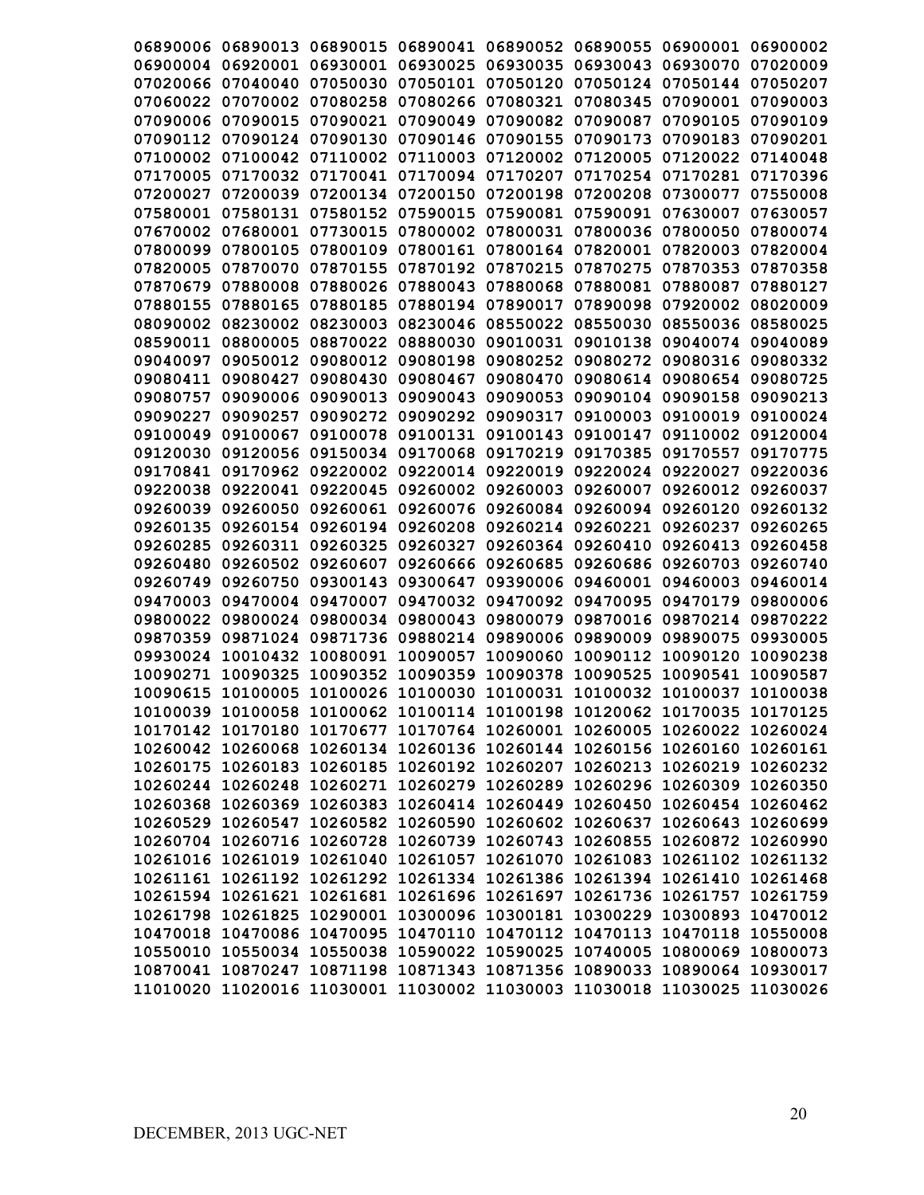| 06890006 |                   | 06890013 06890015 | 06890041 |          | 06890052 06890055                                                       | 06900001 | 06900002 |
|----------|-------------------|-------------------|----------|----------|-------------------------------------------------------------------------|----------|----------|
| 06900004 | 06920001          | 06930001          | 06930025 | 06930035 | 06930043                                                                | 06930070 | 07020009 |
| 07020066 | 07040040          | 07050030          | 07050101 | 07050120 | 07050124                                                                | 07050144 | 07050207 |
| 07060022 | 07070002          | 07080258          | 07080266 | 07080321 | 07080345                                                                | 07090001 | 07090003 |
| 07090006 | 07090015          | 07090021          | 07090049 | 07090082 | 07090087                                                                | 07090105 | 07090109 |
| 07090112 | 07090124          | 07090130          | 07090146 | 07090155 | 07090173                                                                | 07090183 | 07090201 |
| 07100002 | 07100042          | 07110002          | 07110003 |          | 07120002 07120005                                                       | 07120022 | 07140048 |
| 07170005 | 07170032          | 07170041          | 07170094 | 07170207 | 07170254                                                                | 07170281 | 07170396 |
| 07200027 | 07200039          | 07200134          | 07200150 | 07200198 | 07200208                                                                | 07300077 | 07550008 |
| 07580001 | 07580131          | 07580152          | 07590015 | 07590081 | 07590091                                                                | 07630007 | 07630057 |
| 07670002 | 07680001          | 07730015          | 07800002 | 07800031 | 07800036                                                                | 07800050 | 07800074 |
| 07800099 | 07800105          | 07800109          | 07800161 | 07800164 | 07820001                                                                | 07820003 | 07820004 |
| 07820005 | 07870070          | 07870155          | 07870192 | 07870215 | 07870275                                                                | 07870353 | 07870358 |
| 07870679 | 07880008          | 07880026          | 07880043 | 07880068 | 07880081                                                                | 07880087 | 07880127 |
| 07880155 | 07880165          | 07880185          | 07880194 | 07890017 | 07890098                                                                | 07920002 | 08020009 |
| 08090002 | 08230002          | 08230003          | 08230046 | 08550022 | 08550030                                                                | 08550036 | 08580025 |
| 08590011 | 08800005          | 08870022          | 08880030 |          | 09010031 09010138                                                       | 09040074 | 09040089 |
| 09040097 | 09050012          | 09080012          | 09080198 |          | 09080252 09080272                                                       | 09080316 | 09080332 |
|          | 09080411 09080427 | 09080430          | 09080467 | 09080470 | 09080614                                                                | 09080654 | 09080725 |
| 09080757 | 09090006          | 09090013          | 09090043 |          | 09090053 09090104 09090158                                              |          | 09090213 |
| 09090227 | 09090257          | 09090272          | 09090292 | 09090317 | 09100003                                                                | 09100019 | 09100024 |
| 09100049 | 09100067          | 09100078          | 09100131 | 09100143 | 09100147                                                                | 09110002 | 09120004 |
| 09120030 | 09120056          | 09150034          | 09170068 | 09170219 | 09170385                                                                | 09170557 | 09170775 |
| 09170841 | 09170962          | 09220002          | 09220014 | 09220019 | 09220024                                                                | 09220027 | 09220036 |
| 09220038 | 09220041          | 09220045          | 09260002 | 09260003 | 09260007                                                                | 09260012 | 09260037 |
| 09260039 | 09260050          | 09260061          | 09260076 | 09260084 | 09260094                                                                | 09260120 | 09260132 |
| 09260135 | 09260154          | 09260194          | 09260208 | 09260214 | 09260221                                                                | 09260237 | 09260265 |
| 09260285 | 09260311          | 09260325          | 09260327 | 09260364 | 09260410                                                                | 09260413 | 09260458 |
| 09260480 | 09260502          | 09260607          | 09260666 | 09260685 | 09260686                                                                | 09260703 | 09260740 |
| 09260749 | 09260750          | 09300143          | 09300647 | 09390006 | 09460001                                                                | 09460003 | 09460014 |
| 09470003 | 09470004          | 09470007          | 09470032 | 09470092 | 09470095                                                                | 09470179 | 09800006 |
| 09800022 | 09800024          | 09800034          | 09800043 | 09800079 | 09870016                                                                | 09870214 | 09870222 |
| 09870359 | 09871024          | 09871736          | 09880214 | 09890006 | 09890009                                                                | 09890075 | 09930005 |
| 09930024 | 10010432          | 10080091          | 10090057 | 10090060 | 10090112                                                                | 10090120 | 10090238 |
| 10090271 | 10090325          | 10090352          | 10090359 | 10090378 | 10090525                                                                | 10090541 | 10090587 |
| 10090615 | 10100005          | 10100026 10100030 |          |          | 10100031 10100032 10100037                                              |          | 10100038 |
|          |                   |                   |          |          | 10100039 10100058 10100062 10100114 10100198 10120062 10170035 10170125 |          |          |
|          |                   |                   |          |          | 10170142 10170180 10170677 10170764 10260001 10260005 10260022 10260024 |          |          |
|          |                   |                   |          |          | 10260042 10260068 10260134 10260136 10260144 10260156 10260160 10260161 |          |          |
|          |                   |                   |          |          | 10260175 10260183 10260185 10260192 10260207 10260213 10260219 10260232 |          |          |
|          |                   |                   |          |          | 10260244 10260248 10260271 10260279 10260289 10260296 10260309 10260350 |          |          |
|          |                   |                   |          |          | 10260368 10260369 10260383 10260414 10260449 10260450 10260454 10260462 |          |          |
|          |                   |                   |          |          | 10260529 10260547 10260582 10260590 10260602 10260637 10260643 10260699 |          |          |
|          |                   |                   |          |          | 10260704 10260716 10260728 10260739 10260743 10260855 10260872 10260990 |          |          |
|          |                   |                   |          |          | 10261016 10261019 10261040 10261057 10261070 10261083 10261102 10261132 |          |          |
|          |                   |                   |          |          | 10261161 10261192 10261292 10261334 10261386 10261394 10261410 10261468 |          |          |
|          |                   |                   |          |          | 10261594 10261621 10261681 10261696 10261697 10261736 10261757 10261759 |          |          |
|          |                   |                   |          |          | 10261798 10261825 10290001 10300096 10300181 10300229 10300893 10470012 |          |          |
|          |                   |                   |          |          | 10470018 10470086 10470095 10470110 10470112 10470113 10470118 10550008 |          |          |
|          |                   |                   |          |          | 10550010 10550034 10550038 10590022 10590025 10740005 10800069 10800073 |          |          |
|          |                   |                   |          |          | 10870041 10870247 10871198 10871343 10871356 10890033 10890064 10930017 |          |          |
|          |                   |                   |          |          | 11010020 11020016 11030001 11030002 11030003 11030018 11030025 11030026 |          |          |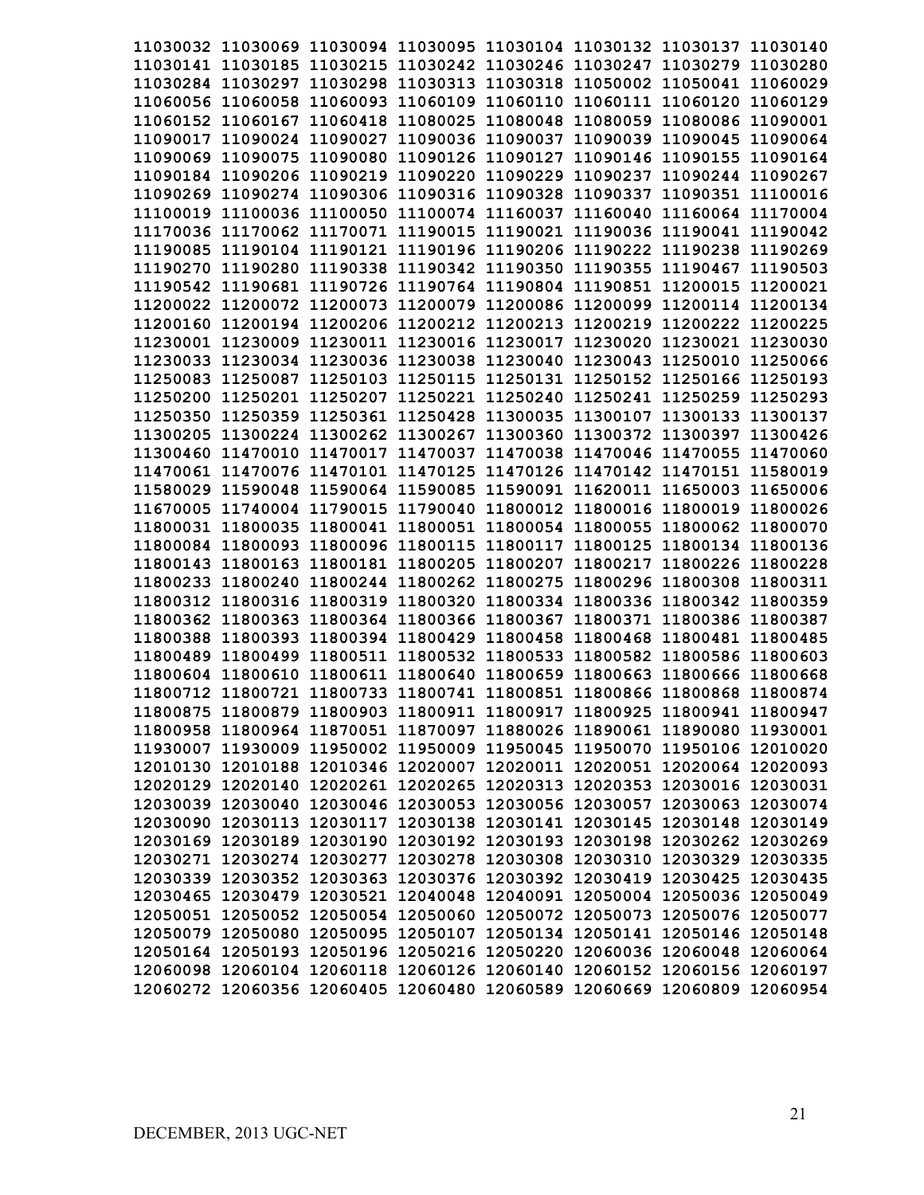| 11030032 11030069 11030094 11030095 11030104 11030132 11030137 11030140 |  |  |                                                       |                                                                         |
|-------------------------------------------------------------------------|--|--|-------------------------------------------------------|-------------------------------------------------------------------------|
| 11030141 11030185 11030215 11030242 11030246 11030247 11030279 11030280 |  |  |                                                       |                                                                         |
| 11030284 11030297 11030298 11030313 11030318 11050002 11050041 11060029 |  |  |                                                       |                                                                         |
| 11060056 11060058                                                       |  |  | 11060093 11060109 11060110 11060111 11060120 11060129 |                                                                         |
| 11060152 11060167 11060418 11080025 11080048 11080059 11080086 11090001 |  |  |                                                       |                                                                         |
| 11090017 11090024 11090027 11090036 11090037 11090039 11090045 11090064 |  |  |                                                       |                                                                         |
| 11090069 11090075 11090080 11090126 11090127 11090146 11090155 11090164 |  |  |                                                       |                                                                         |
| 11090184 11090206 11090219 11090220 11090229 11090237 11090244 11090267 |  |  |                                                       |                                                                         |
| 11090269 11090274 11090306 11090316 11090328 11090337 11090351 11100016 |  |  |                                                       |                                                                         |
| 11100019 11100036 11100050 11100074 11160037 11160040 11160064 11170004 |  |  |                                                       |                                                                         |
| 11170036 11170062 11170071 11190015 11190021 11190036 11190041 11190042 |  |  |                                                       |                                                                         |
| 11190085 11190104 11190121 11190196 11190206 11190222 11190238 11190269 |  |  |                                                       |                                                                         |
| 11190270 11190280 11190338 11190342 11190350 11190355 11190467 11190503 |  |  |                                                       |                                                                         |
| 11190542 11190681 11190726 11190764 11190804 11190851 11200015 11200021 |  |  |                                                       |                                                                         |
| 11200022 11200072 11200073 11200079 11200086 11200099 11200114 11200134 |  |  |                                                       |                                                                         |
| 11200160 11200194 11200206 11200212 11200213 11200219 11200222 11200225 |  |  |                                                       |                                                                         |
| 11230001 11230009 11230011 11230016 11230017 11230020 11230021 11230030 |  |  |                                                       |                                                                         |
| 11230033 11230034 11230036 11230038 11230040 11230043 11250010 11250066 |  |  |                                                       |                                                                         |
| 11250083 11250087 11250103 11250115 11250131 11250152 11250166 11250193 |  |  |                                                       |                                                                         |
| 11250200 11250201 11250207 11250221 11250240 11250241 11250259 11250293 |  |  |                                                       |                                                                         |
| 11250350 11250359 11250361 11250428 11300035 11300107 11300133 11300137 |  |  |                                                       |                                                                         |
| 11300205 11300224 11300262 11300267 11300360 11300372 11300397 11300426 |  |  |                                                       |                                                                         |
| 11300460 11470010 11470017 11470037 11470038 11470046 11470055 11470060 |  |  |                                                       |                                                                         |
| 11470061 11470076 11470101 11470125 11470126 11470142 11470151 11580019 |  |  |                                                       |                                                                         |
| 11580029 11590048 11590064 11590085 11590091 11620011 11650003 11650006 |  |  |                                                       |                                                                         |
| 11670005 11740004 11790015 11790040 11800012 11800016 11800019 11800026 |  |  |                                                       |                                                                         |
| 11800031 11800035 11800041 11800051 11800054 11800055 11800062 11800070 |  |  |                                                       |                                                                         |
| 11800084 11800093 11800096 11800115 11800117 11800125 11800134 11800136 |  |  |                                                       |                                                                         |
| 11800143 11800163 11800181 11800205 11800207 11800217 11800226 11800228 |  |  |                                                       |                                                                         |
| 11800233 11800240 11800244 11800262 11800275 11800296 11800308 11800311 |  |  |                                                       |                                                                         |
| 11800312 11800316 11800319 11800320 11800334 11800336 11800342 11800359 |  |  |                                                       |                                                                         |
| 11800362 11800363 11800364 11800366 11800367                            |  |  | 11800371 11800386 11800387                            |                                                                         |
| 11800388 11800393 11800394 11800429 11800458 11800468 11800481 11800485 |  |  |                                                       |                                                                         |
| 11800489 11800499 11800511 11800532 11800533 11800582 11800586 11800603 |  |  |                                                       |                                                                         |
| 11800604 11800610 11800611 11800640 11800659 11800663 11800666 11800668 |  |  |                                                       |                                                                         |
| 11800712 11800721 11800733 11800741 11800851 11800866 11800868 11800874 |  |  |                                                       |                                                                         |
| 11800875 11800879 11800903 11800911 11800917 11800925 11800941 11800947 |  |  |                                                       |                                                                         |
| 11800958 11800964 11870051 11870097 11880026 11890061 11890080 11930001 |  |  |                                                       |                                                                         |
| 11930007 11930009 11950002 11950009 11950045 11950070 11950106 12010020 |  |  |                                                       |                                                                         |
| 12010130 12010188 12010346 12020007 12020011 12020051 12020064 12020093 |  |  |                                                       |                                                                         |
| 12020129 12020140 12020261 12020265 12020313 12020353 12030016 12030031 |  |  |                                                       |                                                                         |
| 12030039 12030040 12030046 12030053 12030056 12030057 12030063 12030074 |  |  |                                                       |                                                                         |
| 12030090 12030113 12030117 12030138 12030141 12030145 12030148 12030149 |  |  |                                                       |                                                                         |
| 12030169 12030189 12030190 12030192 12030193 12030198 12030262 12030269 |  |  |                                                       |                                                                         |
| 12030271 12030274 12030277 12030278 12030308 12030310 12030329 12030335 |  |  |                                                       |                                                                         |
| 12030339 12030352 12030363 12030376 12030392 12030419 12030425 12030435 |  |  |                                                       |                                                                         |
| 12030465 12030479 12030521 12040048 12040091 12050004 12050036 12050049 |  |  |                                                       |                                                                         |
| 12050051 12050052 12050054 12050060 12050072 12050073 12050076 12050077 |  |  |                                                       |                                                                         |
| 12050079 12050080 12050095 12050107 12050134 12050141 12050146 12050148 |  |  |                                                       |                                                                         |
| 12050164 12050193 12050196 12050216 12050220 12060036 12060048 12060064 |  |  |                                                       |                                                                         |
| 12060098 12060104 12060118 12060126 12060140 12060152 12060156 12060197 |  |  |                                                       |                                                                         |
|                                                                         |  |  |                                                       | 12060272 12060356 12060405 12060480 12060589 12060669 12060809 12060954 |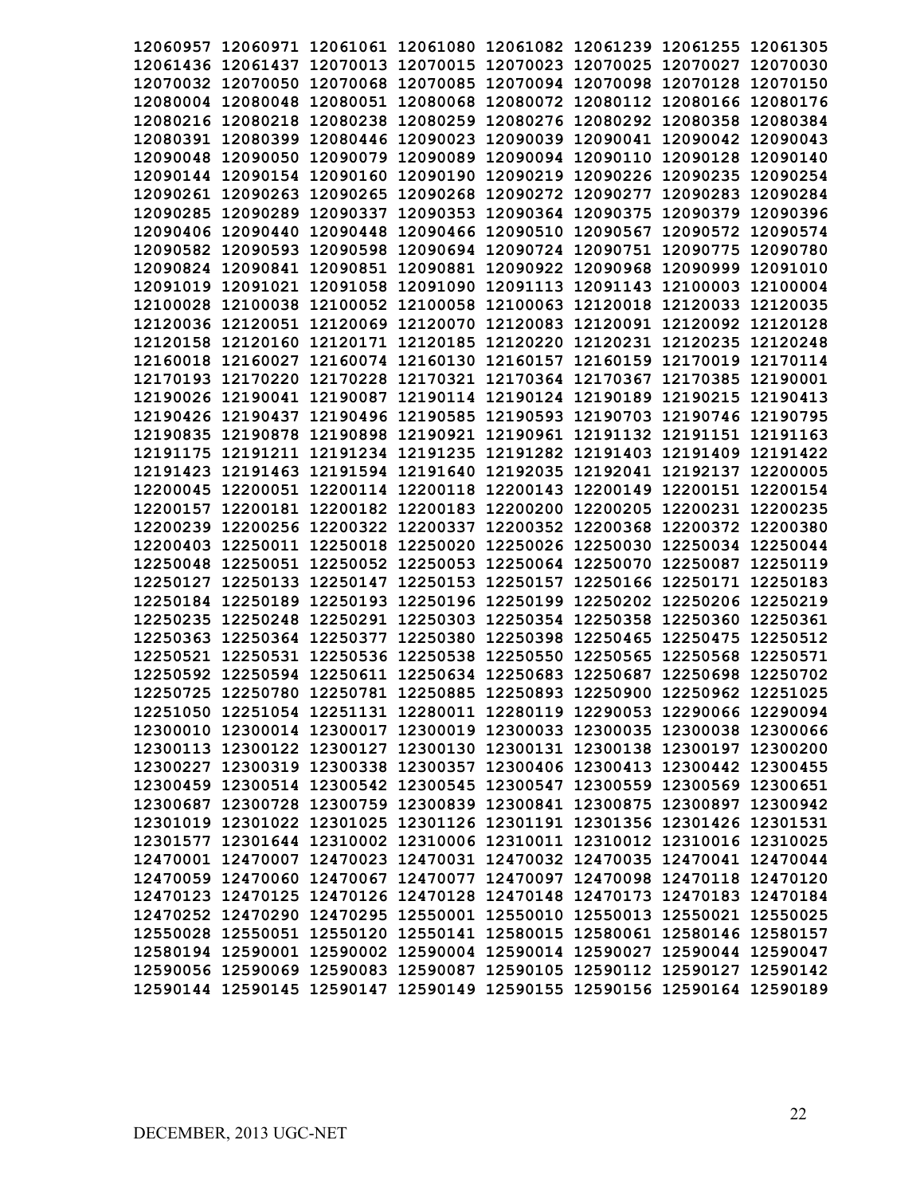| 12060957 12060971 12061061 12061080 12061082 12061239 12061255 12061305                                                                            |                                                       |  |  |                                                                         |
|----------------------------------------------------------------------------------------------------------------------------------------------------|-------------------------------------------------------|--|--|-------------------------------------------------------------------------|
| 12061436 12061437 12070013 12070015 12070023 12070025 12070027 12070030                                                                            |                                                       |  |  |                                                                         |
| 12070032 12070050                                                                                                                                  | 12070068 12070085 12070094 12070098 12070128 12070150 |  |  |                                                                         |
| 12080004 12080048 12080051 12080068 12080072 12080112 12080166 12080176                                                                            |                                                       |  |  |                                                                         |
| 12080216 12080218 12080238 12080259 12080276 12080292 12080358 12080384                                                                            |                                                       |  |  |                                                                         |
| 12080391 12080399 12080446 12090023 12090039 12090041 12090042 12090043                                                                            |                                                       |  |  |                                                                         |
| 12090048 12090050 12090079 12090089 12090094 12090110 12090128 12090140                                                                            |                                                       |  |  |                                                                         |
| 12090144 12090154 12090160 12090190 12090219 12090226 12090235 12090254                                                                            |                                                       |  |  |                                                                         |
| 12090261 12090263 12090265 12090268 12090272 12090277 12090283 12090284                                                                            |                                                       |  |  |                                                                         |
| 12090285 12090289 12090337 12090353 12090364 12090375 12090379 12090396                                                                            |                                                       |  |  |                                                                         |
| 12090406 12090440 12090448 12090466 12090510 12090567 12090572 12090574                                                                            |                                                       |  |  |                                                                         |
| 12090582 12090593 12090598 12090694 12090724 12090751 12090775 12090780                                                                            |                                                       |  |  |                                                                         |
| 12090824 12090841 12090851 12090881 12090922 12090968 12090999 12091010                                                                            |                                                       |  |  |                                                                         |
| 12091019 12091021 12091058 12091090 12091113 12091143 12100003 12100004                                                                            |                                                       |  |  |                                                                         |
| 12100028 12100038 12100052 12100058 12100063 12120018 12120033 12120035                                                                            |                                                       |  |  |                                                                         |
| 12120036 12120051 12120069 12120070 12120083 12120091 12120092 12120128                                                                            |                                                       |  |  |                                                                         |
| 12120158 12120160 12120171 12120185 12120220 12120231 12120235 12120248                                                                            |                                                       |  |  |                                                                         |
| 12160018 12160027 12160074 12160130 12160157 12160159 12170019 12170114                                                                            |                                                       |  |  |                                                                         |
| 12170193 12170220 12170228 12170321 12170364 12170367 12170385 12190001                                                                            |                                                       |  |  |                                                                         |
| 12190026 12190041 12190087 12190114 12190124 12190189 12190215 12190413                                                                            |                                                       |  |  |                                                                         |
| 12190426 12190437 12190496 12190585 12190593 12190703 12190746 12190795                                                                            |                                                       |  |  |                                                                         |
| 12190835 12190878 12190898 12190921 12190961 12191132 12191151 12191163                                                                            |                                                       |  |  |                                                                         |
| 12191175 12191211 12191234 12191235 12191282 12191403 12191409 12191422                                                                            |                                                       |  |  |                                                                         |
| 12191423 12191463 12191594 12191640 12192035 12192041 12192137 12200005                                                                            |                                                       |  |  |                                                                         |
| 12200045 12200051 12200114 12200118 12200143 12200149 12200151 12200154                                                                            |                                                       |  |  |                                                                         |
| 12200157 12200181 12200182 12200183 12200200 12200205 12200231 12200235                                                                            |                                                       |  |  |                                                                         |
| 12200239 12200256 12200322 12200337 12200352 12200368 12200372 12200380                                                                            |                                                       |  |  |                                                                         |
| 12200403 12250011 12250018 12250020 12250026 12250030 12250034 12250044                                                                            |                                                       |  |  |                                                                         |
| 12250048 12250051 12250052 12250053 12250064 12250070 12250087 12250119                                                                            |                                                       |  |  |                                                                         |
| 12250127 12250133 12250147 12250153 12250157 12250166 12250171 12250183                                                                            |                                                       |  |  |                                                                         |
| 12250184 12250189 12250193 12250196 12250199 12250202 12250206 12250219                                                                            |                                                       |  |  |                                                                         |
| 12250235 12250248 12250291 12250303 12250354 12250358 12250360                                                                                     |                                                       |  |  | 12250361                                                                |
| 12250363 12250364 12250377 12250380 12250398 12250465 12250475                                                                                     |                                                       |  |  | 12250512                                                                |
| 12250521 12250531 12250536 12250538 12250550 12250565 12250568 12250571                                                                            |                                                       |  |  |                                                                         |
| 12250592 12250594 12250611 12250634 12250683 12250687 12250698 12250702                                                                            |                                                       |  |  |                                                                         |
| 12250725 12250780 12250781 12250885 12250893 12250900 12250962 12251025                                                                            |                                                       |  |  |                                                                         |
| 12251050 12251054 12251131 12280011 12280119 12290053 12290066 12290094                                                                            |                                                       |  |  |                                                                         |
| 12300010 12300014 12300017 12300019 12300033 12300035 12300038 12300066                                                                            |                                                       |  |  |                                                                         |
| 12300113 12300122 12300127 12300130 12300131 12300138 12300197 12300200                                                                            |                                                       |  |  |                                                                         |
| 12300227 12300319 12300338 12300357 12300406 12300413 12300442 12300455                                                                            |                                                       |  |  |                                                                         |
| 12300459 12300514 12300542 12300545 12300547 12300559 12300569 12300651                                                                            |                                                       |  |  |                                                                         |
| 12300687 12300728 12300759 12300839 12300841 12300875 12300897 12300942                                                                            |                                                       |  |  |                                                                         |
| 12301019 12301022 12301025 12301126 12301191 12301356 12301426 12301531                                                                            |                                                       |  |  |                                                                         |
| 12301577 12301644 12310002 12310006 12310011 12310012 12310016 12310025                                                                            |                                                       |  |  |                                                                         |
| 12470001 12470007 12470023 12470031 12470032 12470035 12470041 12470044                                                                            |                                                       |  |  |                                                                         |
|                                                                                                                                                    |                                                       |  |  |                                                                         |
| 12470059 12470060 12470067 12470077 12470097 12470098 12470118 12470120<br>12470123 12470125 12470126 12470128 12470148 12470173 12470183 12470184 |                                                       |  |  |                                                                         |
|                                                                                                                                                    |                                                       |  |  |                                                                         |
| 12470252 12470290 12470295 12550001 12550010 12550013 12550021 12550025                                                                            |                                                       |  |  |                                                                         |
| 12550028 12550051 12550120 12550141 12580015 12580061 12580146 12580157                                                                            |                                                       |  |  |                                                                         |
| 12580194 12590001 12590002 12590004 12590014 12590027 12590044 12590047                                                                            |                                                       |  |  |                                                                         |
| 12590056 12590069 12590083 12590087 12590105 12590112 12590127 12590142                                                                            |                                                       |  |  | 12590144 12590145 12590147 12590149 12590155 12590156 12590164 12590189 |
|                                                                                                                                                    |                                                       |  |  |                                                                         |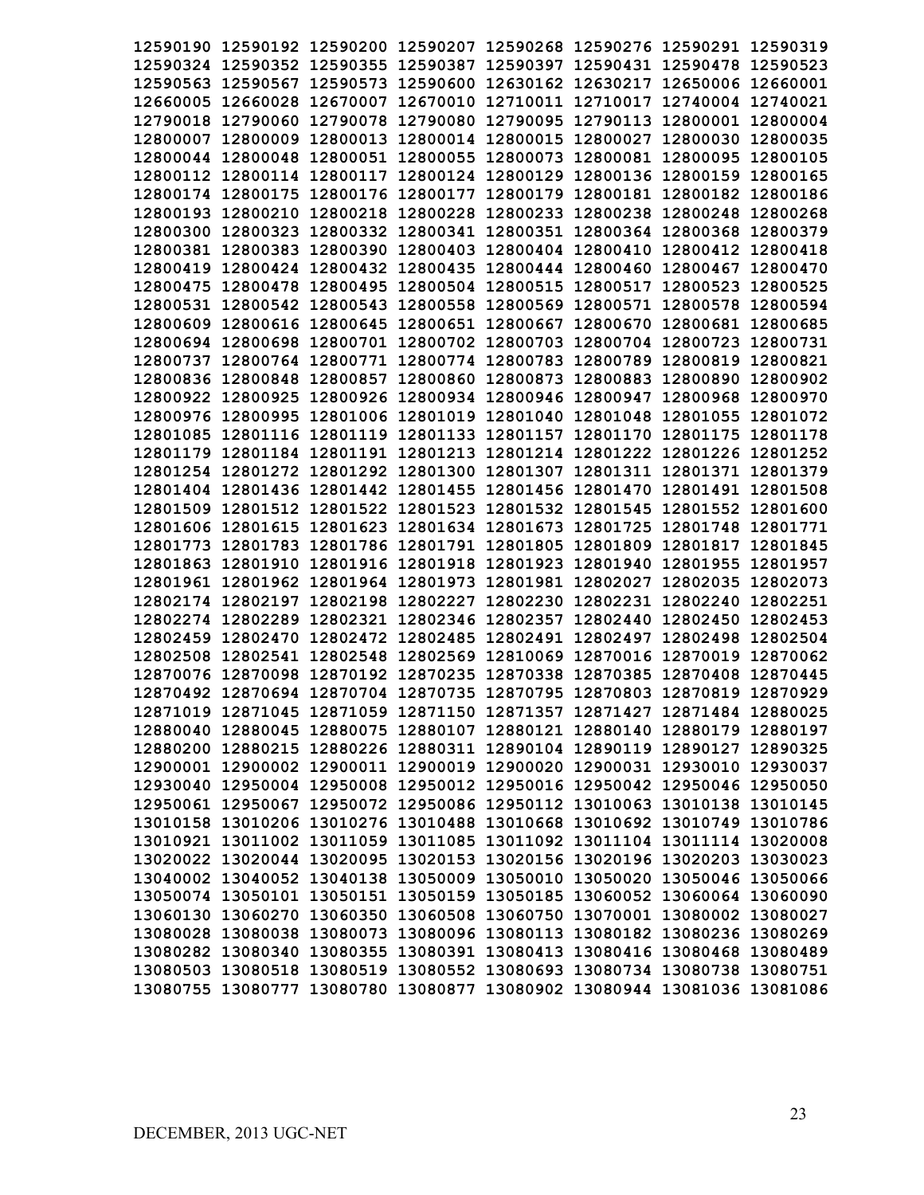| 12590190 12590192 12590200 12590207 12590268 12590276 12590291 12590319 |  |  |                            |                                                                         |
|-------------------------------------------------------------------------|--|--|----------------------------|-------------------------------------------------------------------------|
| 12590324 12590352 12590355 12590387 12590397 12590431 12590478 12590523 |  |  |                            |                                                                         |
| 12590563 12590567 12590573 12590600 12630162 12630217 12650006 12660001 |  |  |                            |                                                                         |
| 12660005 12660028 12670007 12670010 12710011 12710017 12740004 12740021 |  |  |                            |                                                                         |
| 12790018 12790060 12790078 12790080 12790095 12790113 12800001 12800004 |  |  |                            |                                                                         |
| 12800007 12800009 12800013 12800014 12800015 12800027 12800030 12800035 |  |  |                            |                                                                         |
| 12800044 12800048 12800051 12800055 12800073 12800081 12800095          |  |  |                            | 12800105                                                                |
| 12800112 12800114 12800117 12800124 12800129 12800136 12800159 12800165 |  |  |                            |                                                                         |
| 12800174 12800175 12800176 12800177 12800179 12800181 12800182 12800186 |  |  |                            |                                                                         |
| 12800193 12800210 12800218 12800228 12800233 12800238 12800248 12800268 |  |  |                            |                                                                         |
| 12800300 12800323 12800332 12800341 12800351 12800364 12800368 12800379 |  |  |                            |                                                                         |
| 12800381 12800383 12800390 12800403 12800404 12800410 12800412 12800418 |  |  |                            |                                                                         |
| 12800419 12800424 12800432 12800435 12800444 12800460 12800467 12800470 |  |  |                            |                                                                         |
| 12800475 12800478 12800495 12800504 12800515 12800517 12800523 12800525 |  |  |                            |                                                                         |
| 12800531 12800542 12800543 12800558 12800569 12800571 12800578 12800594 |  |  |                            |                                                                         |
| 12800609 12800616 12800645 12800651 12800667 12800670 12800681 12800685 |  |  |                            |                                                                         |
| 12800694 12800698 12800701 12800702 12800703 12800704 12800723 12800731 |  |  |                            |                                                                         |
| 12800737 12800764 12800771 12800774 12800783 12800789 12800819 12800821 |  |  |                            |                                                                         |
| 12800836 12800848 12800857 12800860 12800873 12800883 12800890 12800902 |  |  |                            |                                                                         |
| 12800922 12800925 12800926 12800934 12800946 12800947 12800968 12800970 |  |  |                            |                                                                         |
| 12800976 12800995 12801006 12801019 12801040 12801048 12801055 12801072 |  |  |                            |                                                                         |
| 12801085 12801116 12801119 12801133 12801157 12801170 12801175 12801178 |  |  |                            |                                                                         |
| 12801179 12801184 12801191 12801213 12801214 12801222 12801226 12801252 |  |  |                            |                                                                         |
| 12801254 12801272 12801292 12801300 12801307 12801311 12801371 12801379 |  |  |                            |                                                                         |
| 12801404 12801436 12801442 12801455 12801456 12801470 12801491 12801508 |  |  |                            |                                                                         |
| 12801509 12801512 12801522 12801523 12801532 12801545 12801552 12801600 |  |  |                            |                                                                         |
| 12801606 12801615 12801623 12801634 12801673 12801725 12801748 12801771 |  |  |                            |                                                                         |
| 12801773 12801783 12801786 12801791 12801805 12801809 12801817 12801845 |  |  |                            |                                                                         |
| 12801863 12801910 12801916 12801918 12801923 12801940                   |  |  | 12801955                   | 12801957                                                                |
| 12801961 12801962 12801964 12801973 12801981 12802027                   |  |  | 12802035                   | 12802073                                                                |
| 12802174 12802197 12802198 12802227                                     |  |  | 12802230 12802231 12802240 | 12802251                                                                |
| 12802274 12802289 12802321 12802346 12802357 12802440                   |  |  | 12802450                   | 12802453                                                                |
|                                                                         |  |  |                            |                                                                         |
| 12802459 12802470 12802472 12802485 12802491 12802497 12802498          |  |  |                            | 12802504                                                                |
| 12802508 12802541 12802548 12802569 12810069 12870016 12870019          |  |  |                            | 12870062                                                                |
| 12870076 12870098 12870192 12870235 12870338 12870385 12870408 12870445 |  |  |                            |                                                                         |
| 12870492 12870694 12870704 12870735 12870795 12870803 12870819 12870929 |  |  |                            |                                                                         |
| 12871019 12871045 12871059 12871150 12871357 12871427 12871484 12880025 |  |  |                            |                                                                         |
| 12880040 12880045 12880075 12880107 12880121 12880140 12880179 12880197 |  |  |                            |                                                                         |
| 12880200 12880215 12880226 12880311 12890104 12890119 12890127 12890325 |  |  |                            |                                                                         |
| 12900001 12900002 12900011 12900019 12900020 12900031 12930010 12930037 |  |  |                            |                                                                         |
| 12930040 12950004 12950008 12950012 12950016 12950042 12950046 12950050 |  |  |                            |                                                                         |
| 12950061 12950067 12950072 12950086 12950112 13010063 13010138 13010145 |  |  |                            |                                                                         |
| 13010158 13010206 13010276 13010488 13010668 13010692 13010749 13010786 |  |  |                            |                                                                         |
| 13010921 13011002 13011059 13011085 13011092 13011104 13011114 13020008 |  |  |                            |                                                                         |
| 13020022 13020044 13020095 13020153 13020156 13020196 13020203 13030023 |  |  |                            |                                                                         |
| 13040002 13040052 13040138 13050009 13050010 13050020 13050046 13050066 |  |  |                            |                                                                         |
| 13050074 13050101 13050151 13050159 13050185 13060052 13060064 13060090 |  |  |                            |                                                                         |
| 13060130 13060270 13060350 13060508 13060750 13070001 13080002 13080027 |  |  |                            |                                                                         |
| 13080028 13080038 13080073 13080096 13080113 13080182 13080236 13080269 |  |  |                            |                                                                         |
| 13080282 13080340 13080355 13080391 13080413 13080416 13080468 13080489 |  |  |                            |                                                                         |
| 13080503 13080518 13080519 13080552 13080693 13080734 13080738 13080751 |  |  |                            |                                                                         |
|                                                                         |  |  |                            | 13080755 13080777 13080780 13080877 13080902 13080944 13081036 13081086 |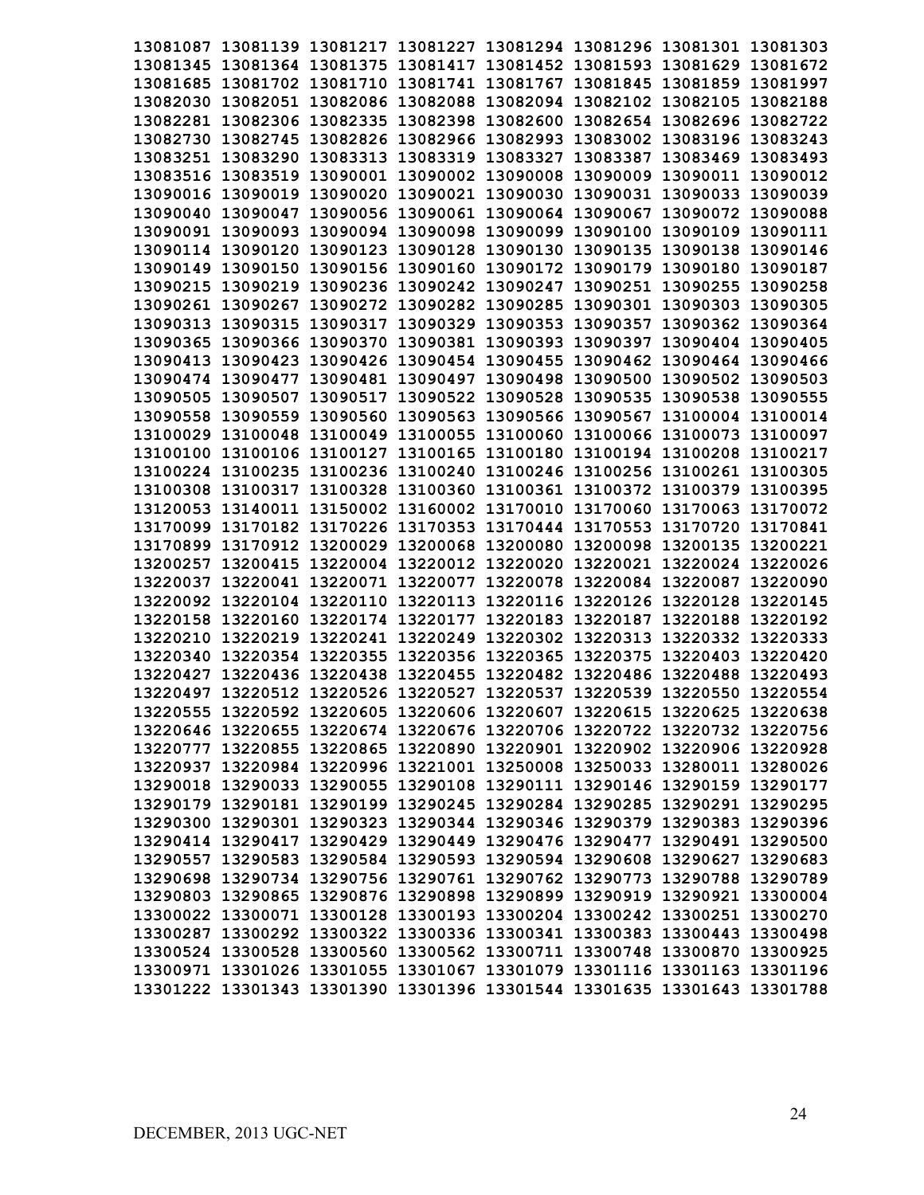|          |  | 13081087 13081139 13081217 13081227 13081294 13081296 13081301 13081303                                                                            |  |                                                                         |
|----------|--|----------------------------------------------------------------------------------------------------------------------------------------------------|--|-------------------------------------------------------------------------|
|          |  | 13081345 13081364 13081375 13081417 13081452 13081593 13081629 13081672                                                                            |  |                                                                         |
|          |  | 13081685 13081702 13081710 13081741 13081767 13081845 13081859 13081997                                                                            |  |                                                                         |
|          |  | 13082030 13082051 13082086 13082088 13082094 13082102 13082105 13082188                                                                            |  |                                                                         |
|          |  | 13082281 13082306 13082335 13082398 13082600 13082654 13082696 13082722                                                                            |  |                                                                         |
|          |  | 13082730 13082745 13082826 13082966 13082993 13083002 13083196 13083243                                                                            |  |                                                                         |
|          |  | 13083251 13083290 13083313 13083319 13083327 13083387 13083469 13083493                                                                            |  |                                                                         |
|          |  | 13083516 13083519 13090001 13090002 13090008 13090009 13090011 13090012                                                                            |  |                                                                         |
|          |  | 13090016 13090019 13090020 13090021 13090030 13090031 13090033 13090039                                                                            |  |                                                                         |
|          |  | 13090040 13090047 13090056 13090061 13090064 13090067 13090072 13090088                                                                            |  |                                                                         |
|          |  | 13090091 13090093 13090094 13090098 13090099 13090100 13090109 13090111                                                                            |  |                                                                         |
|          |  | 13090114 13090120 13090123 13090128 13090130 13090135 13090138 13090146                                                                            |  |                                                                         |
|          |  | 13090149 13090150 13090156 13090160 13090172 13090179 13090180 13090187                                                                            |  |                                                                         |
|          |  | 13090215 13090219 13090236 13090242 13090247 13090251 13090255 13090258                                                                            |  |                                                                         |
|          |  | 13090261 13090267 13090272 13090282 13090285 13090301 13090303 13090305                                                                            |  |                                                                         |
|          |  | 13090313 13090315 13090317 13090329 13090353 13090357 13090362 13090364                                                                            |  |                                                                         |
|          |  | 13090365 13090366 13090370 13090381 13090393 13090397 13090404 13090405                                                                            |  |                                                                         |
|          |  | 13090413 13090423 13090426 13090454 13090455 13090462 13090464 13090466                                                                            |  |                                                                         |
|          |  | 13090474 13090477 13090481 13090497 13090498 13090500 13090502 13090503                                                                            |  |                                                                         |
|          |  | 13090505 13090507 13090517 13090522 13090528 13090535 13090538 13090555                                                                            |  |                                                                         |
|          |  | 13090558 13090559 13090560 13090563 13090566 13090567 13100004 13100014                                                                            |  |                                                                         |
|          |  | 13100029 13100048 13100049 13100055 13100060 13100066 13100073 13100097                                                                            |  |                                                                         |
|          |  | 13100100 13100106 13100127 13100165 13100180 13100194 13100208 13100217                                                                            |  |                                                                         |
|          |  | 13100224 13100235 13100236 13100240 13100246 13100256 13100261 13100305                                                                            |  |                                                                         |
|          |  | 13100308 13100317 13100328 13100360 13100361 13100372 13100379 13100395                                                                            |  |                                                                         |
|          |  | 13120053 13140011 13150002 13160002 13170010 13170060 13170063 13170072                                                                            |  |                                                                         |
|          |  | 13170099 13170182 13170226 13170353 13170444 13170553 13170720 13170841                                                                            |  |                                                                         |
|          |  | 13170899 13170912 13200029 13200068 13200080 13200098 13200135 13200221                                                                            |  |                                                                         |
|          |  | 13200257 13200415 13220004 13220012 13220020 13220021 13220024 13220026                                                                            |  |                                                                         |
| 13220037 |  | 13220041 13220071 13220077 13220078 13220084 13220087                                                                                              |  | 13220090                                                                |
|          |  | 13220092 13220104 13220110 13220113 13220116 13220126 13220128 13220145                                                                            |  |                                                                         |
|          |  | 13220158 13220160 13220174 13220177 13220183 13220187 13220188 13220192                                                                            |  |                                                                         |
|          |  | 13220210 13220219 13220241 13220249 13220302 13220313 13220332 13220333                                                                            |  |                                                                         |
|          |  | 13220340 13220354 13220355 13220356 13220365 13220375 13220403 13220420                                                                            |  |                                                                         |
| 13220427 |  |                                                                                                                                                    |  |                                                                         |
|          |  | 13220436 13220438 13220455 13220482 13220486 13220488 13220493<br>13220497 13220512 13220526 13220527 13220537 13220539 13220550 13220554          |  |                                                                         |
|          |  |                                                                                                                                                    |  |                                                                         |
|          |  | 13220555 13220592 13220605 13220606 13220607 13220615 13220625 13220638<br>13220646 13220655 13220674 13220676 13220706 13220722 13220732 13220756 |  |                                                                         |
|          |  |                                                                                                                                                    |  |                                                                         |
|          |  | 13220777 13220855 13220865 13220890 13220901 13220902 13220906 13220928                                                                            |  |                                                                         |
|          |  | 13220937 13220984 13220996 13221001 13250008 13250033 13280011 13280026                                                                            |  |                                                                         |
|          |  | 13290018 13290033 13290055 13290108 13290111 13290146 13290159 13290177                                                                            |  |                                                                         |
|          |  | 13290179 13290181 13290199 13290245 13290284 13290285 13290291 13290295                                                                            |  |                                                                         |
|          |  | 13290300 13290301 13290323 13290344 13290346 13290379 13290383 13290396                                                                            |  |                                                                         |
|          |  | 13290414 13290417 13290429 13290449 13290476 13290477 13290491 13290500                                                                            |  |                                                                         |
|          |  | 13290557 13290583 13290584 13290593 13290594 13290608 13290627 13290683                                                                            |  |                                                                         |
|          |  | 13290698 13290734 13290756 13290761 13290762 13290773 13290788 13290789                                                                            |  |                                                                         |
|          |  | 13290803 13290865 13290876 13290898 13290899 13290919 13290921 13300004                                                                            |  |                                                                         |
|          |  | 13300022 13300071 13300128 13300193 13300204 13300242 13300251 13300270                                                                            |  |                                                                         |
|          |  | 13300287 13300292 13300322 13300336 13300341 13300383 13300443 13300498                                                                            |  |                                                                         |
|          |  | 13300524 13300528 13300560 13300562 13300711 13300748 13300870 13300925                                                                            |  |                                                                         |
|          |  | 13300971 13301026 13301055 13301067 13301079 13301116 13301163 13301196                                                                            |  |                                                                         |
|          |  |                                                                                                                                                    |  | 13301222 13301343 13301390 13301396 13301544 13301635 13301643 13301788 |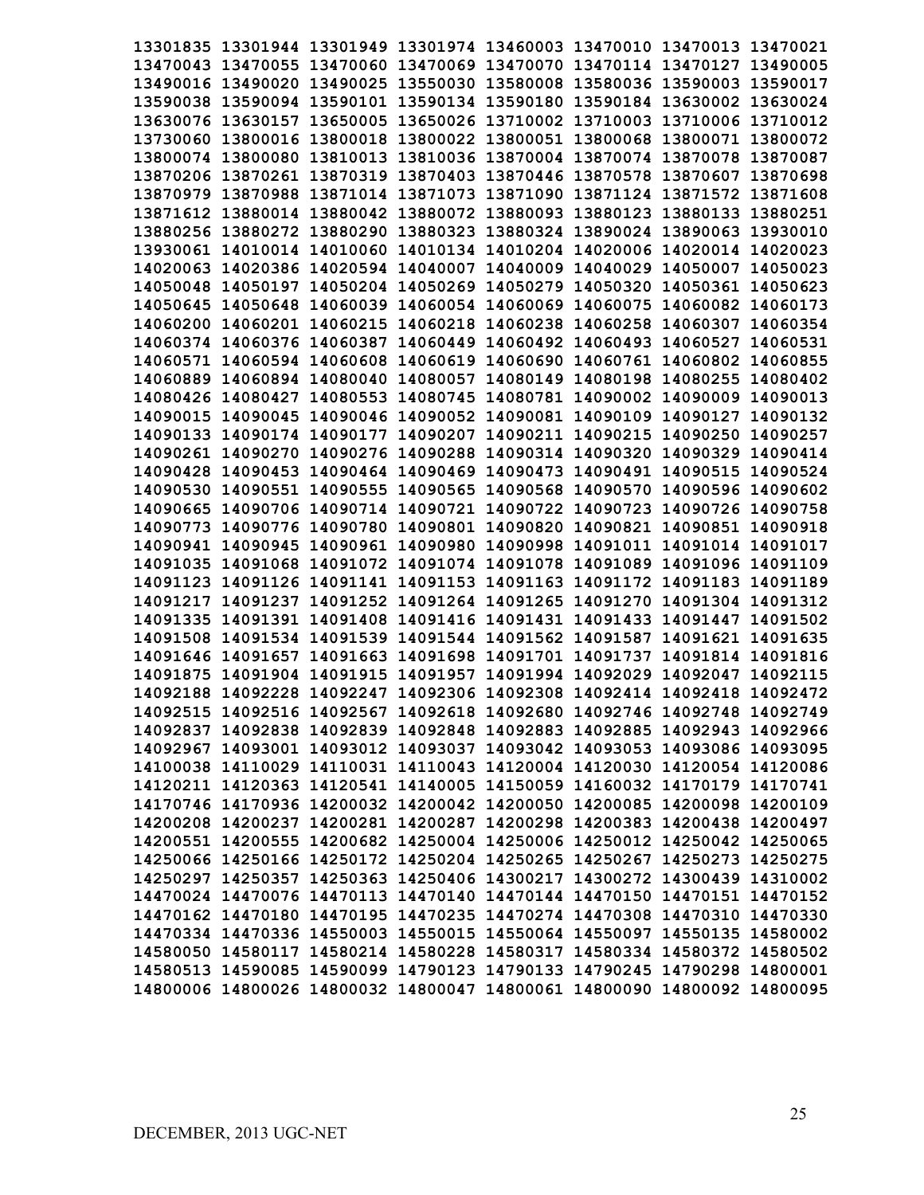| 13301835 13301944 13301949 13301974 13460003 13470010 13470013 13470021 |  |  |                                                                         |
|-------------------------------------------------------------------------|--|--|-------------------------------------------------------------------------|
| 13470043 13470055 13470060 13470069 13470070 13470114 13470127 13490005 |  |  |                                                                         |
| 13490016 13490020 13490025 13550030 13580008 13580036 13590003 13590017 |  |  |                                                                         |
| 13590038 13590094 13590101 13590134 13590180 13590184 13630002 13630024 |  |  |                                                                         |
| 13630076 13630157 13650005 13650026 13710002 13710003 13710006 13710012 |  |  |                                                                         |
| 13730060 13800016 13800018 13800022 13800051 13800068 13800071 13800072 |  |  |                                                                         |
| 13800074 13800080 13810013 13810036 13870004 13870074 13870078 13870087 |  |  |                                                                         |
| 13870206 13870261 13870319 13870403 13870446 13870578 13870607 13870698 |  |  |                                                                         |
| 13870979 13870988 13871014 13871073 13871090 13871124 13871572 13871608 |  |  |                                                                         |
| 13871612 13880014 13880042 13880072 13880093 13880123 13880133 13880251 |  |  |                                                                         |
| 13880256 13880272 13880290 13880323 13880324 13890024 13890063 13930010 |  |  |                                                                         |
| 13930061 14010014 14010060 14010134 14010204 14020006 14020014 14020023 |  |  |                                                                         |
| 14020063 14020386 14020594 14040007 14040009 14040029 14050007 14050023 |  |  |                                                                         |
| 14050048 14050197 14050204 14050269 14050279 14050320 14050361 14050623 |  |  |                                                                         |
| 14050645 14050648 14060039 14060054 14060069 14060075 14060082 14060173 |  |  |                                                                         |
| 14060200 14060201 14060215 14060218 14060238 14060258 14060307 14060354 |  |  |                                                                         |
| 14060374 14060376 14060387 14060449 14060492 14060493 14060527 14060531 |  |  |                                                                         |
| 14060571 14060594 14060608 14060619 14060690 14060761 14060802 14060855 |  |  |                                                                         |
| 14060889 14060894 14080040 14080057 14080149 14080198 14080255 14080402 |  |  |                                                                         |
| 14080426 14080427 14080553 14080745 14080781 14090002 14090009 14090013 |  |  |                                                                         |
| 14090015 14090045 14090046 14090052 14090081 14090109 14090127 14090132 |  |  |                                                                         |
| 14090133 14090174 14090177 14090207 14090211 14090215 14090250 14090257 |  |  |                                                                         |
| 14090261 14090270 14090276 14090288 14090314 14090320 14090329 14090414 |  |  |                                                                         |
| 14090428 14090453 14090464 14090469 14090473 14090491 14090515 14090524 |  |  |                                                                         |
| 14090530 14090551 14090555 14090565 14090568 14090570 14090596 14090602 |  |  |                                                                         |
| 14090665 14090706 14090714 14090721 14090722 14090723 14090726 14090758 |  |  |                                                                         |
| 14090773 14090776 14090780 14090801 14090820 14090821 14090851 14090918 |  |  |                                                                         |
| 14090941 14090945 14090961 14090980 14090998 14091011 14091014 14091017 |  |  |                                                                         |
| 14091035 14091068 14091072 14091074 14091078 14091089 14091096 14091109 |  |  |                                                                         |
| 14091123 14091126 14091141 14091153 14091163 14091172 14091183 14091189 |  |  |                                                                         |
| 14091217 14091237 14091252 14091264 14091265 14091270 14091304 14091312 |  |  |                                                                         |
| 14091335 14091391 14091408 14091416 14091431 14091433 14091447          |  |  | 14091502                                                                |
| 14091508 14091534 14091539 14091544 14091562 14091587 14091621 14091635 |  |  |                                                                         |
| 14091646 14091657 14091663 14091698 14091701 14091737 14091814 14091816 |  |  |                                                                         |
| 14091875 14091904 14091915 14091957 14091994 14092029 14092047 14092115 |  |  |                                                                         |
| 14092188 14092228 14092247 14092306 14092308 14092414 14092418 14092472 |  |  |                                                                         |
| 14092515 14092516 14092567 14092618 14092680 14092746 14092748 14092749 |  |  |                                                                         |
| 14092837 14092838 14092839 14092848 14092883 14092885 14092943 14092966 |  |  |                                                                         |
| 14092967 14093001 14093012 14093037 14093042 14093053 14093086 14093095 |  |  |                                                                         |
| 14100038 14110029 14110031 14110043 14120004 14120030 14120054 14120086 |  |  |                                                                         |
| 14120211 14120363 14120541 14140005 14150059 14160032 14170179 14170741 |  |  |                                                                         |
| 14170746 14170936 14200032 14200042 14200050 14200085 14200098 14200109 |  |  |                                                                         |
| 14200208 14200237 14200281 14200287 14200298 14200383 14200438 14200497 |  |  |                                                                         |
| 14200551 14200555 14200682 14250004 14250006 14250012 14250042 14250065 |  |  |                                                                         |
| 14250066 14250166 14250172 14250204 14250265 14250267 14250273 14250275 |  |  |                                                                         |
| 14250297 14250357 14250363 14250406 14300217 14300272 14300439 14310002 |  |  |                                                                         |
| 14470024 14470076 14470113 14470140 14470144 14470150 14470151 14470152 |  |  |                                                                         |
| 14470162 14470180 14470195 14470235 14470274 14470308 14470310 14470330 |  |  |                                                                         |
| 14470334 14470336 14550003 14550015 14550064 14550097 14550135 14580002 |  |  |                                                                         |
| 14580050 14580117 14580214 14580228 14580317 14580334 14580372 14580502 |  |  |                                                                         |
| 14580513 14590085 14590099 14790123 14790133 14790245 14790298 14800001 |  |  |                                                                         |
|                                                                         |  |  | 14800006 14800026 14800032 14800047 14800061 14800090 14800092 14800095 |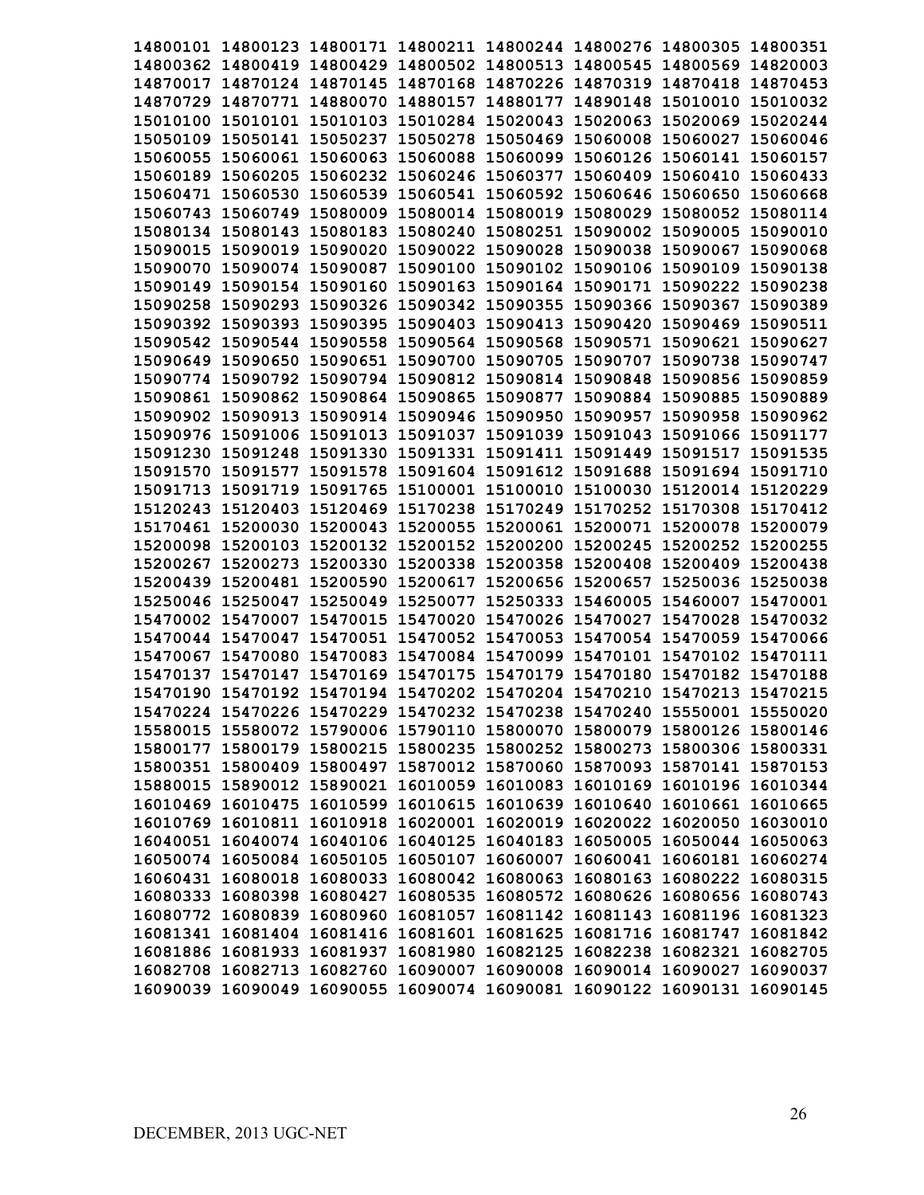| 14800101 14800123 14800171 14800211 14800244 14800276 14800305 14800351 |  |                                                       |                   |          |
|-------------------------------------------------------------------------|--|-------------------------------------------------------|-------------------|----------|
| 14800362 14800419 14800429 14800502 14800513 14800545 14800569 14820003 |  |                                                       |                   |          |
| 14870017 14870124 14870145 14870168 14870226 14870319 14870418 14870453 |  |                                                       |                   |          |
| 14870729 14870771 14880070 14880157 14880177 14890148 15010010 15010032 |  |                                                       |                   |          |
| 15010100 15010101 15010103 15010284 15020043 15020063 15020069 15020244 |  |                                                       |                   |          |
| 15050109 15050141 15050237 15050278 15050469 15060008 15060027 15060046 |  |                                                       |                   |          |
| 15060055 15060061 15060063 15060088 15060099 15060126 15060141 15060157 |  |                                                       |                   |          |
| 15060189 15060205 15060232 15060246 15060377 15060409 15060410 15060433 |  |                                                       |                   |          |
| 15060471 15060530 15060539 15060541 15060592 15060646 15060650 15060668 |  |                                                       |                   |          |
| 15060743 15060749 15080009 15080014 15080019 15080029 15080052 15080114 |  |                                                       |                   |          |
| 15080134 15080143 15080183 15080240 15080251 15090002 15090005 15090010 |  |                                                       |                   |          |
| 15090015 15090019 15090020 15090022 15090028 15090038 15090067 15090068 |  |                                                       |                   |          |
| 15090070 15090074 15090087 15090100 15090102 15090106 15090109 15090138 |  |                                                       |                   |          |
| 15090149 15090154 15090160 15090163 15090164 15090171 15090222 15090238 |  |                                                       |                   |          |
| 15090258 15090293 15090326 15090342 15090355 15090366 15090367 15090389 |  |                                                       |                   |          |
| 15090392 15090393 15090395 15090403 15090413 15090420 15090469 15090511 |  |                                                       |                   |          |
| 15090542 15090544 15090558 15090564 15090568 15090571 15090621 15090627 |  |                                                       |                   |          |
| 15090649 15090650 15090651 15090700 15090705 15090707 15090738 15090747 |  |                                                       |                   |          |
| 15090774 15090792 15090794 15090812 15090814 15090848 15090856 15090859 |  |                                                       |                   |          |
| 15090861 15090862 15090864 15090865 15090877 15090884 15090885 15090889 |  |                                                       |                   |          |
| 15090902 15090913 15090914 15090946 15090950 15090957 15090958 15090962 |  |                                                       |                   |          |
| 15090976 15091006 15091013 15091037 15091039 15091043 15091066 15091177 |  |                                                       |                   |          |
| 15091230 15091248 15091330 15091331 15091411 15091449 15091517 15091535 |  |                                                       |                   |          |
| 15091570 15091577 15091578 15091604 15091612 15091688 15091694 15091710 |  |                                                       |                   |          |
| 15091713 15091719 15091765 15100001 15100010 15100030 15120014 15120229 |  |                                                       |                   |          |
| 15120243 15120403 15120469 15170238 15170249 15170252 15170308 15170412 |  |                                                       |                   |          |
| 15170461 15200030                                                       |  | 15200043 15200055 15200061 15200071                   | 15200078 15200079 |          |
| 15200098 15200103 15200132 15200152 15200200 15200245 15200252 15200255 |  |                                                       |                   |          |
| 15200267 15200273 15200330 15200338 15200358 15200408 15200409 15200438 |  |                                                       |                   |          |
| 15200439 15200481 15200590 15200617 15200656 15200657 15250036 15250038 |  |                                                       |                   |          |
| 15250046 15250047 15250049 15250077 15250333 15460005 15460007          |  |                                                       |                   | 15470001 |
| 15470002 15470007 15470015 15470020 15470026 15470027 15470028 15470032 |  |                                                       |                   |          |
| 15470044 15470047 15470051 15470052 15470053 15470054 15470059 15470066 |  |                                                       |                   |          |
| 15470067 15470080                                                       |  | 15470083 15470084 15470099 15470101 15470102 15470111 |                   |          |
| 15470137 15470147 15470169 15470175 15470179 15470180 15470182 15470188 |  |                                                       |                   |          |
| 15470190 15470192 15470194 15470202 15470204 15470210 15470213 15470215 |  |                                                       |                   |          |
| 15470224 15470226 15470229 15470232 15470238 15470240 15550001 15550020 |  |                                                       |                   |          |
| 15580015 15580072 15790006 15790110 15800070 15800079 15800126 15800146 |  |                                                       |                   |          |
| 15800177 15800179 15800215 15800235 15800252 15800273 15800306 15800331 |  |                                                       |                   |          |
| 15800351 15800409 15800497 15870012 15870060 15870093 15870141 15870153 |  |                                                       |                   |          |
| 15880015 15890012 15890021 16010059 16010083 16010169 16010196 16010344 |  |                                                       |                   |          |
| 16010469 16010475 16010599 16010615 16010639 16010640 16010661 16010665 |  |                                                       |                   |          |
| 16010769 16010811 16010918 16020001 16020019 16020022 16020050 16030010 |  |                                                       |                   |          |
| 16040051 16040074 16040106 16040125 16040183 16050005 16050044 16050063 |  |                                                       |                   |          |
| 16050074 16050084 16050105 16050107 16060007 16060041 16060181 16060274 |  |                                                       |                   |          |
| 16060431 16080018 16080033 16080042 16080063 16080163 16080222 16080315 |  |                                                       |                   |          |
| 16080333 16080398 16080427 16080535 16080572 16080626 16080656 16080743 |  |                                                       |                   |          |
| 16080772 16080839 16080960 16081057 16081142 16081143 16081196 16081323 |  |                                                       |                   |          |
| 16081341 16081404 16081416 16081601 16081625 16081716 16081747 16081842 |  |                                                       |                   |          |
| 16081886 16081933 16081937 16081980 16082125 16082238 16082321 16082705 |  |                                                       |                   |          |
| 16082708 16082713 16082760 16090007 16090008 16090014 16090027 16090037 |  |                                                       |                   |          |
| 16090039 16090049 16090055 16090074 16090081 16090122 16090131 16090145 |  |                                                       |                   |          |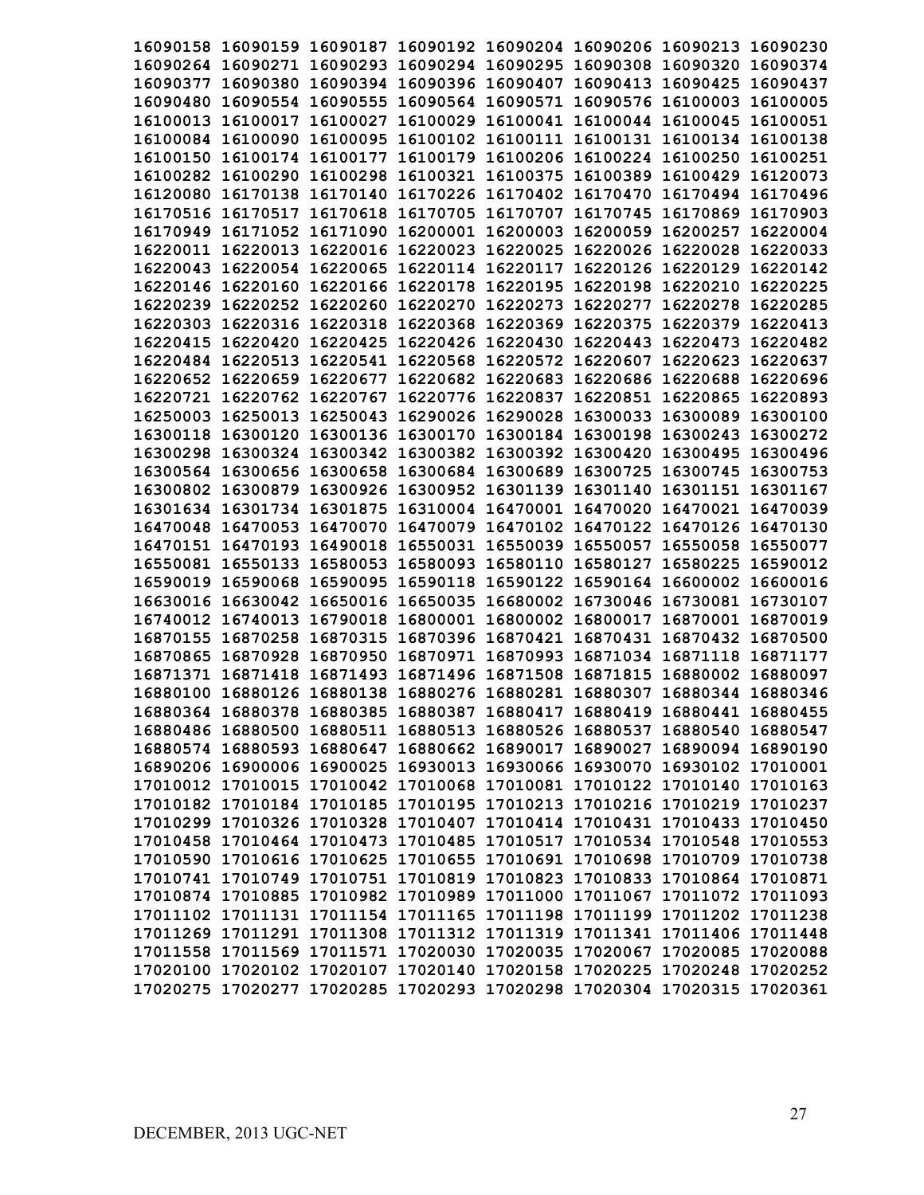| 16090158 16090159 16090187 16090192 16090204 16090206 16090213 16090230 |  |                                     |          |          |
|-------------------------------------------------------------------------|--|-------------------------------------|----------|----------|
| 16090264 16090271 16090293 16090294 16090295 16090308 16090320 16090374 |  |                                     |          |          |
| 16090377 16090380 16090394 16090396 16090407 16090413 16090425 16090437 |  |                                     |          |          |
| 16090480 16090554 16090555 16090564 16090571 16090576 16100003 16100005 |  |                                     |          |          |
| 16100013 16100017 16100027 16100029 16100041 16100044 16100045 16100051 |  |                                     |          |          |
| 16100084 16100090 16100095 16100102 16100111 16100131 16100134 16100138 |  |                                     |          |          |
| 16100150 16100174 16100177 16100179 16100206 16100224 16100250          |  |                                     |          | 16100251 |
| 16100282 16100290 16100298 16100321 16100375 16100389 16100429          |  |                                     |          | 16120073 |
| 16120080 16170138 16170140 16170226 16170402 16170470 16170494 16170496 |  |                                     |          |          |
| 16170516 16170517 16170618 16170705 16170707 16170745 16170869 16170903 |  |                                     |          |          |
| 16170949 16171052 16171090 16200001 16200003 16200059 16200257          |  |                                     |          | 16220004 |
| 16220011 16220013 16220016 16220023 16220025 16220026 16220028 16220033 |  |                                     |          |          |
| 16220043 16220054 16220065 16220114 16220117 16220126 16220129 16220142 |  |                                     |          |          |
| 16220146 16220160 16220166 16220178 16220195 16220198 16220210 16220225 |  |                                     |          |          |
| 16220239 16220252 16220260 16220270 16220273 16220277 16220278 16220285 |  |                                     |          |          |
| 16220303 16220316 16220318 16220368 16220369 16220375 16220379 16220413 |  |                                     |          |          |
| 16220415 16220420 16220425 16220426 16220430 16220443 16220473 16220482 |  |                                     |          |          |
| 16220484 16220513 16220541 16220568 16220572 16220607 16220623 16220637 |  |                                     |          |          |
| 16220652 16220659 16220677 16220682 16220683 16220686 16220688 16220696 |  |                                     |          |          |
| 16220721 16220762 16220767 16220776 16220837 16220851 16220865 16220893 |  |                                     |          |          |
| 16250003 16250013 16250043 16290026 16290028 16300033 16300089 16300100 |  |                                     |          |          |
| 16300118 16300120 16300136 16300170 16300184 16300198 16300243 16300272 |  |                                     |          |          |
| 16300298 16300324 16300342 16300382 16300392 16300420 16300495 16300496 |  |                                     |          |          |
| 16300564 16300656 16300658 16300684 16300689 16300725 16300745 16300753 |  |                                     |          |          |
| 16300802 16300879 16300926 16300952 16301139 16301140 16301151 16301167 |  |                                     |          |          |
| 16301634 16301734 16301875 16310004 16470001 16470020 16470021 16470039 |  |                                     |          |          |
| 16470048 16470053 16470070 16470079 16470102 16470122 16470126 16470130 |  |                                     |          |          |
| 16470151 16470193 16490018 16550031 16550039 16550057 16550058 16550077 |  |                                     |          |          |
| 16550081 16550133 16580053 16580093 16580110 16580127                   |  |                                     | 16580225 | 16590012 |
| 16590019 16590068 16590095 16590118 16590122 16590164 16600002 16600016 |  |                                     |          |          |
| 16630016 16630042 16650016 16650035                                     |  | 16680002 16730046 16730081 16730107 |          |          |
| 16740012 16740013 16790018 16800001 16800002 16800017 16870001 16870019 |  |                                     |          |          |
| 16870155 16870258 16870315 16870396 16870421 16870431 16870432 16870500 |  |                                     |          |          |
| 16870865 16870928 16870950 16870971 16870993 16871034 16871118 16871177 |  |                                     |          |          |
| 16871371 16871418 16871493 16871496 16871508 16871815 16880002 16880097 |  |                                     |          |          |
| 16880100 16880126 16880138 16880276 16880281 16880307 16880344 16880346 |  |                                     |          |          |
| 16880364 16880378 16880385 16880387 16880417 16880419 16880441 16880455 |  |                                     |          |          |
| 16880486 16880500 16880511 16880513 16880526 16880537 16880540 16880547 |  |                                     |          |          |
| 16880574 16880593 16880647 16880662 16890017 16890027 16890094 16890190 |  |                                     |          |          |
| 16890206 16900006 16900025 16930013 16930066 16930070 16930102 17010001 |  |                                     |          |          |
| 17010012 17010015 17010042 17010068 17010081 17010122 17010140 17010163 |  |                                     |          |          |
| 17010182 17010184 17010185 17010195 17010213 17010216 17010219 17010237 |  |                                     |          |          |
| 17010299 17010326 17010328 17010407 17010414 17010431 17010433 17010450 |  |                                     |          |          |
| 17010458 17010464 17010473 17010485 17010517 17010534 17010548 17010553 |  |                                     |          |          |
| 17010590 17010616 17010625 17010655 17010691 17010698 17010709 17010738 |  |                                     |          |          |
| 17010741 17010749 17010751 17010819 17010823 17010833 17010864 17010871 |  |                                     |          |          |
| 17010874 17010885 17010982 17010989 17011000 17011067 17011072 17011093 |  |                                     |          |          |
| 17011102 17011131 17011154 17011165 17011198 17011199 17011202 17011238 |  |                                     |          |          |
| 17011269 17011291 17011308 17011312 17011319 17011341 17011406 17011448 |  |                                     |          |          |
| 17011558 17011569 17011571 17020030 17020035 17020067 17020085 17020088 |  |                                     |          |          |
| 17020100 17020102 17020107 17020140 17020158 17020225 17020248 17020252 |  |                                     |          |          |
| 17020275 17020277 17020285 17020293 17020298 17020304 17020315 17020361 |  |                                     |          |          |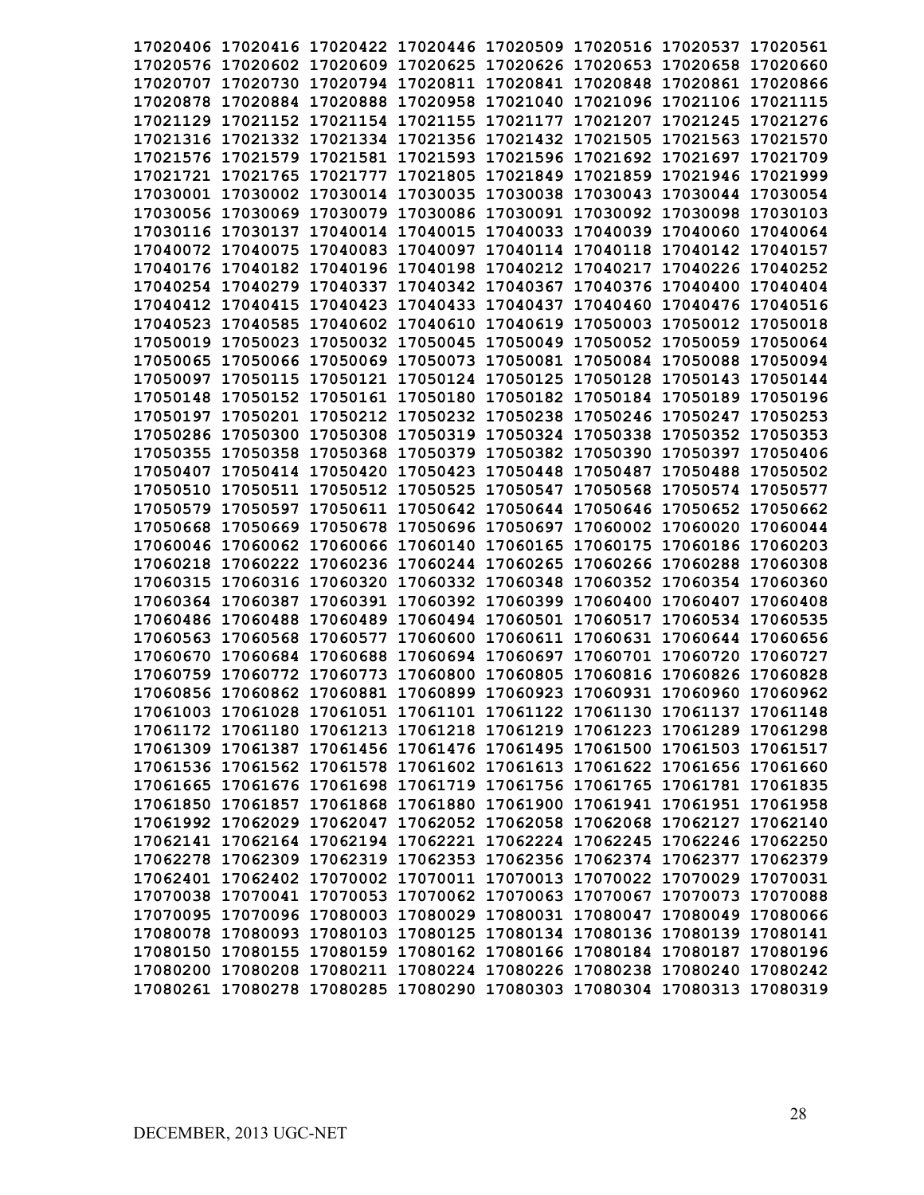| 17020406 17020416 17020422 17020446 17020509 17020516 17020537 17020561                                                                            |  |                                                       |                   |          |
|----------------------------------------------------------------------------------------------------------------------------------------------------|--|-------------------------------------------------------|-------------------|----------|
| 17020576 17020602 17020609 17020625 17020626 17020653 17020658 17020660                                                                            |  |                                                       |                   |          |
| 17020707 17020730 17020794 17020811 17020841 17020848 17020861 17020866                                                                            |  |                                                       |                   |          |
| 17020878 17020884 17020888 17020958 17021040 17021096 17021106 17021115                                                                            |  |                                                       |                   |          |
| 17021129 17021152 17021154 17021155 17021177 17021207 17021245 17021276                                                                            |  |                                                       |                   |          |
| 17021316 17021332 17021334 17021356 17021432 17021505 17021563 17021570                                                                            |  |                                                       |                   |          |
| 17021576 17021579 17021581 17021593 17021596 17021692 17021697 17021709                                                                            |  |                                                       |                   |          |
| 17021721 17021765 17021777 17021805 17021849 17021859 17021946 17021999                                                                            |  |                                                       |                   |          |
| 17030001 17030002 17030014 17030035 17030038 17030043 17030044 17030054                                                                            |  |                                                       |                   |          |
| 17030056 17030069 17030079 17030086 17030091 17030092 17030098 17030103                                                                            |  |                                                       |                   |          |
| 17030116 17030137 17040014 17040015 17040033 17040039 17040060 17040064                                                                            |  |                                                       |                   |          |
| 17040072 17040075 17040083 17040097 17040114 17040118 17040142 17040157                                                                            |  |                                                       |                   |          |
| 17040176 17040182 17040196 17040198 17040212 17040217 17040226 17040252                                                                            |  |                                                       |                   |          |
| 17040254 17040279 17040337 17040342 17040367 17040376 17040400 17040404                                                                            |  |                                                       |                   |          |
| 17040412 17040415 17040423 17040433 17040437 17040460 17040476 17040516                                                                            |  |                                                       |                   |          |
|                                                                                                                                                    |  |                                                       |                   |          |
| 17040523 17040585 17040602 17040610 17040619 17050003 17050012 17050018<br>17050019 17050023 17050032 17050045 17050049 17050052 17050059 17050064 |  |                                                       |                   |          |
|                                                                                                                                                    |  |                                                       |                   |          |
| 17050065 17050066 17050069 17050073 17050081 17050084 17050088 17050094                                                                            |  |                                                       |                   |          |
| 17050097 17050115 17050121 17050124 17050125 17050128 17050143 17050144                                                                            |  |                                                       |                   |          |
| 17050148 17050152 17050161 17050180 17050182 17050184 17050189 17050196                                                                            |  |                                                       |                   |          |
| 17050197 17050201 17050212 17050232 17050238 17050246 17050247 17050253                                                                            |  |                                                       |                   |          |
| 17050286 17050300 17050308 17050319 17050324 17050338 17050352 17050353                                                                            |  |                                                       |                   |          |
| 17050355 17050358 17050368 17050379 17050382 17050390 17050397 17050406                                                                            |  |                                                       |                   |          |
| 17050407 17050414 17050420 17050423 17050448 17050487 17050488                                                                                     |  |                                                       |                   | 17050502 |
| 17050510 17050511 17050512 17050525 17050547 17050568 17050574 17050577                                                                            |  |                                                       |                   |          |
| 17050579 17050597                                                                                                                                  |  | 17050611 17050642 17050644 17050646 17050652 17050662 |                   |          |
| 17050668 17050669                                                                                                                                  |  | 17050678 17050696 17050697 17060002 17060020 17060044 |                   |          |
| 17060046 17060062 17060066 17060140 17060165 17060175 17060186 17060203                                                                            |  |                                                       |                   |          |
| 17060218 17060222 17060236 17060244 17060265 17060266 17060288 17060308                                                                            |  |                                                       |                   |          |
| 17060315 17060316 17060320 17060332 17060348 17060352 17060354 17060360                                                                            |  |                                                       |                   |          |
| 17060364 17060387 17060391 17060392 17060399 17060400 17060407                                                                                     |  |                                                       |                   | 17060408 |
| 17060486 17060488 17060489 17060494 17060501 17060517                                                                                              |  |                                                       | 17060534 17060535 |          |
| 17060563 17060568 17060577 17060600 17060611 17060631 17060644 17060656                                                                            |  |                                                       |                   |          |
| 17060670 17060684 17060688 17060694 17060697 17060701 17060720 17060727                                                                            |  |                                                       |                   |          |
| 17060759 17060772 17060773 17060800 17060805 17060816 17060826 17060828                                                                            |  |                                                       |                   |          |
| 17060856 17060862 17060881 17060899 17060923 17060931 17060960 17060962                                                                            |  |                                                       |                   |          |
| 17061003 17061028 17061051 17061101 17061122 17061130 17061137 17061148                                                                            |  |                                                       |                   |          |
| 17061172 17061180 17061213 17061218 17061219 17061223 17061289 17061298                                                                            |  |                                                       |                   |          |
| 17061309 17061387 17061456 17061476 17061495 17061500 17061503 17061517                                                                            |  |                                                       |                   |          |
| 17061536 17061562 17061578 17061602 17061613 17061622 17061656 17061660                                                                            |  |                                                       |                   |          |
| 17061665 17061676 17061698 17061719 17061756 17061765 17061781 17061835                                                                            |  |                                                       |                   |          |
| 17061850 17061857 17061868 17061880 17061900 17061941 17061951 17061958                                                                            |  |                                                       |                   |          |
| 17061992 17062029 17062047 17062052 17062058 17062068 17062127 17062140                                                                            |  |                                                       |                   |          |
| 17062141 17062164 17062194 17062221 17062224 17062245 17062246 17062250                                                                            |  |                                                       |                   |          |
| 17062278 17062309 17062319 17062353 17062356 17062374 17062377 17062379                                                                            |  |                                                       |                   |          |
| 17062401 17062402 17070002 17070011 17070013 17070022 17070029 17070031                                                                            |  |                                                       |                   |          |
| 17070038 17070041 17070053 17070062 17070063 17070067 17070073 17070088                                                                            |  |                                                       |                   |          |
| 17070095 17070096 17080003 17080029 17080031 17080047 17080049 17080066                                                                            |  |                                                       |                   |          |
| 17080078 17080093 17080103 17080125 17080134 17080136 17080139 17080141                                                                            |  |                                                       |                   |          |
| 17080150 17080155 17080159 17080162 17080166 17080184 17080187 17080196                                                                            |  |                                                       |                   |          |
| 17080200 17080208 17080211 17080224 17080226 17080238 17080240 17080242                                                                            |  |                                                       |                   |          |
| 17080261 17080278 17080285 17080290 17080303 17080304 17080313 17080319                                                                            |  |                                                       |                   |          |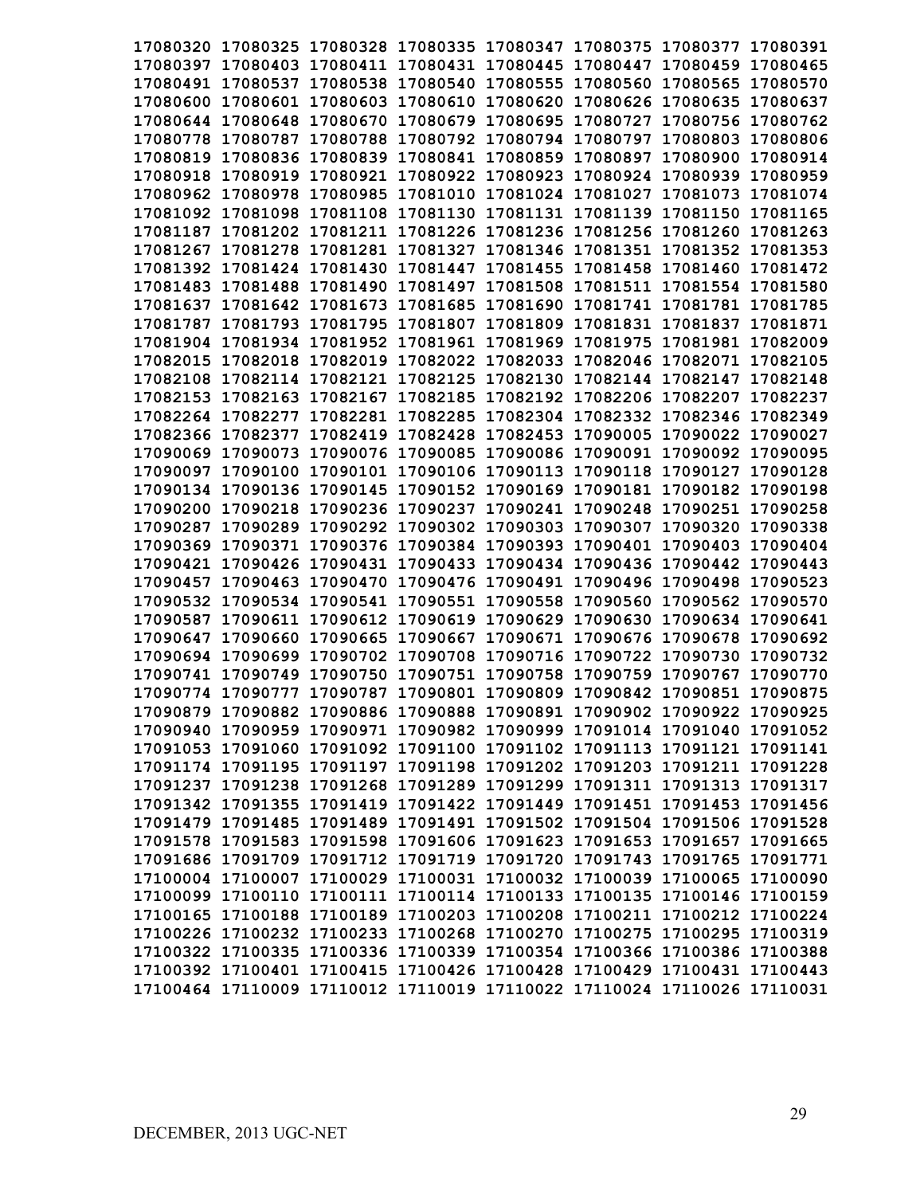| 17080320 17080325 17080328 17080335 17080347 17080375 17080377 17080391 |          |                            |          |                                              |                                                       |          |
|-------------------------------------------------------------------------|----------|----------------------------|----------|----------------------------------------------|-------------------------------------------------------|----------|
| 17080397 17080403 17080411 17080431 17080445 17080447 17080459 17080465 |          |                            |          |                                              |                                                       |          |
| 17080491 17080537                                                       |          | 17080538 17080540 17080555 |          | 17080560 17080565                            |                                                       | 17080570 |
| 17080600 17080601                                                       |          |                            |          | 17080603 17080610 17080620 17080626 17080635 |                                                       | 17080637 |
| 17080644 17080648                                                       |          |                            |          | 17080670 17080679 17080695 17080727 17080756 |                                                       | 17080762 |
| 17080778 17080787 17080788 17080792 17080794 17080797 17080803          |          |                            |          |                                              |                                                       | 17080806 |
| 17080819 17080836 17080839 17080841 17080859 17080897 17080900          |          |                            |          |                                              |                                                       | 17080914 |
| 17080918 17080919 17080921 17080922 17080923 17080924 17080939          |          |                            |          |                                              |                                                       | 17080959 |
| 17080962 17080978 17080985 17081010 17081024 17081027 17081073 17081074 |          |                            |          |                                              |                                                       |          |
| 17081092 17081098                                                       |          |                            |          |                                              | 17081108 17081130 17081131 17081139 17081150 17081165 |          |
| 17081187 17081202 17081211 17081226 17081236 17081256 17081260 17081263 |          |                            |          |                                              |                                                       |          |
| 17081267 17081278 17081281 17081327 17081346 17081351 17081352 17081353 |          |                            |          |                                              |                                                       |          |
| 17081392 17081424 17081430 17081447 17081455 17081458 17081460 17081472 |          |                            |          |                                              |                                                       |          |
| 17081483 17081488 17081490 17081497 17081508 17081511 17081554 17081580 |          |                            |          |                                              |                                                       |          |
| 17081637 17081642 17081673 17081685 17081690 17081741 17081781 17081785 |          |                            |          |                                              |                                                       |          |
| 17081787 17081793 17081795 17081807 17081809 17081831 17081837 17081871 |          |                            |          |                                              |                                                       |          |
| 17081904 17081934 17081952 17081961 17081969 17081975 17081981 17082009 |          |                            |          |                                              |                                                       |          |
| 17082015 17082018 17082019 17082022 17082033 17082046 17082071 17082105 |          |                            |          |                                              |                                                       |          |
| 17082108 17082114 17082121 17082125 17082130 17082144 17082147 17082148 |          |                            |          |                                              |                                                       |          |
| 17082153 17082163 17082167 17082185 17082192 17082206 17082207 17082237 |          |                            |          |                                              |                                                       |          |
| 17082264 17082277 17082281 17082285 17082304 17082332 17082346 17082349 |          |                            |          |                                              |                                                       |          |
| 17082366 17082377 17082419 17082428 17082453 17090005 17090022 17090027 |          |                            |          |                                              |                                                       |          |
| 17090069 17090073                                                       |          |                            |          |                                              | 17090076 17090085 17090086 17090091 17090092 17090095 |          |
| 17090097 17090100                                                       |          |                            |          | 17090101 17090106 17090113 17090118 17090127 |                                                       | 17090128 |
| 17090134 17090136 17090145 17090152 17090169 17090181 17090182 17090198 |          |                            |          |                                              |                                                       |          |
| 17090200 17090218                                                       |          | 17090236 17090237          | 17090241 | 17090248 17090251                            |                                                       | 17090258 |
| 17090287 17090289                                                       |          | 17090292 17090302 17090303 |          | 17090307 17090320                            |                                                       | 17090338 |
| 17090369 17090371                                                       |          | 17090376 17090384 17090393 |          | 17090401 17090403                            |                                                       | 17090404 |
| 17090421 17090426                                                       |          |                            |          |                                              | 17090431 17090433 17090434 17090436 17090442          | 17090443 |
| 17090457 17090463                                                       | 17090470 |                            |          | 17090476 17090491 17090496 17090498          |                                                       | 17090523 |
| 17090532 17090534 17090541 17090551 17090558 17090560 17090562 17090570 |          |                            |          |                                              |                                                       |          |
| 17090587 17090611                                                       |          | 17090612 17090619          |          | 17090629 17090630                            | 17090634                                              | 17090641 |
| 17090647 17090660                                                       | 17090665 | 17090667                   |          |                                              | 17090671 17090676 17090678                            | 17090692 |
| 17090694 17090699                                                       |          |                            |          | 17090702 17090708 17090716 17090722 17090730 |                                                       | 17090732 |
| 17090741 17090749                                                       |          |                            |          | 17090750 17090751 17090758 17090759 17090767 |                                                       | 17090770 |
| 17090774 17090777 17090787 17090801 17090809 17090842 17090851 17090875 |          |                            |          |                                              |                                                       |          |
| 17090879 17090882 17090886 17090888 17090891 17090902 17090922 17090925 |          |                            |          |                                              |                                                       |          |
| 17090940 17090959 17090971 17090982 17090999 17091014 17091040 17091052 |          |                            |          |                                              |                                                       |          |
| 17091053 17091060 17091092 17091100 17091102 17091113 17091121 17091141 |          |                            |          |                                              |                                                       |          |
| 17091174 17091195 17091197 17091198 17091202 17091203 17091211 17091228 |          |                            |          |                                              |                                                       |          |
| 17091237 17091238 17091268 17091289 17091299 17091311 17091313 17091317 |          |                            |          |                                              |                                                       |          |
| 17091342 17091355 17091419 17091422 17091449 17091451 17091453 17091456 |          |                            |          |                                              |                                                       |          |
| 17091479 17091485 17091489 17091491 17091502 17091504 17091506 17091528 |          |                            |          |                                              |                                                       |          |
| 17091578 17091583 17091598 17091606 17091623 17091653 17091657 17091665 |          |                            |          |                                              |                                                       |          |
| 17091686 17091709 17091712 17091719 17091720 17091743 17091765 17091771 |          |                            |          |                                              |                                                       |          |
| 17100004 17100007 17100029 17100031 17100032 17100039 17100065 17100090 |          |                            |          |                                              |                                                       |          |
| 17100099 17100110 17100111 17100114 17100133 17100135 17100146 17100159 |          |                            |          |                                              |                                                       |          |
| 17100165 17100188 17100189 17100203 17100208 17100211 17100212 17100224 |          |                            |          |                                              |                                                       |          |
| 17100226 17100232 17100233 17100268 17100270 17100275 17100295 17100319 |          |                            |          |                                              |                                                       |          |
| 17100322 17100335 17100336 17100339 17100354 17100366 17100386 17100388 |          |                            |          |                                              |                                                       |          |
| 17100392 17100401 17100415 17100426 17100428 17100429 17100431 17100443 |          |                            |          |                                              |                                                       |          |
| 17100464 17110009 17110012 17110019 17110022 17110024 17110026 17110031 |          |                            |          |                                              |                                                       |          |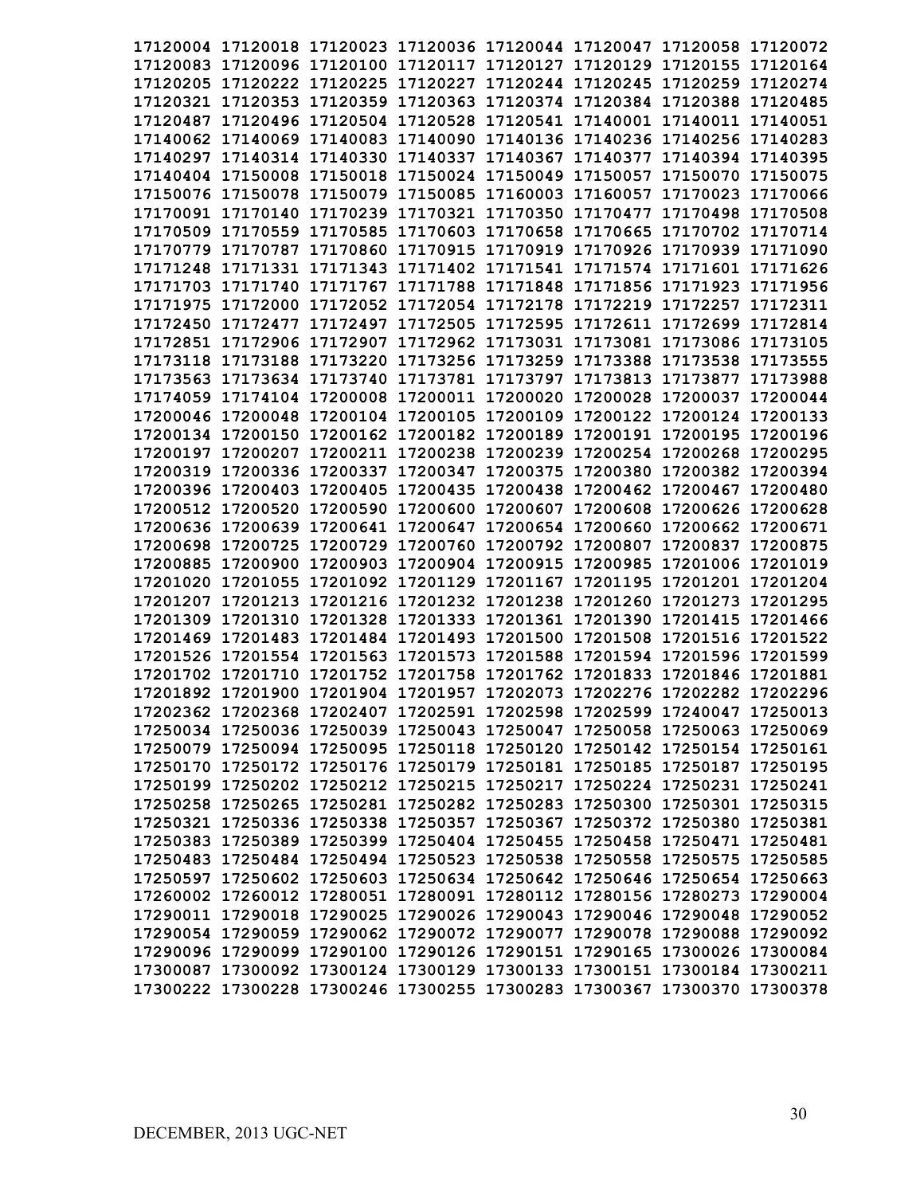| 17120004 17120018 17120023 17120036 17120044 17120047 17120058 17120072 |  |  |                                                                         |
|-------------------------------------------------------------------------|--|--|-------------------------------------------------------------------------|
| 17120083 17120096 17120100 17120117 17120127 17120129 17120155 17120164 |  |  |                                                                         |
| 17120205 17120222 17120225 17120227 17120244 17120245 17120259 17120274 |  |  |                                                                         |
| 17120321 17120353 17120359 17120363 17120374 17120384 17120388 17120485 |  |  |                                                                         |
| 17120487 17120496 17120504 17120528 17120541 17140001 17140011 17140051 |  |  |                                                                         |
| 17140062 17140069 17140083 17140090 17140136 17140236 17140256 17140283 |  |  |                                                                         |
| 17140297 17140314 17140330 17140337 17140367 17140377 17140394 17140395 |  |  |                                                                         |
| 17140404 17150008 17150018 17150024 17150049 17150057 17150070 17150075 |  |  |                                                                         |
| 17150076 17150078 17150079 17150085 17160003 17160057 17170023 17170066 |  |  |                                                                         |
| 17170091 17170140 17170239 17170321 17170350 17170477 17170498 17170508 |  |  |                                                                         |
| 17170509 17170559 17170585 17170603 17170658 17170665 17170702 17170714 |  |  |                                                                         |
| 17170779 17170787 17170860 17170915 17170919 17170926 17170939 17171090 |  |  |                                                                         |
| 17171248 17171331 17171343 17171402 17171541 17171574 17171601 17171626 |  |  |                                                                         |
| 17171703 17171740 17171767 17171788 17171848 17171856 17171923 17171956 |  |  |                                                                         |
| 17171975 17172000 17172052 17172054 17172178 17172219 17172257 17172311 |  |  |                                                                         |
| 17172450 17172477 17172497 17172505 17172595 17172611 17172699 17172814 |  |  |                                                                         |
| 17172851 17172906 17172907 17172962 17173031 17173081 17173086 17173105 |  |  |                                                                         |
| 17173118 17173188 17173220 17173256 17173259 17173388 17173538 17173555 |  |  |                                                                         |
| 17173563 17173634 17173740 17173781 17173797 17173813 17173877 17173988 |  |  |                                                                         |
| 17174059 17174104 17200008 17200011 17200020 17200028 17200037 17200044 |  |  |                                                                         |
| 17200046 17200048 17200104 17200105 17200109 17200122 17200124 17200133 |  |  |                                                                         |
| 17200134 17200150 17200162 17200182 17200189 17200191 17200195 17200196 |  |  |                                                                         |
| 17200197 17200207 17200211 17200238 17200239 17200254 17200268 17200295 |  |  |                                                                         |
| 17200319 17200336 17200337 17200347 17200375 17200380 17200382 17200394 |  |  |                                                                         |
| 17200396 17200403 17200405 17200435 17200438 17200462 17200467 17200480 |  |  |                                                                         |
| 17200512 17200520 17200590 17200600 17200607 17200608 17200626 17200628 |  |  |                                                                         |
| 17200636 17200639 17200641 17200647 17200654 17200660 17200662 17200671 |  |  |                                                                         |
| 17200698 17200725 17200729 17200760 17200792 17200807 17200837 17200875 |  |  |                                                                         |
| 17200885 17200900 17200903 17200904 17200915 17200985 17201006 17201019 |  |  |                                                                         |
| 17201020 17201055 17201092 17201129 17201167 17201195 17201201 17201204 |  |  |                                                                         |
| 17201207 17201213 17201216 17201232 17201238 17201260 17201273 17201295 |  |  |                                                                         |
| 17201309 17201310 17201328 17201333 17201361 17201390 17201415 17201466 |  |  |                                                                         |
| 17201469 17201483 17201484 17201493 17201500 17201508 17201516 17201522 |  |  |                                                                         |
| 17201526 17201554 17201563 17201573 17201588 17201594 17201596 17201599 |  |  |                                                                         |
| 17201702 17201710 17201752 17201758 17201762 17201833 17201846 17201881 |  |  |                                                                         |
| 17201892 17201900 17201904 17201957 17202073 17202276 17202282 17202296 |  |  |                                                                         |
| 17202362 17202368 17202407 17202591 17202598 17202599 17240047 17250013 |  |  |                                                                         |
| 17250034 17250036 17250039 17250043 17250047 17250058 17250063 17250069 |  |  |                                                                         |
| 17250079 17250094 17250095 17250118 17250120 17250142 17250154 17250161 |  |  |                                                                         |
| 17250170 17250172 17250176 17250179 17250181 17250185 17250187 17250195 |  |  |                                                                         |
| 17250199 17250202 17250212 17250215 17250217 17250224 17250231 17250241 |  |  |                                                                         |
| 17250258 17250265 17250281 17250282 17250283 17250300 17250301 17250315 |  |  |                                                                         |
| 17250321 17250336 17250338 17250357 17250367 17250372 17250380 17250381 |  |  |                                                                         |
| 17250383 17250389 17250399 17250404 17250455 17250458 17250471 17250481 |  |  |                                                                         |
| 17250483 17250484 17250494 17250523 17250538 17250558 17250575 17250585 |  |  |                                                                         |
| 17250597 17250602 17250603 17250634 17250642 17250646 17250654 17250663 |  |  |                                                                         |
| 17260002 17260012 17280051 17280091 17280112 17280156 17280273 17290004 |  |  |                                                                         |
| 17290011 17290018 17290025 17290026 17290043 17290046 17290048 17290052 |  |  |                                                                         |
| 17290054 17290059 17290062 17290072 17290077 17290078 17290088 17290092 |  |  |                                                                         |
| 17290096 17290099 17290100 17290126 17290151 17290165 17300026 17300084 |  |  |                                                                         |
| 17300087 17300092 17300124 17300129 17300133 17300151 17300184 17300211 |  |  |                                                                         |
|                                                                         |  |  | 17300222 17300228 17300246 17300255 17300283 17300367 17300370 17300378 |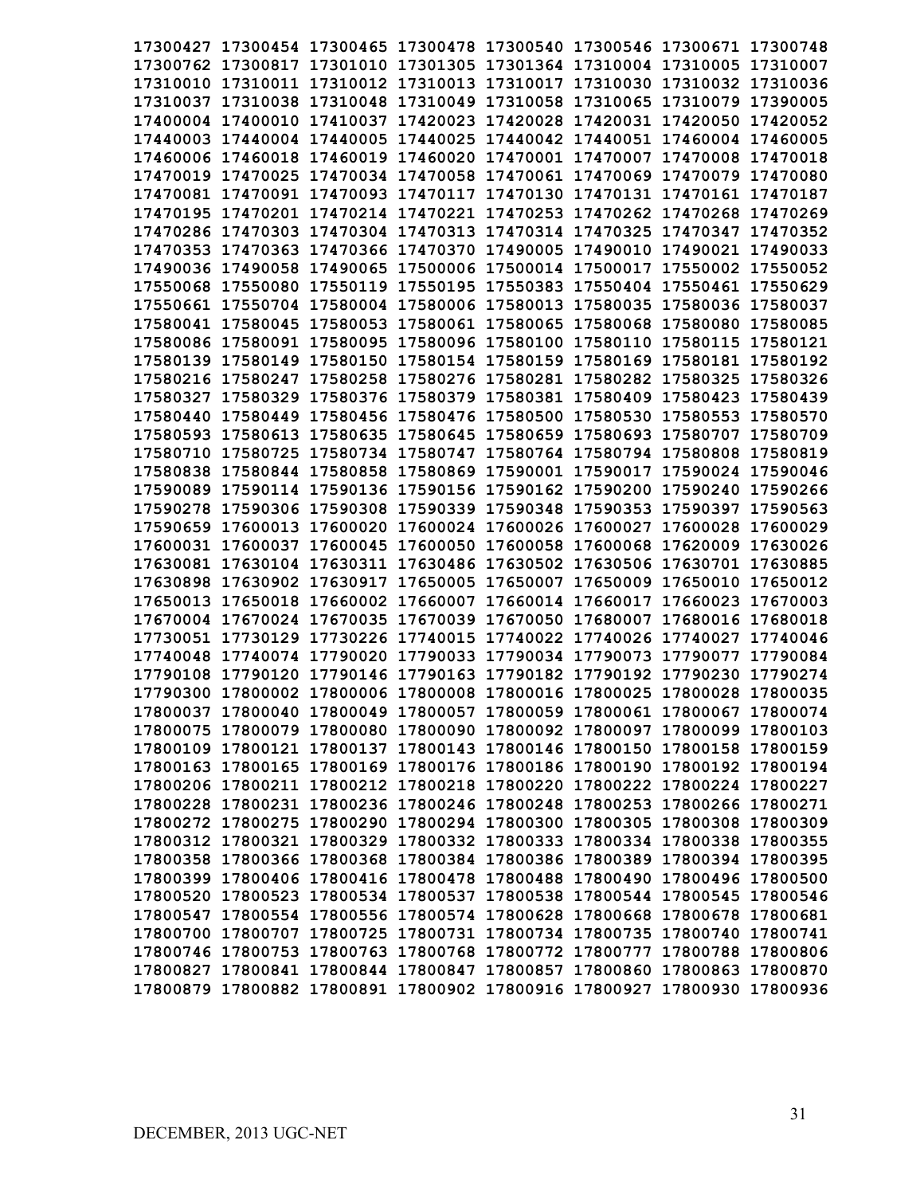|  |  | 17300427 17300454 17300465 17300478 17300540 17300546 17300671 17300748 |                   |          |
|--|--|-------------------------------------------------------------------------|-------------------|----------|
|  |  | 17300762 17300817 17301010 17301305 17301364 17310004 17310005 17310007 |                   |          |
|  |  | 17310010 17310011 17310012 17310013 17310017 17310030 17310032 17310036 |                   |          |
|  |  | 17310037 17310038 17310048 17310049 17310058 17310065 17310079 17390005 |                   |          |
|  |  | 17400004 17400010 17410037 17420023 17420028 17420031 17420050 17420052 |                   |          |
|  |  | 17440003 17440004 17440005 17440025 17440042 17440051 17460004 17460005 |                   |          |
|  |  | 17460006 17460018 17460019 17460020 17470001 17470007 17470008 17470018 |                   |          |
|  |  | 17470019 17470025 17470034 17470058 17470061 17470069 17470079 17470080 |                   |          |
|  |  | 17470081 17470091 17470093 17470117 17470130 17470131 17470161 17470187 |                   |          |
|  |  | 17470195 17470201 17470214 17470221 17470253 17470262 17470268 17470269 |                   |          |
|  |  | 17470286 17470303 17470304 17470313 17470314 17470325 17470347 17470352 |                   |          |
|  |  | 17470353 17470363 17470366 17470370 17490005 17490010 17490021 17490033 |                   |          |
|  |  | 17490036 17490058 17490065 17500006 17500014 17500017 17550002 17550052 |                   |          |
|  |  | 17550068 17550080 17550119 17550195 17550383 17550404 17550461 17550629 |                   |          |
|  |  | 17550661 17550704 17580004 17580006 17580013 17580035 17580036 17580037 |                   |          |
|  |  | 17580041 17580045 17580053 17580061 17580065 17580068 17580080 17580085 |                   |          |
|  |  | 17580086 17580091 17580095 17580096 17580100 17580110 17580115 17580121 |                   |          |
|  |  | 17580139 17580149 17580150 17580154 17580159 17580169 17580181 17580192 |                   |          |
|  |  | 17580216 17580247 17580258 17580276 17580281 17580282 17580325 17580326 |                   |          |
|  |  | 17580327 17580329 17580376 17580379 17580381 17580409 17580423 17580439 |                   |          |
|  |  | 17580440 17580449 17580456 17580476 17580500 17580530 17580553 17580570 |                   |          |
|  |  | 17580593 17580613 17580635 17580645 17580659 17580693 17580707 17580709 |                   |          |
|  |  | 17580710 17580725 17580734 17580747 17580764 17580794 17580808 17580819 |                   |          |
|  |  | 17580838 17580844 17580858 17580869 17590001 17590017 17590024 17590046 |                   |          |
|  |  | 17590089 17590114 17590136 17590156 17590162 17590200 17590240 17590266 |                   |          |
|  |  |                                                                         |                   |          |
|  |  | 17590278 17590306 17590308 17590339 17590348 17590353 17590397 17590563 |                   |          |
|  |  | 17590659 17600013 17600020 17600024 17600026 17600027                   | 17600028          | 17600029 |
|  |  | 17600031 17600037 17600045 17600050 17600058 17600068 17620009 17630026 |                   |          |
|  |  | 17630081 17630104 17630311 17630486 17630502 17630506 17630701 17630885 |                   |          |
|  |  | 17630898 17630902 17630917 17650005 17650007 17650009 17650010 17650012 |                   |          |
|  |  | 17650013 17650018 17660002 17660007 17660014 17660017 17660023 17670003 |                   |          |
|  |  | 17670004 17670024 17670035 17670039 17670050 17680007                   | 17680016 17680018 |          |
|  |  | 17730051 17730129 17730226 17740015 17740022 17740026 17740027 17740046 |                   |          |
|  |  | 17740048 17740074 17790020 17790033 17790034 17790073 17790077 17790084 |                   |          |
|  |  | 17790108 17790120 17790146 17790163 17790182 17790192 17790230 17790274 |                   |          |
|  |  | 17790300 17800002 17800006 17800008 17800016 17800025 17800028 17800035 |                   |          |
|  |  | 17800037 17800040 17800049 17800057 17800059 17800061 17800067 17800074 |                   |          |
|  |  | 17800075 17800079 17800080 17800090 17800092 17800097 17800099 17800103 |                   |          |
|  |  | 17800109 17800121 17800137 17800143 17800146 17800150 17800158 17800159 |                   |          |
|  |  | 17800163 17800165 17800169 17800176 17800186 17800190 17800192 17800194 |                   |          |
|  |  | 17800206 17800211 17800212 17800218 17800220 17800222 17800224 17800227 |                   |          |
|  |  | 17800228 17800231 17800236 17800246 17800248 17800253 17800266 17800271 |                   |          |
|  |  | 17800272 17800275 17800290 17800294 17800300 17800305 17800308 17800309 |                   |          |
|  |  | 17800312 17800321 17800329 17800332 17800333 17800334 17800338 17800355 |                   |          |
|  |  | 17800358 17800366 17800368 17800384 17800386 17800389 17800394 17800395 |                   |          |
|  |  | 17800399 17800406 17800416 17800478 17800488 17800490 17800496 17800500 |                   |          |
|  |  | 17800520 17800523 17800534 17800537 17800538 17800544 17800545 17800546 |                   |          |
|  |  | 17800547 17800554 17800556 17800574 17800628 17800668 17800678 17800681 |                   |          |
|  |  | 17800700 17800707 17800725 17800731 17800734 17800735 17800740 17800741 |                   |          |
|  |  | 17800746 17800753 17800763 17800768 17800772 17800777 17800788 17800806 |                   |          |
|  |  | 17800827 17800841 17800844 17800847 17800857 17800860 17800863 17800870 |                   |          |
|  |  | 17800879 17800882 17800891 17800902 17800916 17800927                   | 17800930 17800936 |          |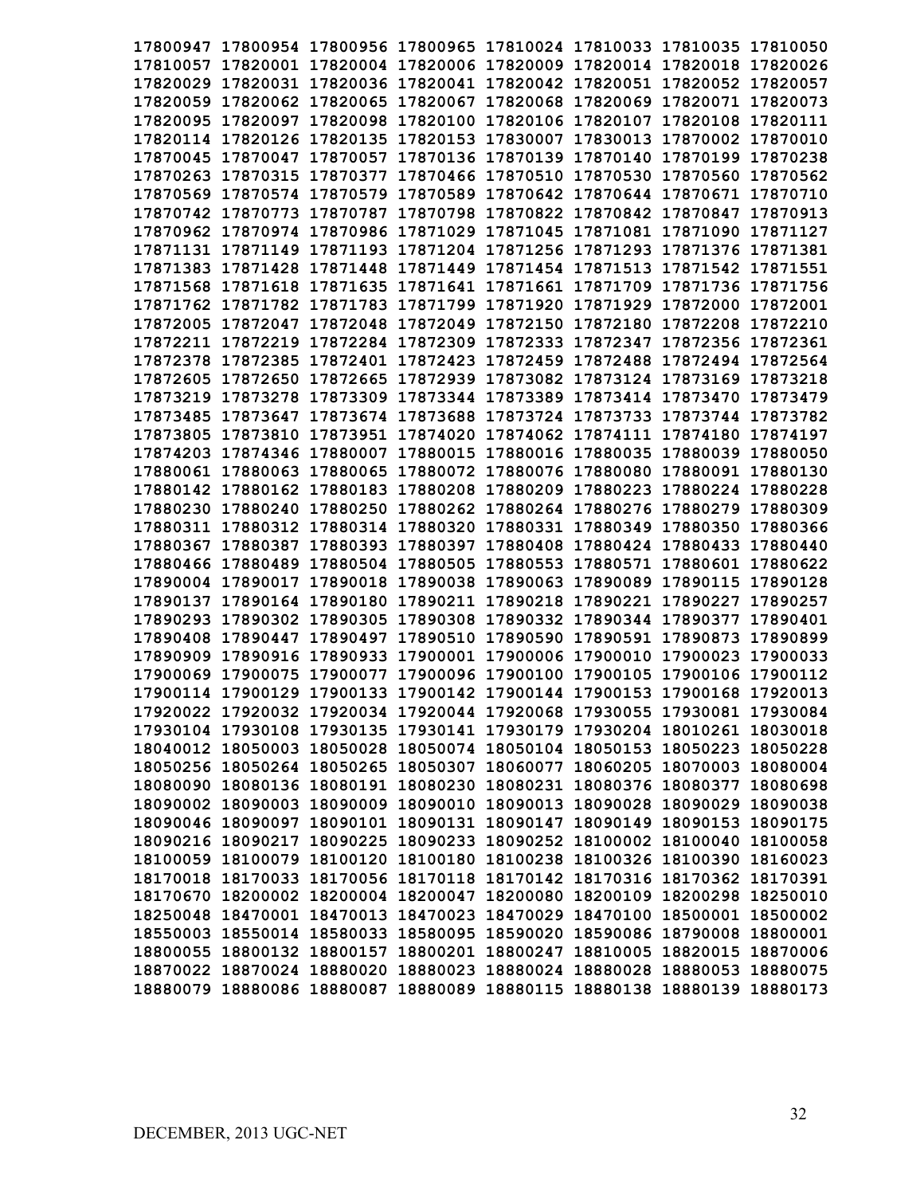| 17800947 17800954 17800956 17800965 17810024 17810033 17810035 17810050 |  |  |          |
|-------------------------------------------------------------------------|--|--|----------|
| 17810057 17820001 17820004 17820006 17820009 17820014 17820018 17820026 |  |  |          |
| 17820029 17820031 17820036 17820041 17820042 17820051 17820052 17820057 |  |  |          |
| 17820059 17820062 17820065 17820067 17820068 17820069 17820071 17820073 |  |  |          |
| 17820095 17820097 17820098 17820100 17820106 17820107 17820108 17820111 |  |  |          |
| 17820114 17820126 17820135 17820153 17830007 17830013 17870002 17870010 |  |  |          |
| 17870045 17870047 17870057 17870136 17870139 17870140 17870199 17870238 |  |  |          |
| 17870263 17870315 17870377 17870466 17870510 17870530 17870560 17870562 |  |  |          |
| 17870569 17870574 17870579 17870589 17870642 17870644 17870671 17870710 |  |  |          |
| 17870742 17870773 17870787 17870798 17870822 17870842 17870847 17870913 |  |  |          |
| 17870962 17870974 17870986 17871029 17871045 17871081 17871090 17871127 |  |  |          |
| 17871131 17871149 17871193 17871204 17871256 17871293 17871376 17871381 |  |  |          |
| 17871383 17871428 17871448 17871449 17871454 17871513 17871542 17871551 |  |  |          |
| 17871568 17871618 17871635 17871641 17871661 17871709 17871736 17871756 |  |  |          |
| 17871762 17871782 17871783 17871799 17871920 17871929 17872000 17872001 |  |  |          |
| 17872005 17872047 17872048 17872049 17872150 17872180 17872208 17872210 |  |  |          |
| 17872211 17872219 17872284 17872309 17872333 17872347 17872356 17872361 |  |  |          |
| 17872378 17872385 17872401 17872423 17872459 17872488 17872494 17872564 |  |  |          |
| 17872605 17872650 17872665 17872939 17873082 17873124 17873169 17873218 |  |  |          |
| 17873219 17873278 17873309 17873344 17873389 17873414 17873470 17873479 |  |  |          |
| 17873485 17873647 17873674 17873688 17873724 17873733 17873744 17873782 |  |  |          |
| 17873805 17873810 17873951 17874020 17874062 17874111 17874180 17874197 |  |  |          |
| 17874203 17874346 17880007 17880015 17880016 17880035 17880039 17880050 |  |  |          |
| 17880061 17880063 17880065 17880072 17880076 17880080 17880091 17880130 |  |  |          |
| 17880142 17880162 17880183 17880208 17880209 17880223 17880224 17880228 |  |  |          |
| 17880230 17880240 17880250 17880262 17880264 17880276 17880279 17880309 |  |  |          |
| 17880311 17880312 17880314 17880320 17880331 17880349 17880350 17880366 |  |  |          |
| 17880367 17880387 17880393 17880397 17880408 17880424 17880433 17880440 |  |  |          |
| 17880466 17880489 17880504 17880505 17880553 17880571 17880601 17880622 |  |  |          |
| 17890004 17890017 17890018 17890038 17890063 17890089 17890115 17890128 |  |  |          |
| 17890137 17890164 17890180 17890211 17890218 17890221 17890227 17890257 |  |  |          |
| 17890293 17890302 17890305 17890308 17890332 17890344 17890377          |  |  | 17890401 |
| 17890408 17890447 17890497 17890510 17890590 17890591 17890873 17890899 |  |  |          |
| 17890909 17890916 17890933 17900001 17900006 17900010 17900023 17900033 |  |  |          |
| 17900069 17900075 17900077 17900096 17900100 17900105 17900106 17900112 |  |  |          |
| 17900114 17900129 17900133 17900142 17900144 17900153 17900168 17920013 |  |  |          |
| 17920022 17920032 17920034 17920044 17920068 17930055 17930081 17930084 |  |  |          |
| 17930104 17930108 17930135 17930141 17930179 17930204 18010261 18030018 |  |  |          |
| 18040012 18050003 18050028 18050074 18050104 18050153 18050223 18050228 |  |  |          |
| 18050256 18050264 18050265 18050307 18060077 18060205 18070003 18080004 |  |  |          |
| 18080090 18080136 18080191 18080230 18080231 18080376 18080377 18080698 |  |  |          |
| 18090002 18090003 18090009 18090010 18090013 18090028 18090029 18090038 |  |  |          |
| 18090046 18090097 18090101 18090131 18090147 18090149 18090153 18090175 |  |  |          |
| 18090216 18090217 18090225 18090233 18090252 18100002 18100040 18100058 |  |  |          |
| 18100059 18100079 18100120 18100180 18100238 18100326 18100390 18160023 |  |  |          |
| 18170018 18170033 18170056 18170118 18170142 18170316 18170362 18170391 |  |  |          |
| 18170670 18200002 18200004 18200047 18200080 18200109 18200298 18250010 |  |  |          |
| 18250048 18470001 18470013 18470023 18470029 18470100 18500001 18500002 |  |  |          |
| 18550003 18550014 18580033 18580095 18590020 18590086 18790008 18800001 |  |  |          |
| 18800055 18800132 18800157 18800201 18800247 18810005 18820015 18870006 |  |  |          |
| 18870022 18870024 18880020 18880023 18880024 18880028 18880053 18880075 |  |  |          |
| 18880079 18880086 18880087 18880089 18880115 18880138 18880139 18880173 |  |  |          |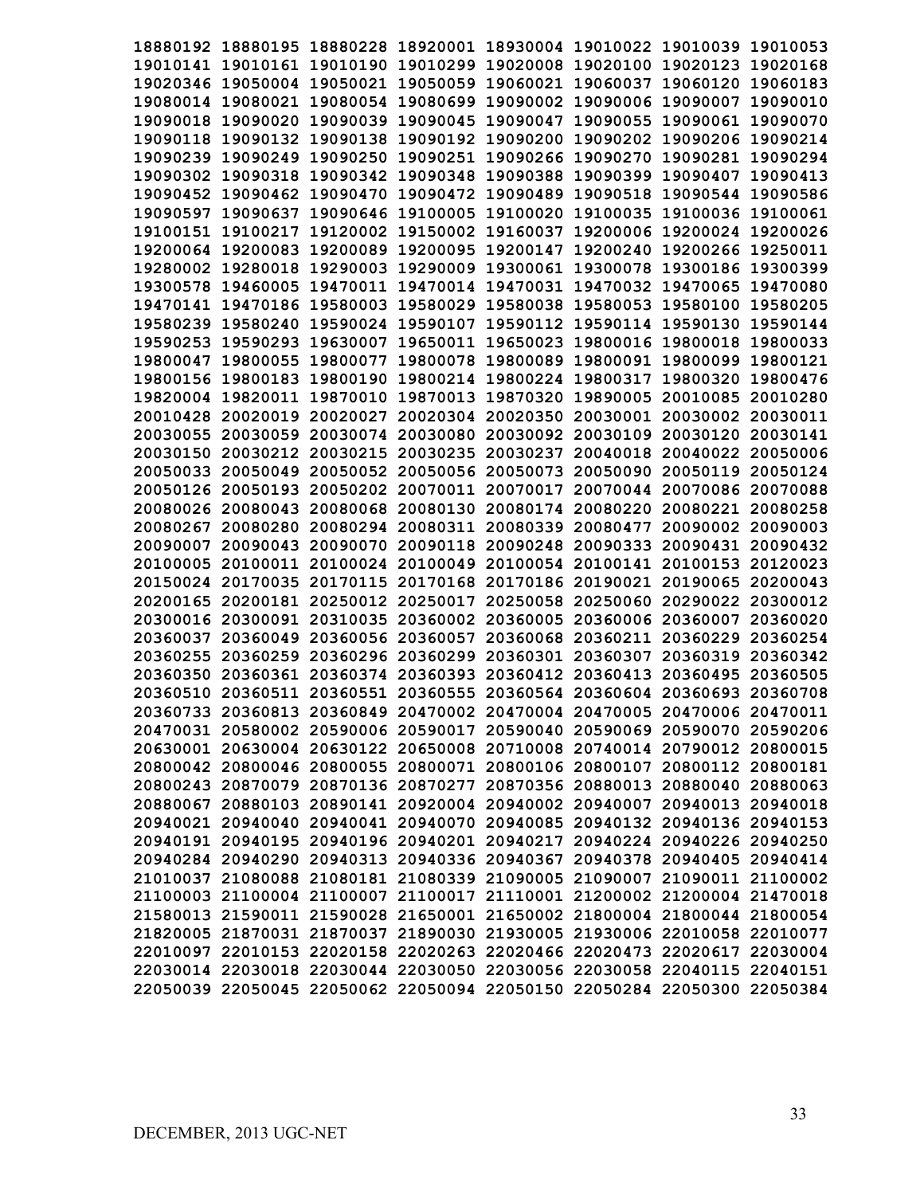|          | 18880192 18880195 18880228 18920001 18930004 19010022 19010039 19010053 |                            |          |                            |                                                       |                   |          |
|----------|-------------------------------------------------------------------------|----------------------------|----------|----------------------------|-------------------------------------------------------|-------------------|----------|
|          | 19010141 19010161 19010190 19010299 19020008 19020100 19020123 19020168 |                            |          |                            |                                                       |                   |          |
|          | 19020346 19050004 19050021 19050059 19060021 19060037                   |                            |          |                            |                                                       | 19060120          | 19060183 |
|          | 19080014 19080021 19080054 19080699 19090002 19090006 19090007          |                            |          |                            |                                                       |                   | 19090010 |
| 19090018 | 19090020                                                                | 19090039                   | 19090045 | 19090047 19090055          |                                                       | 19090061 19090070 |          |
| 19090118 |                                                                         | 19090132 19090138          | 19090192 |                            | 19090200 19090202 19090206 19090214                   |                   |          |
| 19090239 |                                                                         | 19090249 19090250          | 19090251 |                            | 19090266 19090270 19090281                            |                   | 19090294 |
|          | 19090302 19090318 19090342                                              |                            | 19090348 |                            | 19090388 19090399 19090407                            |                   | 19090413 |
|          | 19090452 19090462 19090470                                              |                            |          |                            | 19090472 19090489 19090518 19090544 19090586          |                   |          |
| 19090597 | 19090637                                                                | 19090646 19100005          |          |                            | 19100020 19100035 19100036 19100061                   |                   |          |
| 19100151 | 19100217                                                                | 19120002                   | 19150002 |                            | 19160037 19200006 19200024 19200026                   |                   |          |
|          | 19200064 19200083 19200089 19200095                                     |                            |          |                            | 19200147 19200240 19200266 19250011                   |                   |          |
|          | 19280002 19280018 19290003                                              |                            | 19290009 |                            | 19300061 19300078 19300186 19300399                   |                   |          |
|          | 19300578 19460005 19470011                                              |                            |          |                            | 19470014 19470031 19470032 19470065                   |                   | 19470080 |
|          | 19470141 19470186 19580003                                              |                            |          |                            | 19580029 19580038 19580053 19580100                   |                   | 19580205 |
|          | 19580239 19580240 19590024 19590107 19590112 19590114 19590130          |                            |          |                            |                                                       |                   | 19590144 |
|          | 19590253 19590293 19630007                                              |                            | 19650011 |                            | 19650023 19800016 19800018                            |                   | 19800033 |
|          | 19800047 19800055 19800077 19800078 19800089 19800091 19800099          |                            |          |                            |                                                       |                   | 19800121 |
|          | 19800156 19800183 19800190                                              |                            |          | 19800214 19800224 19800317 |                                                       | 19800320          | 19800476 |
|          | 19820004 19820011 19870010                                              |                            |          |                            | 19870013 19870320 19890005 20010085                   |                   | 20010280 |
|          | 20010428 20020019 20020027                                              |                            |          |                            | 20020304 20020350 20030001 20030002 20030011          |                   |          |
|          | 20030055 20030059                                                       | 20030074                   | 20030080 |                            | 20030092 20030109                                     | 20030120          | 20030141 |
|          | 20030150 20030212 20030215                                              |                            | 20030235 | 20030237 20040018          |                                                       | 20040022          | 20050006 |
|          | 20050033 20050049                                                       | 20050052                   |          | 20050056 20050073          | 20050090                                              | 20050119          | 20050124 |
|          | 20050126 20050193                                                       | 20050202                   |          | 20070011 20070017          |                                                       | 20070044 20070086 | 20070088 |
|          | 20080026 20080043                                                       | 20080068                   | 20080130 |                            | 20080174 20080220                                     | 20080221          | 20080258 |
| 20080267 | 20080280                                                                | 20080294                   | 20080311 |                            | 20080339 20080477                                     | 20090002          | 20090003 |
| 20090007 | 20090043                                                                | 20090070                   | 20090118 |                            | 20090248 20090333                                     | 20090431          | 20090432 |
| 20100005 | 20100011                                                                | 20100024                   | 20100049 |                            | 20100054 20100141                                     | 20100153          | 20120023 |
| 20150024 | 20170035                                                                | 20170115                   |          |                            | 20170168 20170186 20190021                            | 20190065          | 20200043 |
| 20200165 |                                                                         | 20200181 20250012          | 20250017 |                            | 20250058 20250060                                     | 20290022          | 20300012 |
| 20300016 |                                                                         | 20300091 20310035          |          |                            | 20360002 20360005 20360006 20360007                   |                   | 20360020 |
| 20360037 | 20360049                                                                | 20360056                   | 20360057 |                            | 20360068 20360211 20360229                            |                   | 20360254 |
| 20360255 |                                                                         | 20360259 20360296 20360299 |          |                            | 20360301 20360307                                     | 20360319          | 20360342 |
| 20360350 |                                                                         |                            |          |                            | 20360361 20360374 20360393 20360412 20360413 20360495 |                   | 20360505 |
|          | 20360510 20360511 20360551 20360555 20360564 20360604 20360693 20360708 |                            |          |                            |                                                       |                   |          |
|          | 20360733 20360813 20360849 20470002 20470004 20470005 20470006 20470011 |                            |          |                            |                                                       |                   |          |
|          | 20470031 20580002 20590006 20590017 20590040 20590069 20590070 20590206 |                            |          |                            |                                                       |                   |          |
|          | 20630001 20630004 20630122 20650008 20710008 20740014 20790012 20800015 |                            |          |                            |                                                       |                   |          |
|          | 20800042 20800046 20800055 20800071 20800106 20800107 20800112 20800181 |                            |          |                            |                                                       |                   |          |
|          | 20800243 20870079 20870136 20870277 20870356 20880013 20880040 20880063 |                            |          |                            |                                                       |                   |          |
|          | 20880067 20880103 20890141 20920004 20940002 20940007 20940013 20940018 |                            |          |                            |                                                       |                   |          |
|          | 20940021 20940040 20940041 20940070 20940085 20940132 20940136 20940153 |                            |          |                            |                                                       |                   |          |
|          | 20940191 20940195 20940196 20940201 20940217 20940224 20940226 20940250 |                            |          |                            |                                                       |                   |          |
|          | 20940284 20940290 20940313 20940336 20940367 20940378 20940405 20940414 |                            |          |                            |                                                       |                   |          |
|          | 21010037 21080088 21080181 21080339 21090005 21090007 21090011 21100002 |                            |          |                            |                                                       |                   |          |
|          | 21100003 21100004 21100007 21100017 21110001 21200002 21200004 21470018 |                            |          |                            |                                                       |                   |          |
|          | 21580013 21590011 21590028 21650001 21650002 21800004 21800044 21800054 |                            |          |                            |                                                       |                   |          |
|          | 21820005 21870031 21870037 21890030 21930005 21930006 22010058 22010077 |                            |          |                            |                                                       |                   |          |
|          | 22010097 22010153 22020158 22020263 22020466 22020473 22020617 22030004 |                            |          |                            |                                                       |                   |          |
|          | 22030014 22030018 22030044 22030050 22030056 22030058 22040115 22040151 |                            |          |                            |                                                       |                   |          |
|          | 22050039 22050045 22050062 22050094 22050150 22050284 22050300 22050384 |                            |          |                            |                                                       |                   |          |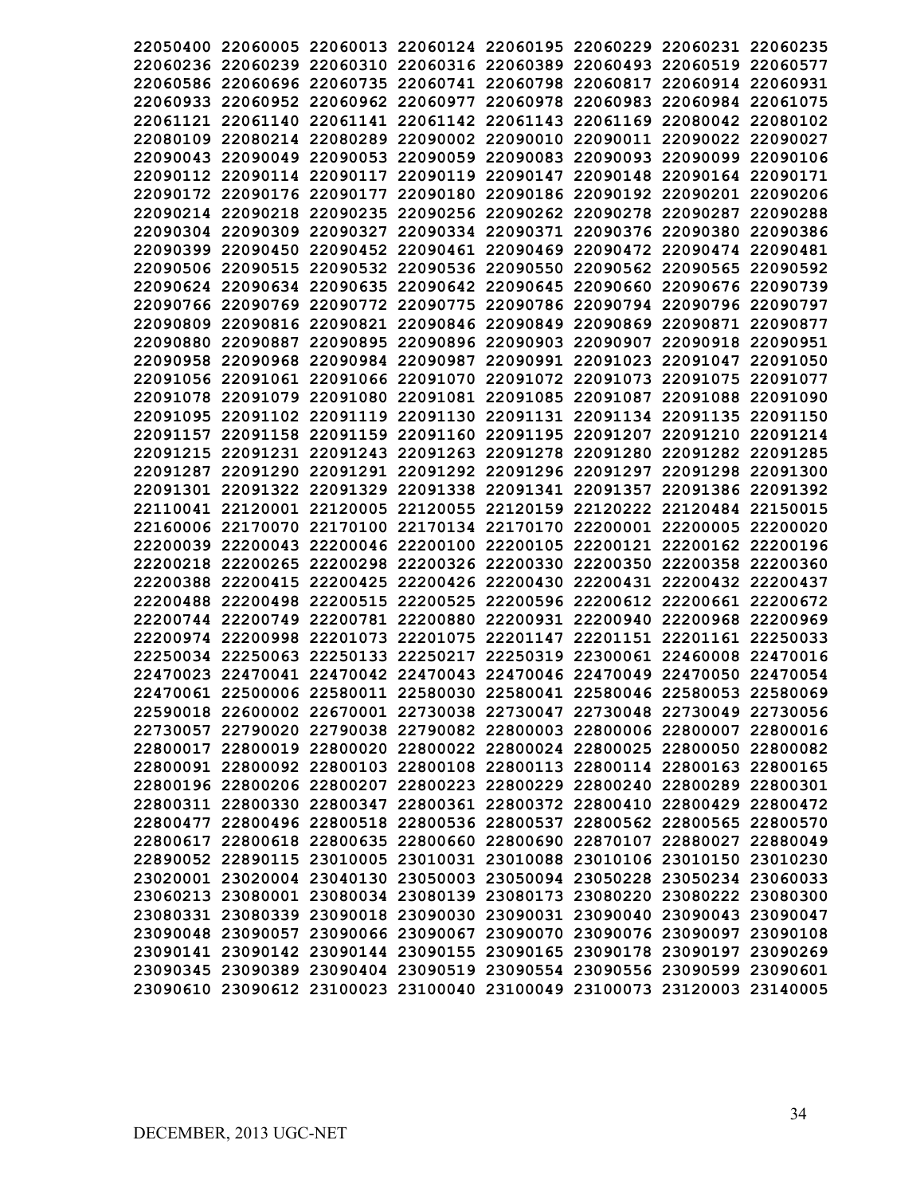|  | 22050400 22060005 22060013 22060124 22060195 22060229 22060231 22060235 |  |                                                                         |
|--|-------------------------------------------------------------------------|--|-------------------------------------------------------------------------|
|  | 22060236 22060239 22060310 22060316 22060389 22060493 22060519 22060577 |  |                                                                         |
|  | 22060586 22060696 22060735 22060741 22060798 22060817 22060914 22060931 |  |                                                                         |
|  | 22060933 22060952 22060962 22060977 22060978 22060983 22060984 22061075 |  |                                                                         |
|  | 22061121 22061140 22061141 22061142 22061143 22061169 22080042 22080102 |  |                                                                         |
|  | 22080109 22080214 22080289 22090002 22090010 22090011 22090022 22090027 |  |                                                                         |
|  | 22090043 22090049 22090053 22090059 22090083 22090093 22090099 22090106 |  |                                                                         |
|  | 22090112 22090114 22090117 22090119 22090147 22090148 22090164 22090171 |  |                                                                         |
|  | 22090172 22090176 22090177 22090180 22090186 22090192 22090201 22090206 |  |                                                                         |
|  | 22090214 22090218 22090235 22090256 22090262 22090278 22090287 22090288 |  |                                                                         |
|  | 22090304 22090309 22090327 22090334 22090371 22090376 22090380 22090386 |  |                                                                         |
|  | 22090399 22090450 22090452 22090461 22090469 22090472 22090474 22090481 |  |                                                                         |
|  | 22090506 22090515 22090532 22090536 22090550 22090562 22090565 22090592 |  |                                                                         |
|  | 22090624 22090634 22090635 22090642 22090645 22090660 22090676 22090739 |  |                                                                         |
|  | 22090766 22090769 22090772 22090775 22090786 22090794 22090796 22090797 |  |                                                                         |
|  | 22090809 22090816 22090821 22090846 22090849 22090869 22090871 22090877 |  |                                                                         |
|  | 22090880 22090887 22090895 22090896 22090903 22090907 22090918 22090951 |  |                                                                         |
|  | 22090958 22090968 22090984 22090987 22090991 22091023 22091047 22091050 |  |                                                                         |
|  | 22091056 22091061 22091066 22091070 22091072 22091073 22091075 22091077 |  |                                                                         |
|  | 22091078 22091079 22091080 22091081 22091085 22091087 22091088 22091090 |  |                                                                         |
|  | 22091095 22091102 22091119 22091130 22091131 22091134 22091135 22091150 |  |                                                                         |
|  | 22091157 22091158 22091159 22091160 22091195 22091207 22091210 22091214 |  |                                                                         |
|  | 22091215 22091231 22091243 22091263 22091278 22091280 22091282 22091285 |  |                                                                         |
|  | 22091287 22091290 22091291 22091292 22091296 22091297 22091298 22091300 |  |                                                                         |
|  | 22091301 22091322 22091329 22091338 22091341 22091357 22091386 22091392 |  |                                                                         |
|  | 22110041 22120001 22120005 22120055 22120159 22120222 22120484 22150015 |  |                                                                         |
|  | 22160006 22170070 22170100 22170134 22170170 22200001 22200005 22200020 |  |                                                                         |
|  | 22200039 22200043 22200046 22200100 22200105 22200121 22200162 22200196 |  |                                                                         |
|  | 22200218 22200265 22200298 22200326 22200330 22200350 22200358 22200360 |  |                                                                         |
|  | 22200388 22200415 22200425 22200426 22200430 22200431 22200432 22200437 |  |                                                                         |
|  | 22200488 22200498 22200515 22200525 22200596 22200612 22200661 22200672 |  |                                                                         |
|  | 22200744 22200749 22200781 22200880 22200931 22200940 22200968 22200969 |  |                                                                         |
|  | 22200974 22200998 22201073 22201075 22201147 22201151 22201161 22250033 |  |                                                                         |
|  | 22250034 22250063 22250133 22250217 22250319 22300061 22460008 22470016 |  |                                                                         |
|  | 22470023 22470041 22470042 22470043 22470046 22470049 22470050 22470054 |  |                                                                         |
|  | 22470061 22500006 22580011 22580030 22580041 22580046 22580053 22580069 |  |                                                                         |
|  | 22590018 22600002 22670001 22730038 22730047 22730048 22730049 22730056 |  |                                                                         |
|  | 22730057 22790020 22790038 22790082 22800003 22800006 22800007 22800016 |  |                                                                         |
|  | 22800017 22800019 22800020 22800022 22800024 22800025 22800050 22800082 |  |                                                                         |
|  | 22800091 22800092 22800103 22800108 22800113 22800114 22800163 22800165 |  |                                                                         |
|  | 22800196 22800206 22800207 22800223 22800229 22800240 22800289 22800301 |  |                                                                         |
|  | 22800311 22800330 22800347 22800361 22800372 22800410 22800429 22800472 |  |                                                                         |
|  | 22800477 22800496 22800518 22800536 22800537 22800562 22800565 22800570 |  |                                                                         |
|  | 22800617 22800618 22800635 22800660 22800690 22870107 22880027 22880049 |  |                                                                         |
|  | 22890052 22890115 23010005 23010031 23010088 23010106 23010150 23010230 |  |                                                                         |
|  | 23020001 23020004 23040130 23050003 23050094 23050228 23050234 23060033 |  |                                                                         |
|  | 23060213 23080001 23080034 23080139 23080173 23080220 23080222 23080300 |  |                                                                         |
|  | 23080331 23080339 23090018 23090030 23090031 23090040 23090043 23090047 |  |                                                                         |
|  | 23090048 23090057 23090066 23090067 23090070 23090076 23090097 23090108 |  |                                                                         |
|  | 23090141 23090142 23090144 23090155 23090165 23090178 23090197 23090269 |  |                                                                         |
|  | 23090345 23090389 23090404 23090519 23090554 23090556 23090599 23090601 |  |                                                                         |
|  |                                                                         |  | 23090610 23090612 23100023 23100040 23100049 23100073 23120003 23140005 |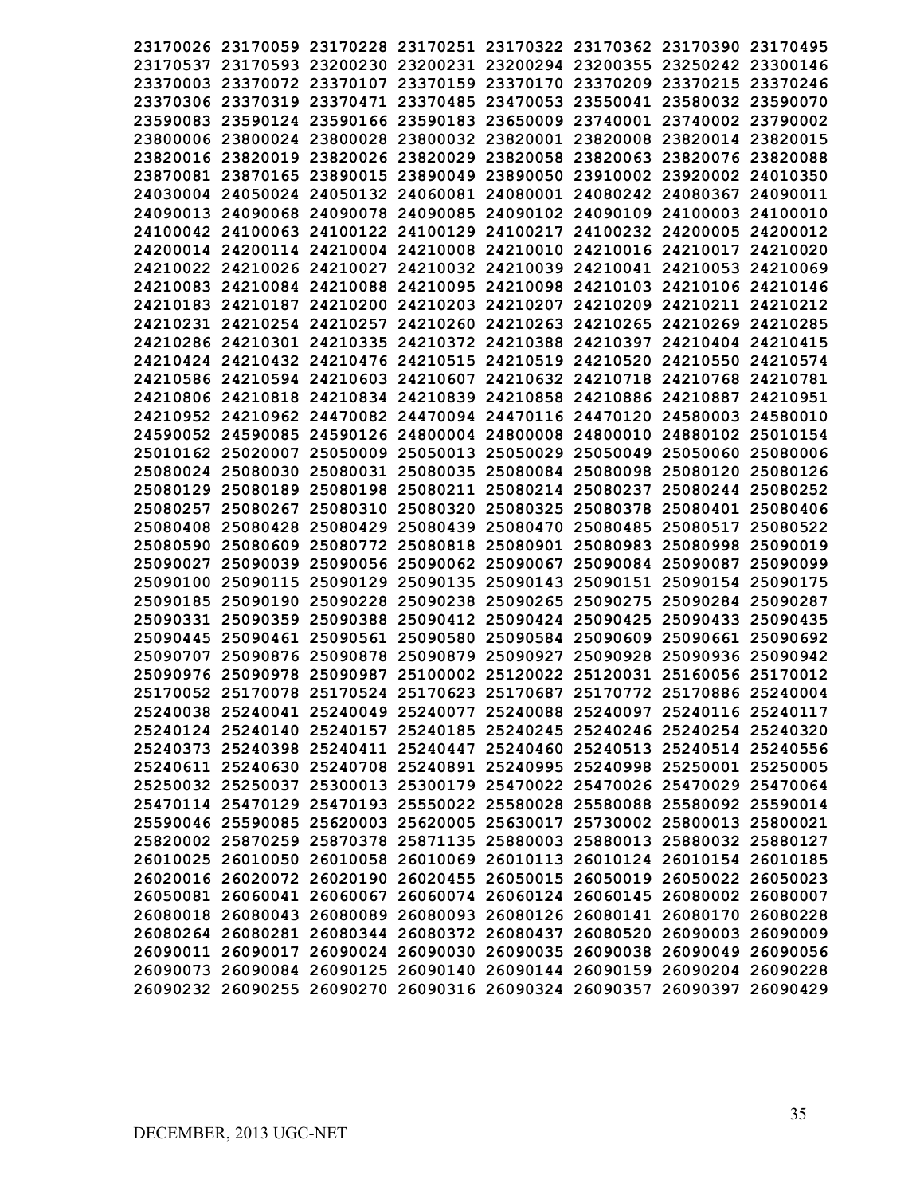|          | 23170026 23170059 23170228 23170251 23170322 23170362 23170390 23170495 |                   |  |                                              |                   |          |
|----------|-------------------------------------------------------------------------|-------------------|--|----------------------------------------------|-------------------|----------|
|          | 23170537 23170593 23200230 23200231 23200294 23200355 23250242 23300146 |                   |  |                                              |                   |          |
|          | 23370003 23370072 23370107 23370159 23370170 23370209 23370215 23370246 |                   |  |                                              |                   |          |
|          | 23370306 23370319 23370471 23370485 23470053 23550041 23580032 23590070 |                   |  |                                              |                   |          |
|          | 23590083 23590124 23590166 23590183 23650009 23740001 23740002 23790002 |                   |  |                                              |                   |          |
|          | 23800006 23800024 23800028                                              |                   |  | 23800032 23820001 23820008 23820014 23820015 |                   |          |
|          | 23820016 23820019 23820026 23820029 23820058 23820063 23820076 23820088 |                   |  |                                              |                   |          |
|          | 23870081 23870165 23890015                                              |                   |  | 23890049 23890050 23910002 23920002 24010350 |                   |          |
|          | 24030004 24050024 24050132 24060081 24080001 24080242 24080367 24090011 |                   |  |                                              |                   |          |
|          | 24090013 24090068 24090078 24090085 24090102 24090109 24100003 24100010 |                   |  |                                              |                   |          |
|          | 24100042 24100063 24100122 24100129 24100217 24100232 24200005 24200012 |                   |  |                                              |                   |          |
|          | 24200014 24200114 24210004 24210008 24210010 24210016 24210017 24210020 |                   |  |                                              |                   |          |
|          | 24210022 24210026 24210027 24210032 24210039 24210041 24210053 24210069 |                   |  |                                              |                   |          |
|          | 24210083 24210084 24210088 24210095 24210098 24210103 24210106 24210146 |                   |  |                                              |                   |          |
|          | 24210183 24210187 24210200 24210203 24210207 24210209 24210211 24210212 |                   |  |                                              |                   |          |
|          | 24210231 24210254 24210257 24210260 24210263 24210265 24210269 24210285 |                   |  |                                              |                   |          |
|          | 24210286 24210301 24210335 24210372 24210388 24210397 24210404 24210415 |                   |  |                                              |                   |          |
|          | 24210424 24210432 24210476 24210515 24210519 24210520 24210550 24210574 |                   |  |                                              |                   |          |
|          | 24210586 24210594 24210603 24210607 24210632 24210718 24210768 24210781 |                   |  |                                              |                   |          |
|          | 24210806 24210818 24210834 24210839 24210858 24210886 24210887 24210951 |                   |  |                                              |                   |          |
|          | 24210952 24210962 24470082 24470094 24470116 24470120 24580003 24580010 |                   |  |                                              |                   |          |
|          | 24590052 24590085 24590126 24800004 24800008 24800010 24880102 25010154 |                   |  |                                              |                   |          |
|          | 25010162 25020007 25050009 25050013 25050029 25050049 25050060 25080006 |                   |  |                                              |                   |          |
|          | 25080024 25080030 25080031 25080035 25080084 25080098 25080120 25080126 |                   |  |                                              |                   |          |
|          | 25080129 25080189 25080198                                              |                   |  | 25080211 25080214 25080237                   | 25080244 25080252 |          |
|          | 25080257 25080267                                                       | 25080310          |  | 25080320 25080325 25080378 25080401 25080406 |                   |          |
|          | 25080408 25080428 25080429                                              |                   |  | 25080439 25080470 25080485 25080517          |                   | 25080522 |
|          | 25080590 25080609                                                       |                   |  | 25080772 25080818 25080901 25080983 25080998 |                   | 25090019 |
| 25090027 |                                                                         | 25090039 25090056 |  | 25090062 25090067 25090084 25090087          |                   | 25090099 |
|          | 25090100 25090115 25090129                                              |                   |  | 25090135 25090143 25090151 25090154          |                   | 25090175 |
|          | 25090185 25090190 25090228                                              |                   |  | 25090238 25090265 25090275 25090284 25090287 |                   |          |
|          | 25090331 25090359 25090388                                              |                   |  | 25090412 25090424 25090425 25090433          |                   | 25090435 |
|          | 25090445 25090461 25090561                                              |                   |  | 25090580 25090584 25090609 25090661 25090692 |                   |          |
|          | 25090707 25090876 25090878 25090879 25090927 25090928 25090936 25090942 |                   |  |                                              |                   |          |
|          | 25090976 25090978 25090987 25100002 25120022 25120031 25160056 25170012 |                   |  |                                              |                   |          |
|          | 25170052 25170078 25170524 25170623 25170687 25170772 25170886 25240004 |                   |  |                                              |                   |          |
|          | 25240038 25240041 25240049 25240077 25240088 25240097 25240116 25240117 |                   |  |                                              |                   |          |
|          | 25240124 25240140 25240157 25240185 25240245 25240246 25240254 25240320 |                   |  |                                              |                   |          |
|          | 25240373 25240398 25240411 25240447 25240460 25240513 25240514 25240556 |                   |  |                                              |                   |          |
|          | 25240611 25240630 25240708 25240891 25240995 25240998 25250001 25250005 |                   |  |                                              |                   |          |
|          | 25250032 25250037 25300013 25300179 25470022 25470026 25470029 25470064 |                   |  |                                              |                   |          |
|          | 25470114 25470129 25470193 25550022 25580028 25580088 25580092 25590014 |                   |  |                                              |                   |          |
|          | 25590046 25590085 25620003 25620005 25630017 25730002 25800013 25800021 |                   |  |                                              |                   |          |
|          | 25820002 25870259 25870378 25871135 25880003 25880013 25880032 25880127 |                   |  |                                              |                   |          |
|          | 26010025 26010050 26010058 26010069 26010113 26010124 26010154 26010185 |                   |  |                                              |                   |          |
|          | 26020016 26020072 26020190 26020455 26050015 26050019 26050022 26050023 |                   |  |                                              |                   |          |
|          | 26050081 26060041 26060067 26060074 26060124 26060145 26080002 26080007 |                   |  |                                              |                   |          |
|          | 26080018 26080043 26080089 26080093 26080126 26080141 26080170 26080228 |                   |  |                                              |                   |          |
|          | 26080264 26080281 26080344 26080372 26080437 26080520 26090003 26090009 |                   |  |                                              |                   |          |
|          | 26090011 26090017 26090024 26090030 26090035 26090038 26090049 26090056 |                   |  |                                              |                   |          |
|          | 26090073 26090084 26090125 26090140 26090144 26090159 26090204 26090228 |                   |  |                                              |                   |          |
|          | 26090232 26090255 26090270 26090316 26090324 26090357 26090397          |                   |  |                                              |                   | 26090429 |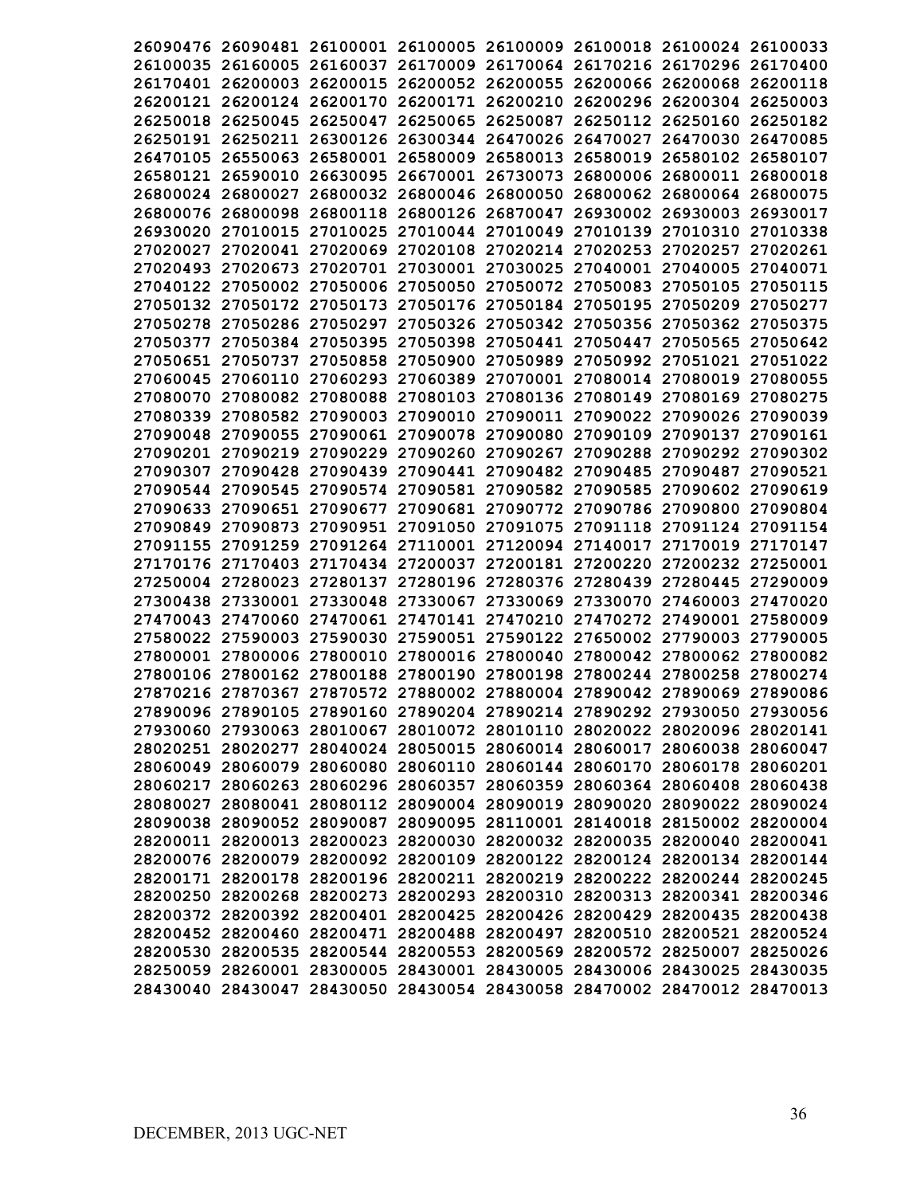|                   | 26090476 26090481 26100001 26100005 26100009 26100018 26100024 26100033 |                                              |                   |          |
|-------------------|-------------------------------------------------------------------------|----------------------------------------------|-------------------|----------|
|                   | 26100035 26160005 26160037 26170009 26170064 26170216 26170296 26170400 |                                              |                   |          |
|                   | 26170401 26200003 26200015                                              | 26200052 26200055 26200066 26200068          |                   | 26200118 |
|                   | 26200121 26200124 26200170 26200171 26200210 26200296 26200304 26250003 |                                              |                   |          |
| 26250018 26250045 | 26250047                                                                | 26250065 26250087 26250112 26250160          |                   | 26250182 |
|                   | 26250191 26250211 26300126                                              | 26300344 26470026 26470027                   | 26470030 26470085 |          |
|                   | 26470105 26550063 26580001 26580009 26580013 26580019 26580102 26580107 |                                              |                   |          |
|                   | 26580121 26590010 26630095                                              | 26670001 26730073 26800006 26800011 26800018 |                   |          |
|                   | 26800024 26800027 26800032 26800046 26800050 26800062 26800064 26800075 |                                              |                   |          |
|                   | 26800076 26800098 26800118 26800126 26870047 26930002 26930003 26930017 |                                              |                   |          |
|                   | 26930020 27010015 27010025                                              | 27010044 27010049 27010139 27010310 27010338 |                   |          |
|                   | 27020027 27020041 27020069                                              | 27020108 27020214 27020253 27020257 27020261 |                   |          |
|                   | 27020493 27020673 27020701 27030001 27030025 27040001 27040005 27040071 |                                              |                   |          |
|                   | 27040122 27050002 27050006 27050050 27050072 27050083 27050105 27050115 |                                              |                   |          |
|                   | 27050132 27050172 27050173 27050176 27050184 27050195 27050209 27050277 |                                              |                   |          |
|                   | 27050278 27050286 27050297 27050326 27050342 27050356 27050362 27050375 |                                              |                   |          |
|                   | 27050377 27050384 27050395 27050398 27050441 27050447 27050565 27050642 |                                              |                   |          |
|                   | 27050651 27050737 27050858 27050900 27050989 27050992 27051021 27051022 |                                              |                   |          |
|                   | 27060045 27060110 27060293 27060389 27070001 27080014 27080019 27080055 |                                              |                   |          |
|                   | 27080070 27080082 27080088 27080103 27080136 27080149 27080169 27080275 |                                              |                   |          |
|                   | 27080339 27080582 27090003 27090010 27090011 27090022 27090026 27090039 |                                              |                   |          |
|                   | 27090048 27090055 27090061 27090078 27090080 27090109 27090137 27090161 |                                              |                   |          |
|                   | 27090201 27090219 27090229                                              | 27090260 27090267 27090288 27090292 27090302 |                   |          |
|                   | 27090307 27090428 27090439                                              | 27090441 27090482 27090485 27090487          |                   | 27090521 |
|                   | 27090544 27090545 27090574 27090581 27090582 27090585 27090602 27090619 |                                              |                   |          |
|                   | 27090633 27090651 27090677                                              | 27090681 27090772 27090786 27090800          |                   | 27090804 |
|                   | 27090849 27090873 27090951                                              | 27091050 27091075 27091118 27091124 27091154 |                   |          |
|                   | 27091155 27091259 27091264 27110001 27120094 27140017                   |                                              | 27170019 27170147 |          |
|                   | 27170176 27170403 27170434 27200037 27200181 27200220 27200232 27250001 |                                              |                   |          |
|                   | 27250004 27280023 27280137                                              | 27280196 27280376 27280439 27280445          |                   | 27290009 |
|                   | 27300438 27330001 27330048 27330067 27330069 27330070 27460003 27470020 |                                              |                   |          |
|                   | 27470043 27470060 27470061 27470141 27470210 27470272 27490001 27580009 |                                              |                   |          |
|                   | 27580022 27590003 27590030                                              | 27590051 27590122 27650002 27790003          |                   | 27790005 |
|                   | 27800001 27800006 27800010 27800016 27800040 27800042 27800062 27800082 |                                              |                   |          |
|                   | 27800106 27800162 27800188 27800190 27800198 27800244 27800258 27800274 |                                              |                   |          |
|                   | 27870216 27870367 27870572 27880002 27880004 27890042 27890069 27890086 |                                              |                   |          |
|                   | 27890096 27890105 27890160 27890204 27890214 27890292 27930050 27930056 |                                              |                   |          |
|                   | 27930060 27930063 28010067 28010072 28010110 28020022 28020096 28020141 |                                              |                   |          |
|                   | 28020251 28020277 28040024 28050015 28060014 28060017 28060038 28060047 |                                              |                   |          |
|                   | 28060049 28060079 28060080 28060110 28060144 28060170 28060178 28060201 |                                              |                   |          |
|                   | 28060217 28060263 28060296 28060357 28060359 28060364 28060408 28060438 |                                              |                   |          |
|                   | 28080027 28080041 28080112 28090004 28090019 28090020 28090022 28090024 |                                              |                   |          |
|                   | 28090038 28090052 28090087 28090095 28110001 28140018 28150002 28200004 |                                              |                   |          |
|                   | 28200011 28200013 28200023 28200030 28200032 28200035 28200040 28200041 |                                              |                   |          |
|                   | 28200076 28200079 28200092 28200109 28200122 28200124 28200134 28200144 |                                              |                   |          |
|                   | 28200171 28200178 28200196 28200211 28200219 28200222 28200244 28200245 |                                              |                   |          |
|                   | 28200250 28200268 28200273 28200293 28200310 28200313 28200341 28200346 |                                              |                   |          |
|                   | 28200372 28200392 28200401 28200425 28200426 28200429 28200435 28200438 |                                              |                   |          |
|                   | 28200452 28200460 28200471 28200488 28200497 28200510 28200521 28200524 |                                              |                   |          |
|                   | 28200530 28200535 28200544 28200553 28200569 28200572 28250007 28250026 |                                              |                   |          |
|                   | 28250059 28260001 28300005 28430001 28430005 28430006 28430025 28430035 |                                              |                   |          |
|                   | 28430040 28430047 28430050 28430054 28430058 28470002 28470012 28470013 |                                              |                   |          |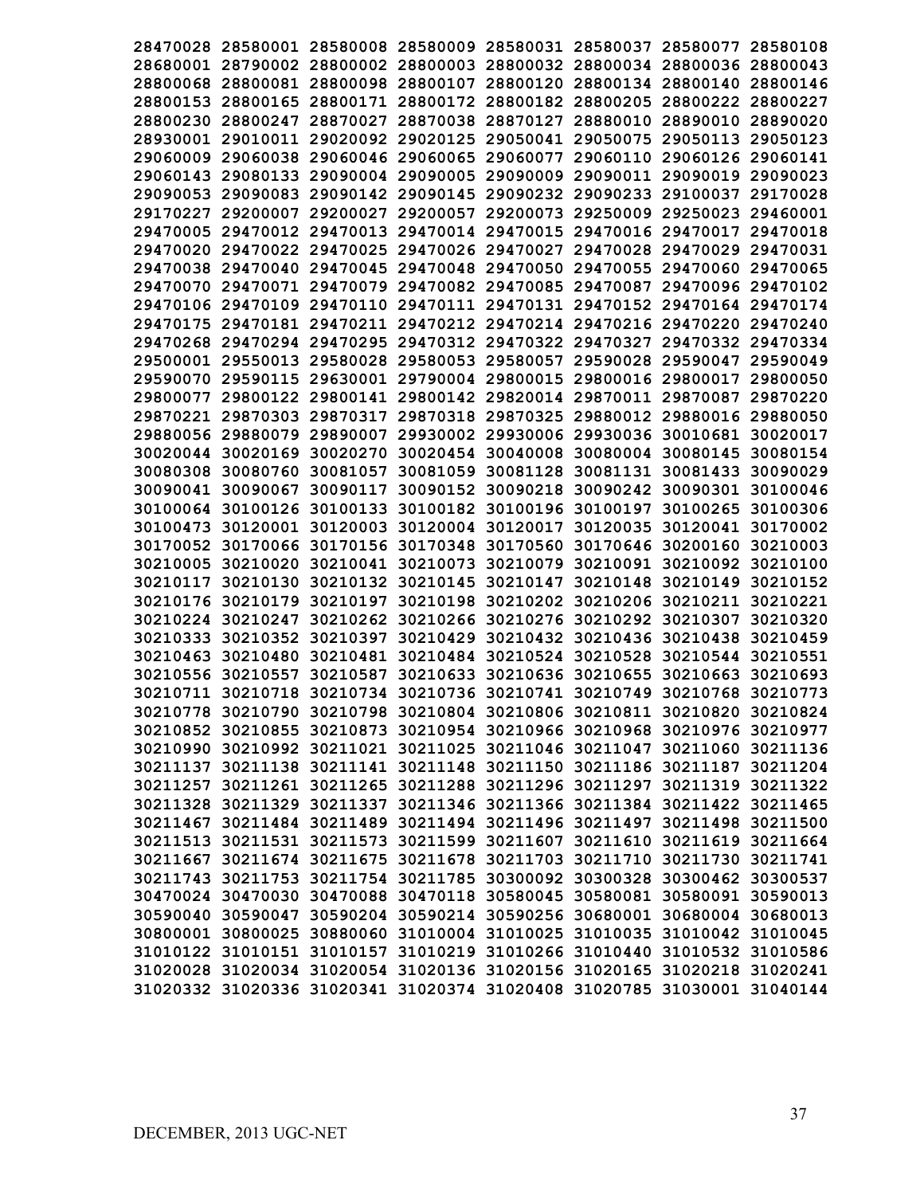|          |                                                                |          |          |                            |                                     | 28470028 28580001 28580008 28580009 28580031 28580037 28580077 28580108 |          |
|----------|----------------------------------------------------------------|----------|----------|----------------------------|-------------------------------------|-------------------------------------------------------------------------|----------|
|          |                                                                |          |          |                            |                                     | 28680001 28790002 28800002 28800003 28800032 28800034 28800036 28800043 |          |
|          | 28800068 28800081 28800098 28800107 28800120 28800134 28800140 |          |          |                            |                                     |                                                                         | 28800146 |
| 28800153 | 28800165                                                       | 28800171 |          | 28800172 28800182 28800205 |                                     | 28800222                                                                | 28800227 |
|          | 28800230 28800247                                              | 28870027 |          |                            | 28870038 28870127 28880010          | 28890010                                                                | 28890020 |
|          | 28930001 29010011 29020092                                     |          |          |                            |                                     | 29020125 29050041 29050075 29050113                                     | 29050123 |
| 29060009 | 29060038                                                       | 29060046 |          |                            |                                     | 29060065 29060077 29060110 29060126 29060141                            |          |
|          |                                                                |          |          |                            |                                     | 29060143 29080133 29090004 29090005 29090009 29090011 29090019          | 29090023 |
|          |                                                                |          |          |                            |                                     | 29090053 29090083 29090142 29090145 29090232 29090233 29100037          | 29170028 |
| 29170227 | 29200007                                                       | 29200027 |          |                            |                                     | 29200057 29200073 29250009 29250023                                     | 29460001 |
|          | 29470005 29470012 29470013                                     |          |          |                            |                                     | 29470014 29470015 29470016 29470017 29470018                            |          |
|          | 29470020 29470022 29470025                                     |          |          |                            |                                     | 29470026 29470027 29470028 29470029 29470031                            |          |
|          | 29470038 29470040 29470045                                     |          |          |                            |                                     | 29470048 29470050 29470055 29470060                                     | 29470065 |
|          | 29470070 29470071 29470079                                     |          |          |                            |                                     | 29470082 29470085 29470087 29470096 29470102                            |          |
|          | 29470106 29470109 29470110                                     |          |          |                            |                                     | 29470111 29470131 29470152 29470164 29470174                            |          |
|          |                                                                |          |          |                            |                                     | 29470175 29470181 29470211 29470212 29470214 29470216 29470220 29470240 |          |
|          |                                                                |          |          |                            |                                     | 29470268 29470294 29470295 29470312 29470322 29470327 29470332 29470334 |          |
|          |                                                                |          |          |                            |                                     | 29500001 29550013 29580028 29580053 29580057 29590028 29590047 29590049 |          |
|          |                                                                |          |          |                            |                                     | 29590070 29590115 29630001 29790004 29800015 29800016 29800017 29800050 |          |
|          |                                                                |          |          |                            |                                     | 29800077 29800122 29800141 29800142 29820014 29870011 29870087          | 29870220 |
|          |                                                                |          |          |                            |                                     | 29870221 29870303 29870317 29870318 29870325 29880012 29880016 29880050 |          |
|          | 29880056 29880079 29890007                                     |          |          |                            |                                     | 29930002 29930006 29930036 30010681 30020017                            |          |
|          | 30020044 30020169 30020270                                     |          |          |                            | 30020454 30040008 30080004 30080145 |                                                                         | 30080154 |
|          | 30080308 30080760                                              | 30081057 |          |                            | 30081059 30081128 30081131 30081433 |                                                                         | 30090029 |
|          | 30090041 30090067                                              | 30090117 | 30090152 |                            |                                     | 30090218 30090242 30090301 30100046                                     |          |
|          | 30100064 30100126                                              | 30100133 |          | 30100182 30100196 30100197 |                                     | 30100265                                                                | 30100306 |
|          | 30100473 30120001                                              | 30120003 |          | 30120004 30120017 30120035 |                                     | 30120041                                                                | 30170002 |
|          | 30170052 30170066 30170156                                     |          | 30170348 |                            | 30170560 30170646 30200160          |                                                                         | 30210003 |
| 30210005 | 30210020                                                       | 30210041 | 30210073 |                            | 30210079 30210091                   | 30210092                                                                | 30210100 |
| 30210117 | 30210130                                                       | 30210132 | 30210145 | 30210147                   | 30210148                            | 30210149                                                                | 30210152 |
| 30210176 | 30210179                                                       | 30210197 | 30210198 |                            | 30210202 30210206                   | 30210211                                                                | 30210221 |
| 30210224 | 30210247                                                       | 30210262 | 30210266 |                            |                                     | 30210276 30210292 30210307                                              | 30210320 |
| 30210333 | 30210352                                                       | 30210397 | 30210429 |                            | 30210432 30210436                   | 30210438                                                                | 30210459 |
| 30210463 | 30210480                                                       |          |          |                            |                                     | 30210481 30210484 30210524 30210528 30210544 30210551                   |          |
| 30210556 | 30210557                                                       | 30210587 |          |                            |                                     | 30210633 30210636 30210655 30210663 30210693                            |          |
|          |                                                                |          |          |                            |                                     | 30210711 30210718 30210734 30210736 30210741 30210749 30210768 30210773 |          |
|          |                                                                |          |          |                            |                                     | 30210778 30210790 30210798 30210804 30210806 30210811 30210820 30210824 |          |
|          |                                                                |          |          |                            |                                     | 30210852 30210855 30210873 30210954 30210966 30210968 30210976 30210977 |          |
|          |                                                                |          |          |                            |                                     | 30210990 30210992 30211021 30211025 30211046 30211047 30211060 30211136 |          |
|          |                                                                |          |          |                            |                                     | 30211137 30211138 30211141 30211148 30211150 30211186 30211187 30211204 |          |
|          |                                                                |          |          |                            |                                     | 30211257 30211261 30211265 30211288 30211296 30211297 30211319 30211322 |          |
|          |                                                                |          |          |                            |                                     | 30211328 30211329 30211337 30211346 30211366 30211384 30211422 30211465 |          |
|          |                                                                |          |          |                            |                                     | 30211467 30211484 30211489 30211494 30211496 30211497 30211498 30211500 |          |
|          |                                                                |          |          |                            |                                     | 30211513 30211531 30211573 30211599 30211607 30211610 30211619 30211664 |          |
|          |                                                                |          |          |                            |                                     | 30211667 30211674 30211675 30211678 30211703 30211710 30211730 30211741 |          |
|          |                                                                |          |          |                            |                                     | 30211743 30211753 30211754 30211785 30300092 30300328 30300462 30300537 |          |
|          |                                                                |          |          |                            |                                     | 30470024 30470030 30470088 30470118 30580045 30580081 30580091 30590013 |          |
|          |                                                                |          |          |                            |                                     | 30590040 30590047 30590204 30590214 30590256 30680001 30680004 30680013 |          |
|          |                                                                |          |          |                            |                                     | 30800001 30800025 30880060 31010004 31010025 31010035 31010042 31010045 |          |
|          |                                                                |          |          |                            |                                     | 31010122 31010151 31010157 31010219 31010266 31010440 31010532 31010586 |          |
|          |                                                                |          |          |                            |                                     | 31020028 31020034 31020054 31020136 31020156 31020165 31020218 31020241 |          |
|          |                                                                |          |          |                            |                                     | 31020332 31020336 31020341 31020374 31020408 31020785 31030001 31040144 |          |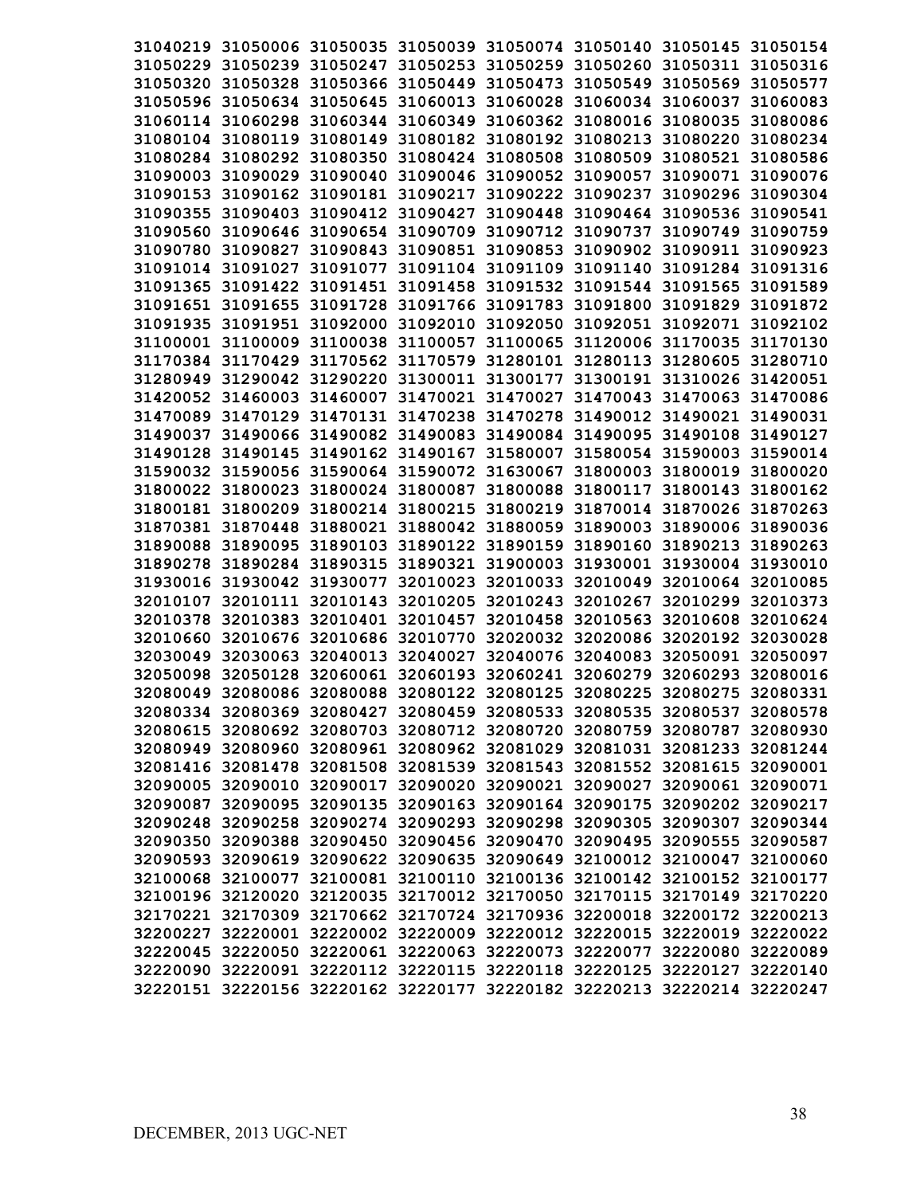|                   | 31040219 31050006 31050035 31050039 31050074 31050140 31050145 31050154 |                            |                                     |          |
|-------------------|-------------------------------------------------------------------------|----------------------------|-------------------------------------|----------|
|                   | 31050229 31050239 31050247 31050253 31050259 31050260 31050311 31050316 |                            |                                     |          |
|                   | 31050320 31050328 31050366 31050449 31050473 31050549 31050569 31050577 |                            |                                     |          |
|                   | 31050596 31050634 31050645 31060013 31060028 31060034 31060037 31060083 |                            |                                     |          |
|                   | 31060114 31060298 31060344 31060349 31060362 31080016 31080035          |                            |                                     | 31080086 |
|                   | 31080104 31080119 31080149 31080182 31080192 31080213 31080220 31080234 |                            |                                     |          |
|                   | 31080284 31080292 31080350 31080424 31080508 31080509 31080521 31080586 |                            |                                     |          |
|                   | 31090003 31090029 31090040 31090046 31090052 31090057 31090071 31090076 |                            |                                     |          |
|                   | 31090153 31090162 31090181 31090217 31090222 31090237 31090296 31090304 |                            |                                     |          |
|                   | 31090355 31090403 31090412 31090427 31090448 31090464 31090536 31090541 |                            |                                     |          |
|                   | 31090560 31090646 31090654 31090709 31090712 31090737 31090749 31090759 |                            |                                     |          |
|                   | 31090780 31090827 31090843 31090851 31090853 31090902 31090911 31090923 |                            |                                     |          |
|                   | 31091014 31091027 31091077 31091104 31091109 31091140 31091284 31091316 |                            |                                     |          |
|                   | 31091365 31091422 31091451 31091458 31091532 31091544 31091565 31091589 |                            |                                     |          |
|                   | 31091651 31091655 31091728 31091766 31091783 31091800 31091829 31091872 |                            |                                     |          |
|                   | 31091935 31091951 31092000 31092010 31092050 31092051 31092071 31092102 |                            |                                     |          |
|                   | 31100001 31100009 31100038 31100057 31100065 31120006 31170035 31170130 |                            |                                     |          |
|                   | 31170384 31170429 31170562 31170579 31280101 31280113 31280605 31280710 |                            |                                     |          |
|                   | 31280949 31290042 31290220 31300011 31300177 31300191 31310026 31420051 |                            |                                     |          |
|                   | 31420052 31460003 31460007 31470021 31470027 31470043 31470063 31470086 |                            |                                     |          |
|                   | 31470089 31470129 31470131 31470238 31470278 31490012 31490021 31490031 |                            |                                     |          |
|                   | 31490037 31490066 31490082 31490083 31490084 31490095 31490108 31490127 |                            |                                     |          |
|                   | 31490128 31490145 31490162 31490167 31580007 31580054 31590003 31590014 |                            |                                     |          |
|                   | 31590032 31590056 31590064 31590072 31630067 31800003 31800019 31800020 |                            |                                     |          |
|                   | 31800022 31800023 31800024 31800087 31800088 31800117 31800143 31800162 |                            |                                     |          |
|                   | 31800181 31800209 31800214 31800215 31800219 31870014 31870026 31870263 |                            |                                     |          |
|                   | 31870381 31870448 31880021 31880042 31880059 31890003 31890006 31890036 |                            |                                     |          |
| 31890088 31890095 | 31890103 31890122 31890159 31890160 31890213                            |                            |                                     | 31890263 |
|                   | 31890278 31890284 31890315 31890321 31900003 31930001 31930004 31930010 |                            |                                     |          |
|                   | 31930016 31930042 31930077 32010023 32010033 32010049 32010064 32010085 |                            |                                     |          |
|                   | 32010107 32010111 32010143 32010205                                     | 32010243 32010267 32010299 |                                     | 32010373 |
|                   | 32010378 32010383 32010401 32010457                                     |                            | 32010458 32010563 32010608          | 32010624 |
|                   | 32010660 32010676 32010686 32010770 32020032 32020086 32020192 32030028 |                            |                                     |          |
|                   | 32030049 32030063 32040013 32040027                                     |                            | 32040076 32040083 32050091 32050097 |          |
|                   | 32050098 32050128 32060061 32060193 32060241 32060279 32060293 32080016 |                            |                                     |          |
|                   | 32080049 32080086 32080088 32080122 32080125 32080225 32080275 32080331 |                            |                                     |          |
|                   | 32080334 32080369 32080427 32080459 32080533 32080535 32080537 32080578 |                            |                                     |          |
|                   | 32080615 32080692 32080703 32080712 32080720 32080759 32080787 32080930 |                            |                                     |          |
|                   | 32080949 32080960 32080961 32080962 32081029 32081031 32081233 32081244 |                            |                                     |          |
|                   | 32081416 32081478 32081508 32081539 32081543 32081552 32081615 32090001 |                            |                                     |          |
|                   | 32090005 32090010 32090017 32090020 32090021 32090027 32090061 32090071 |                            |                                     |          |
|                   | 32090087 32090095 32090135 32090163 32090164 32090175 32090202 32090217 |                            |                                     |          |
|                   | 32090248 32090258 32090274 32090293 32090298 32090305 32090307 32090344 |                            |                                     |          |
|                   | 32090350 32090388 32090450 32090456 32090470 32090495 32090555 32090587 |                            |                                     |          |
|                   | 32090593 32090619 32090622 32090635 32090649 32100012 32100047 32100060 |                            |                                     |          |
|                   | 32100068 32100077 32100081 32100110 32100136 32100142 32100152 32100177 |                            |                                     |          |
|                   | 32100196 32120020 32120035 32170012 32170050 32170115 32170149 32170220 |                            |                                     |          |
|                   | 32170221 32170309 32170662 32170724 32170936 32200018 32200172 32200213 |                            |                                     |          |
|                   | 32200227 32220001 32220002 32220009 32220012 32220015 32220019 32220022 |                            |                                     |          |
|                   | 32220045 32220050 32220061 32220063 32220073 32220077 32220080 32220089 |                            |                                     |          |
|                   | 32220090 32220091 32220112 32220115 32220118 32220125 32220127 32220140 |                            |                                     |          |
|                   | 32220151 32220156 32220162 32220177 32220182 32220213 32220214 32220247 |                            |                                     |          |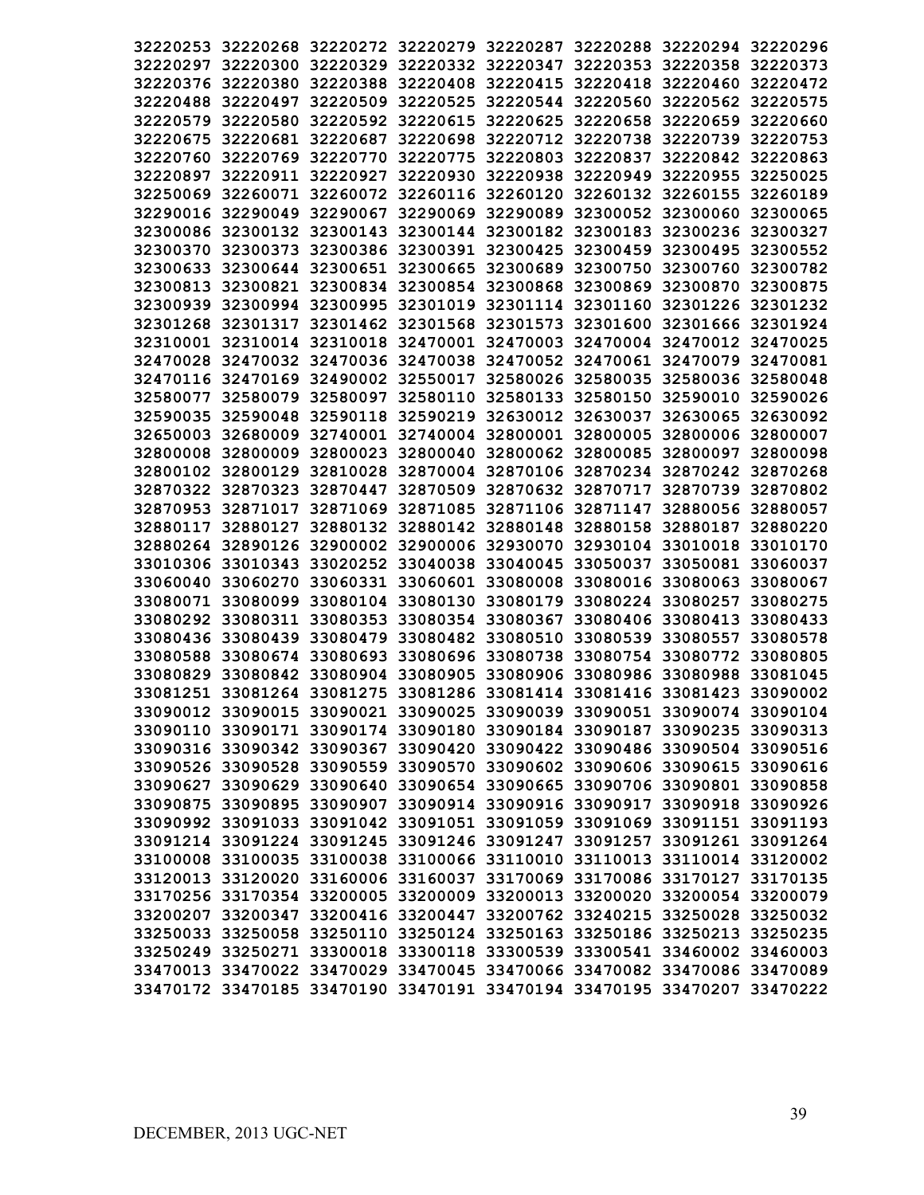|          |                   |                                                                |                                     |                            | 32220253 32220268 32220272 32220279 32220287 32220288 32220294 32220296 |          |
|----------|-------------------|----------------------------------------------------------------|-------------------------------------|----------------------------|-------------------------------------------------------------------------|----------|
|          |                   |                                                                |                                     |                            | 32220297 32220300 32220329 32220332 32220347 32220353 32220358 32220373 |          |
|          |                   |                                                                |                                     |                            | 32220376 32220380 32220388 32220408 32220415 32220418 32220460 32220472 |          |
|          | 32220488 32220497 |                                                                |                                     |                            | 32220509 32220525 32220544 32220560 32220562 32220575                   |          |
| 32220579 | 32220580          | 32220592 32220615 32220625                                     |                                     |                            | 32220658 32220659                                                       | 32220660 |
|          | 32220675 32220681 |                                                                |                                     |                            | 32220687 32220698 32220712 32220738 32220739 32220753                   |          |
|          |                   | 32220760 32220769 32220770 32220775                            |                                     |                            | 32220803 32220837 32220842 32220863                                     |          |
| 32220897 |                   | 32220911 32220927 32220930                                     |                                     | 32220938 32220949 32220955 |                                                                         | 32250025 |
| 32250069 |                   |                                                                |                                     |                            | 32260071 32260072 32260116 32260120 32260132 32260155                   | 32260189 |
|          |                   | 32290016 32290049 32290067 32290069 32290089 32300052 32300060 |                                     |                            |                                                                         | 32300065 |
|          |                   |                                                                |                                     |                            | 32300086 32300132 32300143 32300144 32300182 32300183 32300236 32300327 |          |
|          |                   |                                                                |                                     |                            | 32300370 32300373 32300386 32300391 32300425 32300459 32300495 32300552 |          |
|          |                   |                                                                |                                     |                            | 32300633 32300644 32300651 32300665 32300689 32300750 32300760 32300782 |          |
|          |                   |                                                                |                                     |                            | 32300813 32300821 32300834 32300854 32300868 32300869 32300870 32300875 |          |
|          |                   |                                                                |                                     |                            | 32300939 32300994 32300995 32301019 32301114 32301160 32301226 32301232 |          |
|          |                   |                                                                |                                     |                            | 32301268 32301317 32301462 32301568 32301573 32301600 32301666 32301924 |          |
|          |                   |                                                                |                                     |                            | 32310001 32310014 32310018 32470001 32470003 32470004 32470012 32470025 |          |
|          |                   |                                                                |                                     |                            | 32470028 32470032 32470036 32470038 32470052 32470061 32470079 32470081 |          |
|          |                   |                                                                |                                     |                            | 32470116 32470169 32490002 32550017 32580026 32580035 32580036 32580048 |          |
|          |                   |                                                                |                                     |                            | 32580077 32580079 32580097 32580110 32580133 32580150 32590010 32590026 |          |
|          |                   |                                                                |                                     |                            | 32590035 32590048 32590118 32590219 32630012 32630037 32630065 32630092 |          |
|          |                   |                                                                |                                     |                            | 32650003 32680009 32740001 32740004 32800001 32800005 32800006 32800007 |          |
|          |                   |                                                                |                                     |                            | 32800008 32800009 32800023 32800040 32800062 32800085 32800097 32800098 |          |
|          |                   |                                                                |                                     |                            | 32800102 32800129 32810028 32870004 32870106 32870234 32870242 32870268 |          |
|          |                   |                                                                |                                     |                            | 32870322 32870323 32870447 32870509 32870632 32870717 32870739 32870802 |          |
|          |                   |                                                                |                                     |                            | 32870953 32871017 32871069 32871085 32871106 32871147 32880056 32880057 |          |
|          | 32880117 32880127 |                                                                | 32880132 32880142 32880148 32880158 |                            | 32880187                                                                | 32880220 |
|          |                   |                                                                |                                     |                            | 32880264 32890126 32900002 32900006 32930070 32930104 33010018          | 33010170 |
|          | 33010306 33010343 | 33020252 33040038 33040045                                     |                                     |                            | 33050037 33050081 33060037                                              |          |
|          | 33060040 33060270 |                                                                | 33060331 33060601 33080008          |                            | 33080016 33080063                                                       | 33080067 |
|          |                   | 33080071 33080099 33080104 33080130 33080179 33080224 33080257 |                                     |                            |                                                                         | 33080275 |
|          | 33080292 33080311 |                                                                | 33080353 33080354 33080367          |                            | 33080406 33080413                                                       | 33080433 |
|          | 33080436 33080439 | 33080479 33080482 33080510 33080539 33080557                   |                                     |                            |                                                                         | 33080578 |
|          |                   | 33080588 33080674 33080693 33080696 33080738 33080754 33080772 |                                     |                            |                                                                         | 33080805 |
|          |                   | 33080829 33080842 33080904 33080905                            |                                     | 33080906 33080986 33080988 |                                                                         | 33081045 |
|          |                   |                                                                |                                     |                            | 33081251 33081264 33081275 33081286 33081414 33081416 33081423 33090002 |          |
|          |                   |                                                                |                                     |                            | 33090012 33090015 33090021 33090025 33090039 33090051 33090074 33090104 |          |
|          |                   |                                                                |                                     |                            | 33090110 33090171 33090174 33090180 33090184 33090187 33090235 33090313 |          |
|          |                   |                                                                |                                     |                            | 33090316 33090342 33090367 33090420 33090422 33090486 33090504 33090516 |          |
|          |                   |                                                                |                                     |                            | 33090526 33090528 33090559 33090570 33090602 33090606 33090615 33090616 |          |
|          |                   |                                                                |                                     |                            | 33090627 33090629 33090640 33090654 33090665 33090706 33090801 33090858 |          |
|          |                   |                                                                |                                     |                            | 33090875 33090895 33090907 33090914 33090916 33090917 33090918 33090926 |          |
|          |                   |                                                                |                                     |                            | 33090992 33091033 33091042 33091051 33091059 33091069 33091151 33091193 |          |
|          |                   |                                                                |                                     |                            | 33091214 33091224 33091245 33091246 33091247 33091257 33091261 33091264 |          |
|          |                   |                                                                |                                     |                            | 33100008 33100035 33100038 33100066 33110010 33110013 33110014 33120002 |          |
|          |                   |                                                                |                                     |                            | 33120013 33120020 33160006 33160037 33170069 33170086 33170127 33170135 |          |
|          |                   |                                                                |                                     |                            | 33170256 33170354 33200005 33200009 33200013 33200020 33200054 33200079 |          |
|          |                   |                                                                |                                     |                            | 33200207 33200347 33200416 33200447 33200762 33240215 33250028 33250032 |          |
|          |                   |                                                                |                                     |                            | 33250033 33250058 33250110 33250124 33250163 33250186 33250213 33250235 |          |
|          |                   |                                                                |                                     |                            | 33250249 33250271 33300018 33300118 33300539 33300541 33460002 33460003 |          |
|          |                   |                                                                |                                     |                            | 33470013 33470022 33470029 33470045 33470066 33470082 33470086 33470089 |          |
|          |                   |                                                                |                                     |                            | 33470172 33470185 33470190 33470191 33470194 33470195 33470207 33470222 |          |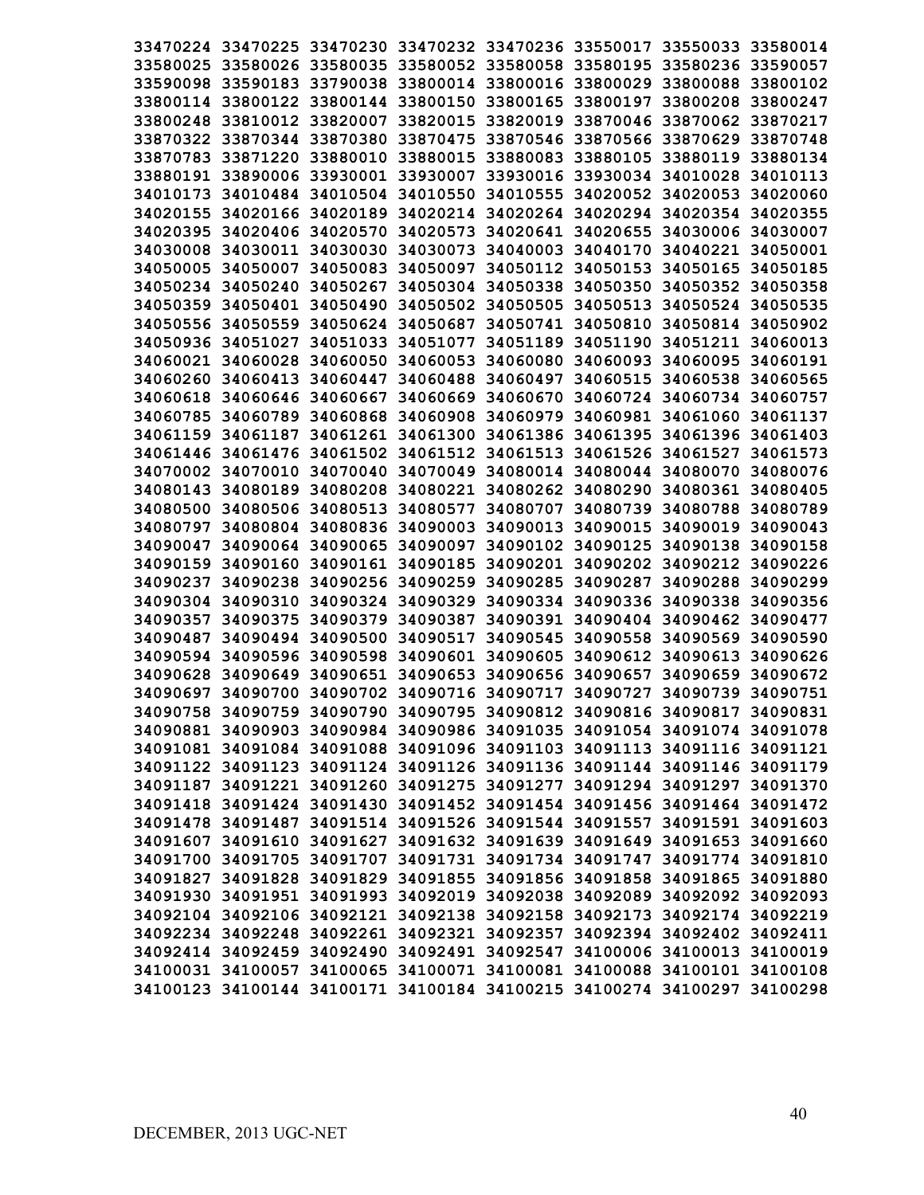|                                     |          |                                              |          | 33470224 33470225 33470230 33470232 33470236 33550017 33550033 33580014 |                            |          |
|-------------------------------------|----------|----------------------------------------------|----------|-------------------------------------------------------------------------|----------------------------|----------|
|                                     |          |                                              |          | 33580025 33580026 33580035 33580052 33580058 33580195 33580236 33590057 |                            |          |
|                                     |          |                                              |          | 33590098 33590183 33790038 33800014 33800016 33800029 33800088 33800102 |                            |          |
|                                     |          |                                              |          | 33800114 33800122 33800144 33800150 33800165 33800197 33800208          |                            | 33800247 |
|                                     |          |                                              |          | 33800248 33810012 33820007 33820015 33820019 33870046 33870062 33870217 |                            |          |
|                                     |          |                                              |          | 33870322 33870344 33870380 33870475 33870546 33870566 33870629          |                            | 33870748 |
|                                     |          |                                              |          | 33870783 33871220 33880010 33880015 33880083 33880105 33880119 33880134 |                            |          |
|                                     |          |                                              |          | 33880191 33890006 33930001 33930007 33930016 33930034 34010028 34010113 |                            |          |
|                                     |          |                                              |          | 34010173 34010484 34010504 34010550 34010555 34020052 34020053 34020060 |                            |          |
|                                     |          |                                              |          | 34020155 34020166 34020189 34020214 34020264 34020294 34020354 34020355 |                            |          |
|                                     |          |                                              |          | 34020395 34020406 34020570 34020573 34020641 34020655 34030006 34030007 |                            |          |
|                                     |          |                                              |          | 34030008 34030011 34030030 34030073 34040003 34040170 34040221 34050001 |                            |          |
|                                     |          |                                              |          | 34050005 34050007 34050083 34050097 34050112 34050153 34050165 34050185 |                            |          |
|                                     |          |                                              |          | 34050234 34050240 34050267 34050304 34050338 34050350 34050352 34050358 |                            |          |
|                                     |          |                                              |          | 34050359 34050401 34050490 34050502 34050505 34050513 34050524 34050535 |                            |          |
|                                     |          |                                              |          | 34050556 34050559 34050624 34050687 34050741 34050810 34050814 34050902 |                            |          |
|                                     |          |                                              |          | 34050936 34051027 34051033 34051077 34051189 34051190 34051211 34060013 |                            |          |
|                                     |          |                                              |          | 34060021 34060028 34060050 34060053 34060080 34060093 34060095 34060191 |                            |          |
|                                     |          |                                              |          | 34060260 34060413 34060447 34060488 34060497 34060515 34060538 34060565 |                            |          |
|                                     |          |                                              |          | 34060618 34060646 34060667 34060669 34060670 34060724 34060734 34060757 |                            |          |
|                                     |          |                                              |          | 34060785 34060789 34060868 34060908 34060979 34060981 34061060          |                            | 34061137 |
|                                     |          |                                              |          | 34061159 34061187 34061261 34061300 34061386 34061395 34061396 34061403 |                            |          |
|                                     |          |                                              |          | 34061446 34061476 34061502 34061512 34061513 34061526 34061527 34061573 |                            |          |
| 34070002 34070010                   | 34070040 |                                              |          | 34070049 34080014 34080044 34080070                                     |                            | 34080076 |
|                                     |          |                                              |          | 34080143 34080189 34080208 34080221 34080262 34080290 34080361 34080405 |                            |          |
|                                     |          | 34080500 34080506 34080513 34080577 34080707 |          |                                                                         | 34080739 34080788 34080789 |          |
| 34080797 34080804 34080836          |          | 34090003 34090013                            |          | 34090015 34090019 34090043                                              |                            |          |
|                                     |          | 34090047 34090064 34090065 34090097          |          | 34090102 34090125 34090138                                              |                            | 34090158 |
|                                     |          | 34090159 34090160 34090161 34090185          |          | 34090201 34090202 34090212 34090226                                     |                            |          |
|                                     |          | 34090237 34090238 34090256 34090259          | 34090285 | 34090287 34090288                                                       |                            | 34090299 |
| 34090304 34090310                   |          |                                              |          | 34090324 34090329 34090334 34090336 34090338                            |                            | 34090356 |
| 34090357 34090375                   |          | 34090379 34090387                            |          | 34090391 34090404 34090462 34090477                                     |                            |          |
| 34090487 34090494 34090500 34090517 |          |                                              | 34090545 | 34090558 34090569 34090590                                              |                            |          |
| 34090594 34090596                   |          | 34090598 34090601                            |          | 34090605 34090612 34090613                                              |                            | 34090626 |
|                                     |          |                                              |          | 34090628 34090649 34090651 34090653 34090656 34090657 34090659          |                            | 34090672 |
|                                     |          |                                              |          | 34090697 34090700 34090702 34090716 34090717 34090727 34090739 34090751 |                            |          |
|                                     |          |                                              |          | 34090758 34090759 34090790 34090795 34090812 34090816 34090817 34090831 |                            |          |
|                                     |          |                                              |          | 34090881 34090903 34090984 34090986 34091035 34091054 34091074 34091078 |                            |          |
|                                     |          |                                              |          | 34091081 34091084 34091088 34091096 34091103 34091113 34091116 34091121 |                            |          |
|                                     |          |                                              |          | 34091122 34091123 34091124 34091126 34091136 34091144 34091146 34091179 |                            |          |
|                                     |          |                                              |          | 34091187 34091221 34091260 34091275 34091277 34091294 34091297 34091370 |                            |          |
|                                     |          |                                              |          | 34091418 34091424 34091430 34091452 34091454 34091456 34091464 34091472 |                            |          |
|                                     |          |                                              |          | 34091478 34091487 34091514 34091526 34091544 34091557 34091591 34091603 |                            |          |
|                                     |          |                                              |          | 34091607 34091610 34091627 34091632 34091639 34091649 34091653 34091660 |                            |          |
|                                     |          |                                              |          | 34091700 34091705 34091707 34091731 34091734 34091747 34091774 34091810 |                            |          |
|                                     |          |                                              |          | 34091827 34091828 34091829 34091855 34091856 34091858 34091865 34091880 |                            |          |
|                                     |          |                                              |          | 34091930 34091951 34091993 34092019 34092038 34092089 34092092 34092093 |                            |          |
|                                     |          |                                              |          | 34092104 34092106 34092121 34092138 34092158 34092173 34092174 34092219 |                            |          |
|                                     |          |                                              |          | 34092234 34092248 34092261 34092321 34092357 34092394 34092402 34092411 |                            |          |
|                                     |          |                                              |          | 34092414 34092459 34092490 34092491 34092547 34100006 34100013 34100019 |                            |          |
|                                     |          |                                              |          | 34100031 34100057 34100065 34100071 34100081 34100088 34100101 34100108 |                            |          |
|                                     |          |                                              |          | 34100123 34100144 34100171 34100184 34100215 34100274 34100297 34100298 |                            |          |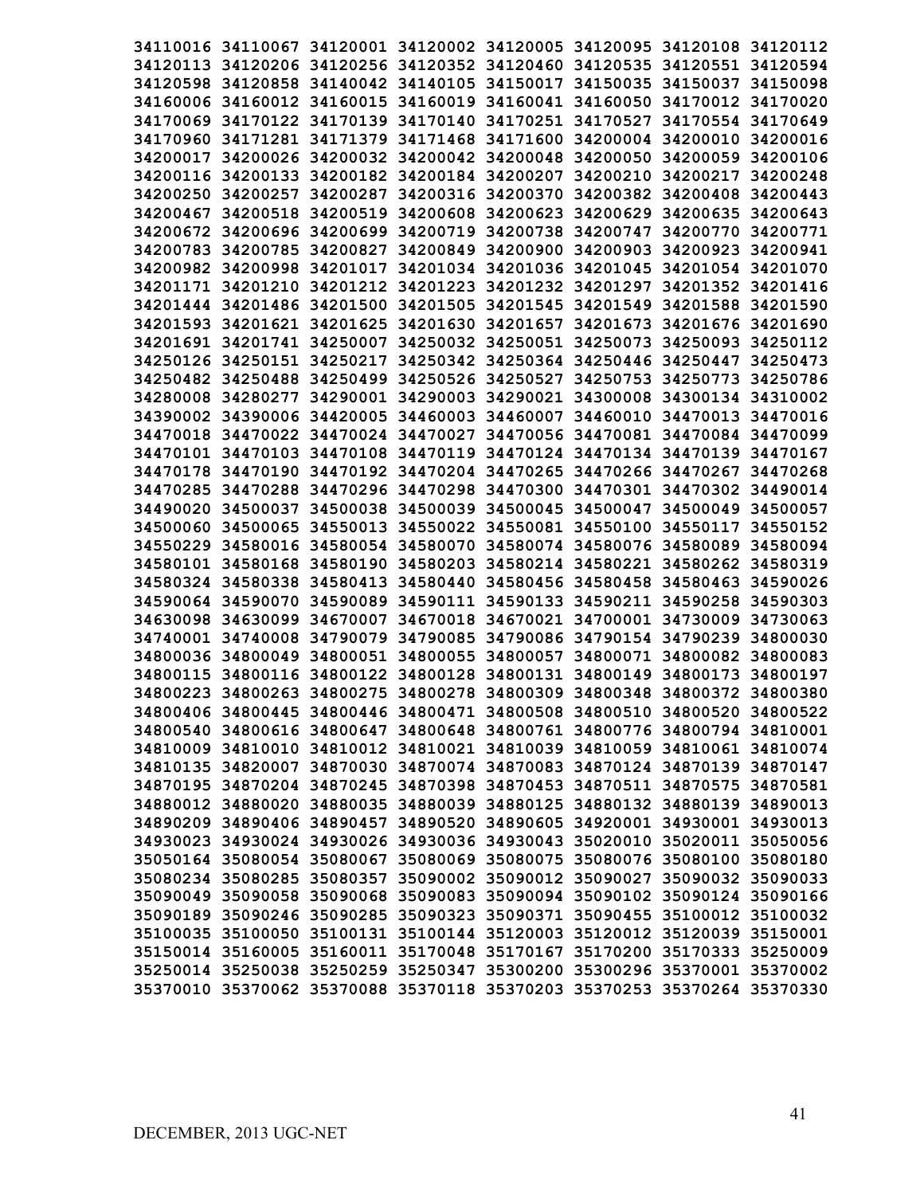|          | 34110016 34110067 34120001 34120002 34120005 34120095 34120108 34120112 |                                     |          |                            |                                                       |                   |          |
|----------|-------------------------------------------------------------------------|-------------------------------------|----------|----------------------------|-------------------------------------------------------|-------------------|----------|
|          | 34120113 34120206 34120256 34120352 34120460 34120535 34120551 34120594 |                                     |          |                            |                                                       |                   |          |
|          | 34120598 34120858 34140042 34140105 34150017 34150035 34150037          |                                     |          |                            |                                                       |                   | 34150098 |
|          | 34160006 34160012 34160015 34160019 34160041 34160050 34170012 34170020 |                                     |          |                            |                                                       |                   |          |
| 34170069 |                                                                         | 34170122 34170139                   |          |                            | 34170140 34170251 34170527                            | 34170554 34170649 |          |
|          | 34170960 34171281 34171379                                              |                                     |          |                            | 34171468 34171600 34200004 34200010                   |                   | 34200016 |
| 34200017 |                                                                         |                                     |          |                            | 34200026 34200032 34200042 34200048 34200050 34200059 |                   | 34200106 |
|          | 34200116 34200133                                                       |                                     |          |                            | 34200182 34200184 34200207 34200210 34200217 34200248 |                   |          |
| 34200250 | 34200257                                                                |                                     |          |                            | 34200287 34200316 34200370 34200382 34200408 34200443 |                   |          |
|          | 34200467 34200518 34200519 34200608 34200623 34200629 34200635 34200643 |                                     |          |                            |                                                       |                   |          |
|          | 34200672 34200696 34200699                                              |                                     |          |                            | 34200719 34200738 34200747 34200770 34200771          |                   |          |
|          | 34200783 34200785 34200827 34200849 34200900 34200903                   |                                     |          |                            |                                                       | 34200923 34200941 |          |
|          | 34200982 34200998 34201017 34201034 34201036 34201045 34201054 34201070 |                                     |          |                            |                                                       |                   |          |
|          | 34201171 34201210 34201212 34201223 34201232 34201297 34201352 34201416 |                                     |          |                            |                                                       |                   |          |
|          | 34201444 34201486 34201500 34201505 34201545 34201549 34201588 34201590 |                                     |          |                            |                                                       |                   |          |
|          | 34201593 34201621 34201625 34201630 34201657 34201673 34201676 34201690 |                                     |          |                            |                                                       |                   |          |
|          | 34201691 34201741 34250007 34250032 34250051 34250073 34250093 34250112 |                                     |          |                            |                                                       |                   |          |
|          | 34250126 34250151 34250217 34250342 34250364 34250446 34250447 34250473 |                                     |          |                            |                                                       |                   |          |
|          | 34250482 34250488 34250499 34250526 34250527 34250753 34250773 34250786 |                                     |          |                            |                                                       |                   |          |
|          | 34280008 34280277 34290001 34290003 34290021 34300008 34300134 34310002 |                                     |          |                            |                                                       |                   |          |
|          | 34390002 34390006 34420005 34460003 34460007 34460010 34470013 34470016 |                                     |          |                            |                                                       |                   |          |
|          | 34470018 34470022 34470024 34470027 34470056 34470081 34470084 34470099 |                                     |          |                            |                                                       |                   |          |
|          | 34470101 34470103 34470108 34470119 34470124 34470134 34470139 34470167 |                                     |          |                            |                                                       |                   |          |
|          | 34470178 34470190                                                       |                                     |          |                            | 34470192 34470204 34470265 34470266 34470267 34470268 |                   |          |
|          | 34470285 34470288 34470296 34470298 34470300 34470301 34470302 34490014 |                                     |          |                            |                                                       |                   |          |
|          | 34490020 34500037                                                       | 34500038 34500039 34500045 34500047 |          |                            |                                                       | 34500049          | 34500057 |
|          | 34500060 34500065 34550013                                              |                                     |          | 34550022 34550081 34550100 |                                                       | 34550117          | 34550152 |
|          | 34550229 34580016 34580054 34580070                                     |                                     |          |                            | 34580074 34580076 34580089                            |                   | 34580094 |
|          | 34580101 34580168 34580190                                              |                                     |          |                            | 34580203 34580214 34580221 34580262 34580319          |                   |          |
|          | 34580324 34580338                                                       | 34580413                            |          |                            | 34580440 34580456 34580458 34580463                   |                   | 34590026 |
|          | 34590064 34590070 34590089                                              |                                     |          |                            | 34590111 34590133 34590211 34590258 34590303          |                   |          |
|          | 34630098 34630099                                                       | 34670007                            |          |                            | 34670018 34670021 34700001 34730009                   |                   | 34730063 |
|          | 34740001 34740008 34790079                                              |                                     | 34790085 |                            | 34790086 34790154 34790239                            |                   | 34800030 |
|          | 34800036 34800049                                                       | 34800051 34800055                   |          |                            | 34800057 34800071 34800082 34800083                   |                   |          |
|          | 34800115 34800116 34800122 34800128 34800131 34800149 34800173 34800197 |                                     |          |                            |                                                       |                   |          |
|          | 34800223 34800263 34800275 34800278 34800309 34800348 34800372 34800380 |                                     |          |                            |                                                       |                   |          |
|          | 34800406 34800445 34800446 34800471 34800508 34800510 34800520 34800522 |                                     |          |                            |                                                       |                   |          |
|          | 34800540 34800616 34800647 34800648 34800761 34800776 34800794 34810001 |                                     |          |                            |                                                       |                   |          |
|          | 34810009 34810010 34810012 34810021 34810039 34810059 34810061 34810074 |                                     |          |                            |                                                       |                   |          |
|          | 34810135 34820007 34870030 34870074 34870083 34870124 34870139 34870147 |                                     |          |                            |                                                       |                   |          |
|          | 34870195 34870204 34870245 34870398 34870453 34870511 34870575 34870581 |                                     |          |                            |                                                       |                   |          |
|          | 34880012 34880020 34880035 34880039 34880125 34880132 34880139 34890013 |                                     |          |                            |                                                       |                   |          |
|          | 34890209 34890406 34890457 34890520 34890605 34920001 34930001 34930013 |                                     |          |                            |                                                       |                   |          |
|          | 34930023 34930024 34930026 34930036 34930043 35020010 35020011 35050056 |                                     |          |                            |                                                       |                   |          |
|          | 35050164 35080054 35080067 35080069 35080075 35080076 35080100 35080180 |                                     |          |                            |                                                       |                   |          |
|          | 35080234 35080285 35080357 35090002 35090012 35090027 35090032 35090033 |                                     |          |                            |                                                       |                   |          |
|          | 35090049 35090058 35090068 35090083 35090094 35090102 35090124 35090166 |                                     |          |                            |                                                       |                   |          |
|          | 35090189 35090246 35090285 35090323 35090371 35090455 35100012 35100032 |                                     |          |                            |                                                       |                   |          |
|          | 35100035 35100050 35100131 35100144 35120003 35120012 35120039 35150001 |                                     |          |                            |                                                       |                   |          |
|          | 35150014 35160005 35160011 35170048 35170167 35170200 35170333 35250009 |                                     |          |                            |                                                       |                   |          |
|          | 35250014 35250038 35250259 35250347 35300200 35300296 35370001 35370002 |                                     |          |                            |                                                       |                   |          |
|          | 35370010 35370062 35370088 35370118 35370203 35370253 35370264 35370330 |                                     |          |                            |                                                       |                   |          |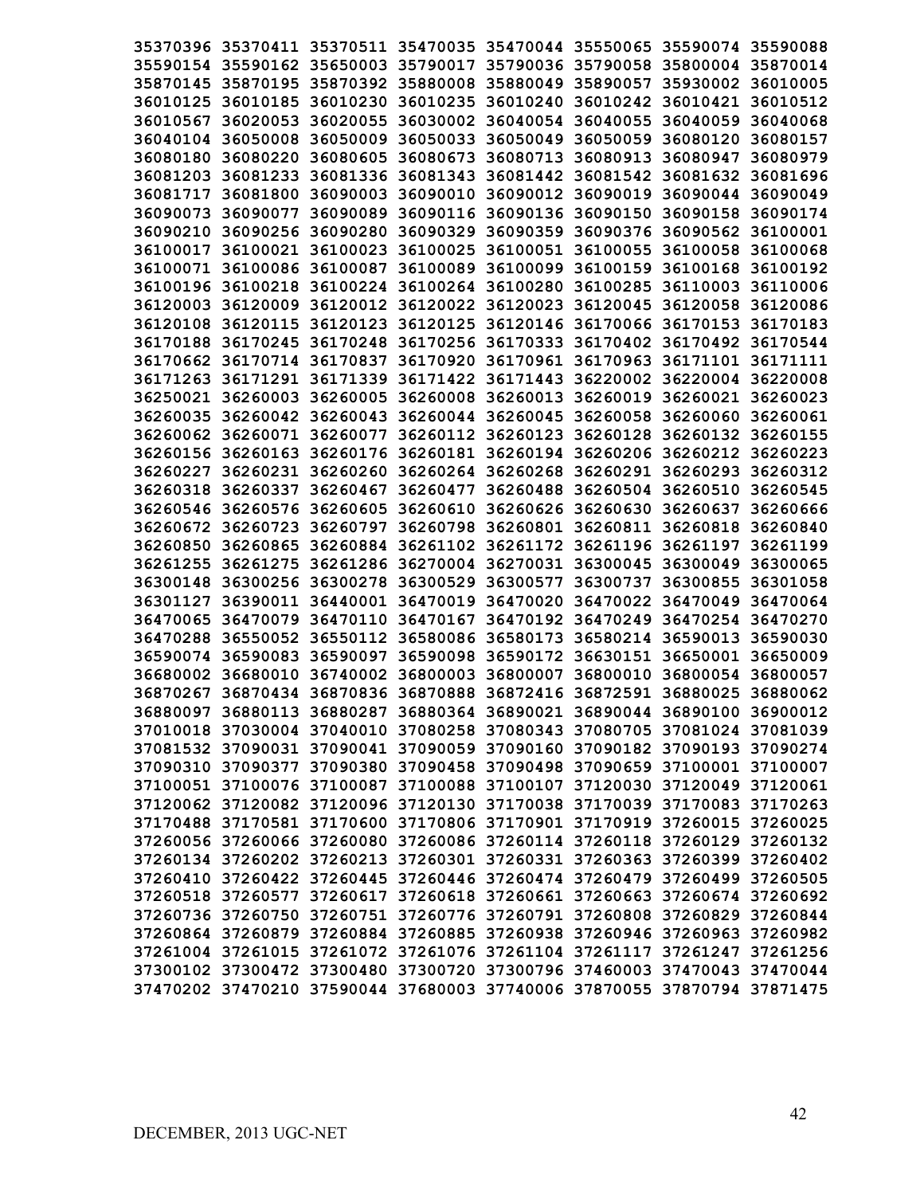|                            | 35370396 35370411 35370511 35470035 35470044 35550065 35590074 35590088 |          |          |          |
|----------------------------|-------------------------------------------------------------------------|----------|----------|----------|
|                            | 35590154 35590162 35650003 35790017 35790036 35790058 35800004 35870014 |          |          |          |
|                            | 35870145 35870195 35870392 35880008 35880049 35890057 35930002 36010005 |          |          |          |
|                            | 36010125 36010185 36010230 36010235 36010240 36010242 36010421 36010512 |          |          |          |
| 36010567 36020053          | 36020055 36030002 36040054 36040055 36040059 36040068                   |          |          |          |
|                            | 36040104 36050008 36050009 36050033 36050049 36050059 36080120 36080157 |          |          |          |
|                            | 36080180 36080220 36080605 36080673 36080713 36080913 36080947          |          |          | 36080979 |
|                            | 36081203 36081233 36081336 36081343 36081442 36081542 36081632 36081696 |          |          |          |
|                            | 36081717 36081800 36090003 36090010 36090012 36090019 36090044 36090049 |          |          |          |
|                            | 36090073 36090077 36090089 36090116 36090136 36090150 36090158 36090174 |          |          |          |
|                            | 36090210 36090256 36090280 36090329 36090359 36090376 36090562 36100001 |          |          |          |
|                            | 36100017 36100021 36100023 36100025 36100051 36100055 36100058 36100068 |          |          |          |
|                            | 36100071 36100086 36100087 36100089 36100099 36100159 36100168 36100192 |          |          |          |
|                            | 36100196 36100218 36100224 36100264 36100280 36100285 36110003 36110006 |          |          |          |
|                            | 36120003 36120009 36120012 36120022 36120023 36120045 36120058 36120086 |          |          |          |
|                            | 36120108 36120115 36120123 36120125 36120146 36170066 36170153 36170183 |          |          |          |
|                            | 36170188 36170245 36170248 36170256 36170333 36170402 36170492 36170544 |          |          |          |
|                            | 36170662 36170714 36170837 36170920 36170961 36170963 36171101 36171111 |          |          |          |
|                            | 36171263 36171291 36171339 36171422 36171443 36220002 36220004 36220008 |          |          |          |
|                            | 36250021 36260003 36260005 36260008 36260013 36260019 36260021 36260023 |          |          |          |
|                            | 36260035 36260042 36260043 36260044 36260045 36260058 36260060 36260061 |          |          |          |
|                            | 36260062 36260071 36260077 36260112 36260123 36260128 36260132 36260155 |          |          |          |
|                            | 36260156 36260163 36260176 36260181 36260194 36260206 36260212 36260223 |          |          |          |
|                            | 36260227 36260231 36260260 36260264 36260268 36260291 36260293 36260312 |          |          |          |
|                            | 36260318 36260337 36260467 36260477 36260488 36260504 36260510 36260545 |          |          |          |
| 36260546 36260576 36260605 | 36260610 36260626 36260630 36260637                                     |          |          | 36260666 |
| 36260672 36260723          | 36260797 36260798 36260801 36260811 36260818 36260840                   |          |          |          |
| 36260850 36260865          | 36260884 36261102 36261172 36261196 36261197                            |          |          | 36261199 |
| 36261255 36261275          | 36261286 36270004 36270031 36300045 36300049 36300065                   |          |          |          |
|                            | 36300148 36300256 36300278 36300529 36300577                            | 36300737 | 36300855 | 36301058 |
|                            | 36301127 36390011 36440001 36470019 36470020 36470022 36470049          |          |          | 36470064 |
|                            | 36470065 36470079 36470110 36470167 36470192 36470249 36470254 36470270 |          |          |          |
|                            | 36470288 36550052 36550112 36580086 36580173 36580214 36590013          |          |          | 36590030 |
|                            | 36590074 36590083 36590097 36590098 36590172 36630151 36650001          |          |          | 36650009 |
|                            | 36680002 36680010 36740002 36800003 36800007 36800010 36800054          |          |          | 36800057 |
|                            | 36870267 36870434 36870836 36870888 36872416 36872591 36880025 36880062 |          |          |          |
|                            | 36880097 36880113 36880287 36880364 36890021 36890044 36890100 36900012 |          |          |          |
|                            | 37010018 37030004 37040010 37080258 37080343 37080705 37081024 37081039 |          |          |          |
|                            | 37081532 37090031 37090041 37090059 37090160 37090182 37090193 37090274 |          |          |          |
|                            | 37090310 37090377 37090380 37090458 37090498 37090659 37100001 37100007 |          |          |          |
|                            | 37100051 37100076 37100087 37100088 37100107 37120030 37120049 37120061 |          |          |          |
|                            | 37120062 37120082 37120096 37120130 37170038 37170039 37170083 37170263 |          |          |          |
|                            | 37170488 37170581 37170600 37170806 37170901 37170919 37260015 37260025 |          |          |          |
|                            | 37260056 37260066 37260080 37260086 37260114 37260118 37260129 37260132 |          |          |          |
|                            | 37260134 37260202 37260213 37260301 37260331 37260363 37260399 37260402 |          |          |          |
|                            | 37260410 37260422 37260445 37260446 37260474 37260479 37260499 37260505 |          |          |          |
|                            | 37260518 37260577 37260617 37260618 37260661 37260663 37260674 37260692 |          |          |          |
|                            | 37260736 37260750 37260751 37260776 37260791 37260808 37260829 37260844 |          |          |          |
|                            | 37260864 37260879 37260884 37260885 37260938 37260946 37260963 37260982 |          |          |          |
|                            | 37261004 37261015 37261072 37261076 37261104 37261117 37261247 37261256 |          |          |          |
|                            | 37300102 37300472 37300480 37300720 37300796 37460003 37470043 37470044 |          |          |          |
|                            | 37470202 37470210 37590044 37680003 37740006 37870055 37870794 37871475 |          |          |          |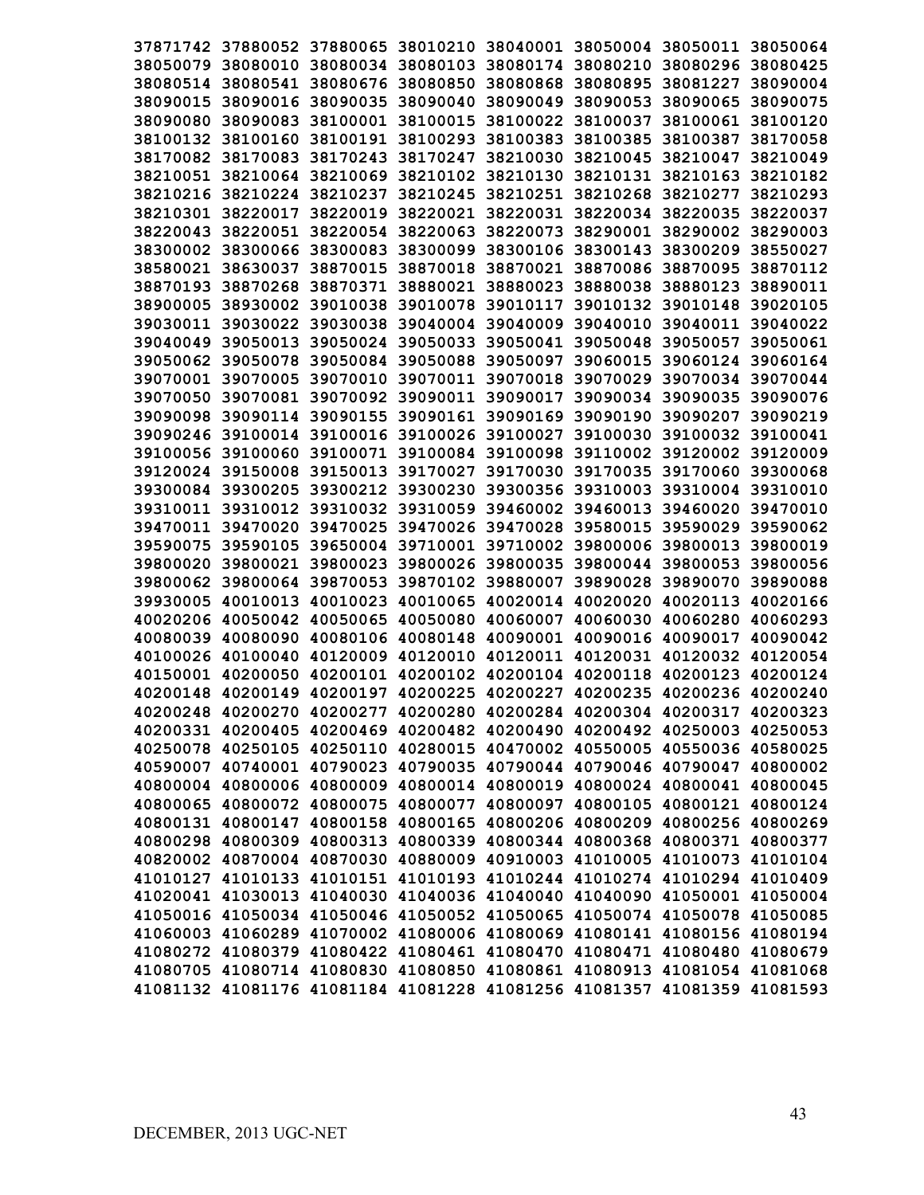|          |                                                                         |                                                                |                                              |                   |                                     | 37871742 37880052 37880065 38010210 38040001 38050004 38050011 38050064 |          |
|----------|-------------------------------------------------------------------------|----------------------------------------------------------------|----------------------------------------------|-------------------|-------------------------------------|-------------------------------------------------------------------------|----------|
|          |                                                                         |                                                                |                                              |                   |                                     | 38050079 38080010 38080034 38080103 38080174 38080210 38080296 38080425 |          |
|          | 38080514 38080541                                                       |                                                                | 38080676 38080850 38080868                   |                   | 38080895                            | 38081227                                                                | 38090004 |
| 38090015 | 38090016                                                                | 38090035                                                       | 38090040 38090049                            |                   | 38090053                            | 38090065                                                                | 38090075 |
| 38090080 | 38090083                                                                |                                                                | 38100001 38100015                            |                   | 38100022 38100037                   | 38100061                                                                | 38100120 |
|          | 38100132 38100160                                                       |                                                                | 38100191 38100293                            |                   | 38100383 38100385 38100387          |                                                                         | 38170058 |
|          | 38170082 38170083                                                       |                                                                | 38170243 38170247                            |                   | 38210030 38210045 38210047          |                                                                         | 38210049 |
|          |                                                                         | 38210051 38210064 38210069 38210102 38210130 38210131 38210163 |                                              |                   |                                     |                                                                         | 38210182 |
|          |                                                                         | 38210216 38210224 38210237 38210245                            |                                              |                   | 38210251 38210268 38210277          |                                                                         | 38210293 |
|          |                                                                         | 38210301 38220017 38220019 38220021 38220031 38220034 38220035 |                                              |                   |                                     |                                                                         | 38220037 |
|          | 38220043 38220051                                                       |                                                                | 38220054 38220063                            |                   | 38220073 38290001 38290002          |                                                                         | 38290003 |
|          |                                                                         | 38300002 38300066 38300083 38300099                            |                                              |                   | 38300106 38300143 38300209          |                                                                         | 38550027 |
|          | 38580021 38630037                                                       |                                                                | 38870015 38870018 38870021 38870086 38870095 |                   |                                     |                                                                         | 38870112 |
|          | 38870193 38870268                                                       |                                                                |                                              |                   |                                     | 38870371 38880021 38880023 38880038 38880123 38890011                   |          |
|          |                                                                         |                                                                |                                              |                   |                                     | 38900005 38930002 39010038 39010078 39010117 39010132 39010148 39020105 |          |
|          |                                                                         |                                                                |                                              |                   |                                     | 39030011 39030022 39030038 39040004 39040009 39040010 39040011 39040022 |          |
|          |                                                                         |                                                                |                                              |                   |                                     | 39040049 39050013 39050024 39050033 39050041 39050048 39050057 39050061 |          |
|          |                                                                         |                                                                |                                              |                   |                                     | 39050062 39050078 39050084 39050088 39050097 39060015 39060124 39060164 |          |
|          |                                                                         |                                                                |                                              |                   |                                     | 39070001 39070005 39070010 39070011 39070018 39070029 39070034 39070044 |          |
|          |                                                                         | 39070050 39070081 39070092 39090011 39090017 39090034 39090035 |                                              |                   |                                     |                                                                         | 39090076 |
|          | 39090098 39090114 39090155                                              |                                                                | 39090161 39090169 39090190 39090207          |                   |                                     |                                                                         | 39090219 |
|          |                                                                         |                                                                |                                              |                   |                                     | 39090246 39100014 39100016 39100026 39100027 39100030 39100032 39100041 |          |
|          |                                                                         | 39100056 39100060 39100071 39100084 39100098                   |                                              |                   |                                     | 39110002 39120002 39120009                                              |          |
|          | 39120024 39150008 39150013                                              |                                                                |                                              |                   | 39170027 39170030 39170035 39170060 |                                                                         | 39300068 |
|          | 39300084 39300205                                                       |                                                                |                                              |                   |                                     | 39300212 39300230 39300356 39310003 39310004                            | 39310010 |
|          |                                                                         | 39310011 39310012 39310032 39310059 39460002 39460013 39460020 |                                              |                   |                                     |                                                                         | 39470010 |
|          | 39470011 39470020                                                       | 39470025                                                       | 39470026 39470028                            |                   | 39580015                            | 39590029                                                                | 39590062 |
| 39590075 | 39590105                                                                |                                                                | 39650004 39710001 39710002                   |                   | 39800006 39800013                   |                                                                         | 39800019 |
|          | 39800020 39800021                                                       | 39800023                                                       | 39800026 39800035                            |                   | 39800044 39800053                   |                                                                         | 39800056 |
|          |                                                                         | 39800062 39800064 39870053                                     |                                              | 39870102 39880007 | 39890028                            | 39890070                                                                | 39890088 |
| 39930005 | 40010013                                                                | 40010023                                                       | 40010065                                     | 40020014          | 40020020                            | 40020113                                                                | 40020166 |
|          | 40020206 40050042                                                       | 40050065                                                       | 40050080                                     | 40060007          | 40060030                            | 40060280                                                                | 40060293 |
| 40080039 | 40080090                                                                | 40080106                                                       | 40080148                                     |                   | 40090001 40090016                   | 40090017                                                                | 40090042 |
| 40100026 | 40100040                                                                |                                                                | 40120009 40120010                            | 40120011          | 40120031 40120032                   |                                                                         | 40120054 |
| 40150001 | 40200050                                                                | 40200101 40200102 40200104 40200118 40200123                   |                                              |                   |                                     |                                                                         | 40200124 |
|          |                                                                         |                                                                |                                              |                   |                                     | 40200148 40200149 40200197 40200225 40200227 40200235 40200236 40200240 |          |
|          |                                                                         |                                                                |                                              |                   |                                     | 40200248 40200270 40200277 40200280 40200284 40200304 40200317 40200323 |          |
|          |                                                                         |                                                                |                                              |                   |                                     | 40200331 40200405 40200469 40200482 40200490 40200492 40250003 40250053 |          |
|          |                                                                         |                                                                |                                              |                   |                                     | 40250078 40250105 40250110 40280015 40470002 40550005 40550036 40580025 |          |
|          |                                                                         |                                                                |                                              |                   |                                     | 40590007 40740001 40790023 40790035 40790044 40790046 40790047 40800002 |          |
|          |                                                                         |                                                                |                                              |                   |                                     | 40800004 40800006 40800009 40800014 40800019 40800024 40800041 40800045 |          |
|          |                                                                         |                                                                |                                              |                   |                                     | 40800065 40800072 40800075 40800077 40800097 40800105 40800121 40800124 |          |
|          |                                                                         |                                                                |                                              |                   |                                     | 40800131 40800147 40800158 40800165 40800206 40800209 40800256 40800269 |          |
|          |                                                                         |                                                                |                                              |                   |                                     | 40800298 40800309 40800313 40800339 40800344 40800368 40800371 40800377 |          |
|          |                                                                         |                                                                |                                              |                   |                                     | 40820002 40870004 40870030 40880009 40910003 41010005 41010073 41010104 |          |
|          |                                                                         |                                                                |                                              |                   |                                     | 41010127 41010133 41010151 41010193 41010244 41010274 41010294 41010409 |          |
|          |                                                                         |                                                                |                                              |                   |                                     | 41020041 41030013 41040030 41040036 41040040 41040090 41050001 41050004 |          |
|          |                                                                         |                                                                |                                              |                   |                                     | 41050016 41050034 41050046 41050052 41050065 41050074 41050078 41050085 |          |
|          |                                                                         |                                                                |                                              |                   |                                     | 41060003 41060289 41070002 41080006 41080069 41080141 41080156 41080194 |          |
|          |                                                                         |                                                                |                                              |                   |                                     | 41080272 41080379 41080422 41080461 41080470 41080471 41080480 41080679 |          |
|          |                                                                         |                                                                |                                              |                   |                                     | 41080705 41080714 41080830 41080850 41080861 41080913 41081054 41081068 |          |
|          | 41081132 41081176 41081184 41081228 41081256 41081357 41081359 41081593 |                                                                |                                              |                   |                                     |                                                                         |          |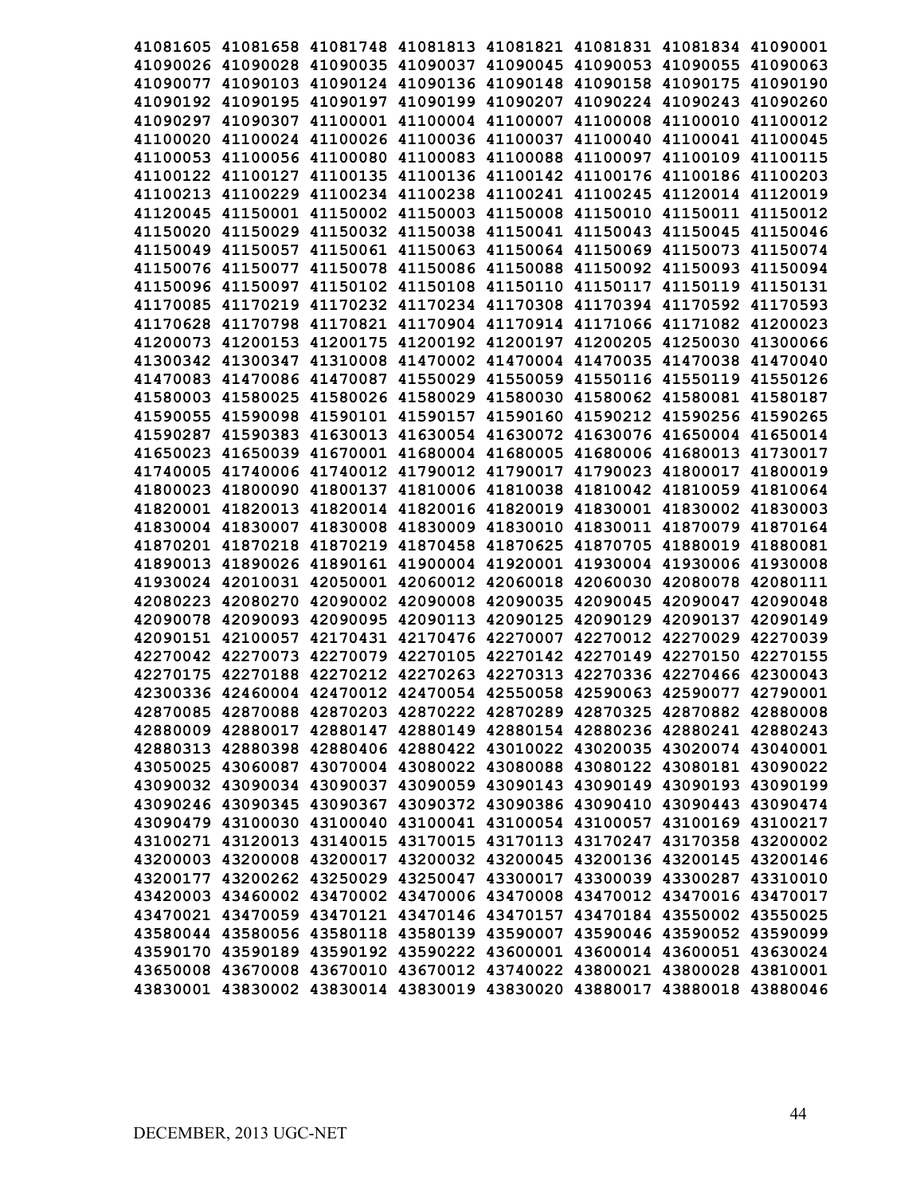|          |                            |                   |  |                                                                | 41081605 41081658 41081748 41081813 41081821 41081831 41081834 41090001 |          |
|----------|----------------------------|-------------------|--|----------------------------------------------------------------|-------------------------------------------------------------------------|----------|
|          |                            |                   |  |                                                                | 41090026 41090028 41090035 41090037 41090045 41090053 41090055 41090063 |          |
|          |                            |                   |  | 41090077 41090103 41090124 41090136 41090148 41090158 41090175 |                                                                         | 41090190 |
| 41090192 |                            | 41090195 41090197 |  | 41090199 41090207 41090224 41090243                            |                                                                         | 41090260 |
| 41090297 |                            |                   |  | 41090307 41100001 41100004 41100007 41100008 41100010          |                                                                         | 41100012 |
| 41100020 |                            |                   |  |                                                                | 41100024 41100026 41100036 41100037 41100040 41100041                   | 41100045 |
|          |                            |                   |  |                                                                | 41100053 41100056 41100080 41100083 41100088 41100097 41100109          | 41100115 |
|          |                            |                   |  |                                                                | 41100122 41100127 41100135 41100136 41100142 41100176 41100186 41100203 |          |
|          |                            |                   |  |                                                                | 41100213 41100229 41100234 41100238 41100241 41100245 41120014 41120019 |          |
|          |                            |                   |  |                                                                | 41120045 41150001 41150002 41150003 41150008 41150010 41150011 41150012 |          |
|          |                            |                   |  |                                                                | 41150020 41150029 41150032 41150038 41150041 41150043 41150045 41150046 |          |
|          |                            |                   |  |                                                                | 41150049 41150057 41150061 41150063 41150064 41150069 41150073 41150074 |          |
|          |                            |                   |  |                                                                | 41150076 41150077 41150078 41150086 41150088 41150092 41150093 41150094 |          |
|          |                            |                   |  |                                                                | 41150096 41150097 41150102 41150108 41150110 41150117 41150119 41150131 |          |
|          |                            |                   |  |                                                                | 41170085 41170219 41170232 41170234 41170308 41170394 41170592 41170593 |          |
|          |                            |                   |  |                                                                | 41170628 41170798 41170821 41170904 41170914 41171066 41171082 41200023 |          |
|          |                            |                   |  |                                                                | 41200073 41200153 41200175 41200192 41200197 41200205 41250030 41300066 |          |
|          |                            |                   |  |                                                                | 41300342 41300347 41310008 41470002 41470004 41470035 41470038 41470040 |          |
|          |                            |                   |  |                                                                | 41470083 41470086 41470087 41550029 41550059 41550116 41550119 41550126 |          |
|          |                            |                   |  |                                                                | 41580003 41580025 41580026 41580029 41580030 41580062 41580081 41580187 |          |
|          |                            |                   |  |                                                                | 41590055 41590098 41590101 41590157 41590160 41590212 41590256 41590265 |          |
|          |                            |                   |  |                                                                | 41590287 41590383 41630013 41630054 41630072 41630076 41650004 41650014 |          |
|          |                            |                   |  |                                                                | 41650023 41650039 41670001 41680004 41680005 41680006 41680013 41730017 |          |
|          |                            |                   |  |                                                                | 41740005 41740006 41740012 41790012 41790017 41790023 41800017          | 41800019 |
|          | 41800023 41800090 41800137 |                   |  | 41810006 41810038 41810042 41810059                            |                                                                         | 41810064 |
|          |                            |                   |  |                                                                | 41820001 41820013 41820014 41820016 41820019 41830001 41830002 41830003 |          |
| 41830004 |                            | 41830007 41830008 |  | 41830009 41830010 41830011 41870079                            |                                                                         | 41870164 |
|          | 41870201 41870218 41870219 |                   |  | 41870458 41870625 41870705 41880019                            |                                                                         | 41880081 |
|          | 41890013 41890026 41890161 |                   |  | 41900004 41920001 41930004 41930006                            |                                                                         | 41930008 |
|          | 41930024 42010031 42050001 |                   |  | 42060012 42060018 42060030 42080078                            |                                                                         | 42080111 |
|          |                            |                   |  |                                                                | 42080223 42080270 42090002 42090008 42090035 42090045 42090047          | 42090048 |
|          | 42090078 42090093 42090095 |                   |  |                                                                | 42090113 42090125 42090129 42090137                                     | 42090149 |
|          |                            |                   |  |                                                                | 42090151 42100057 42170431 42170476 42270007 42270012 42270029          | 42270039 |
|          |                            |                   |  |                                                                | 42270042 42270073 42270079 42270105 42270142 42270149 42270150          | 42270155 |
|          |                            |                   |  |                                                                | 42270175 42270188 42270212 42270263 42270313 42270336 42270466 42300043 |          |
|          |                            |                   |  |                                                                | 42300336 42460004 42470012 42470054 42550058 42590063 42590077 42790001 |          |
|          |                            |                   |  |                                                                | 42870085 42870088 42870203 42870222 42870289 42870325 42870882 42880008 |          |
|          |                            |                   |  |                                                                | 42880009 42880017 42880147 42880149 42880154 42880236 42880241 42880243 |          |
|          |                            |                   |  |                                                                | 42880313 42880398 42880406 42880422 43010022 43020035 43020074 43040001 |          |
|          |                            |                   |  |                                                                | 43050025 43060087 43070004 43080022 43080088 43080122 43080181 43090022 |          |
|          |                            |                   |  |                                                                | 43090032 43090034 43090037 43090059 43090143 43090149 43090193 43090199 |          |
|          |                            |                   |  |                                                                | 43090246 43090345 43090367 43090372 43090386 43090410 43090443 43090474 |          |
|          |                            |                   |  |                                                                | 43090479 43100030 43100040 43100041 43100054 43100057 43100169 43100217 |          |
|          |                            |                   |  |                                                                | 43100271 43120013 43140015 43170015 43170113 43170247 43170358 43200002 |          |
|          |                            |                   |  |                                                                | 43200003 43200008 43200017 43200032 43200045 43200136 43200145 43200146 |          |
|          |                            |                   |  |                                                                | 43200177 43200262 43250029 43250047 43300017 43300039 43300287          | 43310010 |
|          | 43420003 43460002 43470002 |                   |  |                                                                | 43470006 43470008 43470012 43470016 43470017                            |          |
|          |                            |                   |  |                                                                | 43470021 43470059 43470121 43470146 43470157 43470184 43550002 43550025 |          |
|          |                            |                   |  |                                                                | 43580044 43580056 43580118 43580139 43590007 43590046 43590052 43590099 |          |
|          |                            |                   |  |                                                                | 43590170 43590189 43590192 43590222 43600001 43600014 43600051 43630024 |          |
|          | 43650008 43670008 43670010 |                   |  |                                                                | 43670012 43740022 43800021 43800028                                     | 43810001 |
|          | 43830001 43830002 43830014 |                   |  | 43830019 43830020 43880017                                     | 43880018                                                                | 43880046 |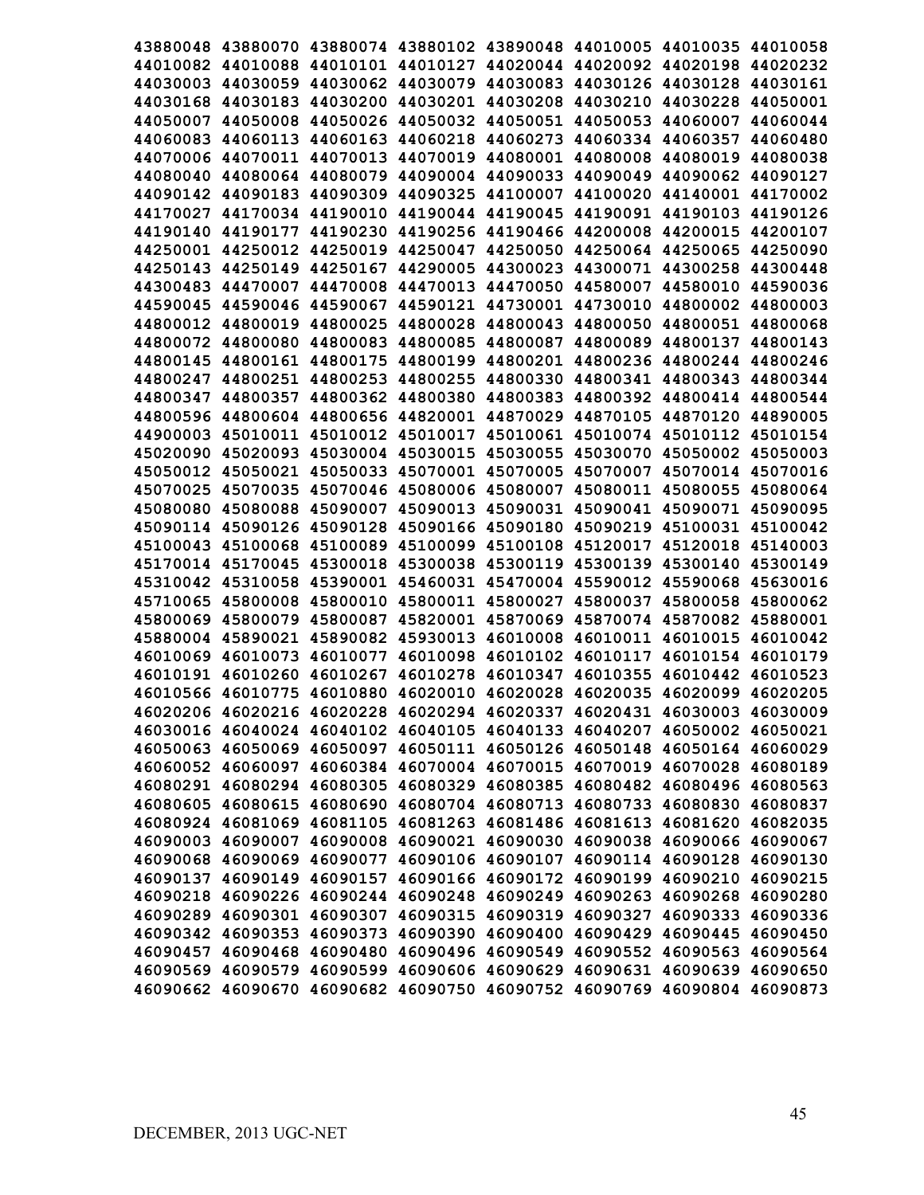|                   |                   |                            | 43880048 43880070 43880074 43880102 43890048 44010005 44010035          |                            |                            |                            | 44010058 |
|-------------------|-------------------|----------------------------|-------------------------------------------------------------------------|----------------------------|----------------------------|----------------------------|----------|
|                   |                   |                            | 44010082 44010088 44010101 44010127 44020044 44020092 44020198 44020232 |                            |                            |                            |          |
|                   |                   |                            | 44030003 44030059 44030062 44030079 44030083 44030126 44030128 44030161 |                            |                            |                            |          |
|                   |                   |                            | 44030168 44030183 44030200 44030201 44030208 44030210 44030228          |                            |                            |                            | 44050001 |
|                   |                   |                            | 44050007 44050008 44050026 44050032 44050051 44050053                   |                            |                            | 44060007                   | 44060044 |
|                   |                   |                            | 44060083 44060113 44060163 44060218 44060273                            |                            | 44060334 44060357          |                            | 44060480 |
|                   | 44070006 44070011 |                            | 44070013 44070019                                                       |                            | 44080001 44080008          | 44080019                   | 44080038 |
|                   |                   |                            | 44080040 44080064 44080079 44090004 44090033 44090049                   |                            |                            | 44090062                   | 44090127 |
|                   |                   |                            | 44090142 44090183 44090309 44090325 44100007 44100020 44140001 44170002 |                            |                            |                            |          |
|                   |                   | 44170027 44170034 44190010 |                                                                         | 44190044 44190045 44190091 |                            | 44190103                   | 44190126 |
|                   | 44190140 44190177 |                            | 44190230 44190256 44190466 44200008 44200015                            |                            |                            |                            | 44200107 |
|                   |                   |                            | 44250001 44250012 44250019 44250047 44250050 44250064 44250065          |                            |                            |                            | 44250090 |
|                   |                   |                            | 44250143 44250149 44250167 44290005 44300023 44300071 44300258          |                            |                            |                            | 44300448 |
|                   |                   |                            | 44300483 44470007 44470008 44470013 44470050 44580007 44580010          |                            |                            |                            | 44590036 |
|                   |                   |                            | 44590045 44590046 44590067 44590121 44730001 44730010 44800002 44800003 |                            |                            |                            |          |
|                   |                   |                            | 44800012 44800019 44800025 44800028 44800043 44800050 44800051 44800068 |                            |                            |                            |          |
|                   |                   |                            | 44800072 44800080 44800083 44800085 44800087 44800089 44800137 44800143 |                            |                            |                            |          |
|                   |                   |                            | 44800145 44800161 44800175 44800199 44800201 44800236 44800244 44800246 |                            |                            |                            |          |
|                   |                   |                            | 44800247 44800251 44800253 44800255 44800330 44800341 44800343 44800344 |                            |                            |                            |          |
|                   |                   |                            | 44800347 44800357 44800362 44800380 44800383 44800392 44800414 44800544 |                            |                            |                            |          |
|                   |                   |                            | 44800596 44800604 44800656 44820001 44870029 44870105 44870120 44890005 |                            |                            |                            |          |
|                   |                   |                            | 44900003 45010011 45010012 45010017 45010061 45010074 45010112 45010154 |                            |                            |                            |          |
|                   |                   |                            | 45020090 45020093 45030004 45030015 45030055 45030070 45050002 45050003 |                            |                            |                            |          |
|                   |                   |                            | 45050012 45050021 45050033 45070001 45070005 45070007 45070014 45070016 |                            |                            |                            |          |
|                   |                   |                            | 45070025 45070035 45070046 45080006 45080007 45080011 45080055 45080064 |                            |                            |                            |          |
| 45080080 45080088 |                   |                            | 45090007 45090013 45090031                                              |                            |                            | 45090041 45090071 45090095 |          |
|                   |                   |                            | 45090114 45090126 45090128 45090166 45090180                            |                            |                            | 45090219 45100031 45100042 |          |
|                   |                   |                            |                                                                         |                            |                            |                            |          |
| 45100043 45100068 |                   |                            | 45100089 45100099 45100108 45120017 45120018                            |                            |                            |                            | 45140003 |
| 45170014 45170045 |                   |                            | 45300018 45300038 45300119 45300139 45300140 45300149                   |                            |                            |                            |          |
| 45310042 45310058 |                   |                            | 45390001 45460031 45470004 45590012 45590068                            |                            |                            |                            | 45630016 |
| 45710065          | 45800008          | 45800010                   | 45800011 45800027                                                       |                            | 45800037                   | 45800058                   | 45800062 |
| 45800069          | 45800079          | 45800087                   | 45820001 45870069                                                       |                            | 45870074                   | 45870082                   | 45880001 |
|                   | 45880004 45890021 |                            | 45890082 45930013                                                       |                            | 46010008 46010011 46010015 |                            | 46010042 |
| 46010069          | 46010073          |                            | 46010077 46010098                                                       | 46010102                   | 46010117                   | 46010154                   | 46010179 |
| 46010191          | 46010260          | 46010267                   | 46010278                                                                | 46010347                   |                            | 46010355 46010442          | 46010523 |
|                   |                   |                            | 46010566 46010775 46010880 46020010 46020028 46020035 46020099 46020205 |                            |                            |                            |          |
|                   |                   |                            | 46020206 46020216 46020228 46020294 46020337 46020431 46030003 46030009 |                            |                            |                            |          |
|                   |                   |                            | 46030016 46040024 46040102 46040105 46040133 46040207 46050002 46050021 |                            |                            |                            |          |
|                   |                   |                            | 46050063 46050069 46050097 46050111 46050126 46050148 46050164 46060029 |                            |                            |                            |          |
|                   |                   |                            | 46060052 46060097 46060384 46070004 46070015 46070019 46070028 46080189 |                            |                            |                            |          |
|                   |                   |                            | 46080291 46080294 46080305 46080329 46080385 46080482 46080496 46080563 |                            |                            |                            |          |
|                   |                   |                            | 46080605 46080615 46080690 46080704 46080713 46080733 46080830 46080837 |                            |                            |                            |          |
|                   |                   |                            | 46080924 46081069 46081105 46081263 46081486 46081613 46081620 46082035 |                            |                            |                            |          |
|                   | 46090003 46090007 |                            | 46090008 46090021 46090030 46090038 46090066 46090067                   |                            |                            |                            |          |
|                   | 46090068 46090069 |                            | 46090077 46090106 46090107 46090114 46090128 46090130                   |                            |                            |                            |          |
|                   |                   | 46090137 46090149 46090157 | 46090166 46090172                                                       |                            |                            | 46090199 46090210          | 46090215 |
|                   | 46090218 46090226 | 46090244                   | 46090248 46090249                                                       |                            | 46090263                   | 46090268                   | 46090280 |
|                   | 46090289 46090301 | 46090307                   |                                                                         | 46090315 46090319          | 46090327                   | 46090333                   | 46090336 |
|                   | 46090342 46090353 | 46090373                   | 46090390 46090400                                                       |                            | 46090429                   | 46090445                   | 46090450 |
|                   | 46090457 46090468 | 46090480                   | 46090496 46090549                                                       |                            | 46090552                   | 46090563                   | 46090564 |
|                   | 46090569 46090579 | 46090599                   |                                                                         | 46090606 46090629 46090631 |                            | 46090639                   | 46090650 |
| 46090662 46090670 |                   | 46090682                   | 46090750 46090752                                                       |                            | 46090769                   | 46090804                   | 46090873 |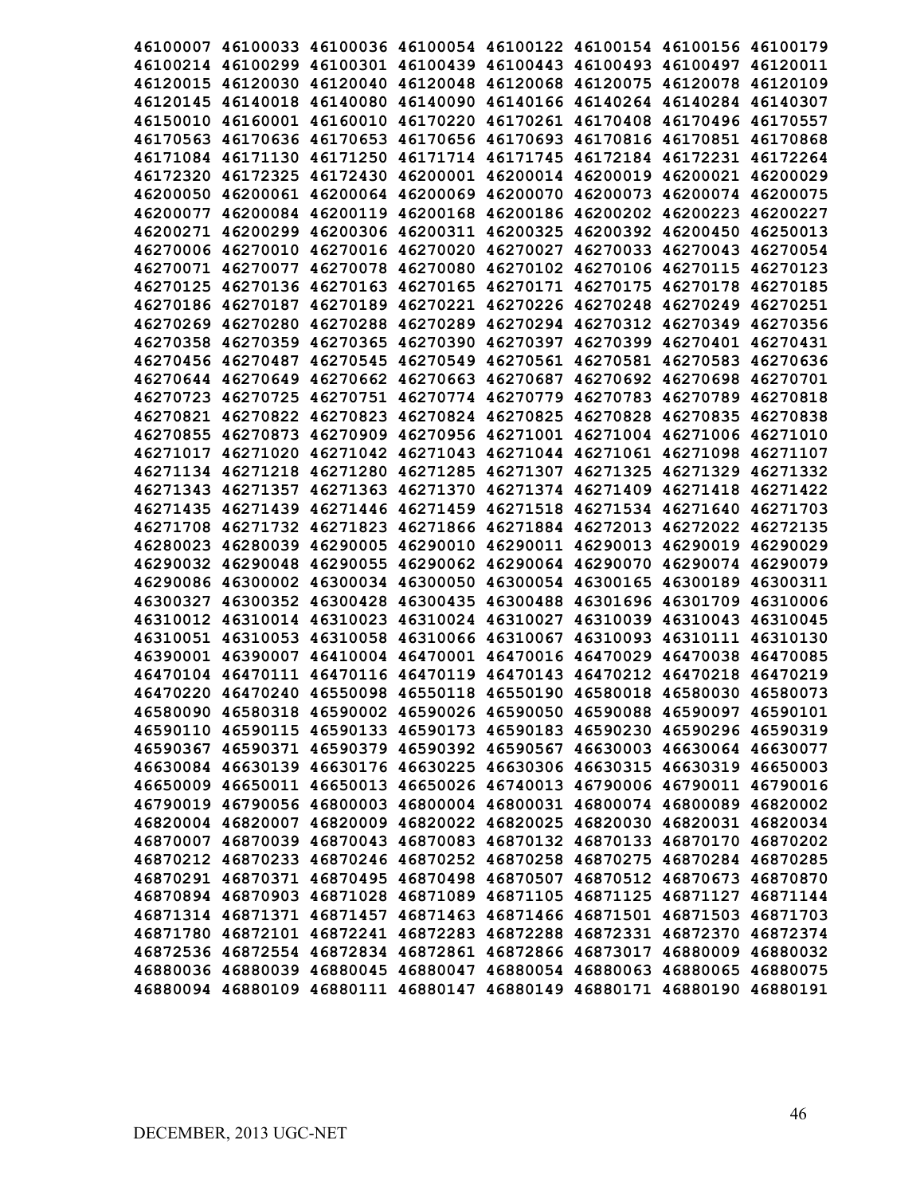|  |  | 46100007 46100033 46100036 46100054 46100122 46100154 46100156 46100179 |          |
|--|--|-------------------------------------------------------------------------|----------|
|  |  | 46100214 46100299 46100301 46100439 46100443 46100493 46100497 46120011 |          |
|  |  | 46120015 46120030 46120040 46120048 46120068 46120075 46120078 46120109 |          |
|  |  | 46120145 46140018 46140080 46140090 46140166 46140264 46140284 46140307 |          |
|  |  | 46150010 46160001 46160010 46170220 46170261 46170408 46170496 46170557 |          |
|  |  | 46170563 46170636 46170653 46170656 46170693 46170816 46170851 46170868 |          |
|  |  | 46171084 46171130 46171250 46171714 46171745 46172184 46172231 46172264 |          |
|  |  | 46172320 46172325 46172430 46200001 46200014 46200019 46200021 46200029 |          |
|  |  | 46200050 46200061 46200064 46200069 46200070 46200073 46200074 46200075 |          |
|  |  | 46200077 46200084 46200119 46200168 46200186 46200202 46200223 46200227 |          |
|  |  | 46200271 46200299 46200306 46200311 46200325 46200392 46200450 46250013 |          |
|  |  | 46270006 46270010 46270016 46270020 46270027 46270033 46270043 46270054 |          |
|  |  | 46270071 46270077 46270078 46270080 46270102 46270106 46270115 46270123 |          |
|  |  | 46270125 46270136 46270163 46270165 46270171 46270175 46270178 46270185 |          |
|  |  | 46270186 46270187 46270189 46270221 46270226 46270248 46270249 46270251 |          |
|  |  | 46270269 46270280 46270288 46270289 46270294 46270312 46270349 46270356 |          |
|  |  | 46270358 46270359 46270365 46270390 46270397 46270399 46270401 46270431 |          |
|  |  | 46270456 46270487 46270545 46270549 46270561 46270581 46270583 46270636 |          |
|  |  | 46270644 46270649 46270662 46270663 46270687 46270692 46270698 46270701 |          |
|  |  | 46270723 46270725 46270751 46270774 46270779 46270783 46270789 46270818 |          |
|  |  | 46270821 46270822 46270823 46270824 46270825 46270828 46270835 46270838 |          |
|  |  | 46270855 46270873 46270909 46270956 46271001 46271004 46271006 46271010 |          |
|  |  | 46271017 46271020 46271042 46271043 46271044 46271061 46271098 46271107 |          |
|  |  | 46271134 46271218 46271280 46271285 46271307 46271325 46271329 46271332 |          |
|  |  | 46271343 46271357 46271363 46271370 46271374 46271409 46271418 46271422 |          |
|  |  | 46271435 46271439 46271446 46271459 46271518 46271534 46271640 46271703 |          |
|  |  | 46271708 46271732 46271823 46271866 46271884 46272013 46272022 46272135 |          |
|  |  | 46280023 46280039 46290005 46290010 46290011 46290013 46290019 46290029 |          |
|  |  | 46290032 46290048 46290055 46290062 46290064 46290070 46290074 46290079 |          |
|  |  | 46290086 46300002 46300034 46300050 46300054 46300165 46300189 46300311 |          |
|  |  | 46300327 46300352 46300428 46300435 46300488 46301696 46301709          | 46310006 |
|  |  | 46310012 46310014 46310023 46310024 46310027 46310039 46310043 46310045 |          |
|  |  | 46310051 46310053 46310058 46310066 46310067 46310093 46310111 46310130 |          |
|  |  | 46390001 46390007 46410004 46470001 46470016 46470029 46470038 46470085 |          |
|  |  | 46470104 46470111 46470116 46470119 46470143 46470212 46470218 46470219 |          |
|  |  | 46470220 46470240 46550098 46550118 46550190 46580018 46580030 46580073 |          |
|  |  | 46580090 46580318 46590002 46590026 46590050 46590088 46590097 46590101 |          |
|  |  | 46590110 46590115 46590133 46590173 46590183 46590230 46590296 46590319 |          |
|  |  | 46590367 46590371 46590379 46590392 46590567 46630003 46630064 46630077 |          |
|  |  | 46630084 46630139 46630176 46630225 46630306 46630315 46630319 46650003 |          |
|  |  | 46650009 46650011 46650013 46650026 46740013 46790006 46790011 46790016 |          |
|  |  | 46790019 46790056 46800003 46800004 46800031 46800074 46800089 46820002 |          |
|  |  | 46820004 46820007 46820009 46820022 46820025 46820030 46820031 46820034 |          |
|  |  | 46870007 46870039 46870043 46870083 46870132 46870133 46870170 46870202 |          |
|  |  | 46870212 46870233 46870246 46870252 46870258 46870275 46870284 46870285 |          |
|  |  | 46870291 46870371 46870495 46870498 46870507 46870512 46870673 46870870 |          |
|  |  | 46870894 46870903 46871028 46871089 46871105 46871125 46871127 46871144 |          |
|  |  | 46871314 46871371 46871457 46871463 46871466 46871501 46871503 46871703 |          |
|  |  | 46871780 46872101 46872241 46872283 46872288 46872331 46872370 46872374 |          |
|  |  | 46872536 46872554 46872834 46872861 46872866 46873017 46880009 46880032 |          |
|  |  | 46880036 46880039 46880045 46880047 46880054 46880063 46880065 46880075 |          |
|  |  | 46880094 46880109 46880111 46880147 46880149 46880171 46880190 46880191 |          |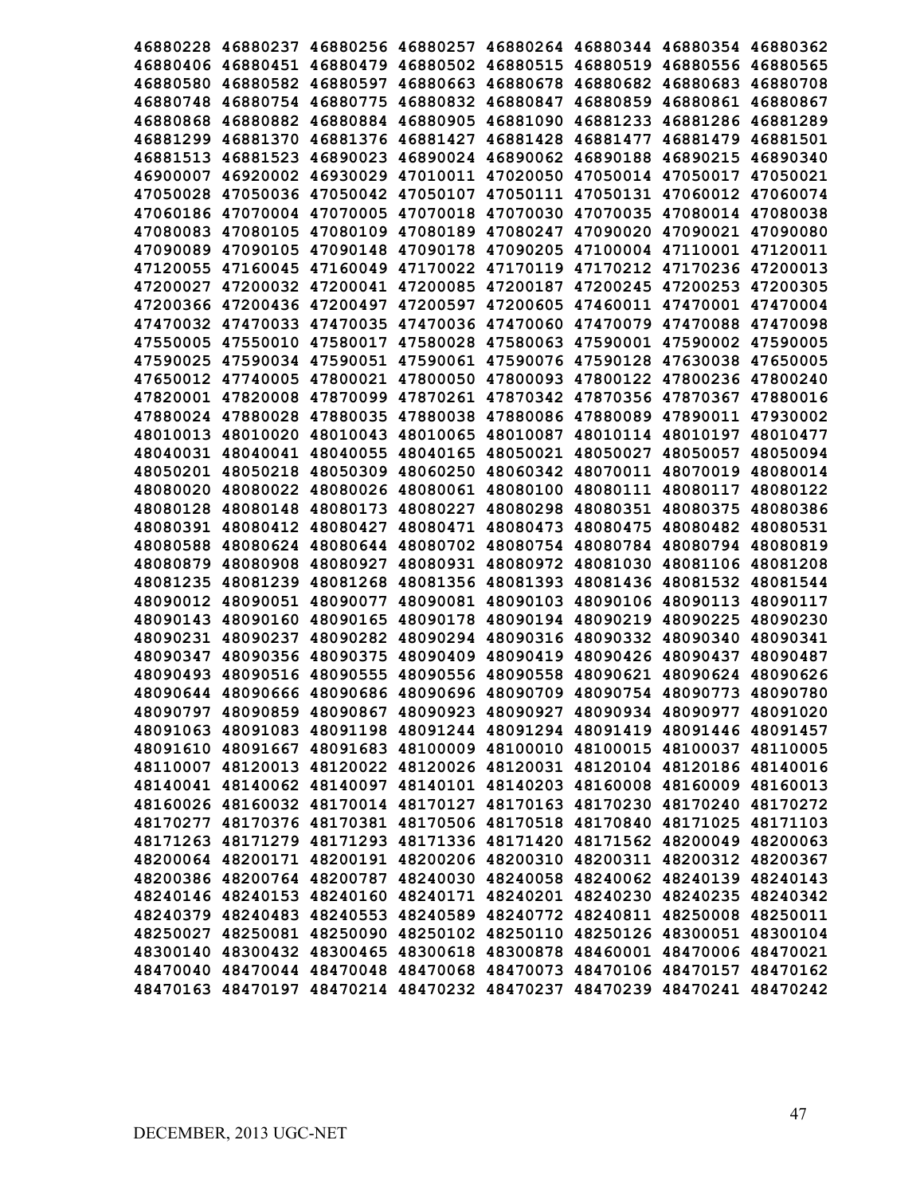|          |                            |                                                                         |                   |          | 46880228 46880237 46880256 46880257 46880264 46880344 46880354 46880362 |          |          |
|----------|----------------------------|-------------------------------------------------------------------------|-------------------|----------|-------------------------------------------------------------------------|----------|----------|
|          |                            |                                                                         |                   |          | 46880406 46880451 46880479 46880502 46880515 46880519 46880556 46880565 |          |          |
|          |                            |                                                                         |                   |          | 46880580 46880582 46880597 46880663 46880678 46880682 46880683          |          | 46880708 |
|          |                            |                                                                         |                   |          | 46880748 46880754 46880775 46880832 46880847 46880859 46880861          |          | 46880867 |
|          |                            |                                                                         |                   |          | 46880868 46880882 46880884 46880905 46881090 46881233                   | 46881286 | 46881289 |
|          |                            | 46881299 46881370 46881376 46881427                                     |                   |          | 46881428 46881477                                                       | 46881479 | 46881501 |
| 46881513 | 46881523                   | 46890023                                                                | 46890024          |          | 46890062 46890188                                                       | 46890215 | 46890340 |
| 46900007 |                            |                                                                         |                   |          | 46920002 46930029 47010011 47020050 47050014 47050017                   |          | 47050021 |
| 47050028 |                            | 47050036 47050042 47050107                                              |                   |          | 47050111 47050131 47060012                                              |          | 47060074 |
|          |                            |                                                                         |                   |          | 47060186 47070004 47070005 47070018 47070030 47070035 47080014          |          | 47080038 |
|          |                            |                                                                         |                   |          | 47080083 47080105 47080109 47080189 47080247 47090020                   | 47090021 | 47090080 |
|          |                            |                                                                         |                   |          | 47090089 47090105 47090148 47090178 47090205 47100004 47110001          |          | 47120011 |
|          |                            |                                                                         |                   |          | 47120055 47160045 47160049 47170022 47170119 47170212 47170236 47200013 |          |          |
|          |                            |                                                                         |                   |          | 47200027 47200032 47200041 47200085 47200187 47200245 47200253          |          | 47200305 |
|          |                            |                                                                         |                   |          | 47200366 47200436 47200497 47200597 47200605 47460011 47470001 47470004 |          |          |
|          |                            |                                                                         |                   |          | 47470032 47470033 47470035 47470036 47470060 47470079 47470088 47470098 |          |          |
|          |                            |                                                                         |                   |          | 47550005 47550010 47580017 47580028 47580063 47590001 47590002 47590005 |          |          |
|          |                            |                                                                         |                   |          | 47590025 47590034 47590051 47590061 47590076 47590128 47630038 47650005 |          |          |
|          |                            |                                                                         |                   |          | 47650012 47740005 47800021 47800050 47800093 47800122 47800236 47800240 |          |          |
|          |                            |                                                                         |                   |          | 47820001 47820008 47870099 47870261 47870342 47870356 47870367 47880016 |          |          |
|          |                            |                                                                         |                   |          | 47880024 47880028 47880035 47880038 47880086 47880089 47890011 47930002 |          |          |
|          |                            |                                                                         |                   |          | 48010013 48010020 48010043 48010065 48010087 48010114 48010197 48010477 |          |          |
|          |                            |                                                                         |                   |          | 48040031 48040041 48040055 48040165 48050021 48050027 48050057          |          | 48050094 |
|          |                            |                                                                         |                   |          | 48050201 48050218 48050309 48060250 48060342 48070011 48070019 48080014 |          |          |
|          |                            |                                                                         |                   |          | 48080020 48080022 48080026 48080061 48080100 48080111 48080117          |          | 48080122 |
|          | 48080128 48080148          | 48080173                                                                | 48080227 48080298 |          | 48080351 48080375                                                       |          | 48080386 |
|          | 48080391 48080412          | 48080427                                                                |                   |          | 48080471 48080473 48080475 48080482                                     |          | 48080531 |
|          |                            |                                                                         |                   |          | 48080588 48080624 48080644 48080702 48080754 48080784 48080794          |          | 48080819 |
|          |                            | 48080879 48080908 48080927                                              | 48080931 48080972 |          | 48081030 48081106 48081208                                              |          |          |
|          | 48081235 48081239 48081268 |                                                                         | 48081356 48081393 |          | 48081436 48081532                                                       |          | 48081544 |
|          | 48090012 48090051          | 48090077                                                                | 48090081          | 48090103 | 48090106                                                                | 48090113 | 48090117 |
| 48090143 | 48090160                   | 48090165                                                                | 48090178          | 48090194 | 48090219                                                                | 48090225 | 48090230 |
|          | 48090231 48090237          | 48090282                                                                | 48090294          | 48090316 | 48090332                                                                | 48090340 | 48090341 |
| 48090347 |                            | 48090356 48090375                                                       | 48090409          | 48090419 | 48090426 48090437                                                       |          | 48090487 |
| 48090493 |                            | 48090516 48090555                                                       | 48090556          |          | 48090558 48090621                                                       | 48090624 | 48090626 |
|          |                            |                                                                         |                   |          | 48090644 48090666 48090686 48090696 48090709 48090754 48090773          |          | 48090780 |
|          |                            |                                                                         |                   |          | 48090797 48090859 48090867 48090923 48090927 48090934 48090977 48091020 |          |          |
|          |                            |                                                                         |                   |          | 48091063 48091083 48091198 48091244 48091294 48091419 48091446 48091457 |          |          |
|          |                            |                                                                         |                   |          | 48091610 48091667 48091683 48100009 48100010 48100015 48100037 48110005 |          |          |
|          |                            |                                                                         |                   |          | 48110007 48120013 48120022 48120026 48120031 48120104 48120186 48140016 |          |          |
|          |                            |                                                                         |                   |          | 48140041 48140062 48140097 48140101 48140203 48160008 48160009 48160013 |          |          |
|          |                            |                                                                         |                   |          | 48160026 48160032 48170014 48170127 48170163 48170230 48170240 48170272 |          |          |
|          |                            |                                                                         |                   |          | 48170277 48170376 48170381 48170506 48170518 48170840 48171025 48171103 |          |          |
|          |                            |                                                                         |                   |          | 48171263 48171279 48171293 48171336 48171420 48171562 48200049 48200063 |          |          |
|          |                            |                                                                         |                   |          | 48200064 48200171 48200191 48200206 48200310 48200311 48200312 48200367 |          |          |
|          |                            |                                                                         |                   |          | 48200386 48200764 48200787 48240030 48240058 48240062 48240139 48240143 |          |          |
|          |                            |                                                                         |                   |          | 48240146 48240153 48240160 48240171 48240201 48240230 48240235 48240342 |          |          |
|          |                            |                                                                         |                   |          | 48240379 48240483 48240553 48240589 48240772 48240811 48250008 48250011 |          |          |
|          |                            |                                                                         |                   |          | 48250027 48250081 48250090 48250102 48250110 48250126 48300051 48300104 |          |          |
|          |                            |                                                                         |                   |          | 48300140 48300432 48300465 48300618 48300878 48460001 48470006 48470021 |          |          |
|          |                            |                                                                         |                   |          | 48470040 48470044 48470048 48470068 48470073 48470106 48470157 48470162 |          |          |
|          |                            | 48470163 48470197 48470214 48470232 48470237 48470239 48470241 48470242 |                   |          |                                                                         |          |          |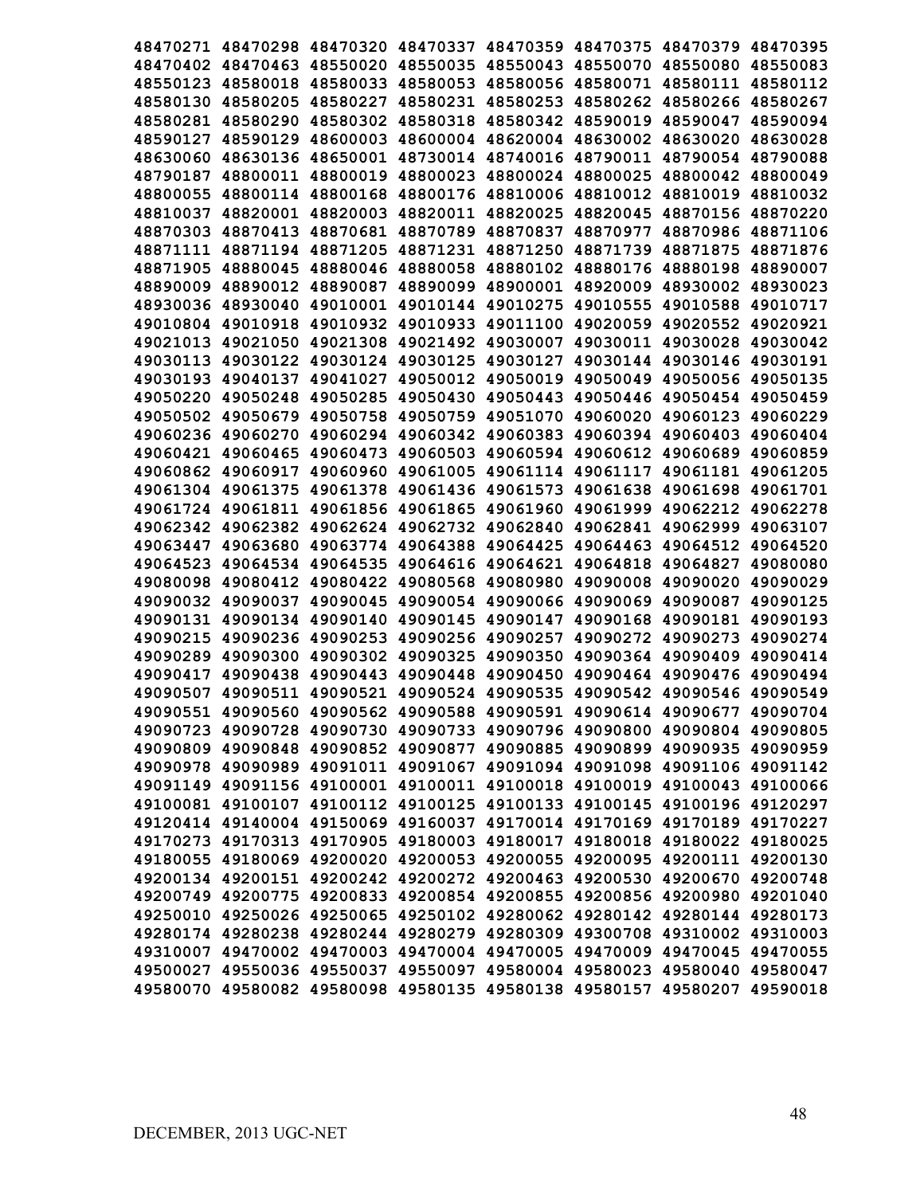|          |                   |          | 48470271 48470298 48470320 48470337 48470359 48470375 48470379 48470395 |                            |                   |                                     |                                                                         |
|----------|-------------------|----------|-------------------------------------------------------------------------|----------------------------|-------------------|-------------------------------------|-------------------------------------------------------------------------|
|          |                   |          | 48470402 48470463 48550020 48550035 48550043 48550070 48550080 48550083 |                            |                   |                                     |                                                                         |
|          |                   |          | 48550123 48580018 48580033 48580053 48580056 48580071                   |                            |                   | 48580111                            | 48580112                                                                |
|          | 48580130 48580205 | 48580227 |                                                                         | 48580231 48580253          | 48580262          | 48580266                            | 48580267                                                                |
|          | 48580281 48580290 | 48580302 | 48580318                                                                | 48580342                   | 48590019          | 48590047                            | 48590094                                                                |
| 48590127 | 48590129          | 48600003 | 48600004                                                                |                            | 48620004 48630002 | 48630020                            | 48630028                                                                |
| 48630060 | 48630136          | 48650001 | 48730014                                                                |                            | 48740016 48790011 | 48790054                            | 48790088                                                                |
| 48790187 | 48800011          | 48800019 | 48800023                                                                |                            | 48800024 48800025 | 48800042                            | 48800049                                                                |
| 48800055 |                   |          | 48800114 48800168 48800176 48810006 48810012 48810019                   |                            |                   |                                     | 48810032                                                                |
| 48810037 | 48820001          |          | 48820003 48820011                                                       | 48820025                   | 48820045 48870156 |                                     | 48870220                                                                |
| 48870303 | 48870413          |          | 48870681 48870789                                                       | 48870837                   | 48870977          | 48870986                            | 48871106                                                                |
| 48871111 |                   |          | 48871194 48871205 48871231                                              | 48871250                   | 48871739          | 48871875                            | 48871876                                                                |
|          |                   |          | 48871905 48880045 48880046 48880058 48880102 48880176 48880198          |                            |                   |                                     | 48890007                                                                |
|          | 48890009 48890012 |          | 48890087 48890099                                                       | 48900001                   | 48920009 48930002 |                                     | 48930023                                                                |
|          |                   |          | 48930036 48930040 49010001 49010144 49010275 49010555 49010588 49010717 |                            |                   |                                     |                                                                         |
|          |                   |          | 49010804 49010918 49010932 49010933 49011100 49020059 49020552 49020921 |                            |                   |                                     |                                                                         |
|          |                   |          | 49021013 49021050 49021308 49021492 49030007 49030011 49030028 49030042 |                            |                   |                                     |                                                                         |
|          |                   |          | 49030113 49030122 49030124 49030125 49030127 49030144 49030146 49030191 |                            |                   |                                     |                                                                         |
|          |                   |          | 49030193 49040137 49041027 49050012 49050019 49050049 49050056 49050135 |                            |                   |                                     |                                                                         |
|          | 49050220 49050248 |          | 49050285 49050430 49050443 49050446 49050454 49050459                   |                            |                   |                                     |                                                                         |
|          |                   |          | 49050502 49050679 49050758 49050759 49051070 49060020 49060123 49060229 |                            |                   |                                     |                                                                         |
|          | 49060236 49060270 |          | 49060294 49060342 49060383 49060394 49060403 49060404                   |                            |                   |                                     |                                                                         |
|          | 49060421 49060465 | 49060473 |                                                                         |                            |                   | 49060503 49060594 49060612 49060689 | 49060859                                                                |
|          | 49060862 49060917 | 49060960 |                                                                         | 49061005 49061114 49061117 |                   | 49061181                            | 49061205                                                                |
|          | 49061304 49061375 |          | 49061378 49061436 49061573                                              |                            | 49061638          | 49061698                            | 49061701                                                                |
|          | 49061724 49061811 |          | 49061856 49061865                                                       | 49061960                   | 49061999          | 49062212                            | 49062278                                                                |
|          | 49062342 49062382 |          | 49062624 49062732 49062840                                              |                            | 49062841          | 49062999                            | 49063107                                                                |
| 49063447 | 49063680          |          | 49063774 49064388                                                       | 49064425                   | 49064463          | 49064512                            | 49064520                                                                |
| 49064523 | 49064534          | 49064535 | 49064616                                                                | 49064621                   | 49064818          | 49064827                            | 49080080                                                                |
| 49080098 | 49080412          | 49080422 | 49080568                                                                | 49080980                   | 49090008          | 49090020                            | 49090029                                                                |
| 49090032 | 49090037          | 49090045 | 49090054                                                                | 49090066                   | 49090069          | 49090087                            | 49090125                                                                |
| 49090131 | 49090134          | 49090140 | 49090145                                                                | 49090147                   | 49090168          | 49090181                            | 49090193                                                                |
| 49090215 | 49090236          | 49090253 | 49090256                                                                | 49090257                   | 49090272          | 49090273                            | 49090274                                                                |
| 49090289 | 49090300          |          | 49090302 49090325                                                       | 49090350                   | 49090364 49090409 |                                     | 49090414                                                                |
| 49090417 | 49090438          | 49090443 | 49090448                                                                | 49090450                   | 49090464 49090476 |                                     | 49090494                                                                |
| 49090507 |                   |          | 49090511 49090521 49090524 49090535 49090542 49090546 49090549          |                            |                   |                                     |                                                                         |
|          |                   |          | 49090551 49090560 49090562 49090588 49090591 49090614 49090677 49090704 |                            |                   |                                     |                                                                         |
|          |                   |          | 49090723 49090728 49090730 49090733 49090796 49090800 49090804 49090805 |                            |                   |                                     |                                                                         |
|          |                   |          | 49090809 49090848 49090852 49090877 49090885 49090899 49090935 49090959 |                            |                   |                                     |                                                                         |
|          |                   |          | 49090978 49090989 49091011 49091067 49091094 49091098 49091106 49091142 |                            |                   |                                     |                                                                         |
|          |                   |          | 49091149 49091156 49100001 49100011 49100018 49100019 49100043 49100066 |                            |                   |                                     |                                                                         |
|          |                   |          | 49100081 49100107 49100112 49100125 49100133 49100145 49100196 49120297 |                            |                   |                                     |                                                                         |
|          |                   |          | 49120414 49140004 49150069 49160037 49170014 49170169 49170189 49170227 |                            |                   |                                     |                                                                         |
|          |                   |          | 49170273 49170313 49170905 49180003 49180017 49180018 49180022 49180025 |                            |                   |                                     |                                                                         |
|          |                   |          | 49180055 49180069 49200020 49200053 49200055 49200095 49200111 49200130 |                            |                   |                                     |                                                                         |
|          |                   |          | 49200134 49200151 49200242 49200272 49200463 49200530 49200670 49200748 |                            |                   |                                     |                                                                         |
|          |                   |          | 49200749 49200775 49200833 49200854 49200855 49200856 49200980 49201040 |                            |                   |                                     |                                                                         |
|          |                   |          | 49250010 49250026 49250065 49250102 49280062 49280142 49280144 49280173 |                            |                   |                                     |                                                                         |
|          |                   |          | 49280174 49280238 49280244 49280279 49280309 49300708 49310002 49310003 |                            |                   |                                     |                                                                         |
|          |                   |          | 49310007 49470002 49470003 49470004 49470005 49470009 49470045 49470055 |                            |                   |                                     |                                                                         |
|          |                   |          | 49500027 49550036 49550037 49550097 49580004 49580023 49580040 49580047 |                            |                   |                                     |                                                                         |
|          |                   |          |                                                                         |                            |                   |                                     | 49580070 49580082 49580098 49580135 49580138 49580157 49580207 49590018 |
|          |                   |          |                                                                         |                            |                   |                                     |                                                                         |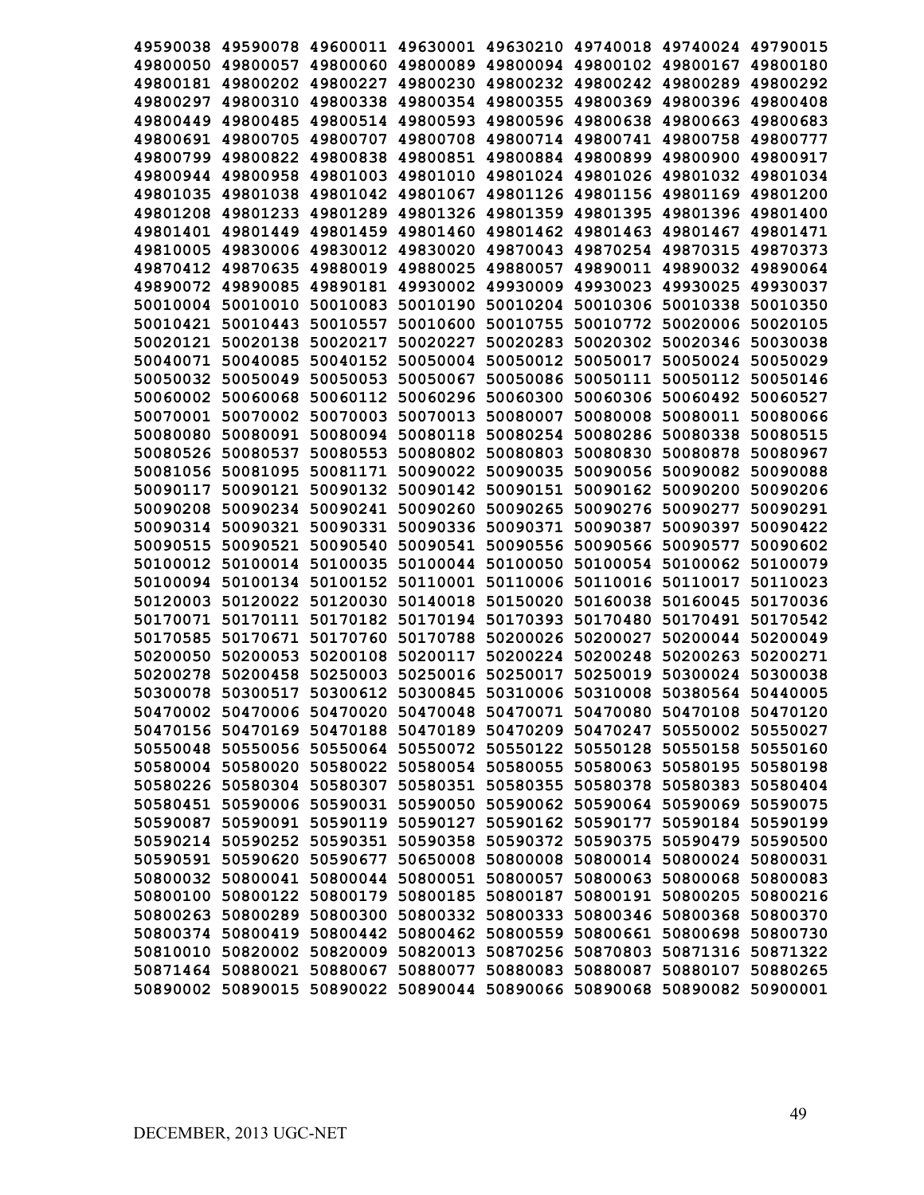|          | 49590038 49590078 49600011 49630001 49630210 49740018 49740024 49790015 |                                                                |          |                                              |                                     |                            |          |
|----------|-------------------------------------------------------------------------|----------------------------------------------------------------|----------|----------------------------------------------|-------------------------------------|----------------------------|----------|
|          | 49800050 49800057 49800060 49800089 49800094 49800102 49800167 49800180 |                                                                |          |                                              |                                     |                            |          |
| 49800181 |                                                                         | 49800202 49800227                                              |          | 49800230 49800232 49800242 49800289          |                                     |                            | 49800292 |
| 49800297 |                                                                         | 49800310 49800338                                              |          | 49800354 49800355 49800369 49800396          |                                     |                            | 49800408 |
| 49800449 | 49800485                                                                | 49800514 49800593 49800596 49800638                            |          |                                              |                                     | 49800663                   | 49800683 |
| 49800691 |                                                                         | 49800705 49800707                                              |          | 49800708 49800714 49800741                   |                                     | 49800758                   | 49800777 |
| 49800799 |                                                                         | 49800822 49800838                                              |          | 49800851 49800884 49800899 49800900          |                                     |                            | 49800917 |
| 49800944 |                                                                         | 49800958 49801003                                              | 49801010 |                                              | 49801024 49801026 49801032          |                            | 49801034 |
| 49801035 |                                                                         | 49801038 49801042 49801067                                     |          |                                              | 49801126 49801156 49801169          |                            | 49801200 |
| 49801208 |                                                                         | 49801233 49801289                                              |          | 49801326 49801359 49801395 49801396 49801400 |                                     |                            |          |
| 49801401 |                                                                         | 49801449 49801459                                              | 49801460 |                                              | 49801462 49801463 49801467          |                            | 49801471 |
| 49810005 |                                                                         | 49830006 49830012 49830020                                     |          |                                              | 49870043 49870254 49870315          |                            | 49870373 |
| 49870412 |                                                                         | 49870635 49880019                                              | 49880025 |                                              | 49880057 49890011 49890032 49890064 |                            |          |
| 49890072 |                                                                         | 49890085 49890181                                              | 49930002 | 49930009 49930023 49930025                   |                                     |                            | 49930037 |
| 50010004 |                                                                         | 50010010 50010083                                              | 50010190 |                                              | 50010204 50010306 50010338          |                            | 50010350 |
| 50010421 |                                                                         | 50010443 50010557                                              | 50010600 |                                              | 50010755 50010772 50020006 50020105 |                            |          |
| 50020121 |                                                                         | 50020138 50020217                                              | 50020227 |                                              | 50020283 50020302 50020346 50030038 |                            |          |
|          | 50040071 50040085 50040152                                              |                                                                | 50050004 |                                              | 50050012 50050017 50050024 50050029 |                            |          |
|          | 50050032 50050049 50050053 50050067                                     |                                                                |          |                                              | 50050086 50050111 50050112 50050146 |                            |          |
|          | 50060002 50060068 50060112 50060296                                     |                                                                |          |                                              | 50060300 50060306 50060492 50060527 |                            |          |
|          | 50070001 50070002 50070003                                              |                                                                |          | 50070013 50080007 50080008                   |                                     | 50080011                   | 50080066 |
|          | 50080080 50080091 50080094 50080118 50080254 50080286                   |                                                                |          |                                              |                                     | 50080338                   | 50080515 |
|          | 50080526 50080537                                                       | 50080553                                                       | 50080802 |                                              | 50080803 50080830 50080878          |                            | 50080967 |
|          | 50081056 50081095                                                       | 50081171                                                       | 50090022 | 50090035                                     | 50090056                            | 50090082                   | 50090088 |
| 50090117 | 50090121                                                                | 50090132                                                       | 50090142 |                                              | 50090151 50090162                   | 50090200                   | 50090206 |
| 50090208 | 50090234                                                                | 50090241                                                       | 50090260 | 50090265                                     | 50090276                            | 50090277                   | 50090291 |
| 50090314 | 50090321                                                                | 50090331                                                       | 50090336 | 50090371                                     | 50090387                            | 50090397                   | 50090422 |
| 50090515 | 50090521                                                                | 50090540                                                       | 50090541 | 50090556                                     | 50090566                            | 50090577                   | 50090602 |
| 50100012 |                                                                         | 50100014 50100035                                              |          | 50100044 50100050 50100054 50100062          |                                     |                            | 50100079 |
| 50100094 | 50100134                                                                | 50100152                                                       | 50110001 |                                              | 50110006 50110016 50110017          |                            | 50110023 |
| 50120003 |                                                                         | 50120022 50120030                                              | 50140018 |                                              | 50150020 50160038                   | 50160045                   | 50170036 |
| 50170071 |                                                                         | 50170111 50170182                                              | 50170194 | 50170393                                     | 50170480                            | 50170491 50170542          |          |
| 50170585 |                                                                         | 50170671 50170760                                              | 50170788 |                                              | 50200026 50200027                   | 50200044                   | 50200049 |
| 50200050 | 50200053                                                                | 50200108                                                       | 50200117 |                                              | 50200224 50200248                   | 50200263 50200271          |          |
| 50200278 |                                                                         | 50200458 50250003                                              | 50250016 | 50250017                                     | 50250019                            | 50300024 50300038          |          |
| 50300078 |                                                                         | 50300517 50300612 50300845 50310006 50310008 50380564 50440005 |          |                                              |                                     |                            |          |
| 50470002 |                                                                         | 50470006 50470020 50470048 50470071                            |          |                                              |                                     | 50470080 50470108 50470120 |          |
|          | 50470156 50470169 50470188 50470189 50470209 50470247 50550002 50550027 |                                                                |          |                                              |                                     |                            |          |
|          | 50550048 50550056 50550064 50550072 50550122 50550128 50550158 50550160 |                                                                |          |                                              |                                     |                            |          |
|          | 50580004 50580020 50580022 50580054 50580055 50580063 50580195 50580198 |                                                                |          |                                              |                                     |                            |          |
|          | 50580226 50580304 50580307 50580351 50580355 50580378 50580383 50580404 |                                                                |          |                                              |                                     |                            |          |
|          | 50580451 50590006 50590031 50590050 50590062 50590064 50590069 50590075 |                                                                |          |                                              |                                     |                            |          |
|          | 50590087 50590091 50590119 50590127 50590162 50590177 50590184 50590199 |                                                                |          |                                              |                                     |                            |          |
|          | 50590214 50590252 50590351 50590358 50590372 50590375 50590479 50590500 |                                                                |          |                                              |                                     |                            |          |
|          | 50590591 50590620 50590677 50650008 50800008 50800014 50800024 50800031 |                                                                |          |                                              |                                     |                            |          |
|          | 50800032 50800041 50800044 50800051 50800057 50800063 50800068 50800083 |                                                                |          |                                              |                                     |                            |          |
|          | 50800100 50800122 50800179 50800185 50800187 50800191 50800205 50800216 |                                                                |          |                                              |                                     |                            |          |
|          | 50800263 50800289 50800300 50800332 50800333 50800346 50800368 50800370 |                                                                |          |                                              |                                     |                            |          |
|          | 50800374 50800419 50800442 50800462 50800559 50800661 50800698 50800730 |                                                                |          |                                              |                                     |                            |          |
|          | 50810010 50820002 50820009 50820013 50870256 50870803 50871316 50871322 |                                                                |          |                                              |                                     |                            |          |
|          | 50871464 50880021 50880067 50880077 50880083 50880087 50880107 50880265 |                                                                |          |                                              |                                     |                            |          |
|          | 50890002 50890015 50890022 50890044 50890066 50890068 50890082 50900001 |                                                                |          |                                              |                                     |                            |          |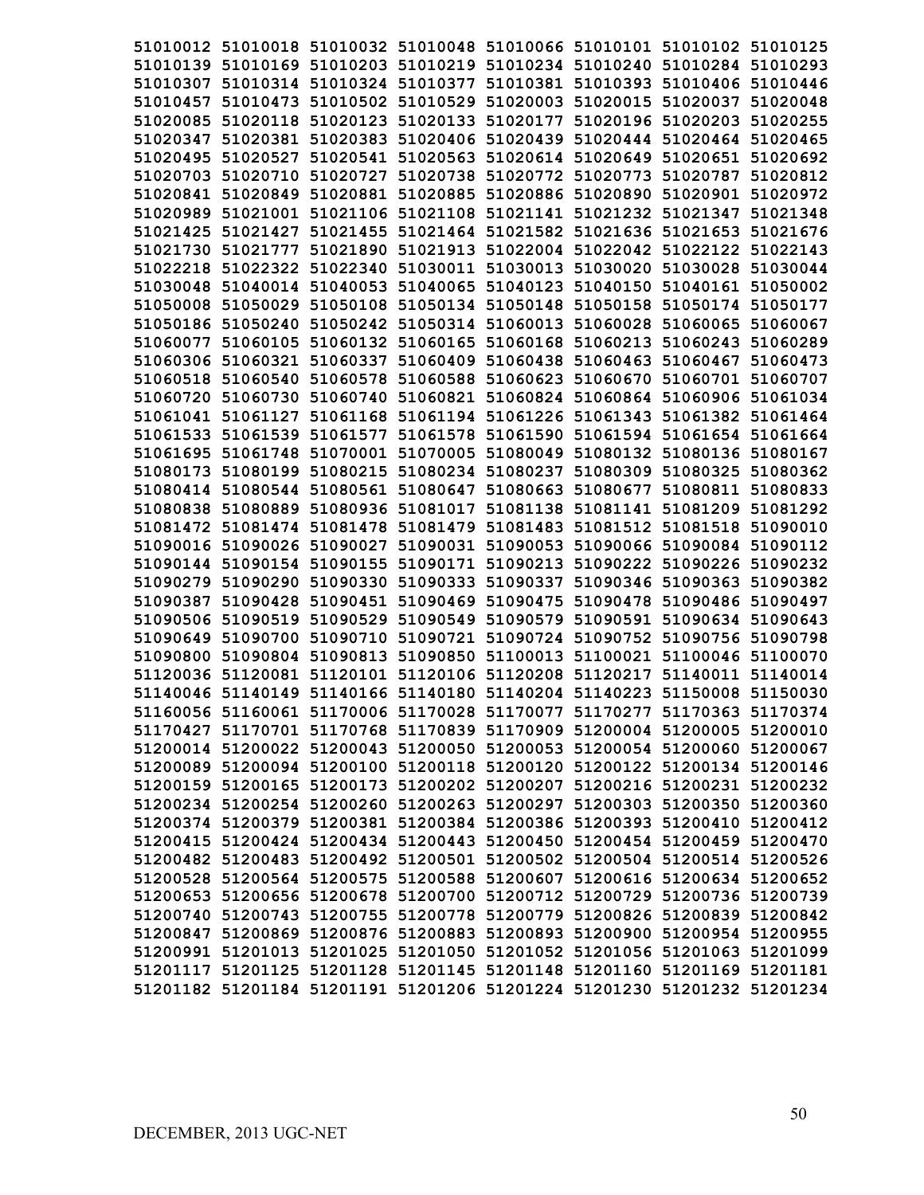| 51010012 51010018 51010032 51010048 51010066 51010101 51010102 51010125 |  |                                                       |                   |          |
|-------------------------------------------------------------------------|--|-------------------------------------------------------|-------------------|----------|
| 51010139 51010169 51010203 51010219 51010234 51010240 51010284 51010293 |  |                                                       |                   |          |
| 51010307 51010314 51010324 51010377 51010381 51010393 51010406 51010446 |  |                                                       |                   |          |
| 51010457 51010473 51010502 51010529 51020003 51020015 51020037 51020048 |  |                                                       |                   |          |
| 51020085 51020118 51020123 51020133 51020177 51020196 51020203 51020255 |  |                                                       |                   |          |
| 51020347 51020381 51020383 51020406 51020439 51020444 51020464 51020465 |  |                                                       |                   |          |
| 51020495 51020527 51020541 51020563 51020614 51020649 51020651 51020692 |  |                                                       |                   |          |
| 51020703 51020710 51020727 51020738 51020772 51020773 51020787          |  |                                                       |                   | 51020812 |
| 51020841 51020849 51020881 51020885 51020886 51020890 51020901          |  |                                                       |                   | 51020972 |
| 51020989 51021001 51021106 51021108 51021141 51021232 51021347 51021348 |  |                                                       |                   |          |
| 51021425 51021427 51021455 51021464 51021582 51021636 51021653 51021676 |  |                                                       |                   |          |
| 51021730 51021777 51021890 51021913 51022004 51022042 51022122 51022143 |  |                                                       |                   |          |
| 51022218 51022322 51022340 51030011 51030013 51030020 51030028 51030044 |  |                                                       |                   |          |
| 51030048 51040014 51040053 51040065 51040123 51040150 51040161 51050002 |  |                                                       |                   |          |
| 51050008 51050029 51050108 51050134 51050148 51050158 51050174 51050177 |  |                                                       |                   |          |
| 51050186 51050240 51050242 51050314 51060013 51060028 51060065 51060067 |  |                                                       |                   |          |
| 51060077 51060105 51060132 51060165 51060168 51060213 51060243 51060289 |  |                                                       |                   |          |
| 51060306 51060321 51060337 51060409 51060438 51060463 51060467 51060473 |  |                                                       |                   |          |
| 51060518 51060540 51060578 51060588 51060623 51060670 51060701 51060707 |  |                                                       |                   |          |
| 51060720 51060730 51060740 51060821 51060824 51060864 51060906 51061034 |  |                                                       |                   |          |
| 51061041 51061127 51061168 51061194 51061226 51061343 51061382 51061464 |  |                                                       |                   |          |
| 51061533 51061539 51061577 51061578 51061590 51061594 51061654 51061664 |  |                                                       |                   |          |
| 51061695 51061748 51070001 51070005 51080049 51080132 51080136 51080167 |  |                                                       |                   |          |
| 51080173 51080199 51080215 51080234 51080237 51080309 51080325 51080362 |  |                                                       |                   |          |
| 51080414 51080544 51080561 51080647 51080663 51080677 51080811 51080833 |  |                                                       |                   |          |
| 51080838 51080889 51080936 51081017 51081138 51081141 51081209 51081292 |  |                                                       |                   |          |
| 51081472 51081474 51081478 51081479 51081483 51081512 51081518 51090010 |  |                                                       |                   |          |
| 51090016 51090026 51090027 51090031 51090053 51090066 51090084 51090112 |  |                                                       |                   |          |
| 51090144 51090154 51090155 51090171 51090213 51090222 51090226 51090232 |  |                                                       |                   |          |
| 51090279 51090290                                                       |  | 51090330 51090333 51090337                            | 51090346 51090363 | 51090382 |
| 51090387 51090428 51090451 51090469 51090475 51090478 51090486 51090497 |  |                                                       |                   |          |
| 51090506 51090519                                                       |  | 51090529 51090549 51090579 51090591 51090634 51090643 |                   |          |
| 51090649 51090700 51090710 51090721 51090724 51090752 51090756 51090798 |  |                                                       |                   |          |
| 51090800 51090804 51090813 51090850 51100013 51100021 51100046 51100070 |  |                                                       |                   |          |
| 51120036 51120081 51120101 51120106 51120208 51120217 51140011 51140014 |  |                                                       |                   |          |
| 51140046 51140149 51140166 51140180 51140204 51140223 51150008 51150030 |  |                                                       |                   |          |
| 51160056 51160061 51170006 51170028 51170077 51170277 51170363 51170374 |  |                                                       |                   |          |
| 51170427 51170701 51170768 51170839 51170909 51200004 51200005 51200010 |  |                                                       |                   |          |
| 51200014 51200022 51200043 51200050 51200053 51200054 51200060 51200067 |  |                                                       |                   |          |
| 51200089 51200094 51200100 51200118 51200120 51200122 51200134 51200146 |  |                                                       |                   |          |
| 51200159 51200165 51200173 51200202 51200207 51200216 51200231 51200232 |  |                                                       |                   |          |
| 51200234 51200254 51200260 51200263 51200297 51200303 51200350 51200360 |  |                                                       |                   |          |
| 51200374 51200379 51200381 51200384 51200386 51200393 51200410 51200412 |  |                                                       |                   |          |
| 51200415 51200424 51200434 51200443 51200450 51200454 51200459 51200470 |  |                                                       |                   |          |
| 51200482 51200483 51200492 51200501 51200502 51200504 51200514 51200526 |  |                                                       |                   |          |
| 51200528 51200564 51200575 51200588 51200607 51200616 51200634 51200652 |  |                                                       |                   |          |
| 51200653 51200656 51200678 51200700 51200712 51200729 51200736 51200739 |  |                                                       |                   |          |
| 51200740 51200743 51200755 51200778 51200779 51200826 51200839 51200842 |  |                                                       |                   |          |
| 51200847 51200869 51200876 51200883 51200893 51200900 51200954 51200955 |  |                                                       |                   |          |
| 51200991 51201013 51201025 51201050 51201052 51201056 51201063 51201099 |  |                                                       |                   |          |
| 51201117 51201125 51201128 51201145 51201148 51201160 51201169 51201181 |  |                                                       |                   |          |
| 51201182 51201184 51201191 51201206 51201224 51201230 51201232 51201234 |  |                                                       |                   |          |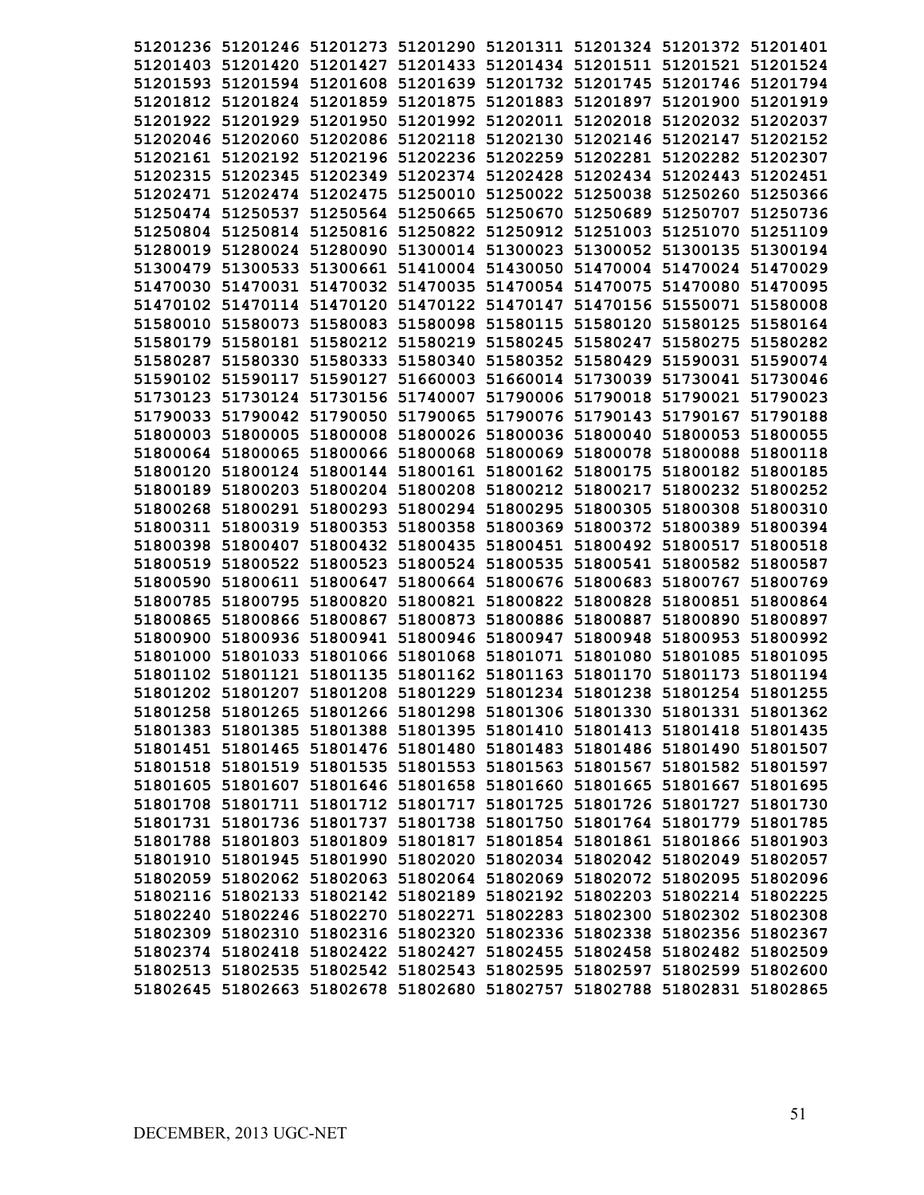| 51201236 51201246 51201273 51201290 51201311 51201324 51201372 51201401 |  |                                              |                                                                         |
|-------------------------------------------------------------------------|--|----------------------------------------------|-------------------------------------------------------------------------|
| 51201403 51201420 51201427 51201433 51201434 51201511 51201521 51201524 |  |                                              |                                                                         |
| 51201593 51201594 51201608 51201639 51201732 51201745 51201746 51201794 |  |                                              |                                                                         |
| 51201812 51201824 51201859 51201875 51201883 51201897 51201900 51201919 |  |                                              |                                                                         |
| 51201922 51201929 51201950 51201992 51202011 51202018 51202032 51202037 |  |                                              |                                                                         |
| 51202046 51202060 51202086 51202118 51202130 51202146 51202147 51202152 |  |                                              |                                                                         |
| 51202161 51202192 51202196 51202236 51202259 51202281 51202282 51202307 |  |                                              |                                                                         |
| 51202315 51202345 51202349 51202374 51202428 51202434 51202443 51202451 |  |                                              |                                                                         |
| 51202471 51202474 51202475 51250010 51250022 51250038 51250260 51250366 |  |                                              |                                                                         |
| 51250474 51250537 51250564 51250665 51250670 51250689 51250707          |  |                                              | 51250736                                                                |
| 51250804 51250814 51250816 51250822 51250912 51251003 51251070 51251109 |  |                                              |                                                                         |
| 51280019 51280024 51280090 51300014 51300023 51300052 51300135 51300194 |  |                                              |                                                                         |
| 51300479 51300533 51300661 51410004 51430050 51470004 51470024 51470029 |  |                                              |                                                                         |
| 51470030 51470031 51470032 51470035 51470054 51470075 51470080 51470095 |  |                                              |                                                                         |
| 51470102 51470114 51470120 51470122 51470147 51470156 51550071 51580008 |  |                                              |                                                                         |
| 51580010 51580073 51580083 51580098 51580115 51580120 51580125 51580164 |  |                                              |                                                                         |
| 51580179 51580181 51580212 51580219 51580245 51580247 51580275 51580282 |  |                                              |                                                                         |
| 51580287 51580330 51580333 51580340 51580352 51580429 51590031 51590074 |  |                                              |                                                                         |
| 51590102 51590117 51590127 51660003 51660014 51730039 51730041 51730046 |  |                                              |                                                                         |
| 51730123 51730124 51730156 51740007 51790006 51790018 51790021 51790023 |  |                                              |                                                                         |
| 51790033 51790042 51790050 51790065 51790076 51790143 51790167 51790188 |  |                                              |                                                                         |
| 51800003 51800005 51800008 51800026 51800036 51800040 51800053 51800055 |  |                                              |                                                                         |
| 51800064 51800065 51800066 51800068 51800069 51800078 51800088 51800118 |  |                                              |                                                                         |
| 51800120 51800124 51800144 51800161 51800162 51800175 51800182 51800185 |  |                                              |                                                                         |
| 51800189 51800203 51800204 51800208 51800212 51800217 51800232 51800252 |  |                                              |                                                                         |
| 51800268 51800291 51800293 51800294 51800295 51800305 51800308 51800310 |  |                                              |                                                                         |
| 51800311 51800319 51800353 51800358 51800369 51800372 51800389 51800394 |  |                                              |                                                                         |
| 51800398 51800407                                                       |  | 51800432 51800435 51800451 51800492 51800517 | 51800518                                                                |
| 51800519 51800522 51800523 51800524 51800535 51800541 51800582 51800587 |  |                                              |                                                                         |
| 51800590 51800611 51800647 51800664 51800676 51800683 51800767 51800769 |  |                                              |                                                                         |
| 51800785 51800795                                                       |  | 51800820 51800821 51800822 51800828 51800851 | 51800864                                                                |
| 51800865 51800866                                                       |  | 51800867 51800873 51800886 51800887 51800890 | 51800897                                                                |
| 51800900 51800936 51800941 51800946 51800947 51800948 51800953          |  |                                              | 51800992                                                                |
| 51801000 51801033 51801066 51801068 51801071 51801080 51801085          |  |                                              | 51801095                                                                |
| 51801102 51801121 51801135 51801162 51801163 51801170 51801173          |  |                                              | 51801194                                                                |
| 51801202 51801207 51801208 51801229 51801234 51801238 51801254 51801255 |  |                                              |                                                                         |
| 51801258 51801265 51801266 51801298 51801306 51801330 51801331 51801362 |  |                                              |                                                                         |
| 51801383 51801385 51801388 51801395 51801410 51801413 51801418 51801435 |  |                                              |                                                                         |
| 51801451 51801465 51801476 51801480 51801483 51801486 51801490 51801507 |  |                                              |                                                                         |
| 51801518 51801519 51801535 51801553 51801563 51801567 51801582 51801597 |  |                                              |                                                                         |
| 51801605 51801607 51801646 51801658 51801660 51801665 51801667 51801695 |  |                                              |                                                                         |
| 51801708 51801711 51801712 51801717 51801725 51801726 51801727 51801730 |  |                                              |                                                                         |
| 51801731 51801736 51801737 51801738 51801750 51801764 51801779 51801785 |  |                                              |                                                                         |
| 51801788 51801803 51801809 51801817 51801854 51801861 51801866 51801903 |  |                                              |                                                                         |
| 51801910 51801945 51801990 51802020 51802034 51802042 51802049 51802057 |  |                                              |                                                                         |
| 51802059 51802062 51802063 51802064 51802069 51802072 51802095 51802096 |  |                                              |                                                                         |
| 51802116 51802133 51802142 51802189 51802192 51802203 51802214 51802225 |  |                                              |                                                                         |
| 51802240 51802246 51802270 51802271 51802283 51802300 51802302 51802308 |  |                                              |                                                                         |
| 51802309 51802310 51802316 51802320 51802336 51802338 51802356 51802367 |  |                                              |                                                                         |
| 51802374 51802418 51802422 51802427 51802455 51802458 51802482 51802509 |  |                                              |                                                                         |
| 51802513 51802535 51802542 51802543 51802595 51802597 51802599 51802600 |  |                                              |                                                                         |
|                                                                         |  |                                              | 51802645 51802663 51802678 51802680 51802757 51802788 51802831 51802865 |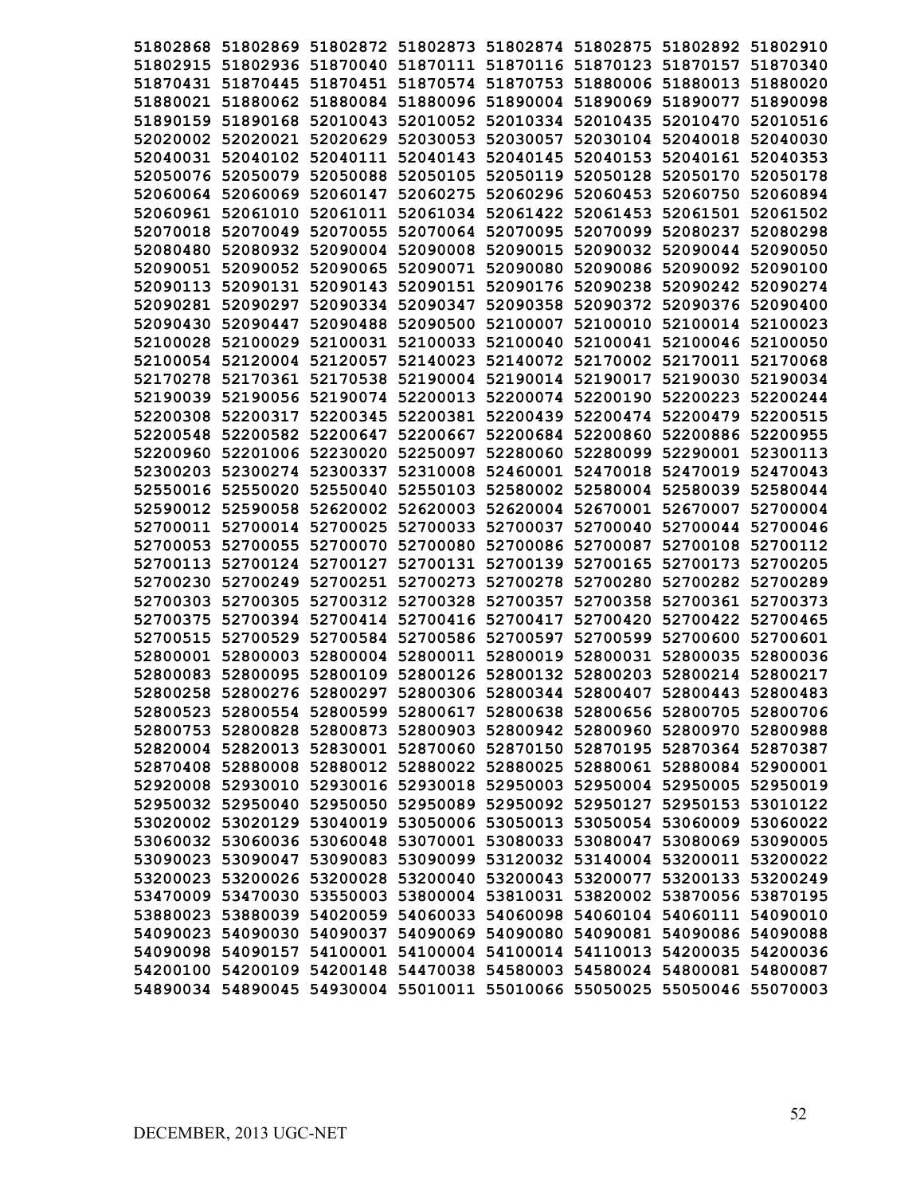| 51802868 51802869 51802872 51802873 51802874 51802875 51802892 51802910<br>51802915 51802936 51870040 51870111 51870116 51870123 51870157 51870340<br>51870431 51870445 51870451 51870574 51870753 51880006 51880013<br>51880020<br>51880021 51880062 51880084 51880096 51890004 51890069 51890077<br>52010043 52010052 52010334 52010435 52010470<br>51890159 51890168<br>52020002 52020021<br>52020629 52030053<br>52030057<br>52030104 52040018<br>52040031 52040102 52040111 52040143<br>52040145 52040153 52040161 52040353<br>52050076 52050079 52050088 52050105<br>52050119 52050128 52050170<br>52060064 52060069 52060147 52060275<br>52060296 52060453 52060750<br>52061011 52061034 52061422 52061453 52061501<br>52060961 52061010<br>52070018 52070049<br>52070055 52070064 52070095<br>52070099 52080237<br>52080480 52080932 52090004 52090008<br>52090015<br>52090032 52090044<br>52090080 52090086 52090092<br>52090051 52090052 52090065<br>52090071<br>52090151 52090176 52090238 52090242 52090274<br>52090113 52090131<br>52090143<br>52090281 52090297 52090334 52090347 52090358 52090372 52090376 52090400<br>52090430 52090447 52090488 52090500 52100007 52100010 52100014 52100023<br>52100028 52100029 52100031 52100033 52100040 52100041 52100046 52100050<br>52100054 52120004 52120057 52140023 52140072 52170002 52170011 52170068<br>52170278 52170361 52170538 52190004 52190014 52190017 52190030 52190034<br>52190039 52190056 52190074 52200013 52200074 52200190 52200223 52200244<br>52200308 52200317 52200345 52200381 52200439 52200474 52200479 52200515<br>52200667 52200684 52200860 52200886<br>52200548 52200582 52200647<br>52250097 52280060 52280099 52290001 52300113<br>52200960 52201006 52230020<br>52310008 52460001 52470018 52470019 52470043<br>52300203 52300274 52300337<br>52550016 52550020 52550040<br>52550103 52580002<br>52580004 52580039<br>52590012 52590058<br>52620002 52620003 52620004 52670001 52670007<br>52700011 52700014 52700025<br>52700033 52700037<br>52700040<br>52700044<br>52700053 52700055<br>52700070<br>52700080 52700086<br>52700087<br>52700108<br>52700127<br>52700131 52700139 52700165<br>52700113 52700124<br>52700173<br>52700230 52700249<br>52700251 52700273 52700278<br>52700280<br>52700282 52700289<br>52700305<br>52700312<br>52700328<br>52700357<br>52700358<br>52700361<br>52700303<br>52700416 52700417<br>52700375<br>52700394<br>52700414<br>52700420<br>52700422<br>52700584 52700586 52700597<br>52700599 52700600<br>52700515<br>52700529<br>52800004 52800011<br>52800019<br>52800031 52800035<br>52800001<br>52800003<br>52800036<br>52800095<br>52800109 52800126<br>52800132 52800203 52800214<br>52800083<br>52800258 52800276 52800297 52800306 52800344 52800407 52800443 52800483<br>52800523 52800554 52800599 52800617 52800638 52800656 52800705 52800706<br>52800753 52800828 52800873 52800903 52800942 52800960 52800970 52800988<br>52820004 52820013 52830001 52870060 52870150 52870195 52870364 52870387<br>52870408 52880008 52880012 52880022 52880025 52880061 52880084 52900001<br>52920008 52930010 52930016 52930018 52950003 52950004 52950005 52950019<br>52950032 52950040 52950050 52950089 52950092 52950127 52950153 53010122<br>53020002 53020129 53040019 53050006 53050013 53050054 53060009 53060022<br>53060032 53060036 53060048 53070001 53080033 53080047 53080069 53090005<br>53090023 53090047 53090083 53090099 53120032 53140004 53200011 53200022<br>53200023 53200026 53200028 53200040 53200043 53200077 53200133 53200249<br>53470009 53470030 53550003 53800004 53810031 53820002 53870056 53870195<br>53880023 53880039 54020059 54060033 54060098 54060104 54060111 54090010<br>54090023 54090030 54090037 54090069 54090080 54090081 54090086 54090088<br>54090098 54090157 54100001 54100004 54100014 54110013 54200035 54200036 |                                                                         |  |  |          |
|-------------------------------------------------------------------------------------------------------------------------------------------------------------------------------------------------------------------------------------------------------------------------------------------------------------------------------------------------------------------------------------------------------------------------------------------------------------------------------------------------------------------------------------------------------------------------------------------------------------------------------------------------------------------------------------------------------------------------------------------------------------------------------------------------------------------------------------------------------------------------------------------------------------------------------------------------------------------------------------------------------------------------------------------------------------------------------------------------------------------------------------------------------------------------------------------------------------------------------------------------------------------------------------------------------------------------------------------------------------------------------------------------------------------------------------------------------------------------------------------------------------------------------------------------------------------------------------------------------------------------------------------------------------------------------------------------------------------------------------------------------------------------------------------------------------------------------------------------------------------------------------------------------------------------------------------------------------------------------------------------------------------------------------------------------------------------------------------------------------------------------------------------------------------------------------------------------------------------------------------------------------------------------------------------------------------------------------------------------------------------------------------------------------------------------------------------------------------------------------------------------------------------------------------------------------------------------------------------------------------------------------------------------------------------------------------------------------------------------------------------------------------------------------------------------------------------------------------------------------------------------------------------------------------------------------------------------------------------------------------------------------------------------------------------------------------------------------------------------------------------------------------------------------------------------------------------------------------------------------------------------------------------------------------------------------------------------------------------------------------------------------------------------------------------------------------------------------------------------------------------------------------------------------------------------------------------------------------------------------------------------------------------------------------------------------------------------------------------------------------------------------------------------------------------------------------------------------------------------------------------------------------------------|-------------------------------------------------------------------------|--|--|----------|
|                                                                                                                                                                                                                                                                                                                                                                                                                                                                                                                                                                                                                                                                                                                                                                                                                                                                                                                                                                                                                                                                                                                                                                                                                                                                                                                                                                                                                                                                                                                                                                                                                                                                                                                                                                                                                                                                                                                                                                                                                                                                                                                                                                                                                                                                                                                                                                                                                                                                                                                                                                                                                                                                                                                                                                                                                                                                                                                                                                                                                                                                                                                                                                                                                                                                                                                                                                                                                                                                                                                                                                                                                                                                                                                                                                                                                                                                                                       |                                                                         |  |  |          |
|                                                                                                                                                                                                                                                                                                                                                                                                                                                                                                                                                                                                                                                                                                                                                                                                                                                                                                                                                                                                                                                                                                                                                                                                                                                                                                                                                                                                                                                                                                                                                                                                                                                                                                                                                                                                                                                                                                                                                                                                                                                                                                                                                                                                                                                                                                                                                                                                                                                                                                                                                                                                                                                                                                                                                                                                                                                                                                                                                                                                                                                                                                                                                                                                                                                                                                                                                                                                                                                                                                                                                                                                                                                                                                                                                                                                                                                                                                       |                                                                         |  |  |          |
|                                                                                                                                                                                                                                                                                                                                                                                                                                                                                                                                                                                                                                                                                                                                                                                                                                                                                                                                                                                                                                                                                                                                                                                                                                                                                                                                                                                                                                                                                                                                                                                                                                                                                                                                                                                                                                                                                                                                                                                                                                                                                                                                                                                                                                                                                                                                                                                                                                                                                                                                                                                                                                                                                                                                                                                                                                                                                                                                                                                                                                                                                                                                                                                                                                                                                                                                                                                                                                                                                                                                                                                                                                                                                                                                                                                                                                                                                                       |                                                                         |  |  |          |
|                                                                                                                                                                                                                                                                                                                                                                                                                                                                                                                                                                                                                                                                                                                                                                                                                                                                                                                                                                                                                                                                                                                                                                                                                                                                                                                                                                                                                                                                                                                                                                                                                                                                                                                                                                                                                                                                                                                                                                                                                                                                                                                                                                                                                                                                                                                                                                                                                                                                                                                                                                                                                                                                                                                                                                                                                                                                                                                                                                                                                                                                                                                                                                                                                                                                                                                                                                                                                                                                                                                                                                                                                                                                                                                                                                                                                                                                                                       |                                                                         |  |  | 51890098 |
|                                                                                                                                                                                                                                                                                                                                                                                                                                                                                                                                                                                                                                                                                                                                                                                                                                                                                                                                                                                                                                                                                                                                                                                                                                                                                                                                                                                                                                                                                                                                                                                                                                                                                                                                                                                                                                                                                                                                                                                                                                                                                                                                                                                                                                                                                                                                                                                                                                                                                                                                                                                                                                                                                                                                                                                                                                                                                                                                                                                                                                                                                                                                                                                                                                                                                                                                                                                                                                                                                                                                                                                                                                                                                                                                                                                                                                                                                                       |                                                                         |  |  | 52010516 |
|                                                                                                                                                                                                                                                                                                                                                                                                                                                                                                                                                                                                                                                                                                                                                                                                                                                                                                                                                                                                                                                                                                                                                                                                                                                                                                                                                                                                                                                                                                                                                                                                                                                                                                                                                                                                                                                                                                                                                                                                                                                                                                                                                                                                                                                                                                                                                                                                                                                                                                                                                                                                                                                                                                                                                                                                                                                                                                                                                                                                                                                                                                                                                                                                                                                                                                                                                                                                                                                                                                                                                                                                                                                                                                                                                                                                                                                                                                       |                                                                         |  |  | 52040030 |
|                                                                                                                                                                                                                                                                                                                                                                                                                                                                                                                                                                                                                                                                                                                                                                                                                                                                                                                                                                                                                                                                                                                                                                                                                                                                                                                                                                                                                                                                                                                                                                                                                                                                                                                                                                                                                                                                                                                                                                                                                                                                                                                                                                                                                                                                                                                                                                                                                                                                                                                                                                                                                                                                                                                                                                                                                                                                                                                                                                                                                                                                                                                                                                                                                                                                                                                                                                                                                                                                                                                                                                                                                                                                                                                                                                                                                                                                                                       |                                                                         |  |  |          |
|                                                                                                                                                                                                                                                                                                                                                                                                                                                                                                                                                                                                                                                                                                                                                                                                                                                                                                                                                                                                                                                                                                                                                                                                                                                                                                                                                                                                                                                                                                                                                                                                                                                                                                                                                                                                                                                                                                                                                                                                                                                                                                                                                                                                                                                                                                                                                                                                                                                                                                                                                                                                                                                                                                                                                                                                                                                                                                                                                                                                                                                                                                                                                                                                                                                                                                                                                                                                                                                                                                                                                                                                                                                                                                                                                                                                                                                                                                       |                                                                         |  |  | 52050178 |
|                                                                                                                                                                                                                                                                                                                                                                                                                                                                                                                                                                                                                                                                                                                                                                                                                                                                                                                                                                                                                                                                                                                                                                                                                                                                                                                                                                                                                                                                                                                                                                                                                                                                                                                                                                                                                                                                                                                                                                                                                                                                                                                                                                                                                                                                                                                                                                                                                                                                                                                                                                                                                                                                                                                                                                                                                                                                                                                                                                                                                                                                                                                                                                                                                                                                                                                                                                                                                                                                                                                                                                                                                                                                                                                                                                                                                                                                                                       |                                                                         |  |  | 52060894 |
|                                                                                                                                                                                                                                                                                                                                                                                                                                                                                                                                                                                                                                                                                                                                                                                                                                                                                                                                                                                                                                                                                                                                                                                                                                                                                                                                                                                                                                                                                                                                                                                                                                                                                                                                                                                                                                                                                                                                                                                                                                                                                                                                                                                                                                                                                                                                                                                                                                                                                                                                                                                                                                                                                                                                                                                                                                                                                                                                                                                                                                                                                                                                                                                                                                                                                                                                                                                                                                                                                                                                                                                                                                                                                                                                                                                                                                                                                                       |                                                                         |  |  | 52061502 |
|                                                                                                                                                                                                                                                                                                                                                                                                                                                                                                                                                                                                                                                                                                                                                                                                                                                                                                                                                                                                                                                                                                                                                                                                                                                                                                                                                                                                                                                                                                                                                                                                                                                                                                                                                                                                                                                                                                                                                                                                                                                                                                                                                                                                                                                                                                                                                                                                                                                                                                                                                                                                                                                                                                                                                                                                                                                                                                                                                                                                                                                                                                                                                                                                                                                                                                                                                                                                                                                                                                                                                                                                                                                                                                                                                                                                                                                                                                       |                                                                         |  |  | 52080298 |
|                                                                                                                                                                                                                                                                                                                                                                                                                                                                                                                                                                                                                                                                                                                                                                                                                                                                                                                                                                                                                                                                                                                                                                                                                                                                                                                                                                                                                                                                                                                                                                                                                                                                                                                                                                                                                                                                                                                                                                                                                                                                                                                                                                                                                                                                                                                                                                                                                                                                                                                                                                                                                                                                                                                                                                                                                                                                                                                                                                                                                                                                                                                                                                                                                                                                                                                                                                                                                                                                                                                                                                                                                                                                                                                                                                                                                                                                                                       |                                                                         |  |  | 52090050 |
|                                                                                                                                                                                                                                                                                                                                                                                                                                                                                                                                                                                                                                                                                                                                                                                                                                                                                                                                                                                                                                                                                                                                                                                                                                                                                                                                                                                                                                                                                                                                                                                                                                                                                                                                                                                                                                                                                                                                                                                                                                                                                                                                                                                                                                                                                                                                                                                                                                                                                                                                                                                                                                                                                                                                                                                                                                                                                                                                                                                                                                                                                                                                                                                                                                                                                                                                                                                                                                                                                                                                                                                                                                                                                                                                                                                                                                                                                                       |                                                                         |  |  | 52090100 |
|                                                                                                                                                                                                                                                                                                                                                                                                                                                                                                                                                                                                                                                                                                                                                                                                                                                                                                                                                                                                                                                                                                                                                                                                                                                                                                                                                                                                                                                                                                                                                                                                                                                                                                                                                                                                                                                                                                                                                                                                                                                                                                                                                                                                                                                                                                                                                                                                                                                                                                                                                                                                                                                                                                                                                                                                                                                                                                                                                                                                                                                                                                                                                                                                                                                                                                                                                                                                                                                                                                                                                                                                                                                                                                                                                                                                                                                                                                       |                                                                         |  |  |          |
|                                                                                                                                                                                                                                                                                                                                                                                                                                                                                                                                                                                                                                                                                                                                                                                                                                                                                                                                                                                                                                                                                                                                                                                                                                                                                                                                                                                                                                                                                                                                                                                                                                                                                                                                                                                                                                                                                                                                                                                                                                                                                                                                                                                                                                                                                                                                                                                                                                                                                                                                                                                                                                                                                                                                                                                                                                                                                                                                                                                                                                                                                                                                                                                                                                                                                                                                                                                                                                                                                                                                                                                                                                                                                                                                                                                                                                                                                                       |                                                                         |  |  |          |
|                                                                                                                                                                                                                                                                                                                                                                                                                                                                                                                                                                                                                                                                                                                                                                                                                                                                                                                                                                                                                                                                                                                                                                                                                                                                                                                                                                                                                                                                                                                                                                                                                                                                                                                                                                                                                                                                                                                                                                                                                                                                                                                                                                                                                                                                                                                                                                                                                                                                                                                                                                                                                                                                                                                                                                                                                                                                                                                                                                                                                                                                                                                                                                                                                                                                                                                                                                                                                                                                                                                                                                                                                                                                                                                                                                                                                                                                                                       |                                                                         |  |  |          |
|                                                                                                                                                                                                                                                                                                                                                                                                                                                                                                                                                                                                                                                                                                                                                                                                                                                                                                                                                                                                                                                                                                                                                                                                                                                                                                                                                                                                                                                                                                                                                                                                                                                                                                                                                                                                                                                                                                                                                                                                                                                                                                                                                                                                                                                                                                                                                                                                                                                                                                                                                                                                                                                                                                                                                                                                                                                                                                                                                                                                                                                                                                                                                                                                                                                                                                                                                                                                                                                                                                                                                                                                                                                                                                                                                                                                                                                                                                       |                                                                         |  |  |          |
|                                                                                                                                                                                                                                                                                                                                                                                                                                                                                                                                                                                                                                                                                                                                                                                                                                                                                                                                                                                                                                                                                                                                                                                                                                                                                                                                                                                                                                                                                                                                                                                                                                                                                                                                                                                                                                                                                                                                                                                                                                                                                                                                                                                                                                                                                                                                                                                                                                                                                                                                                                                                                                                                                                                                                                                                                                                                                                                                                                                                                                                                                                                                                                                                                                                                                                                                                                                                                                                                                                                                                                                                                                                                                                                                                                                                                                                                                                       |                                                                         |  |  |          |
|                                                                                                                                                                                                                                                                                                                                                                                                                                                                                                                                                                                                                                                                                                                                                                                                                                                                                                                                                                                                                                                                                                                                                                                                                                                                                                                                                                                                                                                                                                                                                                                                                                                                                                                                                                                                                                                                                                                                                                                                                                                                                                                                                                                                                                                                                                                                                                                                                                                                                                                                                                                                                                                                                                                                                                                                                                                                                                                                                                                                                                                                                                                                                                                                                                                                                                                                                                                                                                                                                                                                                                                                                                                                                                                                                                                                                                                                                                       |                                                                         |  |  |          |
|                                                                                                                                                                                                                                                                                                                                                                                                                                                                                                                                                                                                                                                                                                                                                                                                                                                                                                                                                                                                                                                                                                                                                                                                                                                                                                                                                                                                                                                                                                                                                                                                                                                                                                                                                                                                                                                                                                                                                                                                                                                                                                                                                                                                                                                                                                                                                                                                                                                                                                                                                                                                                                                                                                                                                                                                                                                                                                                                                                                                                                                                                                                                                                                                                                                                                                                                                                                                                                                                                                                                                                                                                                                                                                                                                                                                                                                                                                       |                                                                         |  |  |          |
|                                                                                                                                                                                                                                                                                                                                                                                                                                                                                                                                                                                                                                                                                                                                                                                                                                                                                                                                                                                                                                                                                                                                                                                                                                                                                                                                                                                                                                                                                                                                                                                                                                                                                                                                                                                                                                                                                                                                                                                                                                                                                                                                                                                                                                                                                                                                                                                                                                                                                                                                                                                                                                                                                                                                                                                                                                                                                                                                                                                                                                                                                                                                                                                                                                                                                                                                                                                                                                                                                                                                                                                                                                                                                                                                                                                                                                                                                                       |                                                                         |  |  |          |
|                                                                                                                                                                                                                                                                                                                                                                                                                                                                                                                                                                                                                                                                                                                                                                                                                                                                                                                                                                                                                                                                                                                                                                                                                                                                                                                                                                                                                                                                                                                                                                                                                                                                                                                                                                                                                                                                                                                                                                                                                                                                                                                                                                                                                                                                                                                                                                                                                                                                                                                                                                                                                                                                                                                                                                                                                                                                                                                                                                                                                                                                                                                                                                                                                                                                                                                                                                                                                                                                                                                                                                                                                                                                                                                                                                                                                                                                                                       |                                                                         |  |  | 52200955 |
|                                                                                                                                                                                                                                                                                                                                                                                                                                                                                                                                                                                                                                                                                                                                                                                                                                                                                                                                                                                                                                                                                                                                                                                                                                                                                                                                                                                                                                                                                                                                                                                                                                                                                                                                                                                                                                                                                                                                                                                                                                                                                                                                                                                                                                                                                                                                                                                                                                                                                                                                                                                                                                                                                                                                                                                                                                                                                                                                                                                                                                                                                                                                                                                                                                                                                                                                                                                                                                                                                                                                                                                                                                                                                                                                                                                                                                                                                                       |                                                                         |  |  |          |
|                                                                                                                                                                                                                                                                                                                                                                                                                                                                                                                                                                                                                                                                                                                                                                                                                                                                                                                                                                                                                                                                                                                                                                                                                                                                                                                                                                                                                                                                                                                                                                                                                                                                                                                                                                                                                                                                                                                                                                                                                                                                                                                                                                                                                                                                                                                                                                                                                                                                                                                                                                                                                                                                                                                                                                                                                                                                                                                                                                                                                                                                                                                                                                                                                                                                                                                                                                                                                                                                                                                                                                                                                                                                                                                                                                                                                                                                                                       |                                                                         |  |  |          |
|                                                                                                                                                                                                                                                                                                                                                                                                                                                                                                                                                                                                                                                                                                                                                                                                                                                                                                                                                                                                                                                                                                                                                                                                                                                                                                                                                                                                                                                                                                                                                                                                                                                                                                                                                                                                                                                                                                                                                                                                                                                                                                                                                                                                                                                                                                                                                                                                                                                                                                                                                                                                                                                                                                                                                                                                                                                                                                                                                                                                                                                                                                                                                                                                                                                                                                                                                                                                                                                                                                                                                                                                                                                                                                                                                                                                                                                                                                       |                                                                         |  |  | 52580044 |
|                                                                                                                                                                                                                                                                                                                                                                                                                                                                                                                                                                                                                                                                                                                                                                                                                                                                                                                                                                                                                                                                                                                                                                                                                                                                                                                                                                                                                                                                                                                                                                                                                                                                                                                                                                                                                                                                                                                                                                                                                                                                                                                                                                                                                                                                                                                                                                                                                                                                                                                                                                                                                                                                                                                                                                                                                                                                                                                                                                                                                                                                                                                                                                                                                                                                                                                                                                                                                                                                                                                                                                                                                                                                                                                                                                                                                                                                                                       |                                                                         |  |  | 52700004 |
|                                                                                                                                                                                                                                                                                                                                                                                                                                                                                                                                                                                                                                                                                                                                                                                                                                                                                                                                                                                                                                                                                                                                                                                                                                                                                                                                                                                                                                                                                                                                                                                                                                                                                                                                                                                                                                                                                                                                                                                                                                                                                                                                                                                                                                                                                                                                                                                                                                                                                                                                                                                                                                                                                                                                                                                                                                                                                                                                                                                                                                                                                                                                                                                                                                                                                                                                                                                                                                                                                                                                                                                                                                                                                                                                                                                                                                                                                                       |                                                                         |  |  | 52700046 |
|                                                                                                                                                                                                                                                                                                                                                                                                                                                                                                                                                                                                                                                                                                                                                                                                                                                                                                                                                                                                                                                                                                                                                                                                                                                                                                                                                                                                                                                                                                                                                                                                                                                                                                                                                                                                                                                                                                                                                                                                                                                                                                                                                                                                                                                                                                                                                                                                                                                                                                                                                                                                                                                                                                                                                                                                                                                                                                                                                                                                                                                                                                                                                                                                                                                                                                                                                                                                                                                                                                                                                                                                                                                                                                                                                                                                                                                                                                       |                                                                         |  |  | 52700112 |
|                                                                                                                                                                                                                                                                                                                                                                                                                                                                                                                                                                                                                                                                                                                                                                                                                                                                                                                                                                                                                                                                                                                                                                                                                                                                                                                                                                                                                                                                                                                                                                                                                                                                                                                                                                                                                                                                                                                                                                                                                                                                                                                                                                                                                                                                                                                                                                                                                                                                                                                                                                                                                                                                                                                                                                                                                                                                                                                                                                                                                                                                                                                                                                                                                                                                                                                                                                                                                                                                                                                                                                                                                                                                                                                                                                                                                                                                                                       |                                                                         |  |  | 52700205 |
|                                                                                                                                                                                                                                                                                                                                                                                                                                                                                                                                                                                                                                                                                                                                                                                                                                                                                                                                                                                                                                                                                                                                                                                                                                                                                                                                                                                                                                                                                                                                                                                                                                                                                                                                                                                                                                                                                                                                                                                                                                                                                                                                                                                                                                                                                                                                                                                                                                                                                                                                                                                                                                                                                                                                                                                                                                                                                                                                                                                                                                                                                                                                                                                                                                                                                                                                                                                                                                                                                                                                                                                                                                                                                                                                                                                                                                                                                                       |                                                                         |  |  |          |
|                                                                                                                                                                                                                                                                                                                                                                                                                                                                                                                                                                                                                                                                                                                                                                                                                                                                                                                                                                                                                                                                                                                                                                                                                                                                                                                                                                                                                                                                                                                                                                                                                                                                                                                                                                                                                                                                                                                                                                                                                                                                                                                                                                                                                                                                                                                                                                                                                                                                                                                                                                                                                                                                                                                                                                                                                                                                                                                                                                                                                                                                                                                                                                                                                                                                                                                                                                                                                                                                                                                                                                                                                                                                                                                                                                                                                                                                                                       |                                                                         |  |  | 52700373 |
|                                                                                                                                                                                                                                                                                                                                                                                                                                                                                                                                                                                                                                                                                                                                                                                                                                                                                                                                                                                                                                                                                                                                                                                                                                                                                                                                                                                                                                                                                                                                                                                                                                                                                                                                                                                                                                                                                                                                                                                                                                                                                                                                                                                                                                                                                                                                                                                                                                                                                                                                                                                                                                                                                                                                                                                                                                                                                                                                                                                                                                                                                                                                                                                                                                                                                                                                                                                                                                                                                                                                                                                                                                                                                                                                                                                                                                                                                                       |                                                                         |  |  | 52700465 |
|                                                                                                                                                                                                                                                                                                                                                                                                                                                                                                                                                                                                                                                                                                                                                                                                                                                                                                                                                                                                                                                                                                                                                                                                                                                                                                                                                                                                                                                                                                                                                                                                                                                                                                                                                                                                                                                                                                                                                                                                                                                                                                                                                                                                                                                                                                                                                                                                                                                                                                                                                                                                                                                                                                                                                                                                                                                                                                                                                                                                                                                                                                                                                                                                                                                                                                                                                                                                                                                                                                                                                                                                                                                                                                                                                                                                                                                                                                       |                                                                         |  |  | 52700601 |
|                                                                                                                                                                                                                                                                                                                                                                                                                                                                                                                                                                                                                                                                                                                                                                                                                                                                                                                                                                                                                                                                                                                                                                                                                                                                                                                                                                                                                                                                                                                                                                                                                                                                                                                                                                                                                                                                                                                                                                                                                                                                                                                                                                                                                                                                                                                                                                                                                                                                                                                                                                                                                                                                                                                                                                                                                                                                                                                                                                                                                                                                                                                                                                                                                                                                                                                                                                                                                                                                                                                                                                                                                                                                                                                                                                                                                                                                                                       |                                                                         |  |  |          |
|                                                                                                                                                                                                                                                                                                                                                                                                                                                                                                                                                                                                                                                                                                                                                                                                                                                                                                                                                                                                                                                                                                                                                                                                                                                                                                                                                                                                                                                                                                                                                                                                                                                                                                                                                                                                                                                                                                                                                                                                                                                                                                                                                                                                                                                                                                                                                                                                                                                                                                                                                                                                                                                                                                                                                                                                                                                                                                                                                                                                                                                                                                                                                                                                                                                                                                                                                                                                                                                                                                                                                                                                                                                                                                                                                                                                                                                                                                       |                                                                         |  |  | 52800217 |
|                                                                                                                                                                                                                                                                                                                                                                                                                                                                                                                                                                                                                                                                                                                                                                                                                                                                                                                                                                                                                                                                                                                                                                                                                                                                                                                                                                                                                                                                                                                                                                                                                                                                                                                                                                                                                                                                                                                                                                                                                                                                                                                                                                                                                                                                                                                                                                                                                                                                                                                                                                                                                                                                                                                                                                                                                                                                                                                                                                                                                                                                                                                                                                                                                                                                                                                                                                                                                                                                                                                                                                                                                                                                                                                                                                                                                                                                                                       |                                                                         |  |  |          |
|                                                                                                                                                                                                                                                                                                                                                                                                                                                                                                                                                                                                                                                                                                                                                                                                                                                                                                                                                                                                                                                                                                                                                                                                                                                                                                                                                                                                                                                                                                                                                                                                                                                                                                                                                                                                                                                                                                                                                                                                                                                                                                                                                                                                                                                                                                                                                                                                                                                                                                                                                                                                                                                                                                                                                                                                                                                                                                                                                                                                                                                                                                                                                                                                                                                                                                                                                                                                                                                                                                                                                                                                                                                                                                                                                                                                                                                                                                       |                                                                         |  |  |          |
|                                                                                                                                                                                                                                                                                                                                                                                                                                                                                                                                                                                                                                                                                                                                                                                                                                                                                                                                                                                                                                                                                                                                                                                                                                                                                                                                                                                                                                                                                                                                                                                                                                                                                                                                                                                                                                                                                                                                                                                                                                                                                                                                                                                                                                                                                                                                                                                                                                                                                                                                                                                                                                                                                                                                                                                                                                                                                                                                                                                                                                                                                                                                                                                                                                                                                                                                                                                                                                                                                                                                                                                                                                                                                                                                                                                                                                                                                                       |                                                                         |  |  |          |
|                                                                                                                                                                                                                                                                                                                                                                                                                                                                                                                                                                                                                                                                                                                                                                                                                                                                                                                                                                                                                                                                                                                                                                                                                                                                                                                                                                                                                                                                                                                                                                                                                                                                                                                                                                                                                                                                                                                                                                                                                                                                                                                                                                                                                                                                                                                                                                                                                                                                                                                                                                                                                                                                                                                                                                                                                                                                                                                                                                                                                                                                                                                                                                                                                                                                                                                                                                                                                                                                                                                                                                                                                                                                                                                                                                                                                                                                                                       |                                                                         |  |  |          |
|                                                                                                                                                                                                                                                                                                                                                                                                                                                                                                                                                                                                                                                                                                                                                                                                                                                                                                                                                                                                                                                                                                                                                                                                                                                                                                                                                                                                                                                                                                                                                                                                                                                                                                                                                                                                                                                                                                                                                                                                                                                                                                                                                                                                                                                                                                                                                                                                                                                                                                                                                                                                                                                                                                                                                                                                                                                                                                                                                                                                                                                                                                                                                                                                                                                                                                                                                                                                                                                                                                                                                                                                                                                                                                                                                                                                                                                                                                       |                                                                         |  |  |          |
|                                                                                                                                                                                                                                                                                                                                                                                                                                                                                                                                                                                                                                                                                                                                                                                                                                                                                                                                                                                                                                                                                                                                                                                                                                                                                                                                                                                                                                                                                                                                                                                                                                                                                                                                                                                                                                                                                                                                                                                                                                                                                                                                                                                                                                                                                                                                                                                                                                                                                                                                                                                                                                                                                                                                                                                                                                                                                                                                                                                                                                                                                                                                                                                                                                                                                                                                                                                                                                                                                                                                                                                                                                                                                                                                                                                                                                                                                                       |                                                                         |  |  |          |
|                                                                                                                                                                                                                                                                                                                                                                                                                                                                                                                                                                                                                                                                                                                                                                                                                                                                                                                                                                                                                                                                                                                                                                                                                                                                                                                                                                                                                                                                                                                                                                                                                                                                                                                                                                                                                                                                                                                                                                                                                                                                                                                                                                                                                                                                                                                                                                                                                                                                                                                                                                                                                                                                                                                                                                                                                                                                                                                                                                                                                                                                                                                                                                                                                                                                                                                                                                                                                                                                                                                                                                                                                                                                                                                                                                                                                                                                                                       |                                                                         |  |  |          |
|                                                                                                                                                                                                                                                                                                                                                                                                                                                                                                                                                                                                                                                                                                                                                                                                                                                                                                                                                                                                                                                                                                                                                                                                                                                                                                                                                                                                                                                                                                                                                                                                                                                                                                                                                                                                                                                                                                                                                                                                                                                                                                                                                                                                                                                                                                                                                                                                                                                                                                                                                                                                                                                                                                                                                                                                                                                                                                                                                                                                                                                                                                                                                                                                                                                                                                                                                                                                                                                                                                                                                                                                                                                                                                                                                                                                                                                                                                       |                                                                         |  |  |          |
|                                                                                                                                                                                                                                                                                                                                                                                                                                                                                                                                                                                                                                                                                                                                                                                                                                                                                                                                                                                                                                                                                                                                                                                                                                                                                                                                                                                                                                                                                                                                                                                                                                                                                                                                                                                                                                                                                                                                                                                                                                                                                                                                                                                                                                                                                                                                                                                                                                                                                                                                                                                                                                                                                                                                                                                                                                                                                                                                                                                                                                                                                                                                                                                                                                                                                                                                                                                                                                                                                                                                                                                                                                                                                                                                                                                                                                                                                                       |                                                                         |  |  |          |
|                                                                                                                                                                                                                                                                                                                                                                                                                                                                                                                                                                                                                                                                                                                                                                                                                                                                                                                                                                                                                                                                                                                                                                                                                                                                                                                                                                                                                                                                                                                                                                                                                                                                                                                                                                                                                                                                                                                                                                                                                                                                                                                                                                                                                                                                                                                                                                                                                                                                                                                                                                                                                                                                                                                                                                                                                                                                                                                                                                                                                                                                                                                                                                                                                                                                                                                                                                                                                                                                                                                                                                                                                                                                                                                                                                                                                                                                                                       |                                                                         |  |  |          |
|                                                                                                                                                                                                                                                                                                                                                                                                                                                                                                                                                                                                                                                                                                                                                                                                                                                                                                                                                                                                                                                                                                                                                                                                                                                                                                                                                                                                                                                                                                                                                                                                                                                                                                                                                                                                                                                                                                                                                                                                                                                                                                                                                                                                                                                                                                                                                                                                                                                                                                                                                                                                                                                                                                                                                                                                                                                                                                                                                                                                                                                                                                                                                                                                                                                                                                                                                                                                                                                                                                                                                                                                                                                                                                                                                                                                                                                                                                       |                                                                         |  |  |          |
|                                                                                                                                                                                                                                                                                                                                                                                                                                                                                                                                                                                                                                                                                                                                                                                                                                                                                                                                                                                                                                                                                                                                                                                                                                                                                                                                                                                                                                                                                                                                                                                                                                                                                                                                                                                                                                                                                                                                                                                                                                                                                                                                                                                                                                                                                                                                                                                                                                                                                                                                                                                                                                                                                                                                                                                                                                                                                                                                                                                                                                                                                                                                                                                                                                                                                                                                                                                                                                                                                                                                                                                                                                                                                                                                                                                                                                                                                                       |                                                                         |  |  |          |
|                                                                                                                                                                                                                                                                                                                                                                                                                                                                                                                                                                                                                                                                                                                                                                                                                                                                                                                                                                                                                                                                                                                                                                                                                                                                                                                                                                                                                                                                                                                                                                                                                                                                                                                                                                                                                                                                                                                                                                                                                                                                                                                                                                                                                                                                                                                                                                                                                                                                                                                                                                                                                                                                                                                                                                                                                                                                                                                                                                                                                                                                                                                                                                                                                                                                                                                                                                                                                                                                                                                                                                                                                                                                                                                                                                                                                                                                                                       |                                                                         |  |  |          |
|                                                                                                                                                                                                                                                                                                                                                                                                                                                                                                                                                                                                                                                                                                                                                                                                                                                                                                                                                                                                                                                                                                                                                                                                                                                                                                                                                                                                                                                                                                                                                                                                                                                                                                                                                                                                                                                                                                                                                                                                                                                                                                                                                                                                                                                                                                                                                                                                                                                                                                                                                                                                                                                                                                                                                                                                                                                                                                                                                                                                                                                                                                                                                                                                                                                                                                                                                                                                                                                                                                                                                                                                                                                                                                                                                                                                                                                                                                       |                                                                         |  |  |          |
|                                                                                                                                                                                                                                                                                                                                                                                                                                                                                                                                                                                                                                                                                                                                                                                                                                                                                                                                                                                                                                                                                                                                                                                                                                                                                                                                                                                                                                                                                                                                                                                                                                                                                                                                                                                                                                                                                                                                                                                                                                                                                                                                                                                                                                                                                                                                                                                                                                                                                                                                                                                                                                                                                                                                                                                                                                                                                                                                                                                                                                                                                                                                                                                                                                                                                                                                                                                                                                                                                                                                                                                                                                                                                                                                                                                                                                                                                                       |                                                                         |  |  |          |
| 54200100 54200109 54200148 54470038 54580003 54580024 54800081 54800087                                                                                                                                                                                                                                                                                                                                                                                                                                                                                                                                                                                                                                                                                                                                                                                                                                                                                                                                                                                                                                                                                                                                                                                                                                                                                                                                                                                                                                                                                                                                                                                                                                                                                                                                                                                                                                                                                                                                                                                                                                                                                                                                                                                                                                                                                                                                                                                                                                                                                                                                                                                                                                                                                                                                                                                                                                                                                                                                                                                                                                                                                                                                                                                                                                                                                                                                                                                                                                                                                                                                                                                                                                                                                                                                                                                                                               |                                                                         |  |  |          |
|                                                                                                                                                                                                                                                                                                                                                                                                                                                                                                                                                                                                                                                                                                                                                                                                                                                                                                                                                                                                                                                                                                                                                                                                                                                                                                                                                                                                                                                                                                                                                                                                                                                                                                                                                                                                                                                                                                                                                                                                                                                                                                                                                                                                                                                                                                                                                                                                                                                                                                                                                                                                                                                                                                                                                                                                                                                                                                                                                                                                                                                                                                                                                                                                                                                                                                                                                                                                                                                                                                                                                                                                                                                                                                                                                                                                                                                                                                       | 54890034 54890045 54930004 55010011 55010066 55050025 55050046 55070003 |  |  |          |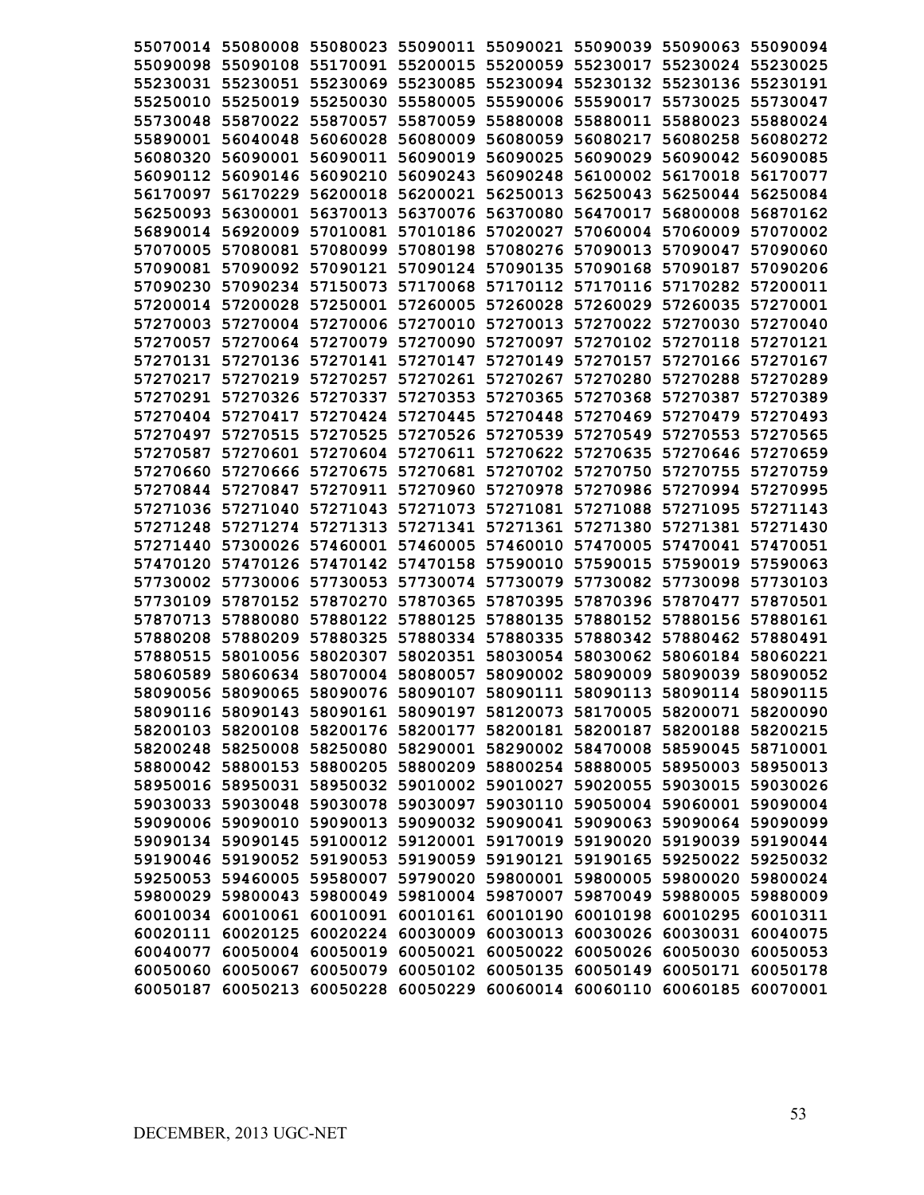|          |                                     |                   |          | 55070014 55080008 55080023 55090011 55090021 55090039 55090063 55090094 |                   |          |
|----------|-------------------------------------|-------------------|----------|-------------------------------------------------------------------------|-------------------|----------|
|          |                                     |                   |          | 55090098 55090108 55170091 55200015 55200059 55230017 55230024 55230025 |                   |          |
|          |                                     |                   |          | 55230031 55230051 55230069 55230085 55230094 55230132 55230136 55230191 |                   |          |
|          |                                     |                   |          | 55250010 55250019 55250030 55580005 55590006 55590017 55730025 55730047 |                   |          |
|          |                                     |                   |          | 55730048 55870022 55870057 55870059 55880008 55880011 55880023 55880024 |                   |          |
|          |                                     |                   |          | 55890001 56040048 56060028 56080009 56080059 56080217                   | 56080258 56080272 |          |
|          |                                     |                   |          | 56080320 56090001 56090011 56090019 56090025 56090029 56090042 56090085 |                   |          |
|          |                                     |                   |          | 56090112 56090146 56090210 56090243 56090248 56100002 56170018 56170077 |                   |          |
| 56170097 |                                     |                   |          | 56170229 56200018 56200021 56250013 56250043 56250044 56250084          |                   |          |
| 56250093 |                                     | 56300001 56370013 |          | 56370076 56370080 56470017 56800008 56870162                            |                   |          |
|          |                                     |                   |          | 56890014 56920009 57010081 57010186 57020027 57060004 57060009 57070002 |                   |          |
| 57070005 |                                     | 57080081 57080099 |          | 57080198 57080276 57090013 57090047 57090060                            |                   |          |
| 57090081 |                                     |                   |          | 57090092 57090121 57090124 57090135 57090168 57090187 57090206          |                   |          |
| 57090230 |                                     |                   |          | 57090234 57150073 57170068 57170112 57170116 57170282 57200011          |                   |          |
|          |                                     |                   |          | 57200014 57200028 57250001 57260005 57260028 57260029 57260035 57270001 |                   |          |
|          |                                     |                   |          | 57270003 57270004 57270006 57270010 57270013 57270022 57270030 57270040 |                   |          |
|          |                                     |                   |          | 57270057 57270064 57270079 57270090 57270097 57270102 57270118 57270121 |                   |          |
|          |                                     |                   |          | 57270131 57270136 57270141 57270147 57270149 57270157 57270166 57270167 |                   |          |
|          |                                     |                   |          | 57270217 57270219 57270257 57270261 57270267 57270280 57270288 57270289 |                   |          |
|          |                                     |                   |          | 57270291 57270326 57270337 57270353 57270365 57270368 57270387 57270389 |                   |          |
|          |                                     |                   |          | 57270404 57270417 57270424 57270445 57270448 57270469 57270479 57270493 |                   |          |
|          |                                     |                   |          | 57270497 57270515 57270525 57270526 57270539 57270549 57270553 57270565 |                   |          |
|          |                                     |                   |          | 57270587 57270601 57270604 57270611 57270622 57270635 57270646 57270659 |                   |          |
|          | 57270660 57270666 57270675          |                   |          | 57270681 57270702 57270750 57270755 57270759                            |                   |          |
|          |                                     |                   |          | 57270844 57270847 57270911 57270960 57270978 57270986 57270994 57270995 |                   |          |
|          | 57271036 57271040 57271043          |                   |          | 57271073 57271081 57271088 57271095 57271143                            |                   |          |
|          |                                     |                   |          | 57271248 57271274 57271313 57271341 57271361 57271380 57271381 57271430 |                   |          |
|          |                                     |                   |          | 57271440 57300026 57460001 57460005 57460010 57470005 57470041 57470051 |                   |          |
| 57470120 |                                     |                   |          | 57470126 57470142 57470158 57590010 57590015 57590019                   |                   | 57590063 |
| 57730002 |                                     | 57730006 57730053 |          | 57730074 57730079 57730082 57730098                                     |                   | 57730103 |
| 57730109 | 57870152                            | 57870270          | 57870365 | 57870395 57870396 57870477                                              |                   | 57870501 |
| 57870713 | 57880080                            | 57880122 57880125 |          | 57880135 57880152 57880156                                              |                   | 57880161 |
| 57880208 | 57880209 57880325                   |                   |          | 57880334 57880335 57880342 57880462 57880491                            |                   |          |
| 57880515 |                                     | 58010056 58020307 | 58020351 | 58030054 58030062 58060184 58060221                                     |                   |          |
| 58060589 |                                     | 58060634 58070004 | 58080057 | 58090002 58090009 58090039 58090052                                     |                   |          |
|          |                                     |                   |          | 58090056 58090065 58090076 58090107 58090111 58090113 58090114 58090115 |                   |          |
|          |                                     |                   |          | 58090116 58090143 58090161 58090197 58120073 58170005 58200071 58200090 |                   |          |
|          |                                     |                   |          | 58200103 58200108 58200176 58200177 58200181 58200187 58200188 58200215 |                   |          |
|          |                                     |                   |          | 58200248 58250008 58250080 58290001 58290002 58470008 58590045 58710001 |                   |          |
|          |                                     |                   |          | 58800042 58800153 58800205 58800209 58800254 58880005 58950003 58950013 |                   |          |
|          |                                     |                   |          | 58950016 58950031 58950032 59010002 59010027 59020055 59030015 59030026 |                   |          |
|          |                                     |                   |          | 59030033 59030048 59030078 59030097 59030110 59050004 59060001 59090004 |                   |          |
|          |                                     |                   |          | 59090006 59090010 59090013 59090032 59090041 59090063 59090064 59090099 |                   |          |
|          |                                     |                   |          | 59090134 59090145 59100012 59120001 59170019 59190020 59190039 59190044 |                   |          |
|          |                                     |                   |          | 59190046 59190052 59190053 59190059 59190121 59190165 59250022 59250032 |                   |          |
|          |                                     |                   |          | 59250053 59460005 59580007 59790020 59800001 59800005 59800020 59800024 |                   |          |
|          |                                     |                   |          | 59800029 59800043 59800049 59810004 59870007 59870049 59880005 59880009 |                   |          |
|          |                                     |                   |          | 60010034 60010061 60010091 60010161 60010190 60010198 60010295 60010311 |                   |          |
|          |                                     |                   |          | 60020111 60020125 60020224 60030009 60030013 60030026 60030031 60040075 |                   |          |
|          | 60040077 60050004 60050019 60050021 |                   |          | 60050022 60050026 60050030                                              |                   | 60050053 |
|          |                                     |                   |          | 60050060 60050067 60050079 60050102 60050135 60050149 60050171 60050178 |                   |          |
|          |                                     |                   |          | 60050187 60050213 60050228 60050229 60060014 60060110 60060185 60070001 |                   |          |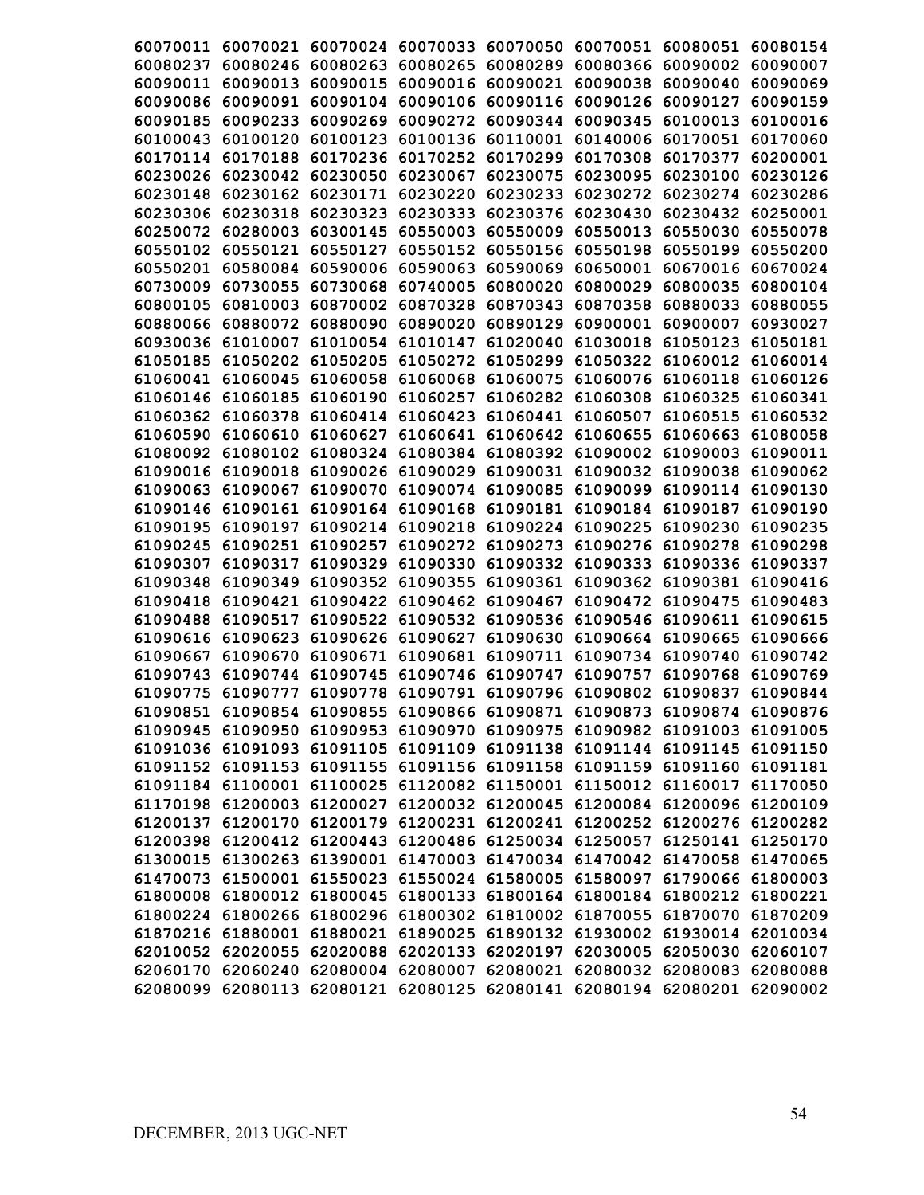| 60070011 |                   | 60070021 60070024 | 60070033 | 60070050 | 60070051                                                                | 60080051 | 60080154 |
|----------|-------------------|-------------------|----------|----------|-------------------------------------------------------------------------|----------|----------|
| 60080237 | 60080246          | 60080263          | 60080265 | 60080289 | 60080366                                                                | 60090002 | 60090007 |
| 60090011 | 60090013          | 60090015          | 60090016 | 60090021 | 60090038                                                                | 60090040 | 60090069 |
| 60090086 | 60090091          | 60090104          | 60090106 | 60090116 | 60090126                                                                | 60090127 | 60090159 |
| 60090185 | 60090233          | 60090269          | 60090272 | 60090344 | 60090345                                                                | 60100013 | 60100016 |
| 60100043 | 60100120          | 60100123          | 60100136 | 60110001 | 60140006                                                                | 60170051 | 60170060 |
| 60170114 | 60170188          | 60170236          | 60170252 | 60170299 | 60170308                                                                | 60170377 | 60200001 |
| 60230026 | 60230042          | 60230050          | 60230067 | 60230075 | 60230095                                                                | 60230100 | 60230126 |
| 60230148 | 60230162          | 60230171          | 60230220 | 60230233 | 60230272                                                                | 60230274 | 60230286 |
| 60230306 | 60230318          | 60230323          | 60230333 | 60230376 | 60230430                                                                | 60230432 | 60250001 |
| 60250072 | 60280003          | 60300145          | 60550003 | 60550009 | 60550013                                                                | 60550030 | 60550078 |
| 60550102 | 60550121          | 60550127          | 60550152 | 60550156 | 60550198                                                                | 60550199 | 60550200 |
| 60550201 | 60580084          | 60590006          | 60590063 | 60590069 | 60650001                                                                | 60670016 | 60670024 |
| 60730009 | 60730055          | 60730068          | 60740005 | 60800020 | 60800029                                                                | 60800035 | 60800104 |
| 60800105 | 60810003          | 60870002          | 60870328 | 60870343 | 60870358                                                                | 60880033 | 60880055 |
| 60880066 | 60880072          | 60880090          | 60890020 | 60890129 | 60900001                                                                | 60900007 | 60930027 |
| 60930036 | 61010007          | 61010054          | 61010147 | 61020040 | 61030018                                                                | 61050123 | 61050181 |
| 61050185 | 61050202          | 61050205          | 61050272 | 61050299 | 61050322 61060012                                                       |          | 61060014 |
|          | 61060041 61060045 | 61060058          | 61060068 | 61060075 | 61060076 61060118                                                       |          | 61060126 |
| 61060146 | 61060185          | 61060190          | 61060257 | 61060282 | 61060308                                                                | 61060325 | 61060341 |
| 61060362 | 61060378          | 61060414          | 61060423 | 61060441 | 61060507                                                                | 61060515 | 61060532 |
| 61060590 | 61060610          | 61060627          | 61060641 | 61060642 | 61060655                                                                | 61060663 | 61080058 |
| 61080092 | 61080102          | 61080324          | 61080384 | 61080392 | 61090002                                                                | 61090003 | 61090011 |
| 61090016 | 61090018          | 61090026          | 61090029 | 61090031 | 61090032                                                                | 61090038 | 61090062 |
| 61090063 | 61090067          | 61090070          | 61090074 | 61090085 | 61090099                                                                | 61090114 | 61090130 |
| 61090146 | 61090161          | 61090164          | 61090168 | 61090181 | 61090184                                                                | 61090187 | 61090190 |
| 61090195 | 61090197          | 61090214          | 61090218 | 61090224 | 61090225                                                                | 61090230 | 61090235 |
| 61090245 | 61090251          | 61090257          | 61090272 | 61090273 | 61090276                                                                | 61090278 | 61090298 |
| 61090307 | 61090317          | 61090329          | 61090330 | 61090332 | 61090333                                                                | 61090336 | 61090337 |
| 61090348 | 61090349          | 61090352          | 61090355 | 61090361 | 61090362                                                                | 61090381 | 61090416 |
| 61090418 | 61090421          | 61090422          | 61090462 | 61090467 | 61090472                                                                | 61090475 | 61090483 |
| 61090488 | 61090517          | 61090522          | 61090532 | 61090536 | 61090546                                                                | 61090611 | 61090615 |
| 61090616 | 61090623          | 61090626          | 61090627 | 61090630 | 61090664                                                                | 61090665 | 61090666 |
| 61090667 | 61090670          | 61090671          | 61090681 | 61090711 | 61090734                                                                | 61090740 | 61090742 |
| 61090743 | 61090744          | 61090745          | 61090746 | 61090747 | 61090757                                                                | 61090768 | 61090769 |
| 61090775 |                   | 61090777 61090778 | 61090791 |          | 61090796 61090802 61090837                                              |          | 61090844 |
|          |                   |                   |          |          | 61090851 61090854 61090855 61090866 61090871 61090873 61090874 61090876 |          |          |
|          |                   |                   |          |          | 61090945 61090950 61090953 61090970 61090975 61090982 61091003 61091005 |          |          |
|          |                   |                   |          |          | 61091036 61091093 61091105 61091109 61091138 61091144 61091145 61091150 |          |          |
|          |                   |                   |          |          | 61091152 61091153 61091155 61091156 61091158 61091159 61091160 61091181 |          |          |
|          |                   |                   |          |          | 61091184 61100001 61100025 61120082 61150001 61150012 61160017 61170050 |          |          |
|          |                   |                   |          |          | 61170198 61200003 61200027 61200032 61200045 61200084 61200096 61200109 |          |          |
|          |                   |                   |          |          | 61200137 61200170 61200179 61200231 61200241 61200252 61200276 61200282 |          |          |
|          |                   |                   |          |          | 61200398 61200412 61200443 61200486 61250034 61250057 61250141 61250170 |          |          |
|          |                   |                   |          |          | 61300015 61300263 61390001 61470003 61470034 61470042 61470058 61470065 |          |          |
|          |                   |                   |          |          | 61470073 61500001 61550023 61550024 61580005 61580097 61790066 61800003 |          |          |
|          |                   |                   |          |          | 61800008 61800012 61800045 61800133 61800164 61800184 61800212 61800221 |          |          |
|          |                   |                   |          |          | 61800224 61800266 61800296 61800302 61810002 61870055 61870070 61870209 |          |          |
|          |                   |                   |          |          | 61870216 61880001 61880021 61890025 61890132 61930002 61930014 62010034 |          |          |
|          |                   |                   |          |          | 62010052 62020055 62020088 62020133 62020197 62030005 62050030 62060107 |          |          |
|          |                   |                   |          |          | 62060170 62060240 62080004 62080007 62080021 62080032 62080083 62080088 |          |          |
|          |                   |                   |          |          | 62080099 62080113 62080121 62080125 62080141 62080194 62080201 62090002 |          |          |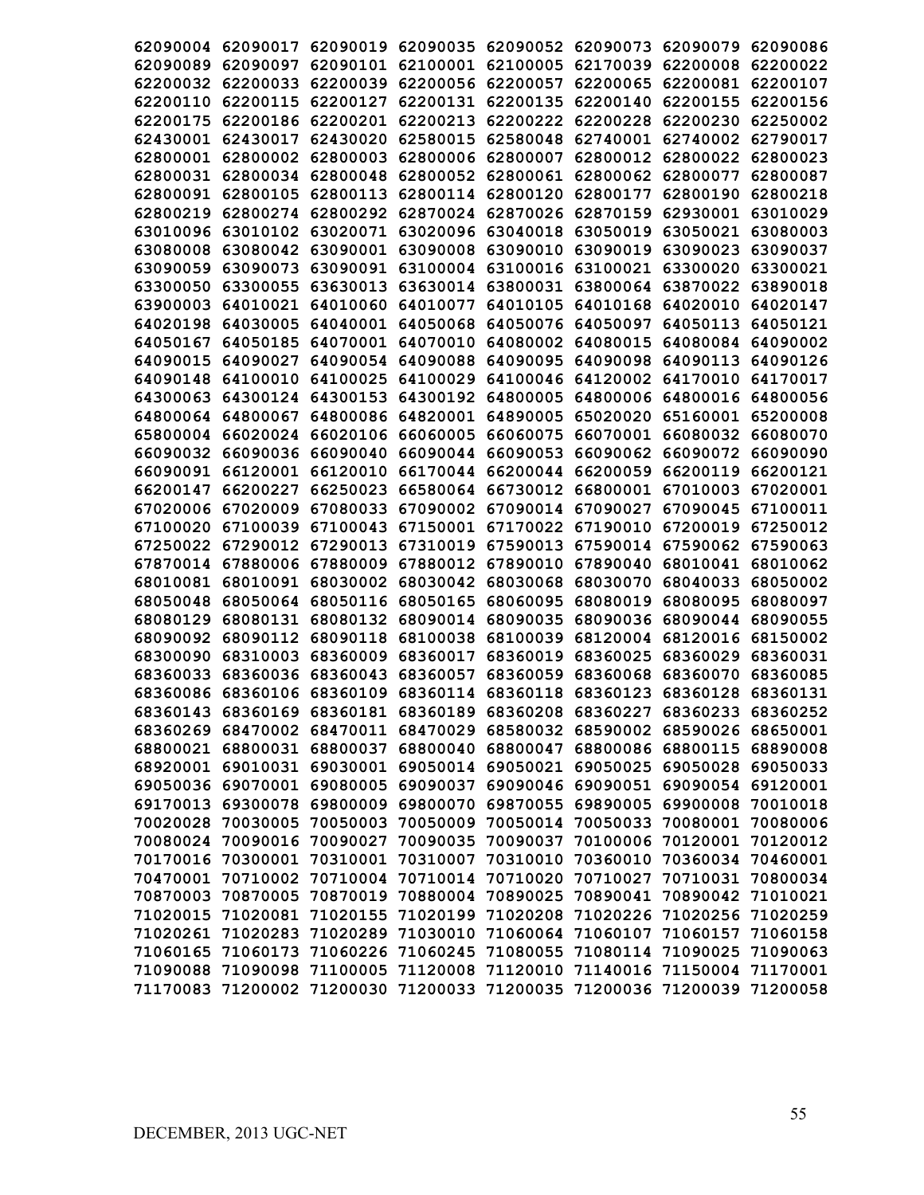| 62090004          |                            | 62090017 62090019 |                   | 62090035 62090052 62090073 |                                     | 62090079 | 62090086 |
|-------------------|----------------------------|-------------------|-------------------|----------------------------|-------------------------------------|----------|----------|
| 62090089          | 62090097                   | 62090101          | 62100001          |                            | 62100005 62170039                   | 62200008 | 62200022 |
| 62200032          | 62200033                   | 62200039          | 62200056          | 62200057                   | 62200065                            | 62200081 | 62200107 |
| 62200110          | 62200115                   | 62200127          | 62200131          | 62200135                   | 62200140                            | 62200155 | 62200156 |
| 62200175          | 62200186                   | 62200201          | 62200213          | 62200222                   | 62200228                            | 62200230 | 62250002 |
| 62430001          | 62430017                   | 62430020          | 62580015          | 62580048                   | 62740001                            | 62740002 | 62790017 |
| 62800001          | 62800002                   | 62800003          | 62800006          | 62800007                   | 62800012                            | 62800022 | 62800023 |
| 62800031          | 62800034                   | 62800048          | 62800052          | 62800061                   | 62800062                            | 62800077 | 62800087 |
| 62800091          | 62800105                   | 62800113          |                   | 62800114 62800120          | 62800177                            | 62800190 | 62800218 |
| 62800219          | 62800274                   | 62800292          |                   | 62870024 62870026 62870159 |                                     | 62930001 | 63010029 |
| 63010096          | 63010102                   | 63020071          | 63020096          | 63040018                   | 63050019                            | 63050021 | 63080003 |
| 63080008          | 63080042                   | 63090001          | 63090008          | 63090010                   | 63090019                            | 63090023 | 63090037 |
| 63090059          | 63090073                   | 63090091          | 63100004          |                            | 63100016 63100021                   | 63300020 | 63300021 |
| 63300050          | 63300055                   | 63630013          | 63630014          | 63800031                   | 63800064                            | 63870022 | 63890018 |
| 63900003          | 64010021                   | 64010060          | 64010077          |                            | 64010105 64010168                   | 64020010 | 64020147 |
| 64020198          | 64030005                   | 64040001          | 64050068          |                            | 64050076 64050097                   | 64050113 | 64050121 |
| 64050167          | 64050185                   | 64070001          | 64070010          |                            | 64080002 64080015                   | 64080084 | 64090002 |
|                   | 64090015 64090027          | 64090054          | 64090088          | 64090095                   | 64090098                            | 64090113 | 64090126 |
|                   | 64090148 64100010          | 64100025          |                   |                            | 64100029 64100046 64120002 64170010 |          | 64170017 |
|                   | 64300063 64300124 64300153 |                   |                   | 64300192 64800005 64800006 |                                     | 64800016 | 64800056 |
|                   | 64800064 64800067          | 64800086          |                   | 64820001 64890005 65020020 |                                     | 65160001 | 65200008 |
|                   | 65800004 66020024          | 66020106          | 66060005          | 66060075                   | 66070001                            | 66080032 | 66080070 |
|                   | 66090032 66090036          | 66090040          |                   | 66090044 66090053          | 66090062                            | 66090072 | 66090090 |
| 66090091          | 66120001                   | 66120010          |                   | 66170044 66200044          | 66200059                            | 66200119 | 66200121 |
| 66200147          | 66200227                   | 66250023          | 66580064          | 66730012                   | 66800001                            | 67010003 | 67020001 |
| 67020006          | 67020009                   | 67080033          | 67090002          | 67090014                   | 67090027                            | 67090045 | 67100011 |
| 67100020          | 67100039                   | 67100043          | 67150001          | 67170022                   | 67190010                            | 67200019 | 67250012 |
| 67250022          | 67290012                   | 67290013          | 67310019          | 67590013                   | 67590014                            | 67590062 | 67590063 |
| 67870014          | 67880006                   | 67880009          | 67880012          | 67890010                   | 67890040                            | 68010041 | 68010062 |
| 68010081          | 68010091                   | 68030002          | 68030042          | 68030068                   | 68030070                            | 68040033 | 68050002 |
| 68050048          | 68050064                   | 68050116          | 68050165          | 68060095                   | 68080019                            | 68080095 | 68080097 |
| 68080129          | 68080131                   | 68080132          | 68090014          | 68090035                   | 68090036                            | 68090044 | 68090055 |
| 68090092          | 68090112                   | 68090118          | 68100038          | 68100039                   | 68120004                            | 68120016 | 68150002 |
| 68300090          | 68310003                   | 68360009          | 68360017          | 68360019                   | 68360025                            | 68360029 | 68360031 |
| 68360033          | 68360036                   | 68360043          | 68360057          | 68360059                   | 68360068                            | 68360070 | 68360085 |
| 68360086          | 68360106                   | 68360109          | 68360114          | 68360118                   | 68360123                            | 68360128 | 68360131 |
|                   | 68360143 68360169 68360181 |                   |                   |                            | 68360189 68360208 68360227 68360233 |          | 68360252 |
|                   | 68360269 68470002          | 68470011          | 68470029          |                            | 68580032 68590002 68590026          |          | 68650001 |
| 68800021          | 68800031                   | 68800037          | 68800040          | 68800047                   | 68800086                            | 68800115 | 68890008 |
| 68920001          | 69010031                   | 69030001          |                   | 69050014 69050021          | 69050025                            | 69050028 | 69050033 |
|                   | 69050036 69070001          | 69080005          | 69090037          |                            | 69090046 69090051                   | 69090054 | 69120001 |
|                   | 69170013 69300078          |                   | 69800009 69800070 |                            | 69870055 69890005                   | 69900008 | 70010018 |
| 70020028          | 70030005                   | 70050003          | 70050009          |                            | 70050014 70050033                   | 70080001 | 70080006 |
| 70080024          | 70090016                   | 70090027          | 70090035          | 70090037                   | 70100006                            | 70120001 | 70120012 |
|                   | 70170016 70300001          | 70310001          | 70310007          |                            | 70310010 70360010                   | 70360034 | 70460001 |
|                   | 70470001 70710002          | 70710004          | 70710014          |                            | 70710020 70710027                   | 70710031 | 70800034 |
|                   | 70870003 70870005          | 70870019          |                   | 70880004 70890025          | 70890041                            | 70890042 | 71010021 |
| 71020015 71020081 |                            | 71020155          | 71020199          | 71020208                   | 71020226                            | 71020256 | 71020259 |
|                   | 71020261 71020283          | 71020289          | 71030010          |                            | 71060064 71060107                   | 71060157 | 71060158 |
| 71060165          | 71060173                   | 71060226          | 71060245          | 71080055                   | 71080114                            | 71090025 | 71090063 |
| 71090088          | 71090098                   | 71100005          | 71120008          |                            | 71120010 71140016                   | 71150004 | 71170001 |
| 71170083          | 71200002                   | 71200030          | 71200033          | 71200035                   | 71200036                            | 71200039 | 71200058 |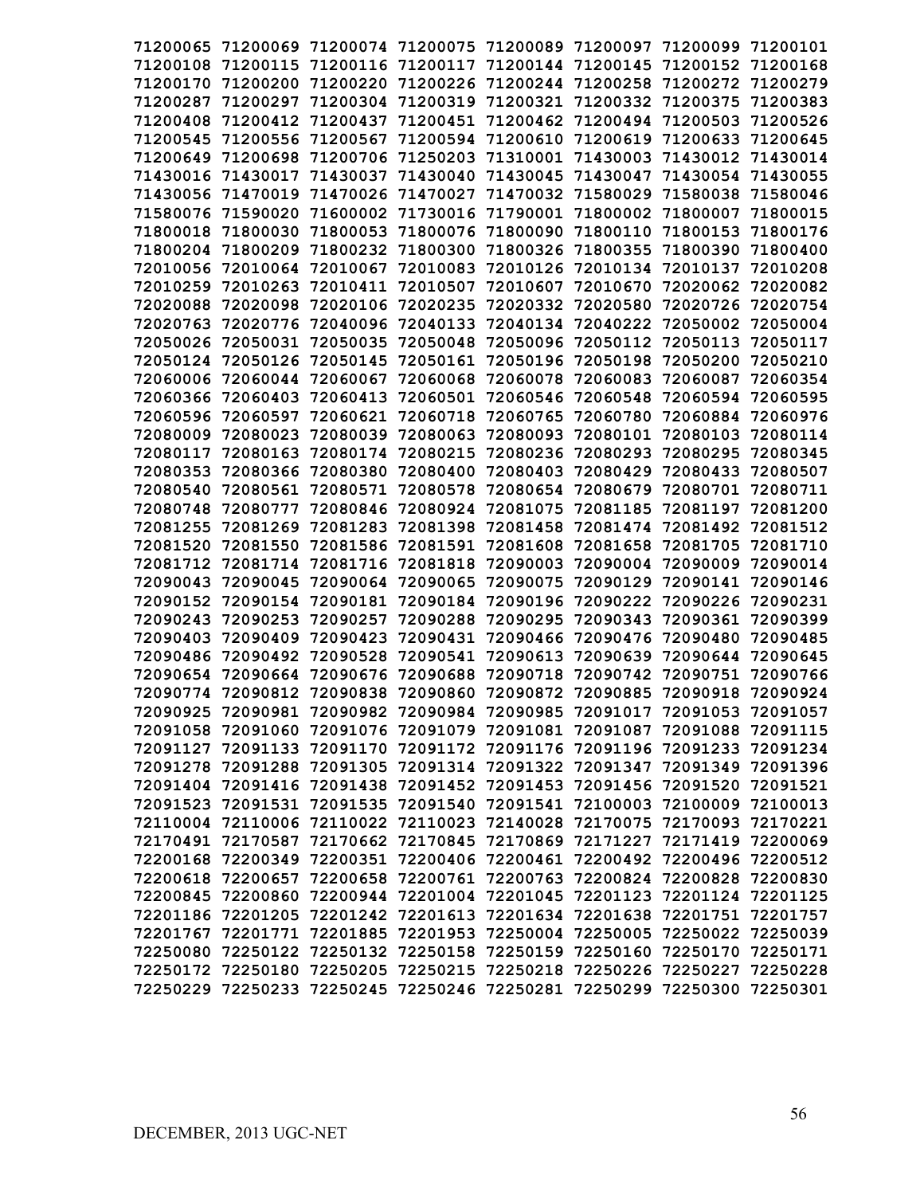| 71200065 | 71200069                                                                   | 71200074 | 71200075 | 71200089 | 71200097                                                 | 71200099                            | 71200101             |
|----------|----------------------------------------------------------------------------|----------|----------|----------|----------------------------------------------------------|-------------------------------------|----------------------|
| 71200108 | 71200115                                                                   | 71200116 | 71200117 | 71200144 | 71200145                                                 | 71200152                            | 71200168             |
| 71200170 | 71200200                                                                   | 71200220 | 71200226 | 71200244 | 71200258                                                 | 71200272                            | 71200279             |
| 71200287 | 71200297                                                                   | 71200304 | 71200319 | 71200321 | 71200332                                                 | 71200375                            | 71200383             |
| 71200408 | 71200412                                                                   | 71200437 | 71200451 | 71200462 | 71200494                                                 | 71200503                            | 71200526             |
| 71200545 | 71200556                                                                   | 71200567 | 71200594 | 71200610 | 71200619                                                 | 71200633                            | 71200645             |
| 71200649 | 71200698                                                                   | 71200706 | 71250203 | 71310001 | 71430003                                                 | 71430012                            | 71430014             |
| 71430016 | 71430017                                                                   | 71430037 | 71430040 | 71430045 | 71430047                                                 | 71430054                            | 71430055             |
| 71430056 | 71470019                                                                   | 71470026 | 71470027 | 71470032 | 71580029                                                 | 71580038                            | 71580046             |
| 71580076 | 71590020                                                                   | 71600002 | 71730016 | 71790001 | 71800002                                                 | 71800007                            | 71800015             |
| 71800018 | 71800030                                                                   | 71800053 | 71800076 | 71800090 | 71800110                                                 | 71800153                            | 71800176             |
| 71800204 | 71800209                                                                   | 71800232 | 71800300 | 71800326 | 71800355                                                 | 71800390                            | 71800400             |
| 72010056 | 72010064                                                                   | 72010067 | 72010083 | 72010126 | 72010134                                                 | 72010137                            | 72010208             |
| 72010259 | 72010263                                                                   | 72010411 | 72010507 | 72010607 | 72010670                                                 | 72020062                            | 72020082             |
| 72020088 | 72020098                                                                   | 72020106 | 72020235 | 72020332 | 72020580                                                 | 72020726                            | 72020754             |
| 72020763 | 72020776                                                                   | 72040096 | 72040133 | 72040134 | 72040222                                                 | 72050002                            | 72050004             |
| 72050026 | 72050031                                                                   | 72050035 | 72050048 | 72050096 | 72050112                                                 | 72050113                            | 72050117             |
| 72050124 | 72050126                                                                   | 72050145 | 72050161 | 72050196 | 72050198                                                 | 72050200                            | 72050210             |
| 72060006 | 72060044                                                                   | 72060067 | 72060068 | 72060078 | 72060083                                                 | 72060087                            | 72060354             |
| 72060366 | 72060403                                                                   | 72060413 | 72060501 | 72060546 | 72060548                                                 | 72060594                            | 72060595             |
| 72060596 | 72060597                                                                   | 72060621 | 72060718 | 72060765 | 72060780                                                 | 72060884                            | 72060976             |
| 72080009 | 72080023                                                                   | 72080039 | 72080063 | 72080093 | 72080101                                                 | 72080103                            | 72080114             |
| 72080117 | 72080163                                                                   | 72080174 | 72080215 | 72080236 | 72080293                                                 | 72080295                            | 72080345             |
| 72080353 | 72080366                                                                   | 72080380 | 72080400 | 72080403 | 72080429                                                 | 72080433                            | 72080507             |
| 72080540 | 72080561                                                                   | 72080571 | 72080578 | 72080654 | 72080679                                                 | 72080701                            | 72080711             |
| 72080748 | 72080777                                                                   | 72080846 | 72080924 | 72081075 | 72081185                                                 | 72081197                            | 72081200             |
| 72081255 | 72081269                                                                   | 72081283 | 72081398 | 72081458 | 72081474                                                 | 72081492                            | 72081512             |
| 72081520 | 72081550                                                                   | 72081586 | 72081591 | 72081608 | 72081658                                                 | 72081705                            | 72081710             |
| 72081712 | 72081714                                                                   | 72081716 | 72081818 | 72090003 | 72090004                                                 | 72090009                            | 72090014             |
| 72090043 | 72090045                                                                   | 72090064 | 72090065 | 72090075 | 72090129                                                 | 72090141                            | 72090146             |
| 72090152 | 72090154                                                                   | 72090181 | 72090184 | 72090196 | 72090222                                                 | 72090226                            | 72090231             |
| 72090243 | 72090253                                                                   | 72090257 | 72090288 | 72090295 | 72090343                                                 | 72090361                            | 72090399             |
| 72090403 | 72090409                                                                   | 72090423 | 72090431 | 72090466 | 72090476                                                 | 72090480                            | 72090485             |
| 72090486 | 72090492                                                                   | 72090528 | 72090541 | 72090613 | 72090639                                                 | 72090644                            | 72090645             |
| 72090654 | 72090664                                                                   | 72090676 | 72090688 | 72090718 | 72090742                                                 | 72090751                            | 72090766             |
| 72090774 | 72090812                                                                   | 72090838 | 72090860 | 72090872 | 72090885                                                 | 72090918                            | 72090924             |
|          | 72090925 72090981 72090982 72090984 72090985 72091017 72091053 72091057    |          |          |          |                                                          |                                     |                      |
|          | 72091058 72091060 72091076 72091079 72091081 72091087 72091088 72091115    |          |          |          |                                                          |                                     |                      |
|          | 72091127 72091133 72091170 72091172 72091176 72091196 72091233             |          |          |          |                                                          |                                     | 72091234             |
|          | 72091278 72091288 72091305 72091314 72091322 72091347 72091349 72091396    |          |          |          |                                                          |                                     |                      |
|          | 72091404 72091416 72091438 72091452 72091453 72091456 72091520             |          |          |          |                                                          |                                     | 72091521             |
|          | 72091523 72091531 72091535 72091540<br>72110004 72110006 72110022          |          | 72110023 |          |                                                          | 72091541 72100003 72100009          | 72100013             |
|          |                                                                            |          |          |          | 72140028 72170075 72170093                               |                                     | 72170221             |
|          | 72170491 72170587 72170662                                                 |          | 72170845 |          | 72170869 72171227 72171419                               |                                     | 72200069<br>72200512 |
|          | 72200168 72200349 72200351                                                 |          | 72200406 |          | 72200461 72200492 72200496                               |                                     | 72200830             |
|          | 72200618 72200657 72200658 72200761<br>72200845 72200860 72200944 72201004 |          |          |          | 72200763 72200824 72200828<br>72201045 72201123 72201124 |                                     | 72201125             |
|          | 72201186 72201205 72201242                                                 |          | 72201613 |          | 72201634 72201638 72201751                               |                                     | 72201757             |
|          | 72201767 72201771 72201885                                                 |          | 72201953 |          |                                                          | 72250004 72250005 72250022          | 72250039             |
|          | 72250080 72250122                                                          | 72250132 | 72250158 |          | 72250159 72250160 72250170                               |                                     | 72250171             |
|          | 72250172 72250180 72250205                                                 |          |          |          |                                                          | 72250215 72250218 72250226 72250227 | 72250228             |
|          | 72250229 72250233 72250245 72250246 72250281 72250299 72250300 72250301    |          |          |          |                                                          |                                     |                      |
|          |                                                                            |          |          |          |                                                          |                                     |                      |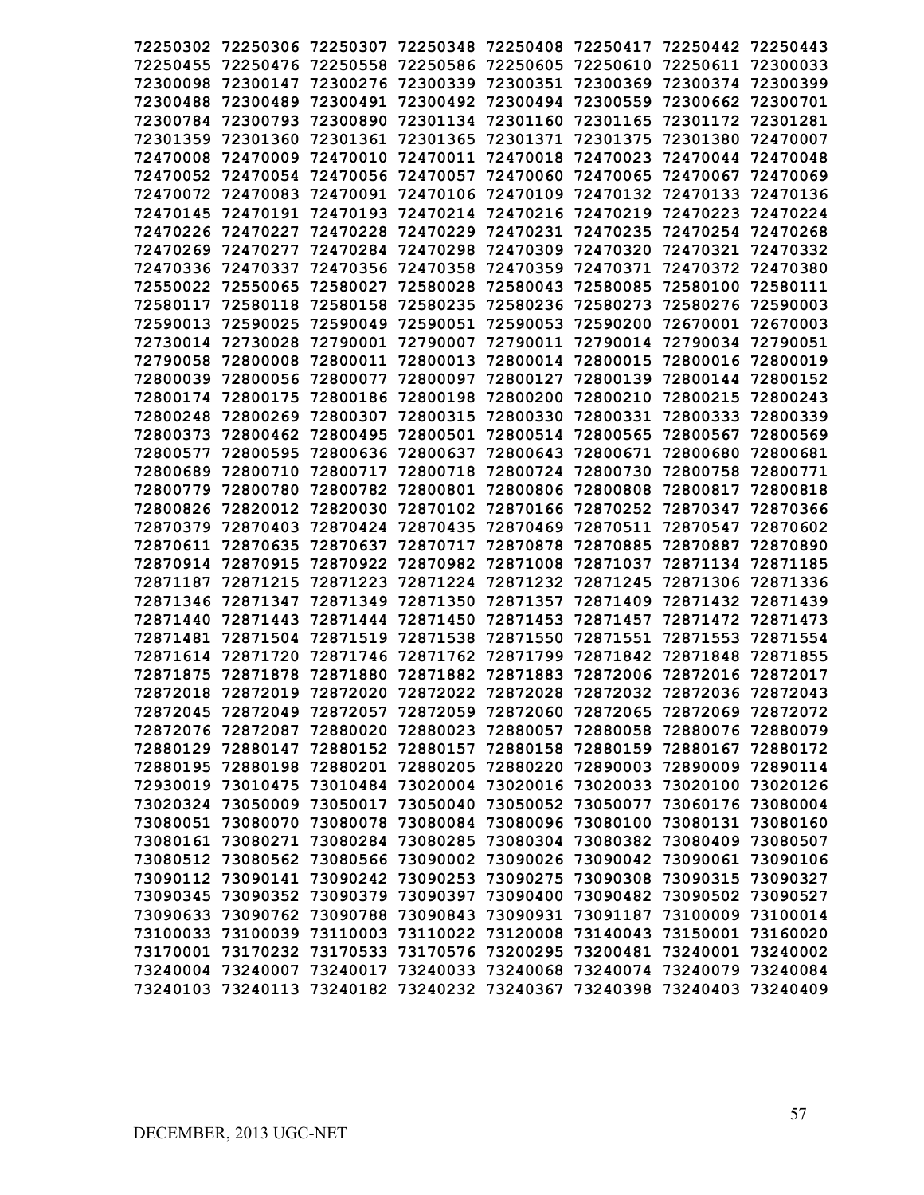| 72250302 | 72250306          | 72250307 | 72250348                                     | 72250408          | 72250417 72250442          |                                                                                                                                                    | 72250443 |
|----------|-------------------|----------|----------------------------------------------|-------------------|----------------------------|----------------------------------------------------------------------------------------------------------------------------------------------------|----------|
| 72250455 | 72250476          | 72250558 | 72250586                                     | 72250605          | 72250610                   | 72250611                                                                                                                                           | 72300033 |
| 72300098 | 72300147          | 72300276 | 72300339                                     | 72300351          | 72300369                   | 72300374                                                                                                                                           | 72300399 |
| 72300488 | 72300489          | 72300491 | 72300492                                     | 72300494          | 72300559                   | 72300662                                                                                                                                           | 72300701 |
| 72300784 | 72300793          | 72300890 | 72301134                                     | 72301160          | 72301165                   | 72301172                                                                                                                                           | 72301281 |
| 72301359 | 72301360          | 72301361 | 72301365                                     | 72301371          | 72301375                   | 72301380                                                                                                                                           | 72470007 |
| 72470008 | 72470009          | 72470010 | 72470011                                     | 72470018          | 72470023                   | 72470044                                                                                                                                           | 72470048 |
| 72470052 | 72470054          | 72470056 | 72470057                                     | 72470060          | 72470065                   | 72470067                                                                                                                                           | 72470069 |
| 72470072 | 72470083          | 72470091 | 72470106                                     | 72470109          | 72470132                   | 72470133                                                                                                                                           | 72470136 |
| 72470145 | 72470191          | 72470193 | 72470214                                     | 72470216          | 72470219                   | 72470223                                                                                                                                           | 72470224 |
| 72470226 | 72470227          | 72470228 | 72470229                                     | 72470231          | 72470235                   | 72470254                                                                                                                                           | 72470268 |
| 72470269 | 72470277          | 72470284 | 72470298                                     | 72470309          | 72470320                   | 72470321                                                                                                                                           | 72470332 |
| 72470336 | 72470337          | 72470356 | 72470358                                     | 72470359          | 72470371                   | 72470372                                                                                                                                           | 72470380 |
| 72550022 | 72550065          | 72580027 | 72580028                                     | 72580043          | 72580085                   | 72580100                                                                                                                                           | 72580111 |
| 72580117 | 72580118          | 72580158 | 72580235                                     | 72580236          | 72580273                   | 72580276                                                                                                                                           | 72590003 |
| 72590013 | 72590025          | 72590049 | 72590051                                     | 72590053          | 72590200                   | 72670001                                                                                                                                           | 72670003 |
| 72730014 | 72730028          | 72790001 | 72790007                                     | 72790011          | 72790014                   | 72790034                                                                                                                                           | 72790051 |
| 72790058 | 72800008          | 72800011 | 72800013                                     | 72800014          | 72800015                   | 72800016                                                                                                                                           | 72800019 |
| 72800039 | 72800056          | 72800077 | 72800097                                     | 72800127          | 72800139                   | 72800144                                                                                                                                           | 72800152 |
| 72800174 | 72800175          | 72800186 | 72800198                                     | 72800200          | 72800210                   | 72800215                                                                                                                                           | 72800243 |
| 72800248 | 72800269          | 72800307 | 72800315                                     | 72800330          | 72800331                   | 72800333                                                                                                                                           | 72800339 |
| 72800373 | 72800462          | 72800495 | 72800501                                     | 72800514          | 72800565                   | 72800567                                                                                                                                           | 72800569 |
| 72800577 | 72800595          | 72800636 | 72800637                                     | 72800643          | 72800671                   | 72800680                                                                                                                                           | 72800681 |
| 72800689 | 72800710          | 72800717 | 72800718                                     | 72800724          | 72800730                   | 72800758                                                                                                                                           | 72800771 |
| 72800779 | 72800780          | 72800782 | 72800801                                     | 72800806          | 72800808                   | 72800817                                                                                                                                           | 72800818 |
| 72800826 | 72820012          | 72820030 | 72870102                                     | 72870166          | 72870252                   | 72870347                                                                                                                                           | 72870366 |
| 72870379 | 72870403          | 72870424 | 72870435                                     | 72870469          | 72870511                   | 72870547                                                                                                                                           | 72870602 |
| 72870611 | 72870635          | 72870637 | 72870717                                     | 72870878          | 72870885                   | 72870887                                                                                                                                           | 72870890 |
| 72870914 | 72870915          | 72870922 | 72870982                                     | 72871008          | 72871037                   | 72871134                                                                                                                                           | 72871185 |
| 72871187 | 72871215          | 72871223 | 72871224                                     | 72871232          | 72871245                   | 72871306                                                                                                                                           | 72871336 |
| 72871346 | 72871347          | 72871349 | 72871350                                     | 72871357          | 72871409                   | 72871432                                                                                                                                           | 72871439 |
| 72871440 | 72871443          | 72871444 | 72871450                                     | 72871453          | 72871457                   | 72871472                                                                                                                                           | 72871473 |
| 72871481 | 72871504          | 72871519 | 72871538                                     | 72871550          | 72871551                   | 72871553                                                                                                                                           | 72871554 |
| 72871614 | 72871720          | 72871746 | 72871762                                     | 72871799          | 72871842                   | 72871848                                                                                                                                           | 72871855 |
| 72871875 | 72871878          | 72871880 | 72871882                                     | 72871883          | 72872006                   | 72872016                                                                                                                                           | 72872017 |
| 72872018 | 72872019          | 72872020 | 72872022                                     | 72872028          | 72872032 72872036          |                                                                                                                                                    | 72872043 |
|          |                   |          |                                              |                   |                            | 72872045 72872049 72872057 72872059 72872060 72872065 72872069 72872072                                                                            |          |
|          |                   |          |                                              |                   |                            | 72872076 72872087 72880020 72880023 72880057 72880058 72880076 72880079                                                                            |          |
|          |                   |          |                                              |                   |                            | 72880129 72880147 72880152 72880157 72880158 72880159 72880167                                                                                     | 72880172 |
|          | 72880195 72880198 | 72880201 |                                              |                   | 72880205 72880220 72890003 | 72890009                                                                                                                                           | 72890114 |
|          | 72930019 73010475 |          |                                              |                   |                            | 73010484 73020004 73020016 73020033 73020100 73020126                                                                                              |          |
|          |                   |          |                                              |                   |                            | 73020324 73050009 73050017 73050040 73050052 73050077 73060176 73080004                                                                            |          |
|          | 73080051 73080070 | 73080078 |                                              | 73080084 73080096 | 73080100                   | 73080131 73080160                                                                                                                                  |          |
|          | 73080161 73080271 | 73080284 |                                              |                   | 73080285 73080304 73080382 | 73080409 73080507                                                                                                                                  |          |
|          | 73080512 73080562 | 73080566 |                                              |                   |                            | 73090042 73090061 73090106                                                                                                                         |          |
|          |                   |          | 73090002 73090026                            |                   | 73090308                   |                                                                                                                                                    |          |
|          | 73090112 73090141 | 73090379 | 73090242 73090253 73090275                   |                   |                            | 73090315                                                                                                                                           | 73090327 |
|          | 73090345 73090352 |          | 73090397                                     | 73090400          | 73090482                   | 73090502                                                                                                                                           | 73090527 |
|          | 73090633 73090762 |          | 73090788 73090843 73090931                   |                   |                            | 73091187 73100009<br>73140043 73150001 73160020                                                                                                    | 73100014 |
|          |                   |          | 73100033 73100039 73110003 73110022 73120008 |                   | 73200481                   |                                                                                                                                                    |          |
|          | 73170001 73170232 |          | 73170533 73170576 73200295                   |                   |                            | 73240001                                                                                                                                           | 73240002 |
|          |                   |          |                                              |                   |                            | 73240004 73240007 73240017 73240033 73240068 73240074 73240079 73240084<br>73240103 73240113 73240182 73240232 73240367 73240398 73240403 73240409 |          |
|          |                   |          |                                              |                   |                            |                                                                                                                                                    |          |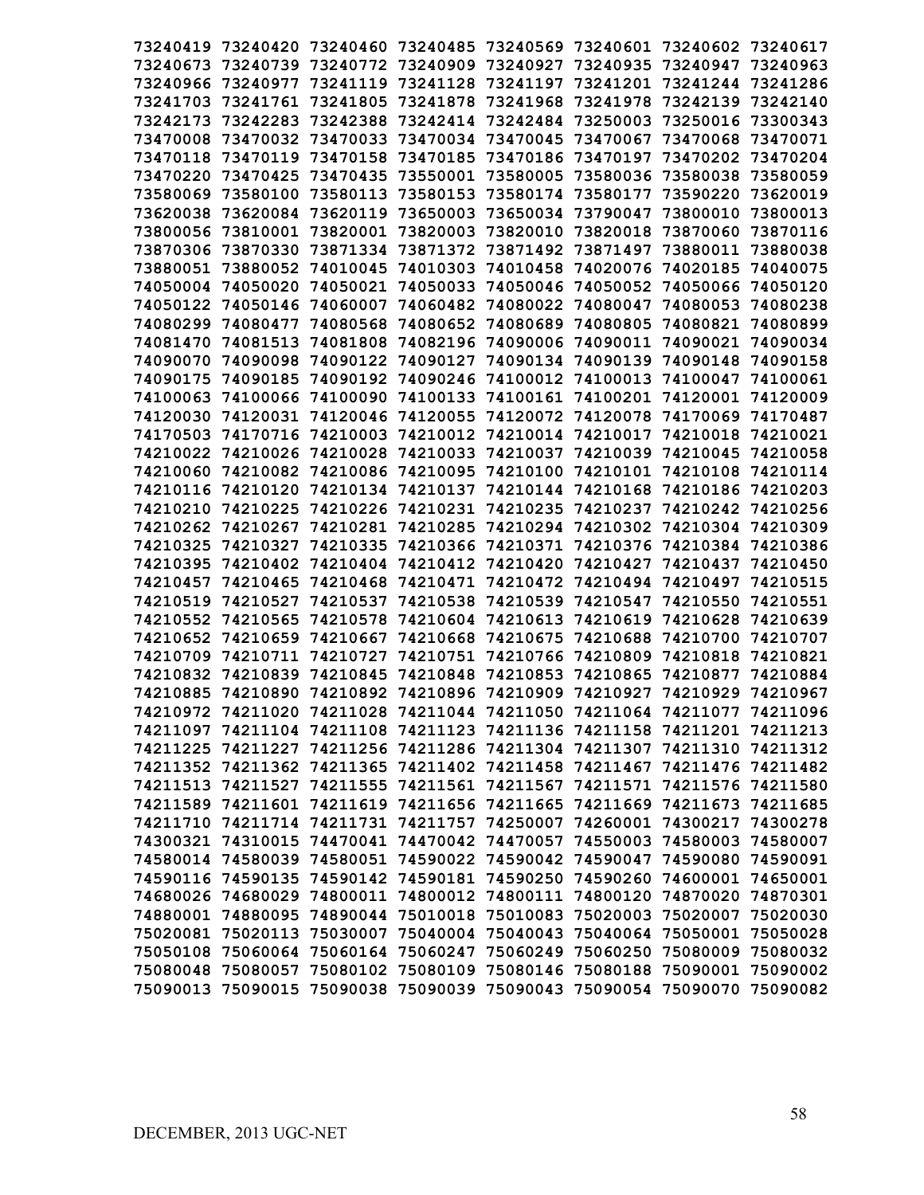| 73240419 73240420 |                   | 73240460 73240485          |                                                       |                   | 73240569 73240601 73240602 |                                                                         | 73240617 |
|-------------------|-------------------|----------------------------|-------------------------------------------------------|-------------------|----------------------------|-------------------------------------------------------------------------|----------|
| 73240673          | 73240739          |                            | 73240772 73240909 73240927                            |                   | 73240935 73240947          |                                                                         | 73240963 |
| 73240966          | 73240977          | 73241119                   | 73241128                                              | 73241197          | 73241201                   | 73241244                                                                | 73241286 |
| 73241703          | 73241761          | 73241805                   | 73241878                                              | 73241968          | 73241978                   | 73242139                                                                | 73242140 |
| 73242173          | 73242283          | 73242388                   | 73242414                                              | 73242484          | 73250003                   | 73250016                                                                | 73300343 |
| 73470008          | 73470032          | 73470033                   | 73470034                                              | 73470045          | 73470067                   | 73470068                                                                | 73470071 |
| 73470118          | 73470119          | 73470158                   | 73470185                                              | 73470186          | 73470197                   | 73470202                                                                | 73470204 |
| 73470220          | 73470425          | 73470435                   | 73550001                                              | 73580005          | 73580036                   | 73580038                                                                | 73580059 |
| 73580069          | 73580100          | 73580113                   | 73580153                                              | 73580174          | 73580177                   | 73590220                                                                | 73620019 |
| 73620038          | 73620084          | 73620119                   | 73650003                                              | 73650034          | 73790047                   | 73800010                                                                | 73800013 |
| 73800056          | 73810001          | 73820001                   | 73820003                                              | 73820010          | 73820018                   | 73870060                                                                | 73870116 |
| 73870306          | 73870330          | 73871334                   | 73871372                                              | 73871492          | 73871497                   | 73880011                                                                | 73880038 |
| 73880051          | 73880052          | 74010045                   | 74010303                                              | 74010458          | 74020076                   | 74020185                                                                | 74040075 |
| 74050004 74050020 |                   | 74050021                   | 74050033                                              | 74050046          | 74050052                   | 74050066                                                                | 74050120 |
|                   | 74050122 74050146 | 74060007                   | 74060482                                              | 74080022          | 74080047                   | 74080053                                                                | 74080238 |
| 74080299 74080477 |                   | 74080568                   | 74080652 74080689                                     |                   | 74080805                   | 74080821                                                                | 74080899 |
| 74081470 74081513 |                   | 74081808                   | 74082196                                              | 74090006          | 74090011                   | 74090021                                                                | 74090034 |
| 74090070 74090098 |                   | 74090122                   | 74090127 74090134                                     |                   | 74090139                   | 74090148                                                                | 74090158 |
| 74090175          | 74090185          | 74090192                   | 74090246                                              | 74100012          | 74100013                   | 74100047                                                                | 74100061 |
| 74100063 74100066 |                   | 74100090                   | 74100133 74100161                                     |                   | 74100201                   | 74120001                                                                | 74120009 |
| 74120030 74120031 |                   | 74120046                   | 74120055                                              | 74120072          | 74120078                   | 74170069 74170487                                                       |          |
| 74170503 74170716 |                   | 74210003                   | 74210012                                              | 74210014          | 74210017                   | 74210018                                                                | 74210021 |
| 74210022 74210026 |                   | 74210028                   | 74210033                                              | 74210037          | 74210039                   | 74210045                                                                | 74210058 |
| 74210060 74210082 |                   | 74210086                   | 74210095                                              | 74210100          | 74210101                   | 74210108                                                                | 74210114 |
| 74210116 74210120 |                   | 74210134                   | 74210137                                              | 74210144          | 74210168                   | 74210186 74210203                                                       |          |
| 74210210          | 74210225          | 74210226                   | 74210231                                              | 74210235          | 74210237                   | 74210242                                                                | 74210256 |
| 74210262          | 74210267          | 74210281                   | 74210285                                              | 74210294          | 74210302                   | 74210304                                                                | 74210309 |
| 74210325          | 74210327          | 74210335                   | 74210366                                              | 74210371          | 74210376                   | 74210384                                                                | 74210386 |
| 74210395          | 74210402          | 74210404                   | 74210412                                              | 74210420          | 74210427                   | 74210437                                                                | 74210450 |
| 74210457          | 74210465          | 74210468                   | 74210471                                              | 74210472          | 74210494                   | 74210497                                                                | 74210515 |
| 74210519          | 74210527          | 74210537                   | 74210538                                              | 74210539          | 74210547                   | 74210550                                                                | 74210551 |
| 74210552          | 74210565          | 74210578                   | 74210604                                              | 74210613          | 74210619                   | 74210628                                                                | 74210639 |
| 74210652          | 74210659          | 74210667                   | 74210668                                              | 74210675          | 74210688                   | 74210700                                                                | 74210707 |
| 74210709          | 74210711          | 74210727                   | 74210751                                              | 74210766          | 74210809                   | 74210818                                                                | 74210821 |
| 74210832          | 74210839          | 74210845                   | 74210848                                              | 74210853          | 74210865                   | 74210877                                                                | 74210884 |
| 74210885          | 74210890          |                            | 74210892 74210896 74210909 74210927 74210929          |                   |                            |                                                                         | 74210967 |
|                   |                   |                            |                                                       |                   |                            | 74210972 74211020 74211028 74211044 74211050 74211064 74211077 74211096 |          |
|                   |                   |                            |                                                       |                   |                            | 74211097 74211104 74211108 74211123 74211136 74211158 74211201 74211213 |          |
|                   |                   |                            |                                                       |                   |                            | 74211225 74211227 74211256 74211286 74211304 74211307 74211310 74211312 |          |
|                   |                   |                            |                                                       |                   |                            | 74211352 74211362 74211365 74211402 74211458 74211467 74211476 74211482 |          |
|                   |                   |                            |                                                       |                   |                            | 74211513 74211527 74211555 74211561 74211567 74211571 74211576 74211580 |          |
|                   |                   |                            |                                                       |                   |                            | 74211589 74211601 74211619 74211656 74211665 74211669 74211673 74211685 |          |
|                   |                   |                            |                                                       |                   |                            | 74211710 74211714 74211731 74211757 74250007 74260001 74300217 74300278 |          |
|                   |                   |                            |                                                       |                   |                            | 74300321 74310015 74470041 74470042 74470057 74550003 74580003 74580007 |          |
|                   |                   |                            |                                                       |                   |                            | 74580014 74580039 74580051 74590022 74590042 74590047 74590080 74590091 |          |
|                   |                   |                            | 74590116 74590135 74590142 74590181 74590250 74590260 |                   |                            | 74600001 74650001                                                       |          |
|                   |                   | 74680026 74680029 74800011 |                                                       | 74800012 74800111 | 74800120                   | 74870020                                                                | 74870301 |
|                   |                   |                            | 74880001 74880095 74890044 75010018 75010083          |                   |                            | 75020003 75020007                                                       | 75020030 |
|                   |                   |                            |                                                       |                   |                            | 75020081 75020113 75030007 75040004 75040043 75040064 75050001 75050028 |          |
|                   | 75050108 75060064 |                            | 75060164 75060247 75060249                            |                   |                            | 75060250 75080009                                                       | 75080032 |
|                   | 75080048 75080057 |                            | 75080102 75080109 75080146                            |                   | 75080188                   | 75090001                                                                | 75090002 |
|                   | 75090013 75090015 | 75090038                   | 75090039 75090043                                     |                   |                            | 75090054 75090070                                                       | 75090082 |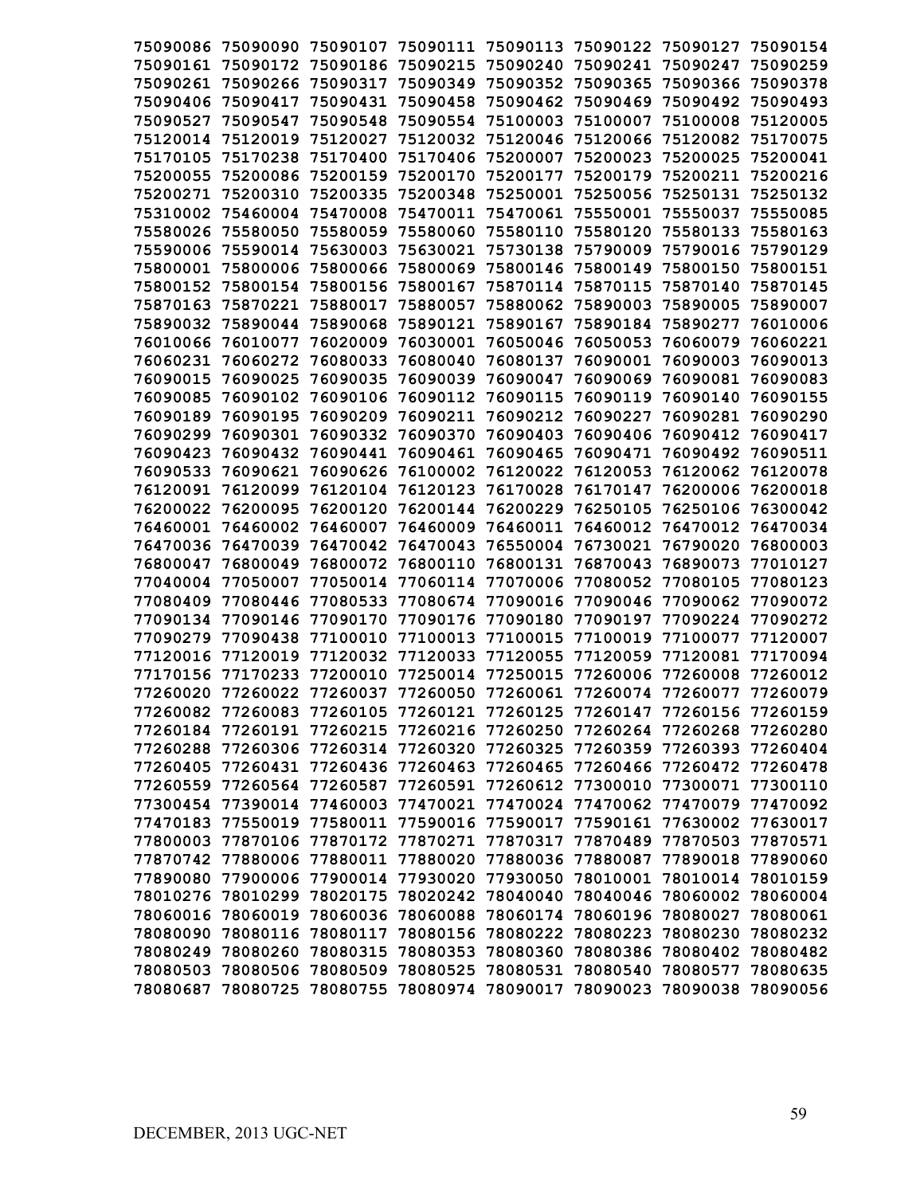| 75090086 | 75090090                                                                | 75090107          | 75090111 | 75090113 |                            | 75090122 75090127          | 75090154 |
|----------|-------------------------------------------------------------------------|-------------------|----------|----------|----------------------------|----------------------------|----------|
| 75090161 | 75090172                                                                | 75090186          | 75090215 | 75090240 | 75090241                   | 75090247                   | 75090259 |
| 75090261 | 75090266                                                                | 75090317          | 75090349 | 75090352 | 75090365                   | 75090366                   | 75090378 |
| 75090406 | 75090417                                                                | 75090431          | 75090458 | 75090462 | 75090469                   | 75090492                   | 75090493 |
| 75090527 | 75090547                                                                | 75090548          | 75090554 | 75100003 | 75100007                   | 75100008                   | 75120005 |
| 75120014 | 75120019                                                                | 75120027          | 75120032 | 75120046 | 75120066                   | 75120082                   | 75170075 |
| 75170105 | 75170238                                                                | 75170400          | 75170406 | 75200007 | 75200023                   | 75200025                   | 75200041 |
| 75200055 | 75200086                                                                | 75200159          | 75200170 | 75200177 | 75200179                   | 75200211                   | 75200216 |
| 75200271 | 75200310                                                                | 75200335          | 75200348 | 75250001 | 75250056                   | 75250131                   | 75250132 |
| 75310002 | 75460004                                                                | 75470008          | 75470011 | 75470061 | 75550001                   | 75550037                   | 75550085 |
| 75580026 | 75580050                                                                | 75580059          | 75580060 | 75580110 | 75580120                   | 75580133                   | 75580163 |
| 75590006 | 75590014                                                                | 75630003          | 75630021 | 75730138 | 75790009                   | 75790016                   | 75790129 |
| 75800001 | 75800006                                                                | 75800066          | 75800069 | 75800146 | 75800149                   | 75800150                   | 75800151 |
| 75800152 | 75800154                                                                | 75800156          | 75800167 | 75870114 | 75870115                   | 75870140                   | 75870145 |
| 75870163 | 75870221                                                                | 75880017          | 75880057 | 75880062 | 75890003                   | 75890005                   | 75890007 |
| 75890032 | 75890044                                                                | 75890068          | 75890121 | 75890167 | 75890184                   | 75890277                   | 76010006 |
| 76010066 | 76010077                                                                | 76020009          | 76030001 | 76050046 | 76050053                   | 76060079                   | 76060221 |
| 76060231 | 76060272                                                                | 76080033          | 76080040 | 76080137 | 76090001                   | 76090003                   | 76090013 |
| 76090015 | 76090025                                                                | 76090035          | 76090039 | 76090047 | 76090069                   | 76090081                   | 76090083 |
| 76090085 | 76090102                                                                | 76090106          | 76090112 | 76090115 | 76090119                   | 76090140                   | 76090155 |
| 76090189 | 76090195                                                                | 76090209          | 76090211 | 76090212 | 76090227                   | 76090281                   | 76090290 |
| 76090299 | 76090301                                                                | 76090332          | 76090370 | 76090403 | 76090406                   | 76090412                   | 76090417 |
| 76090423 | 76090432                                                                | 76090441          | 76090461 | 76090465 | 76090471                   | 76090492                   | 76090511 |
| 76090533 | 76090621                                                                | 76090626          | 76100002 | 76120022 | 76120053                   | 76120062                   | 76120078 |
| 76120091 | 76120099                                                                | 76120104          | 76120123 | 76170028 | 76170147                   | 76200006                   | 76200018 |
| 76200022 | 76200095                                                                | 76200120          | 76200144 | 76200229 | 76250105                   | 76250106                   | 76300042 |
| 76460001 | 76460002                                                                | 76460007          | 76460009 | 76460011 | 76460012                   | 76470012                   | 76470034 |
| 76470036 | 76470039                                                                | 76470042          | 76470043 | 76550004 | 76730021                   | 76790020                   | 76800003 |
| 76800047 | 76800049                                                                | 76800072          | 76800110 | 76800131 | 76870043                   | 76890073                   | 77010127 |
| 77040004 | 77050007                                                                | 77050014          | 77060114 | 77070006 | 77080052                   | 77080105                   | 77080123 |
| 77080409 | 77080446                                                                | 77080533          | 77080674 | 77090016 | 77090046                   | 77090062                   | 77090072 |
| 77090134 | 77090146                                                                | 77090170          | 77090176 | 77090180 | 77090197                   | 77090224                   | 77090272 |
| 77090279 | 77090438                                                                | 77100010          | 77100013 | 77100015 | 77100019                   | 77100077                   | 77120007 |
| 77120016 | 77120019                                                                | 77120032          | 77120033 | 77120055 | 77120059                   | 77120081                   | 77170094 |
| 77170156 | 77170233                                                                | 77200010          | 77250014 | 77250015 | 77260006                   | 77260008                   | 77260012 |
| 77260020 | 77260022                                                                | 77260037          | 77260050 | 77260061 | 77260074 77260077          |                            | 77260079 |
| 77260082 |                                                                         | 77260083 77260105 | 77260121 |          |                            | 77260125 77260147 77260156 | 77260159 |
|          | 77260184 77260191 77260215 77260216 77260250 77260264 77260268 77260280 |                   |          |          |                            |                            |          |
|          | 77260288 77260306 77260314 77260320                                     |                   |          |          | 77260325 77260359 77260393 |                            | 77260404 |
|          | 77260405 77260431 77260436 77260463                                     |                   |          |          |                            | 77260465 77260466 77260472 | 77260478 |
|          | 77260559 77260564 77260587                                              |                   | 77260591 |          | 77260612 77300010 77300071 |                            | 77300110 |
|          | 77300454 77390014 77460003                                              |                   | 77470021 |          | 77470024 77470062 77470079 |                            | 77470092 |
|          | 77470183 77550019 77580011                                              |                   | 77590016 |          | 77590017 77590161 77630002 |                            | 77630017 |
|          | 77800003 77870106 77870172                                              |                   | 77870271 |          | 77870317 77870489 77870503 |                            | 77870571 |
|          | 77870742 77880006 77880011                                              |                   | 77880020 |          | 77880036 77880087 77890018 |                            | 77890060 |
|          | 77890080 77900006 77900014                                              |                   | 77930020 |          | 77930050 78010001 78010014 |                            | 78010159 |
|          | 78010276 78010299 78020175                                              |                   | 78020242 |          | 78040040 78040046          | 78060002                   | 78060004 |
|          | 78060016 78060019 78060036                                              |                   | 78060088 |          | 78060174 78060196 78080027 |                            | 78080061 |
|          | 78080090 78080116 78080117                                              |                   | 78080156 |          | 78080222 78080223 78080230 |                            | 78080232 |
|          | 78080249 78080260 78080315                                              |                   | 78080353 |          | 78080360 78080386 78080402 |                            | 78080482 |
|          | 78080503 78080506 78080509 78080525 78080531 78080540 78080577          |                   |          |          |                            |                            | 78080635 |
|          | 78080687 78080725 78080755 78080974 78090017 78090023 78090038 78090056 |                   |          |          |                            |                            |          |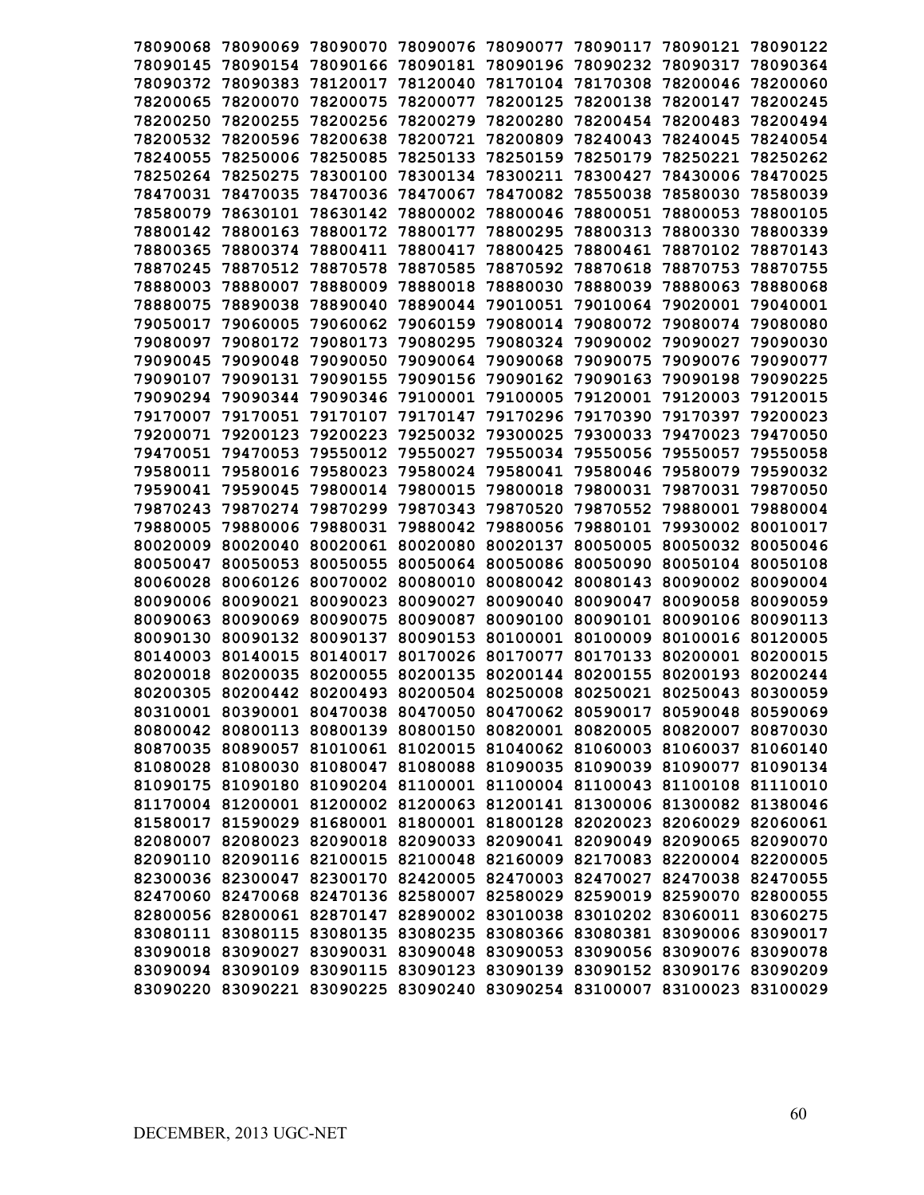| 78090068 | 78090069 | 78090070 | 78090076                                                                | 78090077 | 78090117          | 78090121 | 78090122                                                                |
|----------|----------|----------|-------------------------------------------------------------------------|----------|-------------------|----------|-------------------------------------------------------------------------|
| 78090145 | 78090154 | 78090166 | 78090181                                                                | 78090196 | 78090232          | 78090317 | 78090364                                                                |
| 78090372 | 78090383 | 78120017 | 78120040                                                                | 78170104 | 78170308          | 78200046 | 78200060                                                                |
| 78200065 | 78200070 | 78200075 | 78200077                                                                | 78200125 | 78200138          | 78200147 | 78200245                                                                |
| 78200250 | 78200255 | 78200256 | 78200279                                                                | 78200280 | 78200454          | 78200483 | 78200494                                                                |
| 78200532 | 78200596 | 78200638 | 78200721                                                                | 78200809 | 78240043          | 78240045 | 78240054                                                                |
| 78240055 | 78250006 | 78250085 | 78250133                                                                | 78250159 | 78250179          | 78250221 | 78250262                                                                |
| 78250264 | 78250275 | 78300100 | 78300134                                                                | 78300211 | 78300427          | 78430006 | 78470025                                                                |
| 78470031 | 78470035 | 78470036 | 78470067                                                                | 78470082 | 78550038          | 78580030 | 78580039                                                                |
| 78580079 | 78630101 | 78630142 | 78800002                                                                | 78800046 | 78800051          | 78800053 | 78800105                                                                |
| 78800142 | 78800163 | 78800172 | 78800177                                                                | 78800295 | 78800313          | 78800330 | 78800339                                                                |
| 78800365 | 78800374 | 78800411 | 78800417                                                                | 78800425 | 78800461          | 78870102 | 78870143                                                                |
| 78870245 | 78870512 | 78870578 | 78870585                                                                | 78870592 | 78870618          | 78870753 | 78870755                                                                |
| 78880003 | 78880007 | 78880009 | 78880018                                                                | 78880030 | 78880039          | 78880063 | 78880068                                                                |
| 78880075 | 78890038 | 78890040 | 78890044                                                                | 79010051 | 79010064          | 79020001 | 79040001                                                                |
| 79050017 | 79060005 | 79060062 | 79060159                                                                | 79080014 | 79080072          | 79080074 | 79080080                                                                |
| 79080097 | 79080172 | 79080173 | 79080295                                                                | 79080324 | 79090002          | 79090027 | 79090030                                                                |
| 79090045 | 79090048 | 79090050 | 79090064                                                                | 79090068 | 79090075          | 79090076 | 79090077                                                                |
| 79090107 | 79090131 | 79090155 | 79090156                                                                | 79090162 | 79090163          | 79090198 | 79090225                                                                |
| 79090294 | 79090344 | 79090346 | 79100001                                                                | 79100005 | 79120001          | 79120003 | 79120015                                                                |
| 79170007 | 79170051 | 79170107 | 79170147                                                                | 79170296 | 79170390          | 79170397 | 79200023                                                                |
| 79200071 | 79200123 | 79200223 | 79250032                                                                | 79300025 | 79300033          | 79470023 | 79470050                                                                |
| 79470051 | 79470053 | 79550012 | 79550027                                                                | 79550034 | 79550056          | 79550057 | 79550058                                                                |
| 79580011 | 79580016 | 79580023 | 79580024                                                                | 79580041 | 79580046          | 79580079 | 79590032                                                                |
| 79590041 | 79590045 | 79800014 | 79800015                                                                | 79800018 | 79800031          | 79870031 | 79870050                                                                |
| 79870243 | 79870274 | 79870299 | 79870343                                                                | 79870520 | 79870552          | 79880001 | 79880004                                                                |
| 79880005 | 79880006 | 79880031 | 79880042                                                                | 79880056 | 79880101          | 79930002 | 80010017                                                                |
| 80020009 | 80020040 | 80020061 | 80020080                                                                | 80020137 | 80050005          | 80050032 | 80050046                                                                |
| 80050047 | 80050053 | 80050055 | 80050064                                                                | 80050086 | 80050090          | 80050104 | 80050108                                                                |
| 80060028 | 80060126 | 80070002 | 80080010                                                                | 80080042 | 80080143          | 80090002 | 80090004                                                                |
| 80090006 | 80090021 | 80090023 | 80090027                                                                | 80090040 | 80090047          | 80090058 | 80090059                                                                |
| 80090063 | 80090069 | 80090075 | 80090087                                                                | 80090100 | 80090101          | 80090106 | 80090113                                                                |
| 80090130 | 80090132 | 80090137 | 80090153                                                                | 80100001 | 80100009          | 80100016 | 80120005                                                                |
| 80140003 | 80140015 | 80140017 | 80170026                                                                | 80170077 | 80170133          | 80200001 | 80200015                                                                |
| 80200018 | 80200035 | 80200055 | 80200135                                                                | 80200144 | 80200155          | 80200193 | 80200244                                                                |
| 80200305 | 80200442 |          | 80200493 80200504                                                       | 80250008 | 80250021 80250043 |          | 80300059                                                                |
|          |          |          | 80310001 80390001 80470038 80470050 80470062 80590017 80590048 80590069 |          |                   |          |                                                                         |
|          |          |          | 80800042 80800113 80800139 80800150 80820001 80820005 80820007 80870030 |          |                   |          |                                                                         |
|          |          |          | 80870035 80890057 81010061 81020015 81040062 81060003 81060037 81060140 |          |                   |          |                                                                         |
|          |          |          | 81080028 81080030 81080047 81080088 81090035 81090039 81090077 81090134 |          |                   |          |                                                                         |
|          |          |          | 81090175 81090180 81090204 81100001 81100004 81100043 81100108 81110010 |          |                   |          |                                                                         |
|          |          |          | 81170004 81200001 81200002 81200063 81200141 81300006 81300082 81380046 |          |                   |          |                                                                         |
|          |          |          | 81580017 81590029 81680001 81800001 81800128 82020023 82060029 82060061 |          |                   |          |                                                                         |
|          |          |          | 82080007 82080023 82090018 82090033 82090041 82090049 82090065 82090070 |          |                   |          |                                                                         |
|          |          |          | 82090110 82090116 82100015 82100048 82160009 82170083 82200004 82200005 |          |                   |          |                                                                         |
|          |          |          | 82300036 82300047 82300170 82420005 82470003 82470027 82470038 82470055 |          |                   |          |                                                                         |
|          |          |          | 82470060 82470068 82470136 82580007 82580029 82590019 82590070 82800055 |          |                   |          |                                                                         |
|          |          |          | 82800056 82800061 82870147 82890002 83010038 83010202 83060011 83060275 |          |                   |          |                                                                         |
|          |          |          | 83080111 83080115 83080135 83080235 83080366 83080381 83090006 83090017 |          |                   |          |                                                                         |
|          |          |          | 83090018 83090027 83090031 83090048 83090053 83090056 83090076 83090078 |          |                   |          |                                                                         |
|          |          |          | 83090094 83090109 83090115 83090123 83090139 83090152 83090176 83090209 |          |                   |          |                                                                         |
|          |          |          |                                                                         |          |                   |          | 83090220 83090221 83090225 83090240 83090254 83100007 83100023 83100029 |
|          |          |          |                                                                         |          |                   |          |                                                                         |